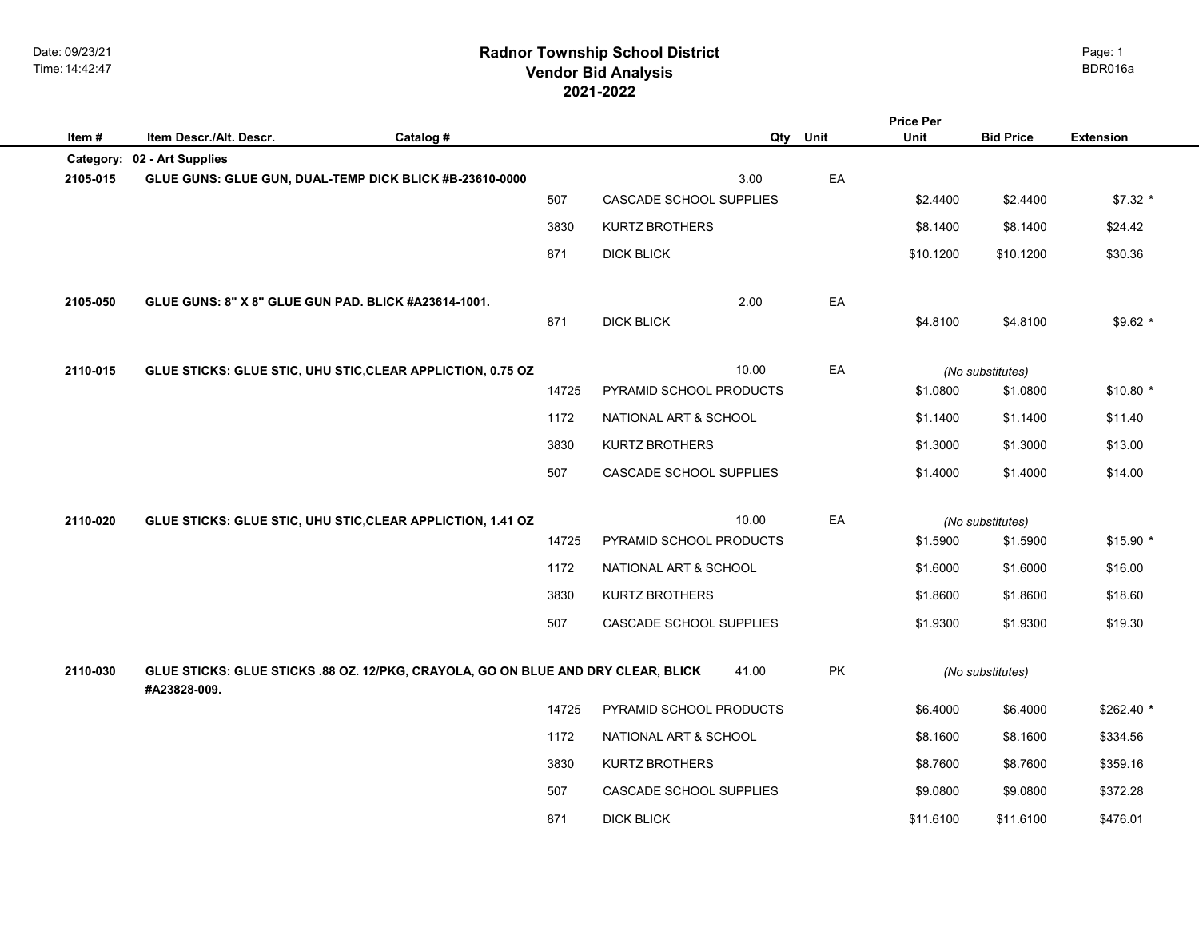## **2021-2022 Radnor Township School District Vendor Bid Analysis** BDR016a

| Item#     | Item Descr./Alt. Descr.                                                                           | Catalog # | Qty                     | Unit | <b>Price Per</b><br>Unit | <b>Bid Price</b> | <b>Extension</b> |
|-----------|---------------------------------------------------------------------------------------------------|-----------|-------------------------|------|--------------------------|------------------|------------------|
| Category: | 02 - Art Supplies                                                                                 |           |                         |      |                          |                  |                  |
| 2105-015  | GLUE GUNS: GLUE GUN, DUAL-TEMP DICK BLICK #B-23610-0000                                           |           | 3.00                    | EA   |                          |                  |                  |
|           |                                                                                                   | 507       | CASCADE SCHOOL SUPPLIES |      | \$2.4400                 | \$2.4400         | $$7.32*$         |
|           |                                                                                                   | 3830      | <b>KURTZ BROTHERS</b>   |      | \$8.1400                 | \$8.1400         | \$24.42          |
|           |                                                                                                   | 871       | <b>DICK BLICK</b>       |      | \$10.1200                | \$10.1200        | \$30.36          |
| 2105-050  | GLUE GUNS: 8" X 8" GLUE GUN PAD. BLICK #A23614-1001.                                              |           | 2.00                    | EA   |                          |                  |                  |
|           |                                                                                                   | 871       | <b>DICK BLICK</b>       |      | \$4.8100                 | \$4.8100         | $$9.62$ *        |
| 2110-015  | GLUE STICKS: GLUE STIC, UHU STIC, CLEAR APPLICTION, 0.75 OZ                                       |           | 10.00                   | EA   |                          | (No substitutes) |                  |
|           |                                                                                                   | 14725     | PYRAMID SCHOOL PRODUCTS |      | \$1.0800                 | \$1.0800         | $$10.80*$        |
|           |                                                                                                   | 1172      | NATIONAL ART & SCHOOL   |      | \$1.1400                 | \$1.1400         | \$11.40          |
|           |                                                                                                   | 3830      | <b>KURTZ BROTHERS</b>   |      | \$1.3000                 | \$1.3000         | \$13.00          |
|           |                                                                                                   | 507       | CASCADE SCHOOL SUPPLIES |      | \$1.4000                 | \$1.4000         | \$14.00          |
| 2110-020  | GLUE STICKS: GLUE STIC, UHU STIC, CLEAR APPLICTION, 1.41 OZ                                       |           | 10.00                   | EA   |                          | (No substitutes) |                  |
|           |                                                                                                   | 14725     | PYRAMID SCHOOL PRODUCTS |      | \$1.5900                 | \$1.5900         | $$15.90*$        |
|           |                                                                                                   | 1172      | NATIONAL ART & SCHOOL   |      | \$1.6000                 | \$1.6000         | \$16.00          |
|           |                                                                                                   | 3830      | <b>KURTZ BROTHERS</b>   |      | \$1.8600                 | \$1.8600         | \$18.60          |
|           |                                                                                                   | 507       | CASCADE SCHOOL SUPPLIES |      | \$1.9300                 | \$1.9300         | \$19.30          |
| 2110-030  | GLUE STICKS: GLUE STICKS .88 OZ. 12/PKG, CRAYOLA, GO ON BLUE AND DRY CLEAR, BLICK<br>#A23828-009. |           | 41.00                   | PK   |                          | (No substitutes) |                  |
|           |                                                                                                   | 14725     | PYRAMID SCHOOL PRODUCTS |      | \$6.4000                 | \$6.4000         | $$262.40$ *      |
|           |                                                                                                   | 1172      | NATIONAL ART & SCHOOL   |      | \$8.1600                 | \$8.1600         | \$334.56         |
|           |                                                                                                   | 3830      | <b>KURTZ BROTHERS</b>   |      | \$8.7600                 | \$8.7600         | \$359.16         |
|           |                                                                                                   | 507       | CASCADE SCHOOL SUPPLIES |      | \$9.0800                 | \$9.0800         | \$372.28         |
|           |                                                                                                   | 871       | <b>DICK BLICK</b>       |      | \$11.6100                | \$11.6100        | \$476.01         |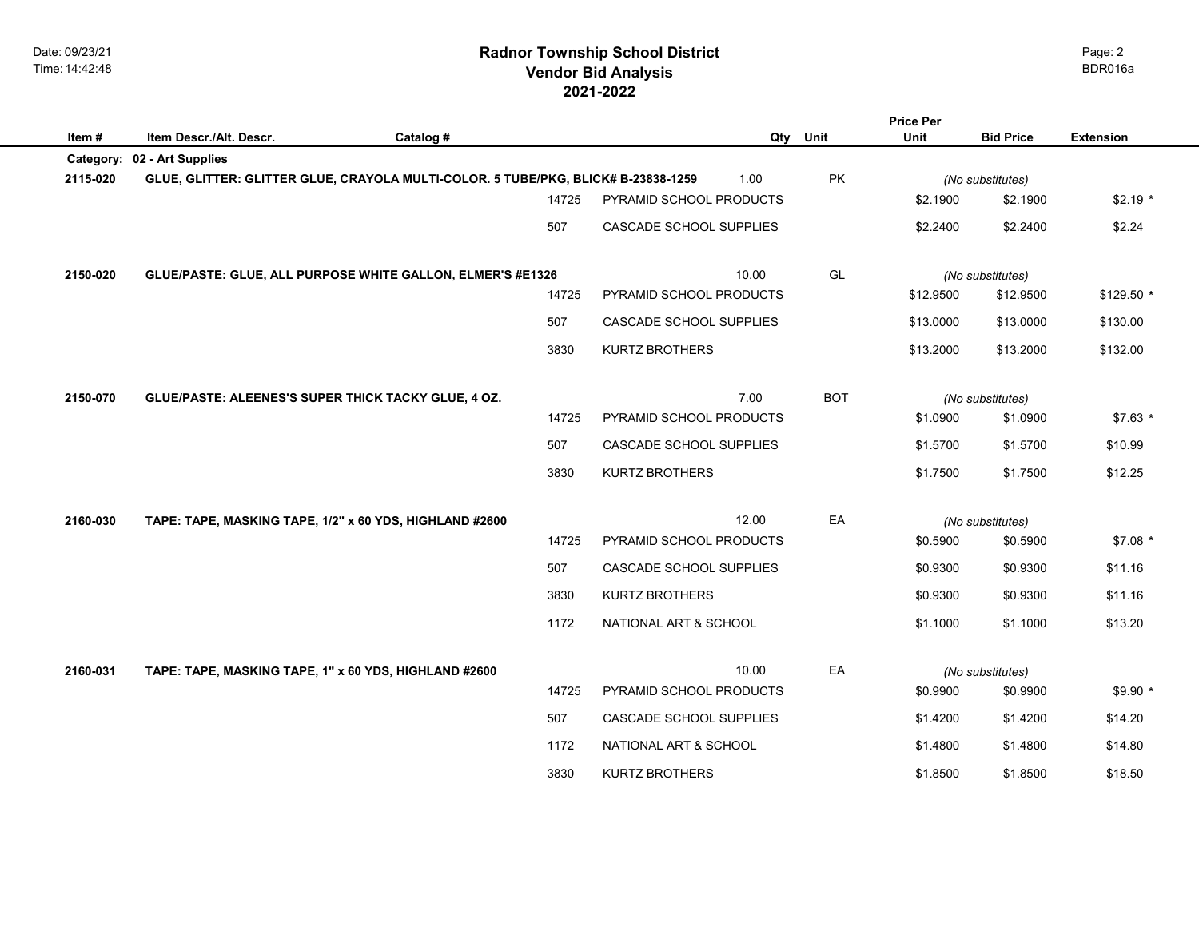## **2021-2022 Radnor Township School District Vendor Bid Analysis** BDR016a

|           |                                                                                   |           |       |                         |            | <b>Price Per</b> |                  |                  |
|-----------|-----------------------------------------------------------------------------------|-----------|-------|-------------------------|------------|------------------|------------------|------------------|
| Item#     | Item Descr./Alt. Descr.                                                           | Catalog # |       | Qty                     | Unit       | <b>Unit</b>      | <b>Bid Price</b> | <b>Extension</b> |
| Category: | 02 - Art Supplies                                                                 |           |       |                         |            |                  |                  |                  |
| 2115-020  | GLUE, GLITTER: GLITTER GLUE, CRAYOLA MULTI-COLOR. 5 TUBE/PKG, BLICK# B-23838-1259 |           |       | 1.00                    | PK         |                  | (No substitutes) |                  |
|           |                                                                                   |           | 14725 | PYRAMID SCHOOL PRODUCTS |            | \$2.1900         | \$2.1900         | $$2.19*$         |
|           |                                                                                   |           | 507   | CASCADE SCHOOL SUPPLIES |            | \$2.2400         | \$2.2400         | \$2.24           |
|           |                                                                                   |           |       |                         |            |                  |                  |                  |
| 2150-020  | GLUE/PASTE: GLUE, ALL PURPOSE WHITE GALLON, ELMER'S #E1326                        |           |       | 10.00                   | GL         |                  | (No substitutes) |                  |
|           |                                                                                   |           | 14725 | PYRAMID SCHOOL PRODUCTS |            | \$12.9500        | \$12.9500        | \$129.50 *       |
|           |                                                                                   |           | 507   | CASCADE SCHOOL SUPPLIES |            | \$13.0000        | \$13.0000        | \$130.00         |
|           |                                                                                   |           | 3830  | <b>KURTZ BROTHERS</b>   |            | \$13.2000        | \$13.2000        | \$132.00         |
|           |                                                                                   |           |       |                         |            |                  |                  |                  |
| 2150-070  | GLUE/PASTE: ALEENES'S SUPER THICK TACKY GLUE, 4 OZ.                               |           |       | 7.00                    | <b>BOT</b> |                  | (No substitutes) |                  |
|           |                                                                                   |           | 14725 | PYRAMID SCHOOL PRODUCTS |            | \$1.0900         | \$1.0900         | $$7.63*$         |
|           |                                                                                   |           | 507   | CASCADE SCHOOL SUPPLIES |            | \$1.5700         | \$1.5700         | \$10.99          |
|           |                                                                                   |           | 3830  | <b>KURTZ BROTHERS</b>   |            | \$1.7500         | \$1.7500         | \$12.25          |
|           |                                                                                   |           |       |                         |            |                  |                  |                  |
| 2160-030  | TAPE: TAPE, MASKING TAPE, 1/2" x 60 YDS, HIGHLAND #2600                           |           |       | 12.00                   | EA         |                  | (No substitutes) |                  |
|           |                                                                                   |           | 14725 | PYRAMID SCHOOL PRODUCTS |            | \$0.5900         | \$0.5900         | $$7.08*$         |
|           |                                                                                   |           | 507   | CASCADE SCHOOL SUPPLIES |            | \$0.9300         | \$0.9300         | \$11.16          |
|           |                                                                                   |           | 3830  | <b>KURTZ BROTHERS</b>   |            | \$0.9300         | \$0.9300         | \$11.16          |
|           |                                                                                   |           | 1172  | NATIONAL ART & SCHOOL   |            | \$1.1000         | \$1.1000         | \$13.20          |
|           |                                                                                   |           |       |                         |            |                  |                  |                  |
| 2160-031  | TAPE: TAPE, MASKING TAPE, 1" x 60 YDS, HIGHLAND #2600                             |           |       | 10.00                   | EA         |                  | (No substitutes) |                  |
|           |                                                                                   |           | 14725 | PYRAMID SCHOOL PRODUCTS |            | \$0.9900         | \$0.9900         | $$9.90*$         |
|           |                                                                                   |           | 507   | CASCADE SCHOOL SUPPLIES |            | \$1.4200         | \$1.4200         | \$14.20          |
|           |                                                                                   |           | 1172  | NATIONAL ART & SCHOOL   |            | \$1.4800         | \$1.4800         | \$14.80          |
|           |                                                                                   |           | 3830  | <b>KURTZ BROTHERS</b>   |            | \$1.8500         | \$1.8500         | \$18.50          |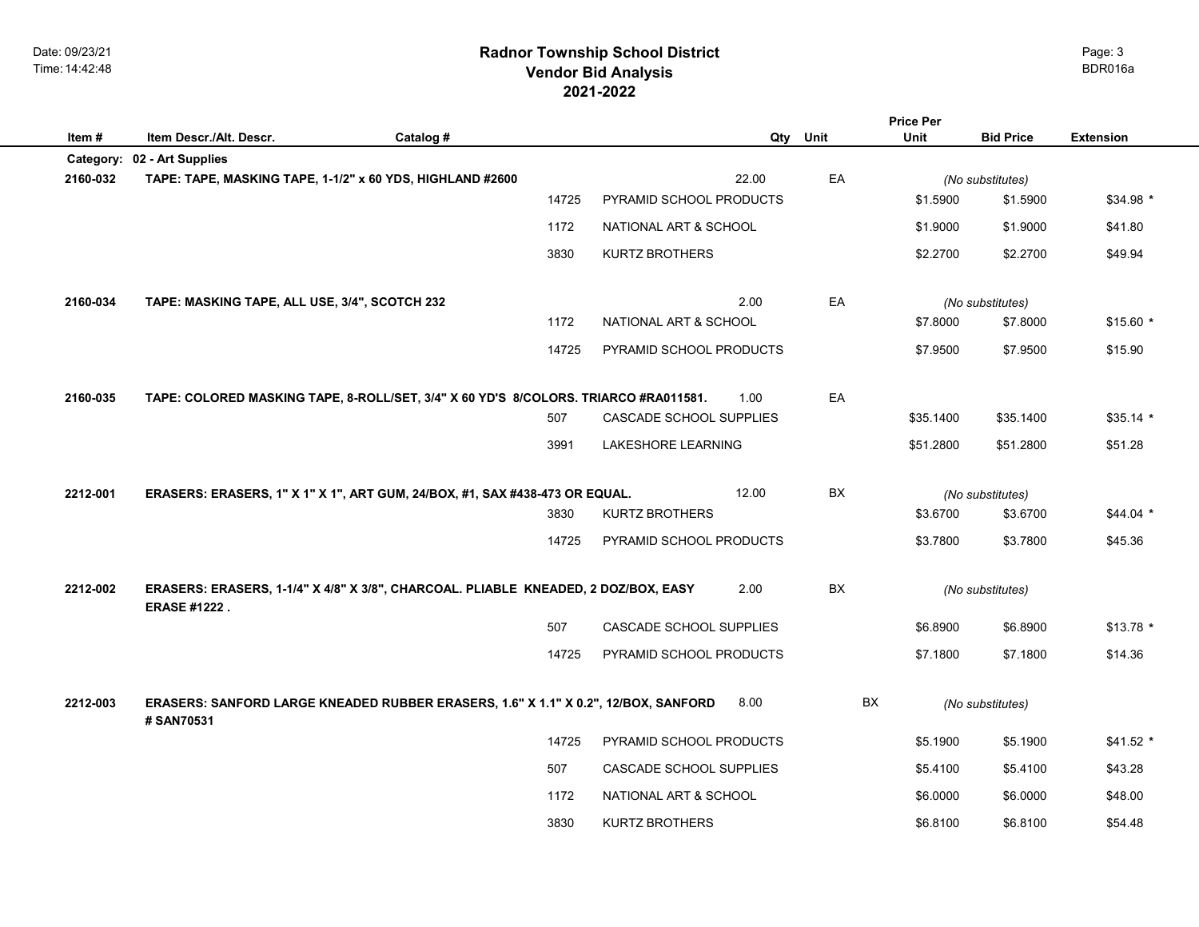## **2021-2022 Radnor Township School District Vendor Bid Analysis** BDR016a

|          |                                                                                                           |           |       |                         |       |      | <b>Price Per</b> |                  |                  |
|----------|-----------------------------------------------------------------------------------------------------------|-----------|-------|-------------------------|-------|------|------------------|------------------|------------------|
| Item#    | Item Descr./Alt. Descr.                                                                                   | Catalog # |       |                         | Qty   | Unit | <b>Unit</b>      | <b>Bid Price</b> | <b>Extension</b> |
|          | Category: 02 - Art Supplies                                                                               |           |       |                         |       |      |                  |                  |                  |
| 2160-032 | TAPE: TAPE, MASKING TAPE, 1-1/2" x 60 YDS, HIGHLAND #2600                                                 |           |       |                         | 22.00 | EA   |                  | (No substitutes) |                  |
|          |                                                                                                           |           | 14725 | PYRAMID SCHOOL PRODUCTS |       |      | \$1.5900         | \$1.5900         | $$34.98$ *       |
|          |                                                                                                           |           | 1172  | NATIONAL ART & SCHOOL   |       |      | \$1.9000         | \$1.9000         | \$41.80          |
|          |                                                                                                           |           | 3830  | <b>KURTZ BROTHERS</b>   |       |      | \$2.2700         | \$2.2700         | \$49.94          |
| 2160-034 | TAPE: MASKING TAPE, ALL USE, 3/4", SCOTCH 232                                                             |           |       |                         | 2.00  | EA   |                  | (No substitutes) |                  |
|          |                                                                                                           |           | 1172  | NATIONAL ART & SCHOOL   |       |      | \$7.8000         | \$7.8000         | $$15.60*$        |
|          |                                                                                                           |           | 14725 | PYRAMID SCHOOL PRODUCTS |       |      | \$7.9500         | \$7.9500         | \$15.90          |
| 2160-035 | TAPE: COLORED MASKING TAPE, 8-ROLL/SET, 3/4" X 60 YD'S 8/COLORS. TRIARCO #RA011581.                       |           |       |                         | 1.00  | EA   |                  |                  |                  |
|          |                                                                                                           |           | 507   | CASCADE SCHOOL SUPPLIES |       |      | \$35.1400        | \$35.1400        | $$35.14$ *       |
|          |                                                                                                           |           | 3991  | LAKESHORE LEARNING      |       |      | \$51.2800        | \$51.2800        | \$51.28          |
| 2212-001 | ERASERS: ERASERS, 1" X 1" X 1", ART GUM, 24/BOX, #1, SAX #438-473 OR EQUAL.                               |           |       |                         | 12.00 | BX   |                  | (No substitutes) |                  |
|          |                                                                                                           |           | 3830  | <b>KURTZ BROTHERS</b>   |       |      | \$3.6700         | \$3.6700         | $$44.04$ *       |
|          |                                                                                                           |           | 14725 | PYRAMID SCHOOL PRODUCTS |       |      | \$3.7800         | \$3.7800         | \$45.36          |
| 2212-002 | ERASERS: ERASERS, 1-1/4" X 4/8" X 3/8", CHARCOAL. PLIABLE KNEADED, 2 DOZ/BOX, EASY<br><b>ERASE #1222.</b> |           |       |                         | 2.00  | BX   |                  | (No substitutes) |                  |
|          |                                                                                                           |           | 507   | CASCADE SCHOOL SUPPLIES |       |      | \$6.8900         | \$6.8900         | $$13.78$ *       |
|          |                                                                                                           |           | 14725 | PYRAMID SCHOOL PRODUCTS |       |      | \$7.1800         | \$7.1800         | \$14.36          |
| 2212-003 | ERASERS: SANFORD LARGE KNEADED RUBBER ERASERS, 1.6" X 1.1" X 0.2", 12/BOX, SANFORD<br># SAN70531          |           |       |                         | 8.00  | BX   |                  | (No substitutes) |                  |
|          |                                                                                                           |           | 14725 | PYRAMID SCHOOL PRODUCTS |       |      | \$5.1900         | \$5.1900         | $$41.52$ *       |
|          |                                                                                                           |           | 507   | CASCADE SCHOOL SUPPLIES |       |      | \$5.4100         | \$5.4100         | \$43.28          |
|          |                                                                                                           |           | 1172  | NATIONAL ART & SCHOOL   |       |      | \$6.0000         | \$6.0000         | \$48.00          |
|          |                                                                                                           |           | 3830  | <b>KURTZ BROTHERS</b>   |       |      | \$6.8100         | \$6.8100         | \$54.48          |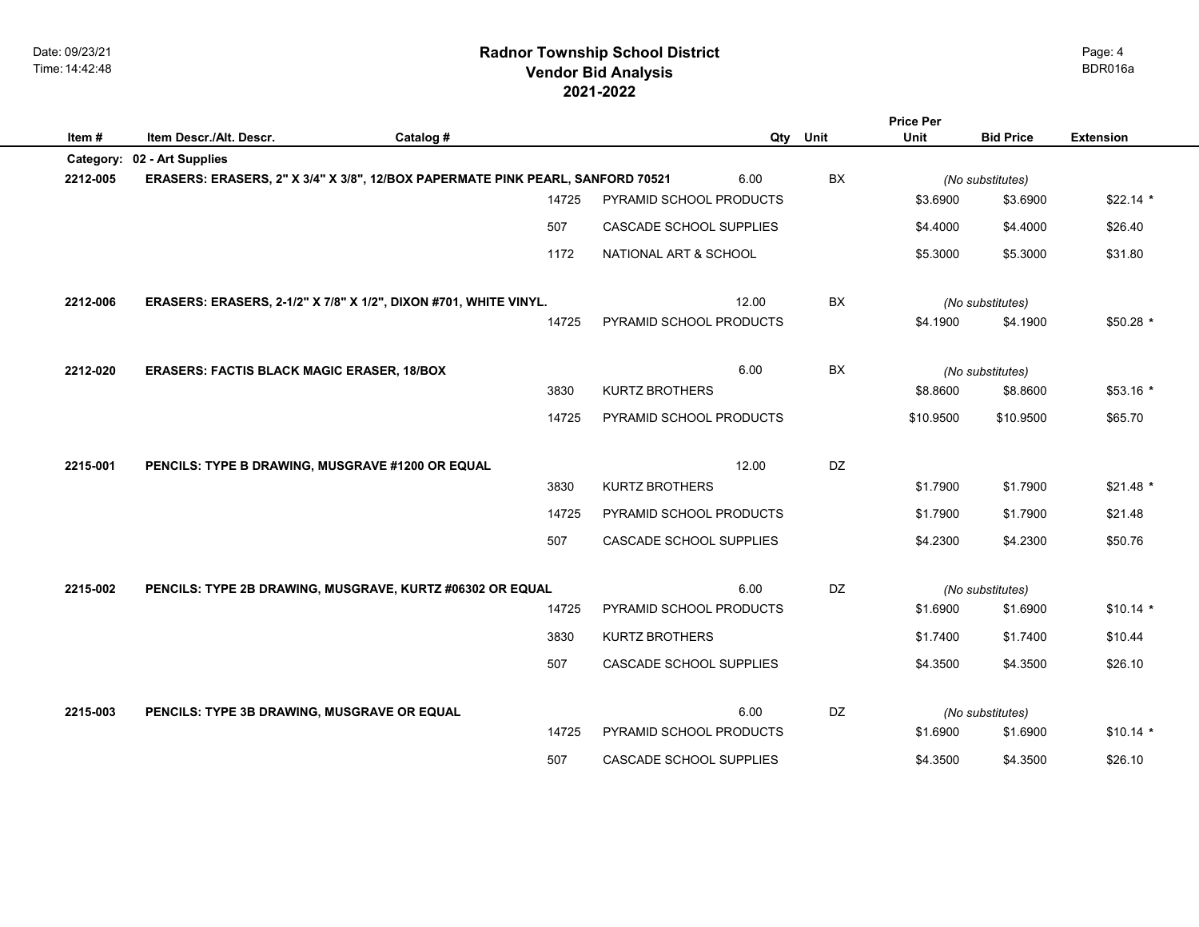## **2021-2022 Radnor Township School District Vendor Bid Analysis** BDR016a

|          |                                                                  |                                                                                |                         |           | <b>Price Per</b> |                              |                  |
|----------|------------------------------------------------------------------|--------------------------------------------------------------------------------|-------------------------|-----------|------------------|------------------------------|------------------|
| Item#    | Item Descr./Alt. Descr.                                          | Catalog #                                                                      |                         | Qty Unit  | <b>Unit</b>      | <b>Bid Price</b>             | <b>Extension</b> |
|          | Category: 02 - Art Supplies                                      |                                                                                |                         |           |                  |                              |                  |
| 2212-005 |                                                                  | ERASERS: ERASERS, 2" X 3/4" X 3/8", 12/BOX PAPERMATE PINK PEARL, SANFORD 70521 | 6.00                    | BX        |                  | (No substitutes)             |                  |
|          |                                                                  | 14725                                                                          | PYRAMID SCHOOL PRODUCTS |           | \$3.6900         | \$3.6900                     | $$22.14*$        |
|          |                                                                  | 507                                                                            | CASCADE SCHOOL SUPPLIES |           | \$4,4000         | \$4,4000                     | \$26.40          |
|          |                                                                  | 1172                                                                           | NATIONAL ART & SCHOOL   |           | \$5.3000         | \$5.3000                     | \$31.80          |
| 2212-006 | ERASERS: ERASERS, 2-1/2" X 7/8" X 1/2", DIXON #701, WHITE VINYL. |                                                                                | 12.00                   | <b>BX</b> |                  | (No substitutes)             |                  |
|          |                                                                  | 14725                                                                          | PYRAMID SCHOOL PRODUCTS |           | \$4.1900         | \$4.1900                     | $$50.28$ *       |
| 2212-020 | <b>ERASERS: FACTIS BLACK MAGIC ERASER, 18/BOX</b>                |                                                                                | 6.00                    | BX        |                  | (No substitutes)             |                  |
|          |                                                                  | 3830                                                                           | <b>KURTZ BROTHERS</b>   |           | \$8.8600         | \$8.8600                     | $$53.16*$        |
|          |                                                                  | 14725                                                                          | PYRAMID SCHOOL PRODUCTS |           | \$10.9500        | \$10.9500                    | \$65.70          |
| 2215-001 |                                                                  |                                                                                | 12.00                   | <b>DZ</b> |                  |                              |                  |
|          | PENCILS: TYPE B DRAWING, MUSGRAVE #1200 OR EQUAL                 | 3830                                                                           | <b>KURTZ BROTHERS</b>   |           | \$1.7900         | \$1.7900                     | $$21.48$ *       |
|          |                                                                  | 14725                                                                          | PYRAMID SCHOOL PRODUCTS |           | \$1.7900         | \$1.7900                     | \$21.48          |
|          |                                                                  | 507                                                                            | CASCADE SCHOOL SUPPLIES |           | \$4.2300         | \$4.2300                     | \$50.76          |
|          |                                                                  |                                                                                | 6.00                    | <b>DZ</b> |                  |                              |                  |
| 2215-002 | PENCILS: TYPE 2B DRAWING, MUSGRAVE, KURTZ #06302 OR EQUAL        | 14725                                                                          | PYRAMID SCHOOL PRODUCTS |           | \$1.6900         | (No substitutes)<br>\$1.6900 | $$10.14$ *       |
|          |                                                                  |                                                                                |                         |           |                  |                              |                  |
|          |                                                                  | 3830                                                                           | <b>KURTZ BROTHERS</b>   |           | \$1.7400         | \$1.7400                     | \$10.44          |
|          |                                                                  | 507                                                                            | CASCADE SCHOOL SUPPLIES |           | \$4.3500         | \$4.3500                     | \$26.10          |
| 2215-003 | PENCILS: TYPE 3B DRAWING, MUSGRAVE OR EQUAL                      |                                                                                | 6.00                    | <b>DZ</b> |                  | (No substitutes)             |                  |
|          |                                                                  | 14725                                                                          | PYRAMID SCHOOL PRODUCTS |           | \$1.6900         | \$1.6900                     | $$10.14$ *       |
|          |                                                                  | 507                                                                            | CASCADE SCHOOL SUPPLIES |           | \$4.3500         | \$4.3500                     | \$26.10          |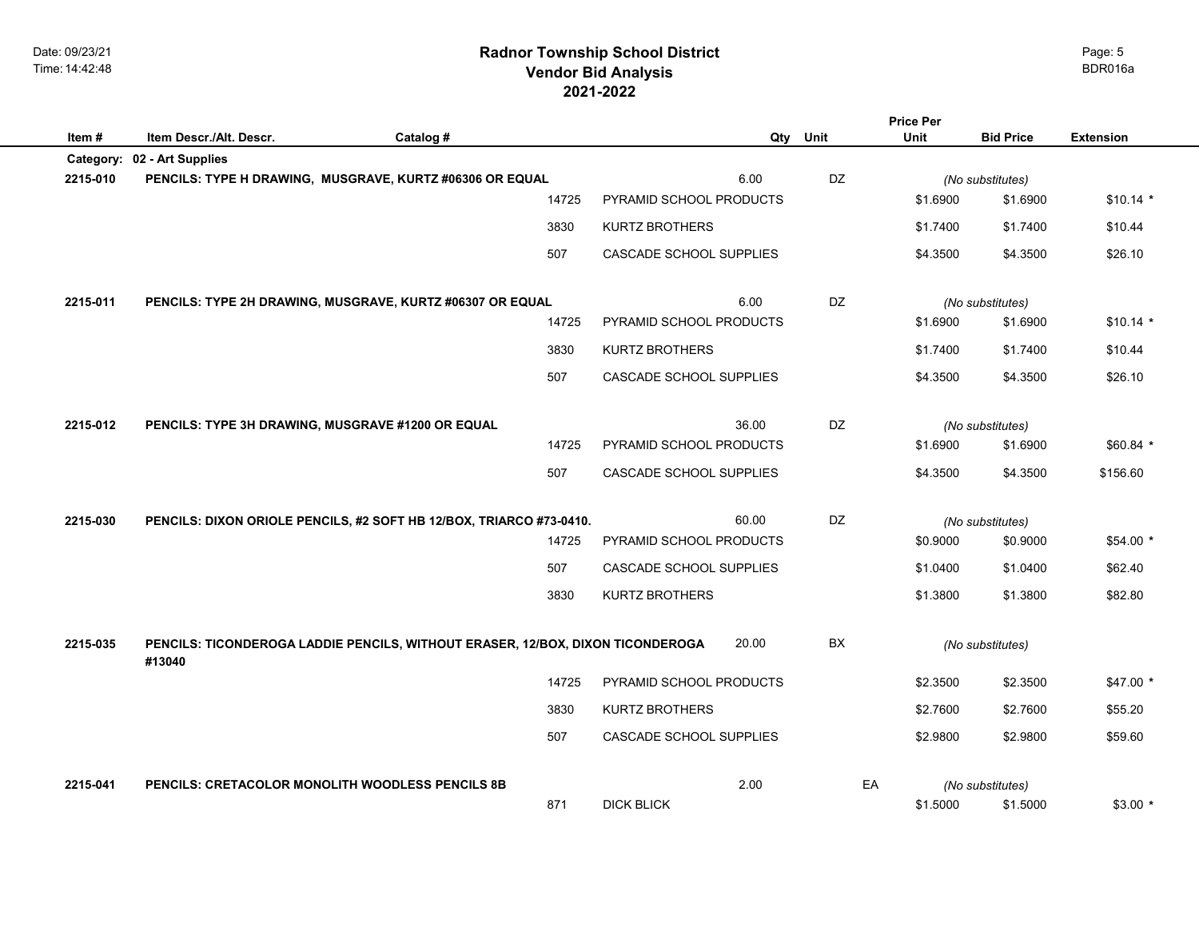## **2021-2022 Radnor Township School District Vendor Bid Analysis** BDR016a

|                       |                                                                                |           |       |                         |           | <b>Price Per</b> |                              |                  |
|-----------------------|--------------------------------------------------------------------------------|-----------|-------|-------------------------|-----------|------------------|------------------------------|------------------|
| Item#                 | Item Descr./Alt. Descr.                                                        | Catalog # |       | Qty                     | Unit      | <b>Unit</b>      | <b>Bid Price</b>             | <b>Extension</b> |
| Category:<br>2215-010 | 02 - Art Supplies<br>PENCILS: TYPE H DRAWING, MUSGRAVE, KURTZ #06306 OR EQUAL  |           |       | 6.00                    | DZ        |                  | (No substitutes)             |                  |
|                       |                                                                                |           | 14725 | PYRAMID SCHOOL PRODUCTS |           | \$1.6900         | \$1.6900                     | $$10.14$ *       |
|                       |                                                                                |           | 3830  | <b>KURTZ BROTHERS</b>   |           | \$1.7400         | \$1.7400                     | \$10.44          |
|                       |                                                                                |           |       |                         |           |                  |                              |                  |
|                       |                                                                                |           | 507   | CASCADE SCHOOL SUPPLIES |           | \$4.3500         | \$4.3500                     | \$26.10          |
| 2215-011              | PENCILS: TYPE 2H DRAWING, MUSGRAVE, KURTZ #06307 OR EQUAL                      |           |       | 6.00                    | DZ        |                  |                              |                  |
|                       |                                                                                |           | 14725 | PYRAMID SCHOOL PRODUCTS |           | \$1.6900         | (No substitutes)<br>\$1.6900 | $$10.14$ *       |
|                       |                                                                                |           | 3830  | KURTZ BROTHERS          |           | \$1.7400         | \$1.7400                     | \$10.44          |
|                       |                                                                                |           |       |                         |           |                  |                              |                  |
|                       |                                                                                |           | 507   | CASCADE SCHOOL SUPPLIES |           | \$4.3500         | \$4.3500                     | \$26.10          |
| 2215-012              | PENCILS: TYPE 3H DRAWING, MUSGRAVE #1200 OR EQUAL                              |           |       | 36.00                   | DZ        |                  | (No substitutes)             |                  |
|                       |                                                                                |           | 14725 | PYRAMID SCHOOL PRODUCTS |           | \$1.6900         | \$1.6900                     | $$60.84*$        |
|                       |                                                                                |           | 507   | CASCADE SCHOOL SUPPLIES |           | \$4.3500         | \$4.3500                     | \$156.60         |
|                       |                                                                                |           |       |                         |           |                  |                              |                  |
| 2215-030              | PENCILS: DIXON ORIOLE PENCILS, #2 SOFT HB 12/BOX, TRIARCO #73-0410.            |           |       | 60.00                   | <b>DZ</b> |                  | (No substitutes)             |                  |
|                       |                                                                                |           | 14725 | PYRAMID SCHOOL PRODUCTS |           | \$0.9000         | \$0.9000                     | $$54.00*$        |
|                       |                                                                                |           | 507   | CASCADE SCHOOL SUPPLIES |           | \$1.0400         | \$1.0400                     | \$62.40          |
|                       |                                                                                |           | 3830  | KURTZ BROTHERS          |           | \$1.3800         | \$1.3800                     | \$82.80          |
|                       |                                                                                |           |       |                         |           |                  |                              |                  |
| 2215-035              | PENCILS: TICONDEROGA LADDIE PENCILS, WITHOUT ERASER, 12/BOX, DIXON TICONDEROGA |           |       | 20.00                   | <b>BX</b> |                  | (No substitutes)             |                  |
|                       | #13040                                                                         |           |       |                         |           |                  |                              |                  |
|                       |                                                                                |           | 14725 | PYRAMID SCHOOL PRODUCTS |           | \$2.3500         | \$2.3500                     | $$47.00*$        |
|                       |                                                                                |           | 3830  | KURTZ BROTHERS          |           | \$2.7600         | \$2.7600                     | \$55.20          |
|                       |                                                                                |           | 507   | CASCADE SCHOOL SUPPLIES |           | \$2.9800         | \$2.9800                     | \$59.60          |
|                       |                                                                                |           |       | 2.00                    |           | EA               |                              |                  |
| 2215-041              | PENCILS: CRETACOLOR MONOLITH WOODLESS PENCILS 8B                               |           | 871   | <b>DICK BLICK</b>       |           | \$1.5000         | (No substitutes)<br>\$1.5000 | $$3.00*$         |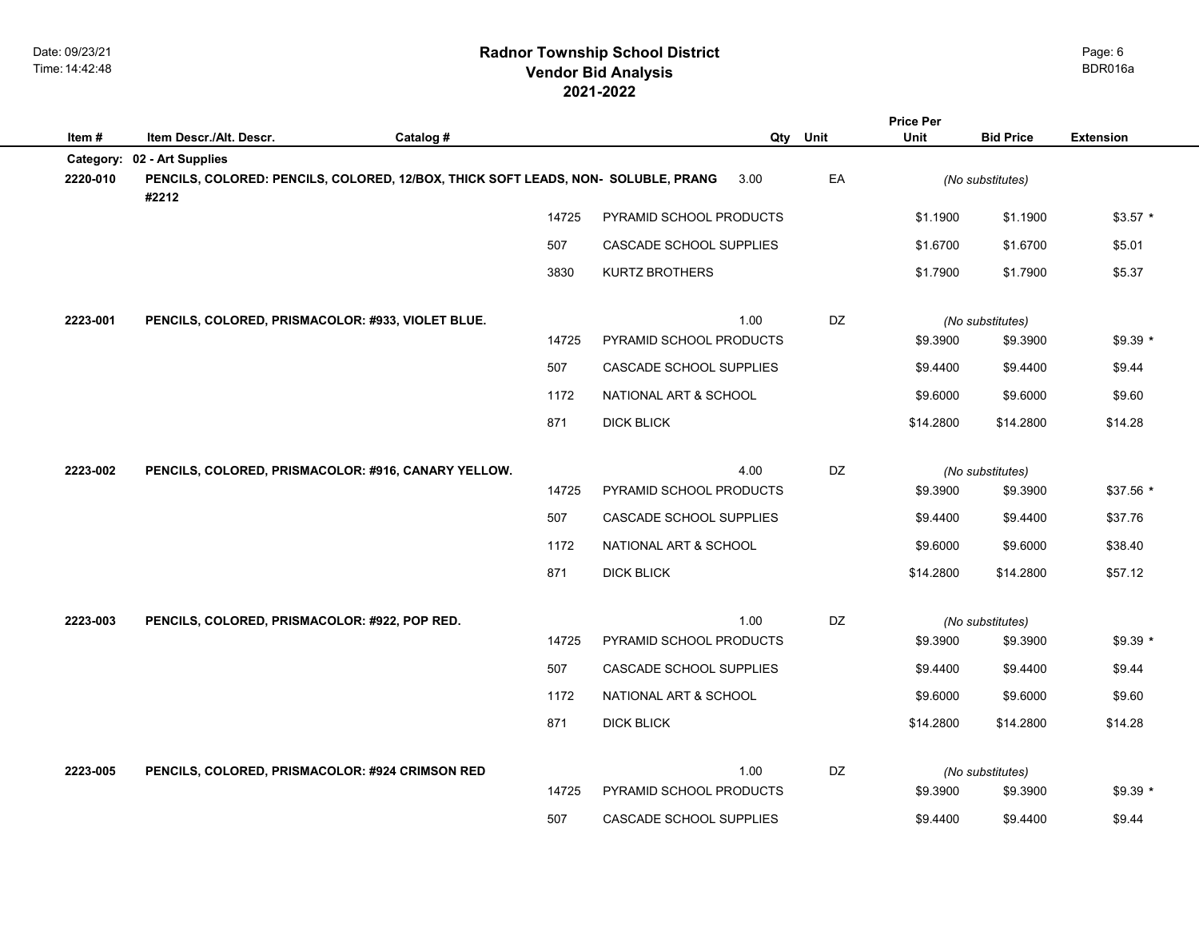## **2021-2022 Radnor Township School District Vendor Bid Analysis** BDR016a

|           |                                                                                            |           |                   |                         |           | <b>Price Per</b> |                  |                  |  |
|-----------|--------------------------------------------------------------------------------------------|-----------|-------------------|-------------------------|-----------|------------------|------------------|------------------|--|
| Item #    | Item Descr./Alt. Descr.                                                                    | Catalog # |                   |                         | Qty Unit  | <b>Unit</b>      | <b>Bid Price</b> | <b>Extension</b> |  |
| Category: | 02 - Art Supplies                                                                          |           |                   |                         |           |                  |                  |                  |  |
| 2220-010  | PENCILS, COLORED: PENCILS, COLORED, 12/BOX, THICK SOFT LEADS, NON- SOLUBLE, PRANG<br>#2212 |           |                   | 3.00                    | EA        |                  | (No substitutes) |                  |  |
|           |                                                                                            |           | 14725             | PYRAMID SCHOOL PRODUCTS |           | \$1.1900         | \$1.1900         | $$3.57$ *        |  |
|           |                                                                                            | 507       |                   | CASCADE SCHOOL SUPPLIES |           | \$1.6700         | \$1.6700         | \$5.01           |  |
|           |                                                                                            | 3830      |                   | <b>KURTZ BROTHERS</b>   |           | \$1.7900         | \$1.7900         | \$5.37           |  |
| 2223-001  | PENCILS, COLORED, PRISMACOLOR: #933, VIOLET BLUE.                                          |           |                   | 1.00                    | <b>DZ</b> |                  | (No substitutes) |                  |  |
|           |                                                                                            |           | 14725             | PYRAMID SCHOOL PRODUCTS |           | \$9.3900         | \$9.3900         | $$9.39*$         |  |
|           |                                                                                            | 507       |                   | CASCADE SCHOOL SUPPLIES |           | \$9,4400         | \$9.4400         | \$9.44           |  |
|           |                                                                                            | 1172      |                   | NATIONAL ART & SCHOOL   |           | \$9.6000         | \$9.6000         | \$9.60           |  |
|           |                                                                                            | 871       | <b>DICK BLICK</b> |                         |           | \$14.2800        | \$14.2800        | \$14.28          |  |
| 2223-002  | PENCILS, COLORED, PRISMACOLOR: #916, CANARY YELLOW.                                        |           |                   | 4.00                    | DZ        |                  | (No substitutes) |                  |  |
|           |                                                                                            |           | 14725             | PYRAMID SCHOOL PRODUCTS |           | \$9.3900         | \$9.3900         | \$37.56 *        |  |
|           |                                                                                            | 507       |                   | CASCADE SCHOOL SUPPLIES |           | \$9.4400         | \$9.4400         | \$37.76          |  |
|           |                                                                                            |           | 1172              | NATIONAL ART & SCHOOL   |           | \$9.6000         | \$9.6000         | \$38.40          |  |
|           |                                                                                            | 871       | <b>DICK BLICK</b> |                         |           | \$14.2800        | \$14.2800        | \$57.12          |  |
| 2223-003  | PENCILS, COLORED, PRISMACOLOR: #922, POP RED.                                              |           |                   | 1.00                    | DZ        |                  | (No substitutes) |                  |  |
|           |                                                                                            |           | 14725             | PYRAMID SCHOOL PRODUCTS |           | \$9.3900         | \$9.3900         | $$9.39*$         |  |
|           |                                                                                            | 507       |                   | CASCADE SCHOOL SUPPLIES |           | \$9.4400         | \$9.4400         | \$9.44           |  |
|           |                                                                                            | 1172      |                   | NATIONAL ART & SCHOOL   |           | \$9.6000         | \$9.6000         | \$9.60           |  |
|           |                                                                                            | 871       | <b>DICK BLICK</b> |                         |           | \$14.2800        | \$14.2800        | \$14.28          |  |
| 2223-005  | PENCILS, COLORED, PRISMACOLOR: #924 CRIMSON RED                                            |           |                   | 1.00                    | DZ        |                  | (No substitutes) |                  |  |
|           |                                                                                            |           | 14725             | PYRAMID SCHOOL PRODUCTS |           | \$9.3900         | \$9.3900         | $$9.39*$         |  |
|           |                                                                                            | 507       |                   | CASCADE SCHOOL SUPPLIES |           | \$9.4400         | \$9.4400         | \$9.44           |  |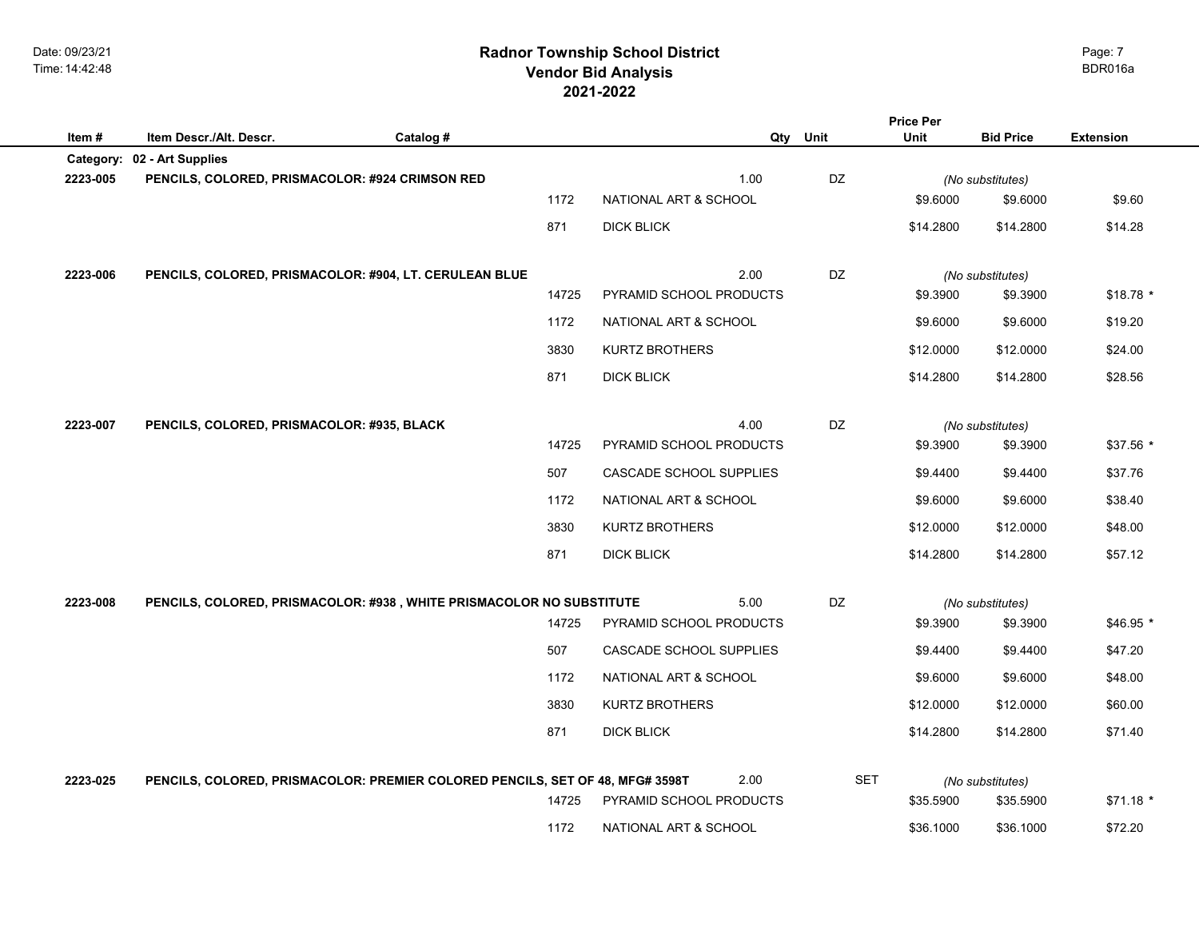## **2021-2022 Radnor Township School District Vendor Bid Analysis** BDR016a

| Item#    | Item Descr./Alt. Descr.                                                       | Catalog # |       | Qty                     | Unit       | <b>Price Per</b><br>Unit | <b>Bid Price</b> | <b>Extension</b> |
|----------|-------------------------------------------------------------------------------|-----------|-------|-------------------------|------------|--------------------------|------------------|------------------|
|          | Category: 02 - Art Supplies                                                   |           |       |                         |            |                          |                  |                  |
| 2223-005 | PENCILS, COLORED, PRISMACOLOR: #924 CRIMSON RED                               |           |       | 1.00                    | DZ         |                          | (No substitutes) |                  |
|          |                                                                               |           | 1172  | NATIONAL ART & SCHOOL   |            | \$9.6000                 | \$9.6000         | \$9.60           |
|          |                                                                               |           | 871   | <b>DICK BLICK</b>       |            | \$14.2800                | \$14.2800        | \$14.28          |
| 2223-006 | PENCILS, COLORED, PRISMACOLOR: #904, LT. CERULEAN BLUE                        |           |       | 2.00                    | DZ         |                          | (No substitutes) |                  |
|          |                                                                               |           | 14725 | PYRAMID SCHOOL PRODUCTS |            | \$9.3900                 | \$9.3900         | $$18.78$ *       |
|          |                                                                               |           | 1172  | NATIONAL ART & SCHOOL   |            | \$9.6000                 | \$9.6000         | \$19.20          |
|          |                                                                               |           | 3830  | <b>KURTZ BROTHERS</b>   |            | \$12.0000                | \$12.0000        | \$24.00          |
|          |                                                                               |           | 871   | <b>DICK BLICK</b>       |            | \$14.2800                | \$14.2800        | \$28.56          |
| 2223-007 | PENCILS, COLORED, PRISMACOLOR: #935, BLACK                                    |           |       | 4.00                    | DZ         |                          | (No substitutes) |                  |
|          |                                                                               |           | 14725 | PYRAMID SCHOOL PRODUCTS |            | \$9.3900                 | \$9.3900         | \$37.56 *        |
|          |                                                                               |           | 507   | CASCADE SCHOOL SUPPLIES |            | \$9.4400                 | \$9.4400         | \$37.76          |
|          |                                                                               |           | 1172  | NATIONAL ART & SCHOOL   |            | \$9.6000                 | \$9.6000         | \$38.40          |
|          |                                                                               |           | 3830  | <b>KURTZ BROTHERS</b>   |            | \$12.0000                | \$12.0000        | \$48.00          |
|          |                                                                               |           | 871   | <b>DICK BLICK</b>       |            | \$14.2800                | \$14.2800        | \$57.12          |
| 2223-008 | PENCILS, COLORED, PRISMACOLOR: #938, WHITE PRISMACOLOR NO SUBSTITUTE          |           |       | 5.00                    | DZ         |                          | (No substitutes) |                  |
|          |                                                                               |           | 14725 | PYRAMID SCHOOL PRODUCTS |            | \$9.3900                 | \$9.3900         | $$46.95$ *       |
|          |                                                                               |           | 507   | CASCADE SCHOOL SUPPLIES |            | \$9.4400                 | \$9.4400         | \$47.20          |
|          |                                                                               |           | 1172  | NATIONAL ART & SCHOOL   |            | \$9.6000                 | \$9.6000         | \$48.00          |
|          |                                                                               |           | 3830  | <b>KURTZ BROTHERS</b>   |            | \$12.0000                | \$12.0000        | \$60.00          |
|          |                                                                               |           | 871   | <b>DICK BLICK</b>       |            | \$14.2800                | \$14.2800        | \$71.40          |
| 2223-025 | PENCILS, COLORED, PRISMACOLOR: PREMIER COLORED PENCILS, SET OF 48, MFG# 3598T |           |       | 2.00                    | <b>SET</b> |                          | (No substitutes) |                  |
|          |                                                                               |           | 14725 | PYRAMID SCHOOL PRODUCTS |            | \$35.5900                | \$35.5900        | $$71.18*$        |
|          |                                                                               |           | 1172  | NATIONAL ART & SCHOOL   |            | \$36.1000                | \$36.1000        | \$72.20          |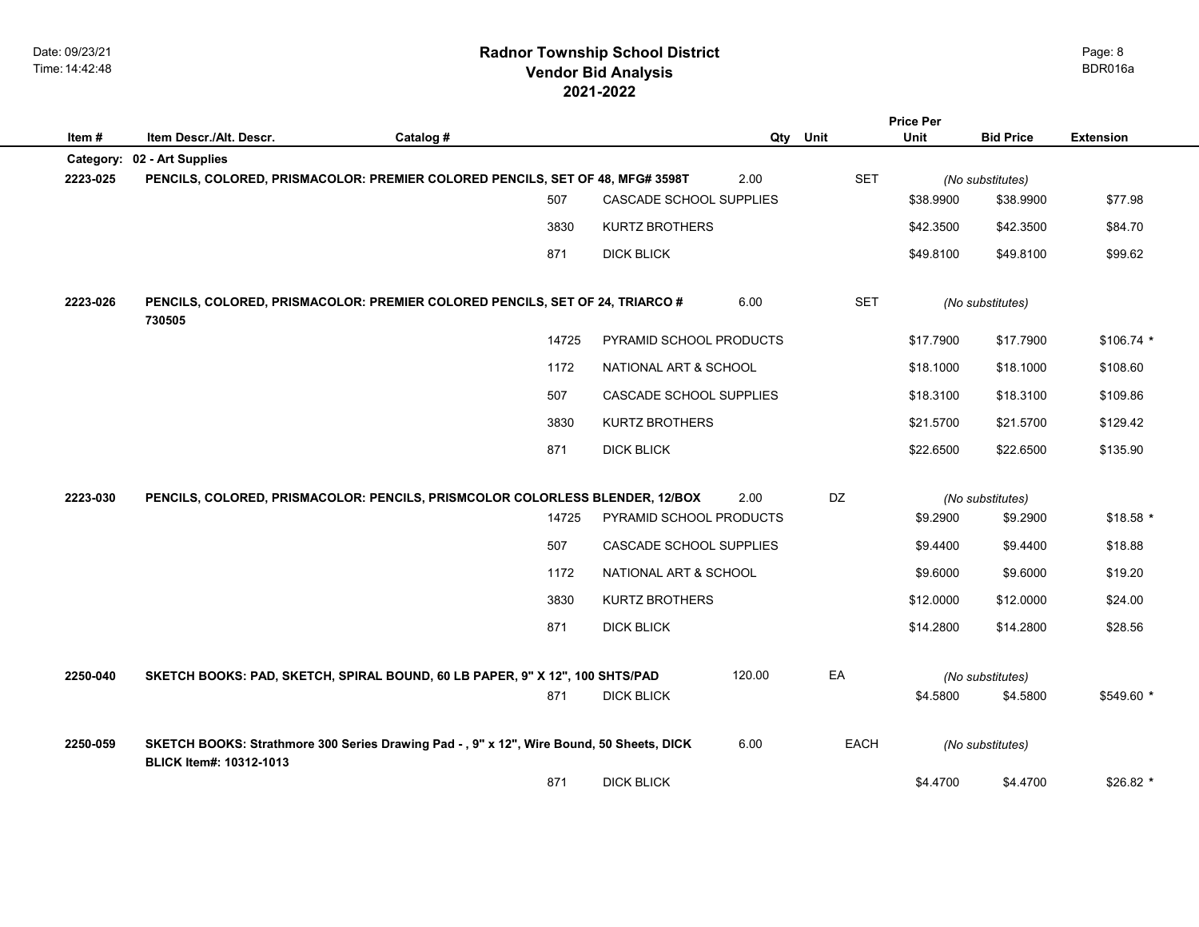## **2021-2022 Radnor Township School District Vendor Bid Analysis** BDR016a

|           |                                                                                                                      |           |                         |        |             | <b>Price Per</b> |                  |                  |
|-----------|----------------------------------------------------------------------------------------------------------------------|-----------|-------------------------|--------|-------------|------------------|------------------|------------------|
| Item#     | Item Descr./Alt. Descr.                                                                                              | Catalog # |                         |        | Qty Unit    | Unit             | <b>Bid Price</b> | <b>Extension</b> |
| Category: | 02 - Art Supplies                                                                                                    |           |                         |        |             |                  |                  |                  |
| 2223-025  | PENCILS, COLORED, PRISMACOLOR: PREMIER COLORED PENCILS, SET OF 48, MFG# 3598T                                        |           |                         | 2.00   | <b>SET</b>  |                  | (No substitutes) |                  |
|           |                                                                                                                      | 507       | CASCADE SCHOOL SUPPLIES |        |             | \$38.9900        | \$38.9900        | \$77.98          |
|           |                                                                                                                      | 3830      | <b>KURTZ BROTHERS</b>   |        |             | \$42.3500        | \$42.3500        | \$84.70          |
|           |                                                                                                                      | 871       | <b>DICK BLICK</b>       |        |             | \$49.8100        | \$49.8100        | \$99.62          |
| 2223-026  | PENCILS, COLORED, PRISMACOLOR: PREMIER COLORED PENCILS, SET OF 24, TRIARCO #<br>730505                               |           |                         | 6.00   | <b>SET</b>  |                  | (No substitutes) |                  |
|           |                                                                                                                      | 14725     | PYRAMID SCHOOL PRODUCTS |        |             | \$17.7900        | \$17.7900        | $$106.74$ *      |
|           |                                                                                                                      | 1172      | NATIONAL ART & SCHOOL   |        |             | \$18.1000        | \$18.1000        | \$108.60         |
|           |                                                                                                                      | 507       | CASCADE SCHOOL SUPPLIES |        |             | \$18.3100        | \$18.3100        | \$109.86         |
|           |                                                                                                                      | 3830      | <b>KURTZ BROTHERS</b>   |        |             | \$21.5700        | \$21.5700        | \$129.42         |
|           |                                                                                                                      | 871       | <b>DICK BLICK</b>       |        |             | \$22.6500        | \$22.6500        | \$135.90         |
| 2223-030  | PENCILS, COLORED, PRISMACOLOR: PENCILS, PRISMCOLOR COLORLESS BLENDER, 12/BOX                                         |           |                         | 2.00   | DZ          |                  | (No substitutes) |                  |
|           |                                                                                                                      | 14725     | PYRAMID SCHOOL PRODUCTS |        |             | \$9.2900         | \$9.2900         | $$18.58$ *       |
|           |                                                                                                                      | 507       | CASCADE SCHOOL SUPPLIES |        |             | \$9.4400         | \$9.4400         | \$18.88          |
|           |                                                                                                                      | 1172      | NATIONAL ART & SCHOOL   |        |             | \$9.6000         | \$9.6000         | \$19.20          |
|           |                                                                                                                      | 3830      | <b>KURTZ BROTHERS</b>   |        |             | \$12.0000        | \$12.0000        | \$24.00          |
|           |                                                                                                                      | 871       | <b>DICK BLICK</b>       |        |             | \$14.2800        | \$14.2800        | \$28.56          |
| 2250-040  | SKETCH BOOKS: PAD, SKETCH, SPIRAL BOUND, 60 LB PAPER, 9" X 12", 100 SHTS/PAD                                         |           |                         | 120.00 | EA          |                  | (No substitutes) |                  |
|           |                                                                                                                      | 871       | <b>DICK BLICK</b>       |        |             | \$4.5800         | \$4.5800         | \$549.60 *       |
| 2250-059  | SKETCH BOOKS: Strathmore 300 Series Drawing Pad - , 9" x 12", Wire Bound, 50 Sheets, DICK<br>BLICK Item#: 10312-1013 |           |                         | 6.00   | <b>EACH</b> |                  | (No substitutes) |                  |
|           |                                                                                                                      | 871       | <b>DICK BLICK</b>       |        |             | \$4.4700         | \$4.4700         | $$26.82*$        |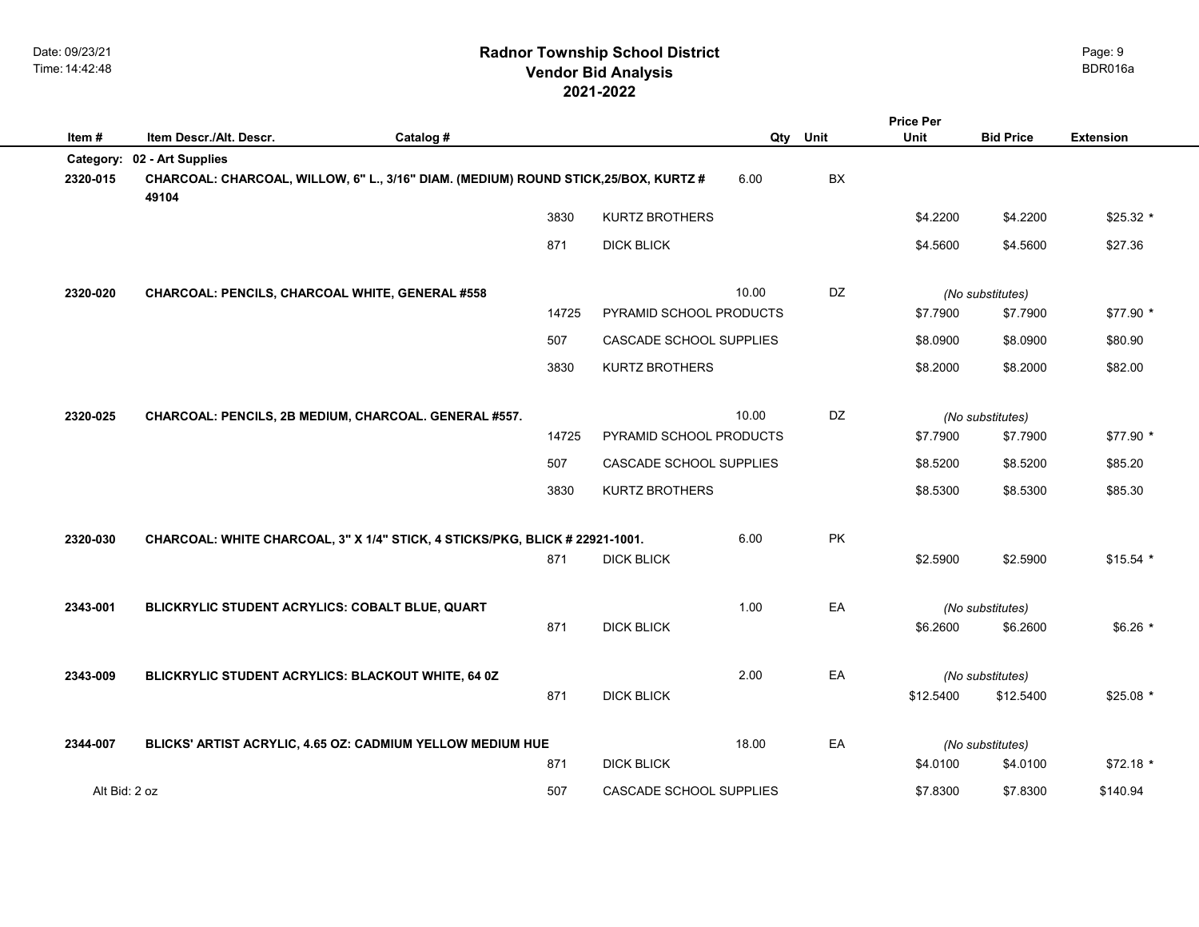## **2021-2022 Radnor Township School District Vendor Bid Analysis** BDR016a

|                       |                                                                                                                    |           |                         |       |           | <b>Price Per</b> |                  |                  |
|-----------------------|--------------------------------------------------------------------------------------------------------------------|-----------|-------------------------|-------|-----------|------------------|------------------|------------------|
| Item#                 | Item Descr./Alt. Descr.                                                                                            | Catalog # |                         |       | Qty Unit  | <b>Unit</b>      | <b>Bid Price</b> | <b>Extension</b> |
| Category:<br>2320-015 | 02 - Art Supplies<br>CHARCOAL: CHARCOAL, WILLOW, 6" L., 3/16" DIAM. (MEDIUM) ROUND STICK, 25/BOX, KURTZ #<br>49104 |           |                         | 6.00  | BX        |                  |                  |                  |
|                       |                                                                                                                    | 3830      | <b>KURTZ BROTHERS</b>   |       |           | \$4.2200         | \$4.2200         | $$25.32*$        |
|                       |                                                                                                                    | 871       | <b>DICK BLICK</b>       |       |           | \$4.5600         | \$4.5600         | \$27.36          |
| 2320-020              | CHARCOAL: PENCILS, CHARCOAL WHITE, GENERAL #558                                                                    |           |                         | 10.00 | <b>DZ</b> |                  | (No substitutes) |                  |
|                       |                                                                                                                    | 14725     | PYRAMID SCHOOL PRODUCTS |       |           | \$7.7900         | \$7.7900         | \$77.90 *        |
|                       |                                                                                                                    | 507       | CASCADE SCHOOL SUPPLIES |       |           | \$8.0900         | \$8.0900         | \$80.90          |
|                       |                                                                                                                    | 3830      | <b>KURTZ BROTHERS</b>   |       |           | \$8.2000         | \$8.2000         | \$82.00          |
| 2320-025              | CHARCOAL: PENCILS, 2B MEDIUM, CHARCOAL. GENERAL #557.                                                              |           |                         | 10.00 | DZ        |                  | (No substitutes) |                  |
|                       |                                                                                                                    | 14725     | PYRAMID SCHOOL PRODUCTS |       |           | \$7.7900         | \$7.7900         | \$77.90 *        |
|                       |                                                                                                                    | 507       | CASCADE SCHOOL SUPPLIES |       |           | \$8.5200         | \$8.5200         | \$85.20          |
|                       |                                                                                                                    | 3830      | <b>KURTZ BROTHERS</b>   |       |           | \$8.5300         | \$8.5300         | \$85.30          |
| 2320-030              | CHARCOAL: WHITE CHARCOAL, 3" X 1/4" STICK, 4 STICKS/PKG, BLICK # 22921-1001.                                       |           |                         | 6.00  | PK        |                  |                  |                  |
|                       |                                                                                                                    | 871       | <b>DICK BLICK</b>       |       |           | \$2.5900         | \$2.5900         | $$15.54$ *       |
| 2343-001              | BLICKRYLIC STUDENT ACRYLICS: COBALT BLUE, QUART                                                                    |           |                         | 1.00  | EA        |                  | (No substitutes) |                  |
|                       |                                                                                                                    | 871       | <b>DICK BLICK</b>       |       |           | \$6.2600         | \$6.2600         | $$6.26$ *        |
| 2343-009              | BLICKRYLIC STUDENT ACRYLICS: BLACKOUT WHITE, 64 0Z                                                                 |           |                         | 2.00  | EA        |                  | (No substitutes) |                  |
|                       |                                                                                                                    | 871       | <b>DICK BLICK</b>       |       |           | \$12.5400        | \$12.5400        | $$25.08$ *       |
| 2344-007              | BLICKS' ARTIST ACRYLIC, 4.65 OZ: CADMIUM YELLOW MEDIUM HUE                                                         |           |                         | 18.00 | EA        |                  | (No substitutes) |                  |
|                       |                                                                                                                    | 871       | <b>DICK BLICK</b>       |       |           | \$4.0100         | \$4.0100         | $$72.18$ *       |
| Alt Bid: 2 oz         |                                                                                                                    | 507       | CASCADE SCHOOL SUPPLIES |       |           | \$7.8300         | \$7.8300         | \$140.94         |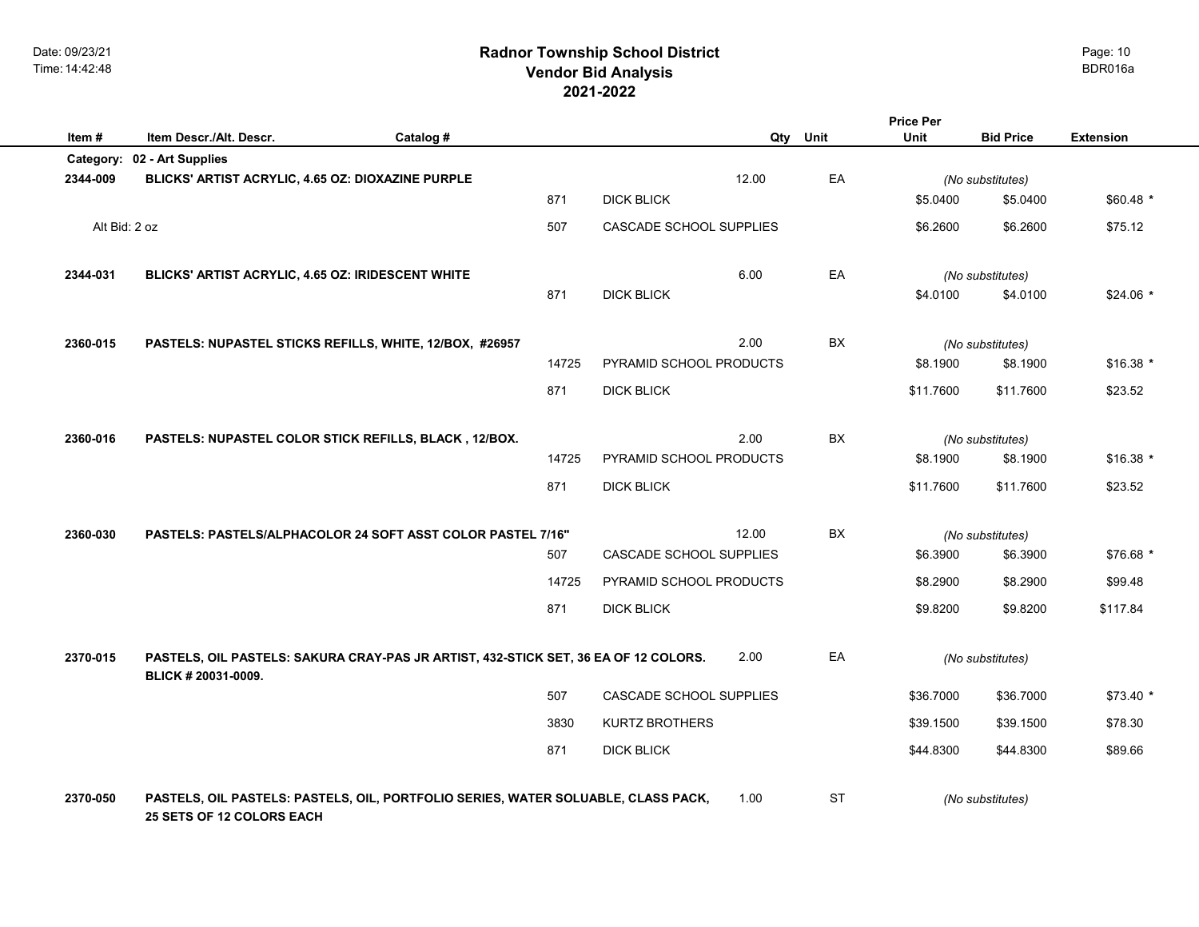## **2021-2022 Radnor Township School District Vendor Bid Analysis** BDR016a

| Item#         | Item Descr./Alt. Descr.                                                                                        | Catalog # |       |                         |       | Qty Unit  | <b>Price Per</b><br>Unit | <b>Bid Price</b> | <b>Extension</b> |
|---------------|----------------------------------------------------------------------------------------------------------------|-----------|-------|-------------------------|-------|-----------|--------------------------|------------------|------------------|
|               | Category: 02 - Art Supplies                                                                                    |           |       |                         |       |           |                          |                  |                  |
| 2344-009      | BLICKS' ARTIST ACRYLIC, 4.65 OZ: DIOXAZINE PURPLE                                                              |           |       |                         | 12.00 | EA        |                          | (No substitutes) |                  |
|               |                                                                                                                |           | 871   | <b>DICK BLICK</b>       |       |           | \$5.0400                 | \$5.0400         | \$60.48 *        |
| Alt Bid: 2 oz |                                                                                                                |           | 507   | CASCADE SCHOOL SUPPLIES |       |           | \$6.2600                 | \$6.2600         | \$75.12          |
| 2344-031      | BLICKS' ARTIST ACRYLIC, 4.65 OZ: IRIDESCENT WHITE                                                              |           |       |                         | 6.00  | EA        |                          | (No substitutes) |                  |
|               |                                                                                                                |           | 871   | <b>DICK BLICK</b>       |       |           | \$4.0100                 | \$4.0100         | $$24.06*$        |
| 2360-015      | PASTELS: NUPASTEL STICKS REFILLS, WHITE, 12/BOX, #26957                                                        |           |       |                         | 2.00  | BX        |                          | (No substitutes) |                  |
|               |                                                                                                                |           | 14725 | PYRAMID SCHOOL PRODUCTS |       |           | \$8.1900                 | \$8.1900         | $$16.38$ *       |
|               |                                                                                                                |           | 871   | <b>DICK BLICK</b>       |       |           | \$11.7600                | \$11.7600        | \$23.52          |
| 2360-016      | PASTELS: NUPASTEL COLOR STICK REFILLS, BLACK, 12/BOX.                                                          |           |       |                         | 2.00  | BX        |                          | (No substitutes) |                  |
|               |                                                                                                                |           | 14725 | PYRAMID SCHOOL PRODUCTS |       |           | \$8.1900                 | \$8.1900         | $$16.38$ *       |
|               |                                                                                                                |           | 871   | <b>DICK BLICK</b>       |       |           | \$11.7600                | \$11.7600        | \$23.52          |
| 2360-030      | PASTELS: PASTELS/ALPHACOLOR 24 SOFT ASST COLOR PASTEL 7/16"                                                    |           |       |                         | 12.00 | BX        |                          | (No substitutes) |                  |
|               |                                                                                                                |           | 507   | CASCADE SCHOOL SUPPLIES |       |           | \$6.3900                 | \$6.3900         | \$76.68 *        |
|               |                                                                                                                |           | 14725 | PYRAMID SCHOOL PRODUCTS |       |           | \$8.2900                 | \$8.2900         | \$99.48          |
|               |                                                                                                                |           | 871   | <b>DICK BLICK</b>       |       |           | \$9.8200                 | \$9.8200         | \$117.84         |
| 2370-015      | PASTELS, OIL PASTELS: SAKURA CRAY-PAS JR ARTIST, 432-STICK SET, 36 EA OF 12 COLORS.<br>BLICK # 20031-0009.     |           |       |                         | 2.00  | EA        |                          | (No substitutes) |                  |
|               |                                                                                                                |           | 507   | CASCADE SCHOOL SUPPLIES |       |           | \$36.7000                | \$36.7000        | \$73.40 *        |
|               |                                                                                                                |           | 3830  | <b>KURTZ BROTHERS</b>   |       |           | \$39.1500                | \$39.1500        | \$78.30          |
|               |                                                                                                                |           | 871   | <b>DICK BLICK</b>       |       |           | \$44.8300                | \$44.8300        | \$89.66          |
| 2370-050      | PASTELS, OIL PASTELS: PASTELS, OIL, PORTFOLIO SERIES, WATER SOLUABLE, CLASS PACK,<br>25 SETS OF 12 COLORS EACH |           |       |                         | 1.00  | <b>ST</b> |                          | (No substitutes) |                  |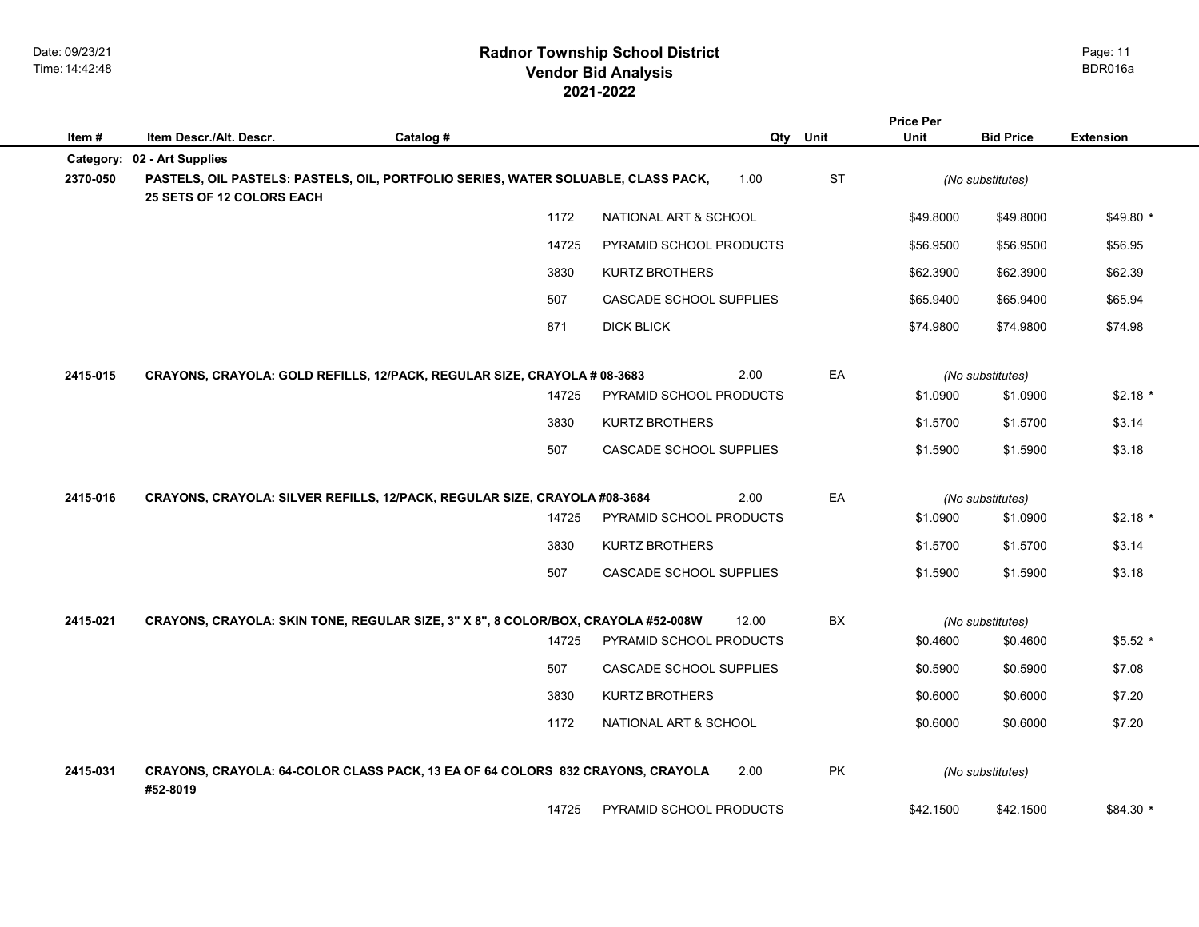|          |                             |                                                                                   |                         |       |           | <b>Price Per</b> |                  |                  |
|----------|-----------------------------|-----------------------------------------------------------------------------------|-------------------------|-------|-----------|------------------|------------------|------------------|
| Item#    | Item Descr./Alt. Descr.     | Catalog #                                                                         |                         | Qty   | Unit      | Unit             | <b>Bid Price</b> | <b>Extension</b> |
|          | Category: 02 - Art Supplies |                                                                                   |                         |       |           |                  |                  |                  |
| 2370-050 | 25 SETS OF 12 COLORS EACH   | PASTELS, OIL PASTELS: PASTELS, OIL, PORTFOLIO SERIES, WATER SOLUABLE, CLASS PACK, |                         | 1.00  | <b>ST</b> |                  | (No substitutes) |                  |
|          |                             | 1172                                                                              | NATIONAL ART & SCHOOL   |       |           | \$49.8000        | \$49.8000        | $$49.80*$        |
|          |                             | 14725                                                                             | PYRAMID SCHOOL PRODUCTS |       |           | \$56.9500        | \$56.9500        | \$56.95          |
|          |                             | 3830                                                                              | <b>KURTZ BROTHERS</b>   |       |           | \$62.3900        | \$62.3900        | \$62.39          |
|          |                             | 507                                                                               | CASCADE SCHOOL SUPPLIES |       |           | \$65.9400        | \$65.9400        | \$65.94          |
|          |                             | 871                                                                               | <b>DICK BLICK</b>       |       |           | \$74.9800        | \$74.9800        | \$74.98          |
| 2415-015 |                             | CRAYONS, CRAYOLA: GOLD REFILLS, 12/PACK, REGULAR SIZE, CRAYOLA # 08-3683          |                         | 2.00  | EA        |                  | (No substitutes) |                  |
|          |                             | 14725                                                                             | PYRAMID SCHOOL PRODUCTS |       |           | \$1.0900         | \$1.0900         | $$2.18*$         |
|          |                             | 3830                                                                              | <b>KURTZ BROTHERS</b>   |       |           | \$1.5700         | \$1.5700         | \$3.14           |
|          |                             | 507                                                                               | CASCADE SCHOOL SUPPLIES |       |           | \$1.5900         | \$1.5900         | \$3.18           |
| 2415-016 |                             | CRAYONS, CRAYOLA: SILVER REFILLS, 12/PACK, REGULAR SIZE, CRAYOLA #08-3684         |                         | 2.00  | EA        |                  | (No substitutes) |                  |
|          |                             | 14725                                                                             | PYRAMID SCHOOL PRODUCTS |       |           | \$1.0900         | \$1.0900         | $$2.18*$         |
|          |                             | 3830                                                                              | <b>KURTZ BROTHERS</b>   |       |           | \$1.5700         | \$1.5700         | \$3.14           |
|          |                             | 507                                                                               | CASCADE SCHOOL SUPPLIES |       |           | \$1.5900         | \$1.5900         | \$3.18           |
| 2415-021 |                             | CRAYONS, CRAYOLA: SKIN TONE, REGULAR SIZE, 3" X 8", 8 COLOR/BOX, CRAYOLA #52-008W |                         | 12.00 | <b>BX</b> |                  | (No substitutes) |                  |
|          |                             | 14725                                                                             | PYRAMID SCHOOL PRODUCTS |       |           | \$0.4600         | \$0.4600         | $$5.52*$         |
|          |                             | 507                                                                               | CASCADE SCHOOL SUPPLIES |       |           | \$0.5900         | \$0.5900         | \$7.08           |
|          |                             | 3830                                                                              | KURTZ BROTHERS          |       |           | \$0.6000         | \$0.6000         | \$7.20           |
|          |                             | 1172                                                                              | NATIONAL ART & SCHOOL   |       |           | \$0.6000         | \$0.6000         | \$7.20           |
| 2415-031 | #52-8019                    | CRAYONS, CRAYOLA: 64-COLOR CLASS PACK, 13 EA OF 64 COLORS 832 CRAYONS, CRAYOLA    |                         | 2.00  | <b>PK</b> |                  | (No substitutes) |                  |
|          |                             | 14725                                                                             | PYRAMID SCHOOL PRODUCTS |       |           | \$42.1500        | \$42.1500        | \$84.30 *        |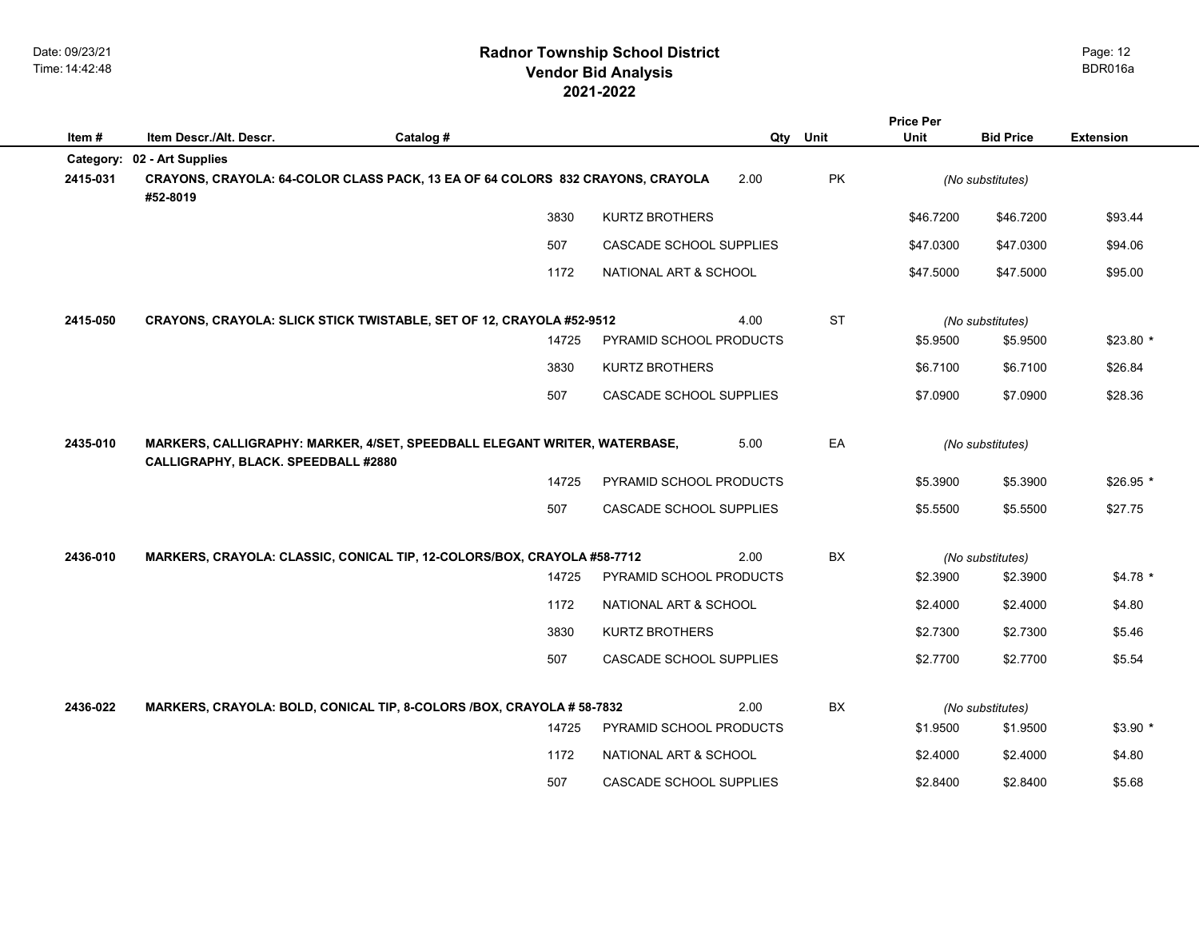|          |                                     |                                                                                |                         |      |           | <b>Price Per</b> |                  |                  |
|----------|-------------------------------------|--------------------------------------------------------------------------------|-------------------------|------|-----------|------------------|------------------|------------------|
| Item#    | Item Descr./Alt. Descr.             | Catalog #                                                                      |                         | Qty  | Unit      | Unit             | <b>Bid Price</b> | <b>Extension</b> |
|          | Category: 02 - Art Supplies         |                                                                                |                         |      |           |                  |                  |                  |
| 2415-031 | #52-8019                            | CRAYONS, CRAYOLA: 64-COLOR CLASS PACK, 13 EA OF 64 COLORS 832 CRAYONS, CRAYOLA |                         | 2.00 | PK        |                  | (No substitutes) |                  |
|          |                                     | 3830                                                                           | <b>KURTZ BROTHERS</b>   |      |           | \$46.7200        | \$46.7200        | \$93.44          |
|          |                                     | 507                                                                            | CASCADE SCHOOL SUPPLIES |      |           | \$47.0300        | \$47.0300        | \$94.06          |
|          |                                     | 1172                                                                           | NATIONAL ART & SCHOOL   |      |           | \$47.5000        | \$47.5000        | \$95.00          |
| 2415-050 |                                     | CRAYONS, CRAYOLA: SLICK STICK TWISTABLE, SET OF 12, CRAYOLA #52-9512           |                         | 4.00 | <b>ST</b> |                  | (No substitutes) |                  |
|          |                                     | 14725                                                                          | PYRAMID SCHOOL PRODUCTS |      |           | \$5.9500         | \$5.9500         | $$23.80*$        |
|          |                                     | 3830                                                                           | <b>KURTZ BROTHERS</b>   |      |           | \$6.7100         | \$6.7100         | \$26.84          |
|          |                                     | 507                                                                            | CASCADE SCHOOL SUPPLIES |      |           | \$7.0900         | \$7.0900         | \$28.36          |
| 2435-010 | CALLIGRAPHY, BLACK. SPEEDBALL #2880 | MARKERS, CALLIGRAPHY: MARKER, 4/SET, SPEEDBALL ELEGANT WRITER, WATERBASE,      |                         | 5.00 | EA        |                  | (No substitutes) |                  |
|          |                                     | 14725                                                                          | PYRAMID SCHOOL PRODUCTS |      |           | \$5.3900         | \$5.3900         | $$26.95*$        |
|          |                                     | 507                                                                            | CASCADE SCHOOL SUPPLIES |      |           | \$5.5500         | \$5.5500         | \$27.75          |
| 2436-010 |                                     | MARKERS, CRAYOLA: CLASSIC, CONICAL TIP, 12-COLORS/BOX, CRAYOLA #58-7712        |                         | 2.00 | BX        |                  | (No substitutes) |                  |
|          |                                     | 14725                                                                          | PYRAMID SCHOOL PRODUCTS |      |           | \$2.3900         | \$2.3900         | $$4.78*$         |
|          |                                     | 1172                                                                           | NATIONAL ART & SCHOOL   |      |           | \$2.4000         | \$2.4000         | \$4.80           |
|          |                                     | 3830                                                                           | KURTZ BROTHERS          |      |           | \$2.7300         | \$2.7300         | \$5.46           |
|          |                                     | 507                                                                            | CASCADE SCHOOL SUPPLIES |      |           | \$2.7700         | \$2.7700         | \$5.54           |
| 2436-022 |                                     | MARKERS, CRAYOLA: BOLD, CONICAL TIP, 8-COLORS /BOX, CRAYOLA # 58-7832          |                         | 2.00 | <b>BX</b> |                  | (No substitutes) |                  |
|          |                                     | 14725                                                                          | PYRAMID SCHOOL PRODUCTS |      |           | \$1.9500         | \$1.9500         | $$3.90$ *        |
|          |                                     | 1172                                                                           | NATIONAL ART & SCHOOL   |      |           | \$2,4000         | \$2.4000         | \$4.80           |
|          |                                     | 507                                                                            | CASCADE SCHOOL SUPPLIES |      |           | \$2.8400         | \$2.8400         | \$5.68           |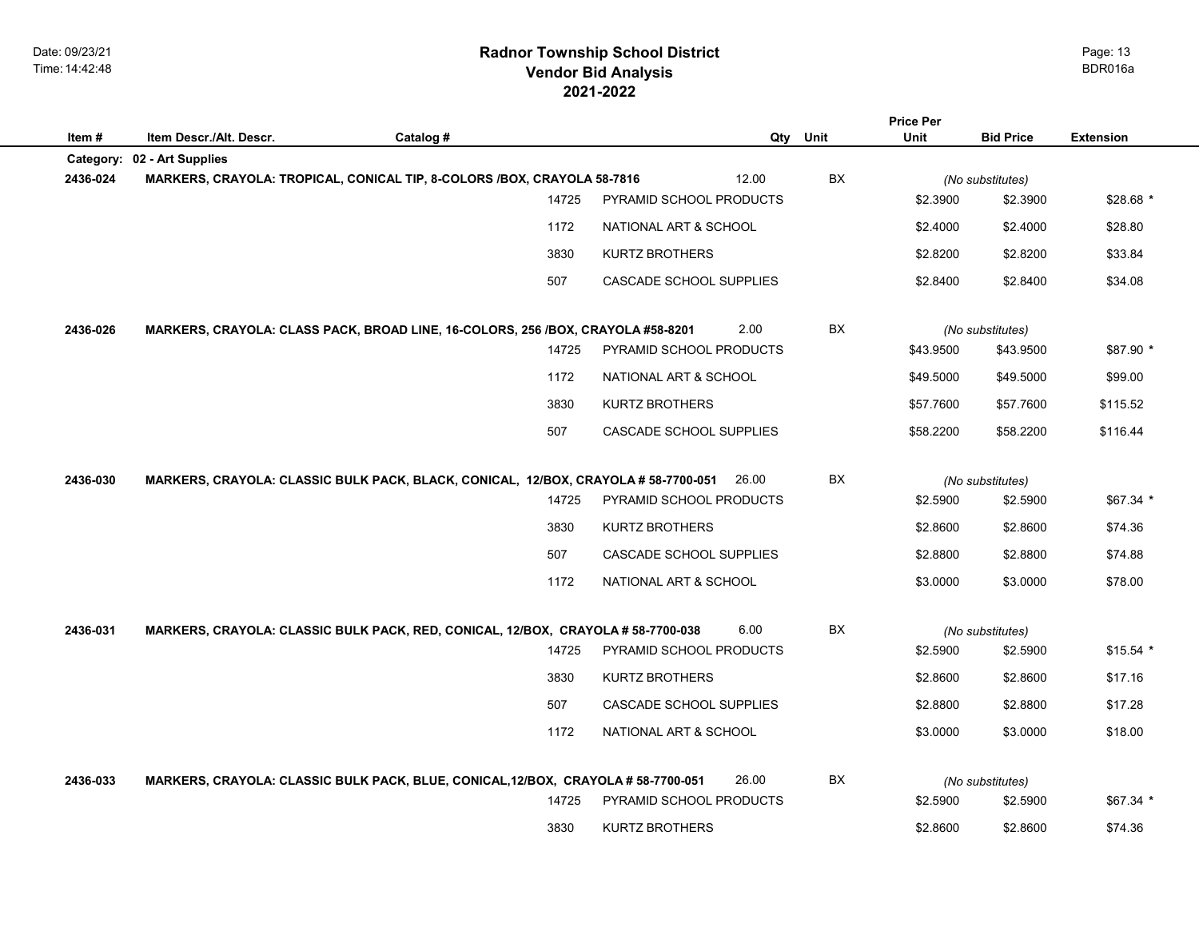|          |                             |                                                                                    |                         |          | <b>Price Per</b> |                  |                  |
|----------|-----------------------------|------------------------------------------------------------------------------------|-------------------------|----------|------------------|------------------|------------------|
| Item #   | Item Descr./Alt. Descr.     | Catalog #                                                                          |                         | Qty Unit | Unit             | <b>Bid Price</b> | <b>Extension</b> |
|          | Category: 02 - Art Supplies |                                                                                    |                         |          |                  |                  |                  |
| 2436-024 |                             | MARKERS, CRAYOLA: TROPICAL, CONICAL TIP, 8-COLORS /BOX, CRAYOLA 58-7816            | 12.00                   | BX       |                  | (No substitutes) |                  |
|          |                             | 14725                                                                              | PYRAMID SCHOOL PRODUCTS |          | \$2.3900         | \$2.3900         | $$28.68*$        |
|          |                             | 1172                                                                               | NATIONAL ART & SCHOOL   |          | \$2.4000         | \$2.4000         | \$28.80          |
|          |                             | 3830                                                                               | <b>KURTZ BROTHERS</b>   |          | \$2.8200         | \$2.8200         | \$33.84          |
|          |                             | 507                                                                                | CASCADE SCHOOL SUPPLIES |          | \$2.8400         | \$2.8400         | \$34.08          |
| 2436-026 |                             | MARKERS, CRAYOLA: CLASS PACK, BROAD LINE, 16-COLORS, 256 /BOX, CRAYOLA #58-8201    | 2.00                    | BX       |                  | (No substitutes) |                  |
|          |                             | 14725                                                                              | PYRAMID SCHOOL PRODUCTS |          | \$43.9500        | \$43.9500        | \$87.90 *        |
|          |                             | 1172                                                                               | NATIONAL ART & SCHOOL   |          | \$49.5000        | \$49.5000        | \$99.00          |
|          |                             | 3830                                                                               | <b>KURTZ BROTHERS</b>   |          | \$57.7600        | \$57.7600        | \$115.52         |
|          |                             | 507                                                                                | CASCADE SCHOOL SUPPLIES |          | \$58.2200        | \$58.2200        | \$116.44         |
| 2436-030 |                             | MARKERS, CRAYOLA: CLASSIC BULK PACK, BLACK, CONICAL, 12/BOX, CRAYOLA # 58-7700-051 | 26.00                   | BX       |                  | (No substitutes) |                  |
|          |                             | 14725                                                                              | PYRAMID SCHOOL PRODUCTS |          | \$2.5900         | \$2.5900         | $$67.34$ *       |
|          |                             | 3830                                                                               | <b>KURTZ BROTHERS</b>   |          | \$2.8600         | \$2.8600         | \$74.36          |
|          |                             | 507                                                                                | CASCADE SCHOOL SUPPLIES |          | \$2.8800         | \$2.8800         | \$74.88          |
|          |                             | 1172                                                                               | NATIONAL ART & SCHOOL   |          | \$3.0000         | \$3.0000         | \$78.00          |
| 2436-031 |                             | MARKERS, CRAYOLA: CLASSIC BULK PACK, RED, CONICAL, 12/BOX, CRAYOLA # 58-7700-038   | 6.00                    | BX       |                  | (No substitutes) |                  |
|          |                             | 14725                                                                              | PYRAMID SCHOOL PRODUCTS |          | \$2.5900         | \$2.5900         | $$15.54$ *       |
|          |                             | 3830                                                                               | <b>KURTZ BROTHERS</b>   |          | \$2.8600         | \$2.8600         | \$17.16          |
|          |                             | 507                                                                                | CASCADE SCHOOL SUPPLIES |          | \$2.8800         | \$2.8800         | \$17.28          |
|          |                             | 1172                                                                               | NATIONAL ART & SCHOOL   |          | \$3.0000         | \$3.0000         | \$18.00          |
| 2436-033 |                             | MARKERS, CRAYOLA: CLASSIC BULK PACK, BLUE, CONICAL, 12/BOX, CRAYOLA # 58-7700-051  | 26.00                   | BX       |                  | (No substitutes) |                  |
|          |                             | 14725                                                                              | PYRAMID SCHOOL PRODUCTS |          | \$2.5900         | \$2.5900         | $$67.34*$        |
|          |                             | 3830                                                                               | <b>KURTZ BROTHERS</b>   |          | \$2.8600         | \$2.8600         | \$74.36          |
|          |                             |                                                                                    |                         |          |                  |                  |                  |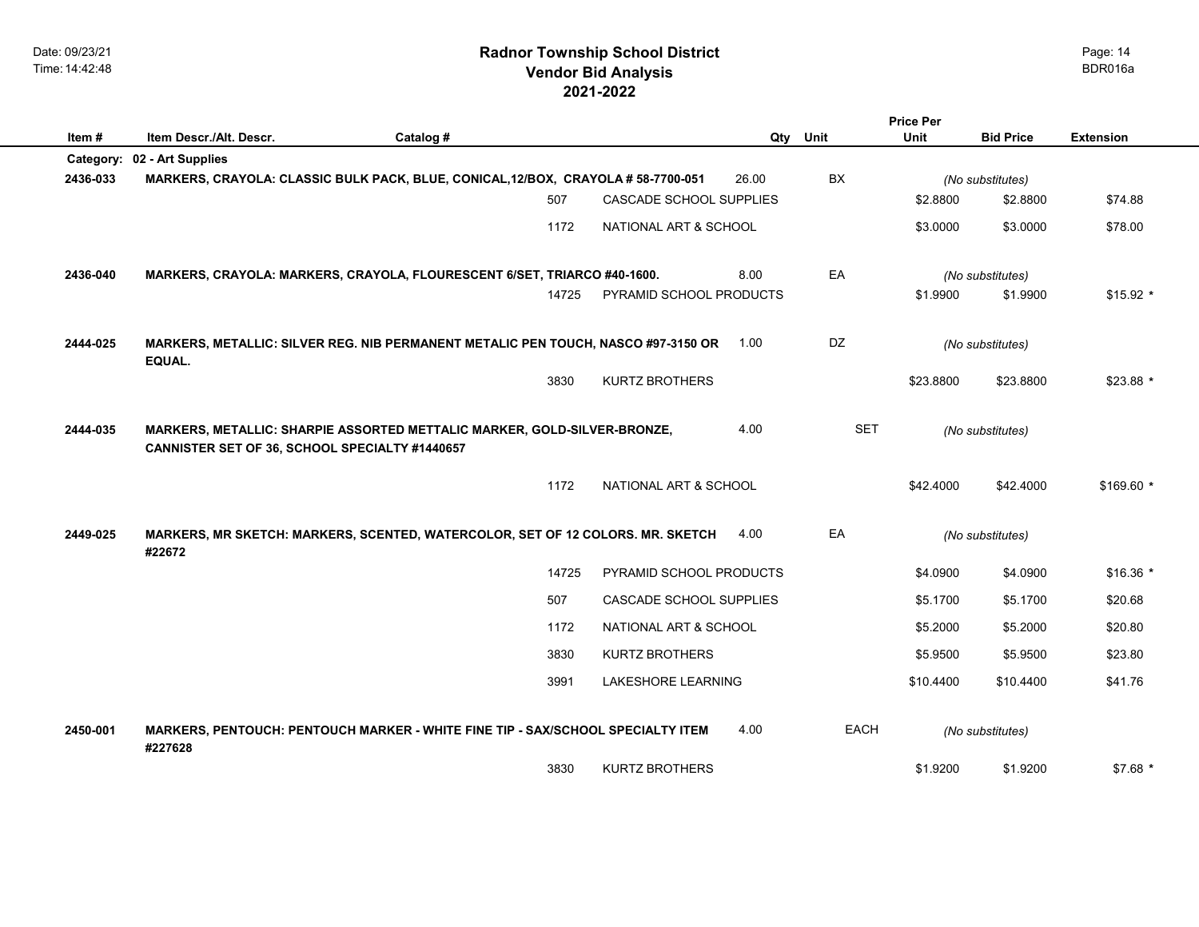## **2021-2022 Radnor Township School District Vendor Bid Analysis** BDR016a

|           |                                                                                                                            |           |                         |          |             | <b>Price Per</b> |                  |                  |
|-----------|----------------------------------------------------------------------------------------------------------------------------|-----------|-------------------------|----------|-------------|------------------|------------------|------------------|
| Item#     | Item Descr./Alt. Descr.                                                                                                    | Catalog # |                         | Qty Unit |             | <b>Unit</b>      | <b>Bid Price</b> | <b>Extension</b> |
| Category: | 02 - Art Supplies                                                                                                          |           |                         |          |             |                  |                  |                  |
| 2436-033  | MARKERS, CRAYOLA: CLASSIC BULK PACK, BLUE, CONICAL, 12/BOX, CRAYOLA # 58-7700-051                                          |           |                         | 26.00    | BX          |                  | (No substitutes) |                  |
|           |                                                                                                                            | 507       | CASCADE SCHOOL SUPPLIES |          |             | \$2.8800         | \$2.8800         | \$74.88          |
|           |                                                                                                                            | 1172      | NATIONAL ART & SCHOOL   |          |             | \$3.0000         | \$3.0000         | \$78.00          |
| 2436-040  | MARKERS, CRAYOLA: MARKERS, CRAYOLA, FLOURESCENT 6/SET, TRIARCO #40-1600.                                                   |           |                         | 8.00     | EA          |                  | (No substitutes) |                  |
|           |                                                                                                                            | 14725     | PYRAMID SCHOOL PRODUCTS |          |             | \$1.9900         | \$1.9900         | $$15.92$ *       |
| 2444-025  | MARKERS, METALLIC: SILVER REG. NIB PERMANENT METALIC PEN TOUCH, NASCO #97-3150 OR<br>EQUAL.                                |           |                         | 1.00     | DZ          |                  | (No substitutes) |                  |
|           |                                                                                                                            | 3830      | <b>KURTZ BROTHERS</b>   |          |             | \$23.8800        | \$23,8800        | $$23.88*$        |
| 2444-035  | MARKERS, METALLIC: SHARPIE ASSORTED METTALIC MARKER, GOLD-SILVER-BRONZE,<br>CANNISTER SET OF 36, SCHOOL SPECIALTY #1440657 |           |                         | 4.00     | <b>SET</b>  |                  | (No substitutes) |                  |
|           |                                                                                                                            | 1172      | NATIONAL ART & SCHOOL   |          |             | \$42.4000        | \$42.4000        | $$169.60$ *      |
| 2449-025  | MARKERS, MR SKETCH: MARKERS, SCENTED, WATERCOLOR, SET OF 12 COLORS. MR. SKETCH<br>#22672                                   |           |                         | 4.00     | EA          |                  | (No substitutes) |                  |
|           |                                                                                                                            | 14725     | PYRAMID SCHOOL PRODUCTS |          |             | \$4.0900         | \$4.0900         | $$16.36$ *       |
|           |                                                                                                                            | 507       | CASCADE SCHOOL SUPPLIES |          |             | \$5.1700         | \$5.1700         | \$20.68          |
|           |                                                                                                                            | 1172      | NATIONAL ART & SCHOOL   |          |             | \$5.2000         | \$5.2000         | \$20.80          |
|           |                                                                                                                            | 3830      | <b>KURTZ BROTHERS</b>   |          |             | \$5.9500         | \$5,9500         | \$23.80          |
|           |                                                                                                                            | 3991      | LAKESHORE LEARNING      |          |             | \$10.4400        | \$10.4400        | \$41.76          |
| 2450-001  | MARKERS, PENTOUCH: PENTOUCH MARKER - WHITE FINE TIP - SAX/SCHOOL SPECIALTY ITEM<br>#227628                                 |           |                         | 4.00     | <b>EACH</b> |                  | (No substitutes) |                  |
|           |                                                                                                                            | 3830      | <b>KURTZ BROTHERS</b>   |          |             | \$1.9200         | \$1.9200         | $$7.68$ *        |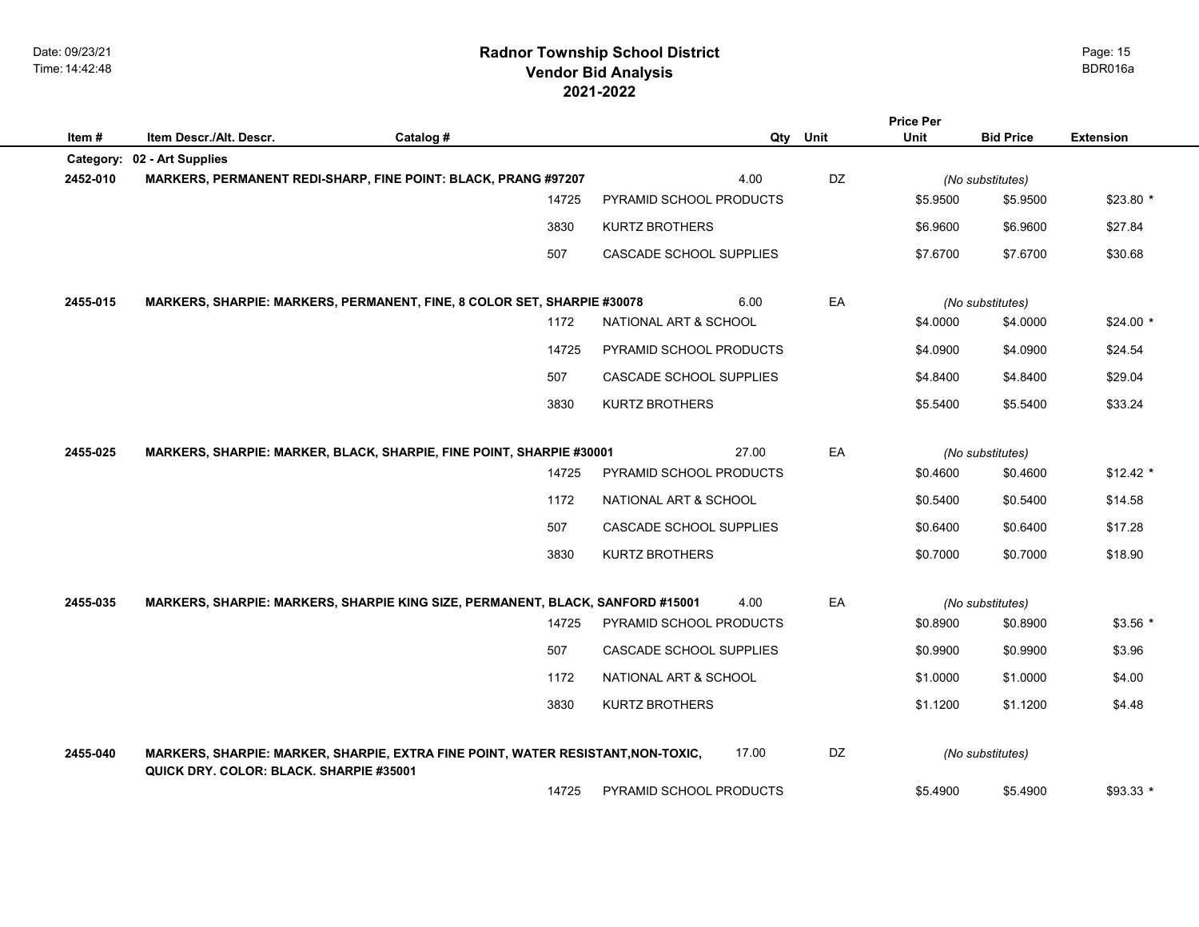## **2021-2022 Radnor Township School District Vendor Bid Analysis** BDR016a

|          |                                                                                                                             |           |       |                         |     |      | <b>Price Per</b> |                              |                  |
|----------|-----------------------------------------------------------------------------------------------------------------------------|-----------|-------|-------------------------|-----|------|------------------|------------------------------|------------------|
| Item#    | Item Descr./Alt. Descr.                                                                                                     | Catalog # |       |                         | Qty | Unit | Unit             | <b>Bid Price</b>             | <b>Extension</b> |
|          | Category: 02 - Art Supplies                                                                                                 |           |       | 4.00                    |     | DZ   |                  |                              |                  |
| 2452-010 | <b>MARKERS, PERMANENT REDI-SHARP, FINE POINT: BLACK, PRANG #97207</b>                                                       |           | 14725 | PYRAMID SCHOOL PRODUCTS |     |      | \$5.9500         | (No substitutes)<br>\$5.9500 | $$23.80*$        |
|          |                                                                                                                             |           |       |                         |     |      |                  |                              |                  |
|          |                                                                                                                             |           | 3830  | <b>KURTZ BROTHERS</b>   |     |      | \$6.9600         | \$6.9600                     | \$27.84          |
|          |                                                                                                                             |           | 507   | CASCADE SCHOOL SUPPLIES |     |      | \$7.6700         | \$7.6700                     | \$30.68          |
|          |                                                                                                                             |           |       |                         |     |      |                  |                              |                  |
| 2455-015 | MARKERS, SHARPIE: MARKERS, PERMANENT, FINE, 8 COLOR SET, SHARPIE #30078                                                     |           |       | 6.00                    |     | EA   |                  | (No substitutes)             |                  |
|          |                                                                                                                             |           | 1172  | NATIONAL ART & SCHOOL   |     |      | \$4.0000         | \$4.0000                     | $$24.00*$        |
|          |                                                                                                                             |           | 14725 | PYRAMID SCHOOL PRODUCTS |     |      | \$4.0900         | \$4.0900                     | \$24.54          |
|          |                                                                                                                             |           | 507   | CASCADE SCHOOL SUPPLIES |     |      | \$4.8400         | \$4.8400                     | \$29.04          |
|          |                                                                                                                             |           | 3830  | <b>KURTZ BROTHERS</b>   |     |      | \$5.5400         | \$5.5400                     | \$33.24          |
|          |                                                                                                                             |           |       |                         |     |      |                  |                              |                  |
| 2455-025 | MARKERS, SHARPIE: MARKER, BLACK, SHARPIE, FINE POINT, SHARPIE #30001                                                        |           |       | 27.00                   |     | EA   |                  | (No substitutes)             |                  |
|          |                                                                                                                             |           | 14725 | PYRAMID SCHOOL PRODUCTS |     |      | \$0.4600         | \$0.4600                     | $$12.42$ *       |
|          |                                                                                                                             |           | 1172  | NATIONAL ART & SCHOOL   |     |      | \$0.5400         | \$0.5400                     | \$14.58          |
|          |                                                                                                                             |           | 507   | CASCADE SCHOOL SUPPLIES |     |      | \$0.6400         | \$0.6400                     | \$17.28          |
|          |                                                                                                                             |           | 3830  | <b>KURTZ BROTHERS</b>   |     |      | \$0.7000         | \$0.7000                     | \$18.90          |
|          |                                                                                                                             |           |       |                         |     |      |                  |                              |                  |
| 2455-035 | MARKERS, SHARPIE: MARKERS, SHARPIE KING SIZE, PERMANENT, BLACK, SANFORD #15001                                              |           |       | 4.00                    |     | EA   |                  | (No substitutes)             |                  |
|          |                                                                                                                             |           | 14725 | PYRAMID SCHOOL PRODUCTS |     |      | \$0.8900         | \$0.8900                     | $$3.56*$         |
|          |                                                                                                                             |           | 507   | CASCADE SCHOOL SUPPLIES |     |      | \$0.9900         | \$0.9900                     | \$3.96           |
|          |                                                                                                                             |           | 1172  | NATIONAL ART & SCHOOL   |     |      | \$1.0000         | \$1.0000                     | \$4.00           |
|          |                                                                                                                             |           | 3830  | <b>KURTZ BROTHERS</b>   |     |      | \$1.1200         | \$1.1200                     | \$4.48           |
|          |                                                                                                                             |           |       |                         |     |      |                  |                              |                  |
| 2455-040 | MARKERS, SHARPIE: MARKER, SHARPIE, EXTRA FINE POINT, WATER RESISTANT, NON-TOXIC,<br>QUICK DRY. COLOR: BLACK. SHARPIE #35001 |           |       | 17.00                   |     | DZ   |                  | (No substitutes)             |                  |
|          |                                                                                                                             |           | 14725 | PYRAMID SCHOOL PRODUCTS |     |      | \$5.4900         | \$5.4900                     | $$93.33*$        |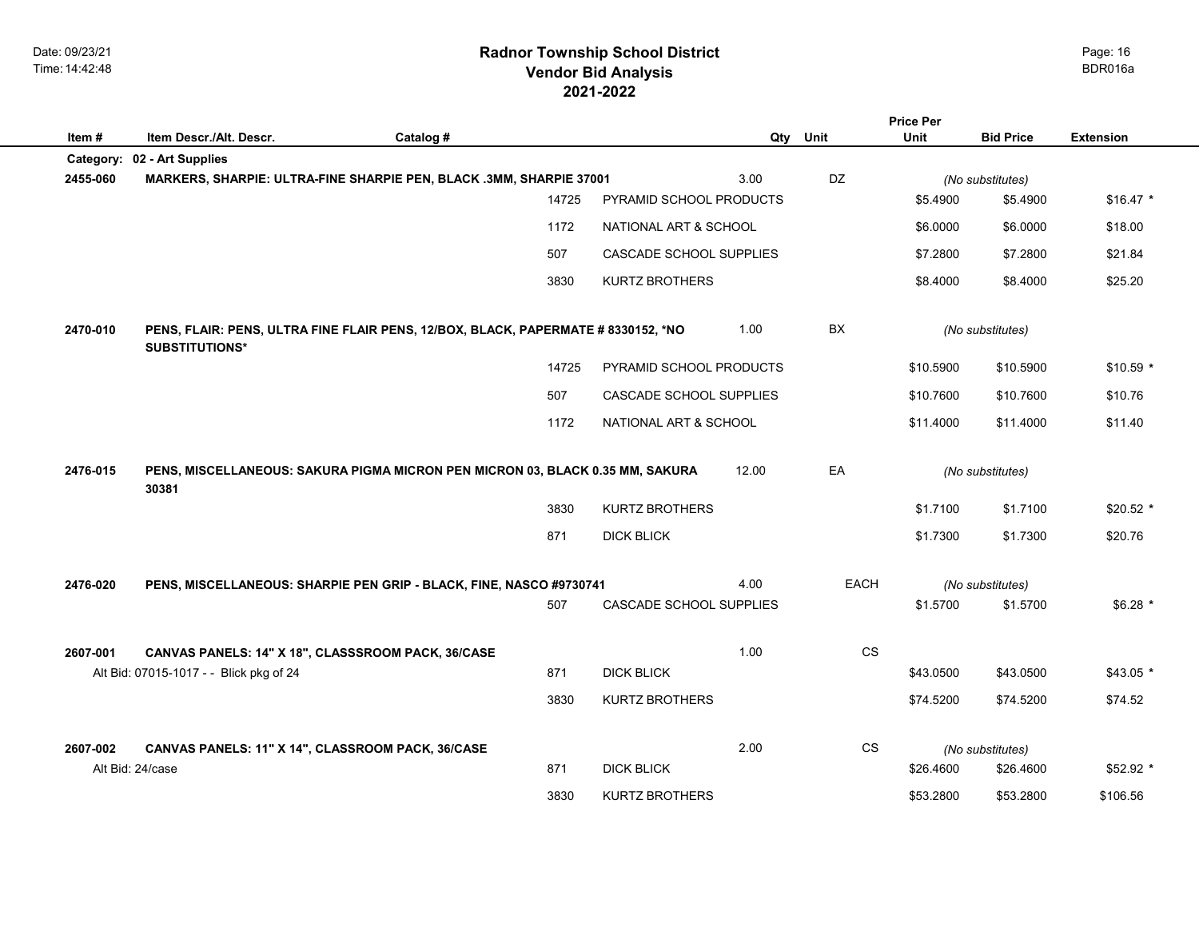## **2021-2022 Radnor Township School District Vendor Bid Analysis** BDR016a

|          |                                                                                                            |           |       |                         |       |           | Price Per |                               |                  |
|----------|------------------------------------------------------------------------------------------------------------|-----------|-------|-------------------------|-------|-----------|-----------|-------------------------------|------------------|
| Item#    | Item Descr./Alt. Descr.                                                                                    | Catalog # |       |                         | Qty   | Unit      | Unit      | <b>Bid Price</b>              | <b>Extension</b> |
| 2455-060 | Category: 02 - Art Supplies<br>MARKERS, SHARPIE: ULTRA-FINE SHARPIE PEN, BLACK .3MM, SHARPIE 37001         |           |       |                         | 3.00  | DZ        |           |                               |                  |
|          |                                                                                                            |           | 14725 | PYRAMID SCHOOL PRODUCTS |       |           | \$5.4900  | (No substitutes)<br>\$5.4900  | $$16.47$ *       |
|          |                                                                                                            |           | 1172  | NATIONAL ART & SCHOOL   |       |           | \$6,0000  | \$6.0000                      | \$18.00          |
|          |                                                                                                            |           |       |                         |       |           |           |                               |                  |
|          |                                                                                                            |           | 507   | CASCADE SCHOOL SUPPLIES |       |           | \$7.2800  | \$7.2800                      | \$21.84          |
|          |                                                                                                            |           | 3830  | <b>KURTZ BROTHERS</b>   |       |           | \$8.4000  | \$8.4000                      | \$25.20          |
| 2470-010 | PENS, FLAIR: PENS, ULTRA FINE FLAIR PENS, 12/BOX, BLACK, PAPERMATE # 8330152, *NO<br><b>SUBSTITUTIONS*</b> |           |       |                         | 1.00  | <b>BX</b> |           | (No substitutes)              |                  |
|          |                                                                                                            |           | 14725 | PYRAMID SCHOOL PRODUCTS |       |           | \$10.5900 | \$10.5900                     | $$10.59$ *       |
|          |                                                                                                            |           | 507   | CASCADE SCHOOL SUPPLIES |       |           | \$10.7600 | \$10.7600                     | \$10.76          |
|          |                                                                                                            |           | 1172  | NATIONAL ART & SCHOOL   |       |           | \$11.4000 | \$11.4000                     | \$11.40          |
|          |                                                                                                            |           |       |                         |       |           |           |                               |                  |
| 2476-015 | PENS, MISCELLANEOUS: SAKURA PIGMA MICRON PEN MICRON 03, BLACK 0.35 MM, SAKURA<br>30381                     |           |       |                         | 12.00 | EA        |           | (No substitutes)              |                  |
|          |                                                                                                            |           | 3830  | <b>KURTZ BROTHERS</b>   |       |           | \$1.7100  | \$1.7100                      | $$20.52$ *       |
|          |                                                                                                            |           | 871   | <b>DICK BLICK</b>       |       |           | \$1.7300  | \$1.7300                      | \$20.76          |
|          |                                                                                                            |           |       |                         |       |           |           |                               |                  |
| 2476-020 | PENS, MISCELLANEOUS: SHARPIE PEN GRIP - BLACK, FINE, NASCO #9730741                                        |           |       |                         | 4.00  | EACH      |           | (No substitutes)              |                  |
|          |                                                                                                            |           | 507   | CASCADE SCHOOL SUPPLIES |       |           | \$1.5700  | \$1.5700                      | $$6.28$ *        |
|          |                                                                                                            |           |       |                         |       |           |           |                               |                  |
| 2607-001 | CANVAS PANELS: 14" X 18", CLASSSROOM PACK, 36/CASE                                                         |           |       |                         | 1.00  | CS        |           |                               |                  |
|          | Alt Bid: 07015-1017 - - Blick pkg of 24                                                                    |           | 871   | <b>DICK BLICK</b>       |       |           | \$43.0500 | \$43.0500                     | $$43.05*$        |
|          |                                                                                                            |           | 3830  | <b>KURTZ BROTHERS</b>   |       |           | \$74.5200 | \$74.5200                     | \$74.52          |
|          |                                                                                                            |           |       |                         |       |           |           |                               |                  |
| 2607-002 | CANVAS PANELS: 11" X 14", CLASSROOM PACK, 36/CASE<br>Alt Bid: 24/case                                      |           | 871   | <b>DICK BLICK</b>       | 2.00  | <b>CS</b> | \$26.4600 | (No substitutes)<br>\$26.4600 | \$52.92 *        |
|          |                                                                                                            |           |       |                         |       |           |           |                               |                  |
|          |                                                                                                            |           | 3830  | <b>KURTZ BROTHERS</b>   |       |           | \$53.2800 | \$53,2800                     | \$106.56         |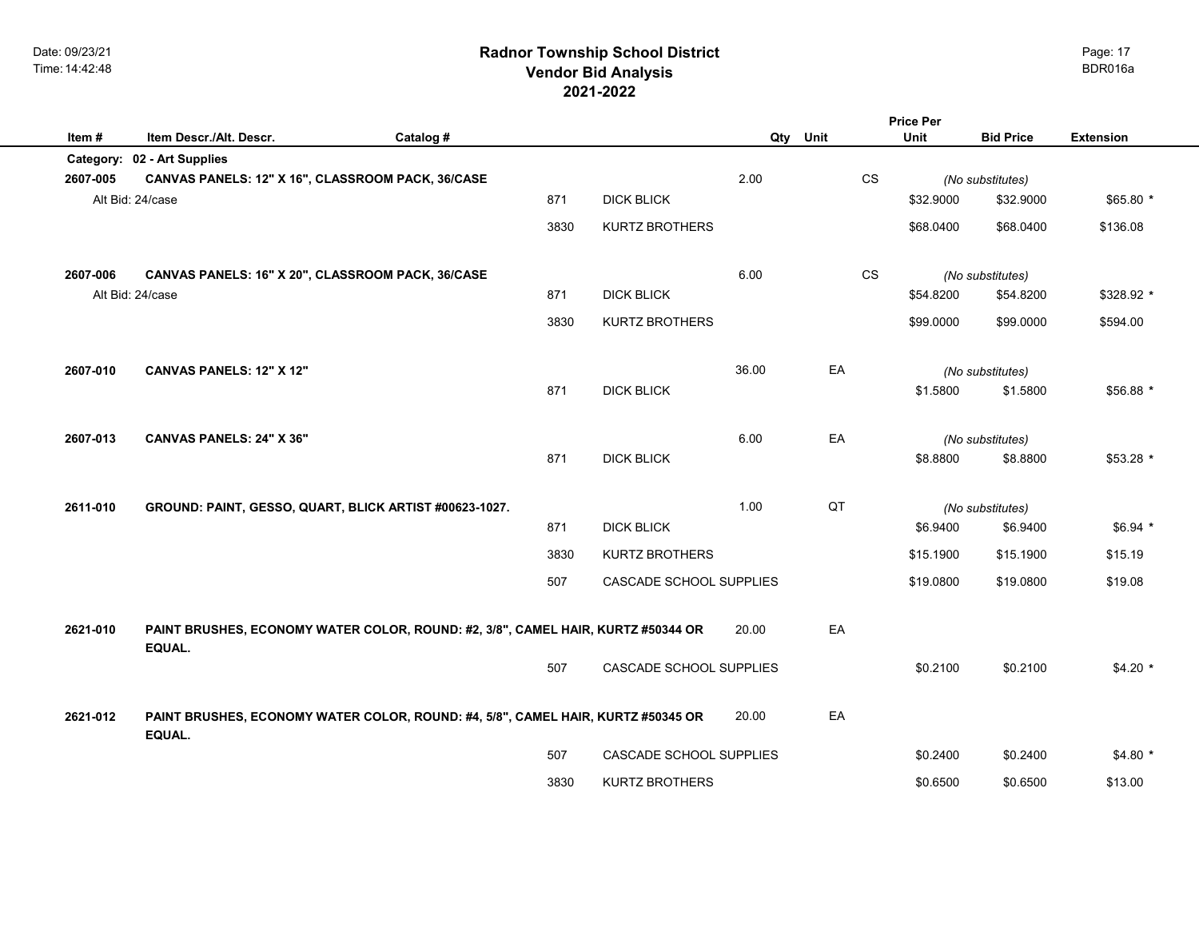# **2021-2022 Radnor Township School District Vendor Bid Analysis** BDR016a

|          |                                                                                            |           |      |                         |       |           | <b>Price Per</b> |                  |                  |
|----------|--------------------------------------------------------------------------------------------|-----------|------|-------------------------|-------|-----------|------------------|------------------|------------------|
| Item#    | Item Descr./Alt. Descr.                                                                    | Catalog # |      |                         |       | Qty Unit  | Unit             | <b>Bid Price</b> | <b>Extension</b> |
|          | Category: 02 - Art Supplies                                                                |           |      |                         |       |           |                  |                  |                  |
| 2607-005 | CANVAS PANELS: 12" X 16", CLASSROOM PACK, 36/CASE                                          |           |      |                         | 2.00  | CS        |                  | (No substitutes) |                  |
|          | Alt Bid: 24/case                                                                           |           | 871  | <b>DICK BLICK</b>       |       |           | \$32.9000        | \$32.9000        | $$65.80*$        |
|          |                                                                                            |           | 3830 | <b>KURTZ BROTHERS</b>   |       |           | \$68.0400        | \$68.0400        | \$136.08         |
| 2607-006 | CANVAS PANELS: 16" X 20", CLASSROOM PACK, 36/CASE                                          |           |      |                         | 6.00  | <b>CS</b> |                  | (No substitutes) |                  |
|          | Alt Bid: 24/case                                                                           |           | 871  | <b>DICK BLICK</b>       |       |           | \$54.8200        | \$54.8200        | \$328.92 *       |
|          |                                                                                            |           | 3830 | <b>KURTZ BROTHERS</b>   |       |           | \$99.0000        | \$99.0000        | \$594.00         |
| 2607-010 | <b>CANVAS PANELS: 12" X 12"</b>                                                            |           |      |                         | 36.00 | EA        |                  | (No substitutes) |                  |
|          |                                                                                            |           | 871  | <b>DICK BLICK</b>       |       |           | \$1.5800         | \$1.5800         | \$56.88 *        |
| 2607-013 | <b>CANVAS PANELS: 24" X 36"</b>                                                            |           |      |                         | 6.00  | EA        |                  | (No substitutes) |                  |
|          |                                                                                            |           | 871  | <b>DICK BLICK</b>       |       |           | \$8.8800         | \$8.8800         | $$53.28$ *       |
| 2611-010 | GROUND: PAINT, GESSO, QUART, BLICK ARTIST #00623-1027.                                     |           |      |                         | 1.00  | QT        |                  | (No substitutes) |                  |
|          |                                                                                            |           | 871  | <b>DICK BLICK</b>       |       |           | \$6.9400         | \$6.9400         | $$6.94$ *        |
|          |                                                                                            |           | 3830 | <b>KURTZ BROTHERS</b>   |       |           | \$15.1900        | \$15.1900        | \$15.19          |
|          |                                                                                            |           | 507  | CASCADE SCHOOL SUPPLIES |       |           | \$19.0800        | \$19.0800        | \$19.08          |
| 2621-010 | PAINT BRUSHES, ECONOMY WATER COLOR, ROUND: #2, 3/8", CAMEL HAIR, KURTZ #50344 OR           |           |      |                         | 20.00 | EA        |                  |                  |                  |
|          | EQUAL.                                                                                     |           |      |                         |       |           |                  |                  |                  |
|          |                                                                                            |           | 507  | CASCADE SCHOOL SUPPLIES |       |           | \$0.2100         | \$0.2100         | $$4.20$ *        |
| 2621-012 | PAINT BRUSHES, ECONOMY WATER COLOR, ROUND: #4, 5/8", CAMEL HAIR, KURTZ #50345 OR<br>EQUAL. |           |      |                         | 20.00 | EA        |                  |                  |                  |
|          |                                                                                            |           | 507  | CASCADE SCHOOL SUPPLIES |       |           | \$0.2400         | \$0.2400         | $$4.80*$         |
|          |                                                                                            |           | 3830 | <b>KURTZ BROTHERS</b>   |       |           | \$0.6500         | \$0.6500         | \$13.00          |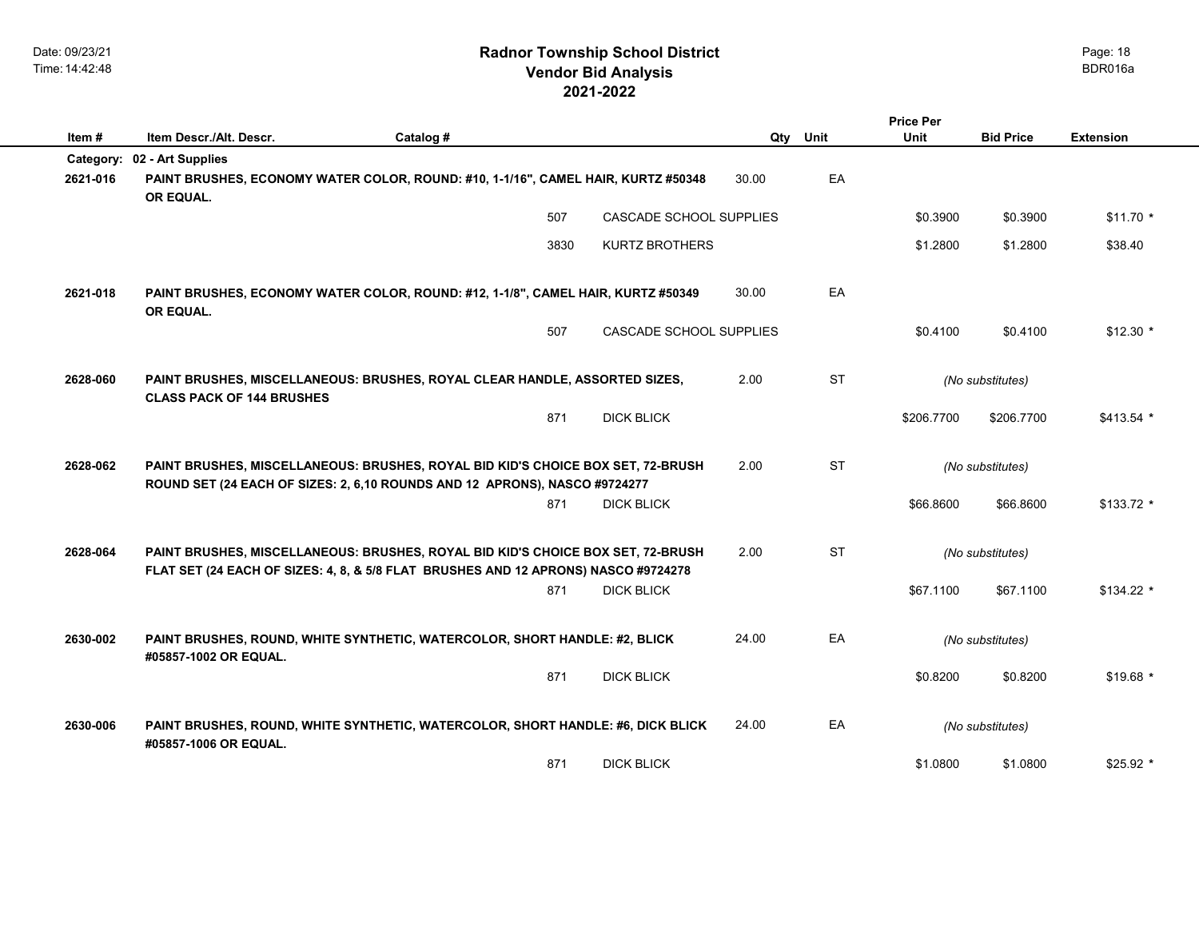|           |                                                                                                                                                                       |      |                         |          |           | <b>Price Per</b> |                  |                  |
|-----------|-----------------------------------------------------------------------------------------------------------------------------------------------------------------------|------|-------------------------|----------|-----------|------------------|------------------|------------------|
| Item#     | Item Descr./Alt. Descr.<br>Catalog #                                                                                                                                  |      |                         | Qty Unit |           | <b>Unit</b>      | <b>Bid Price</b> | <b>Extension</b> |
| Category: | 02 - Art Supplies                                                                                                                                                     |      |                         |          |           |                  |                  |                  |
| 2621-016  | PAINT BRUSHES, ECONOMY WATER COLOR, ROUND: #10, 1-1/16", CAMEL HAIR, KURTZ #50348<br>OR EQUAL.                                                                        |      |                         | 30.00    | EA        |                  |                  |                  |
|           |                                                                                                                                                                       | 507  | CASCADE SCHOOL SUPPLIES |          |           | \$0.3900         | \$0.3900         | $$11.70*$        |
|           |                                                                                                                                                                       | 3830 | <b>KURTZ BROTHERS</b>   |          |           | \$1.2800         | \$1.2800         | \$38.40          |
| 2621-018  | PAINT BRUSHES, ECONOMY WATER COLOR, ROUND: #12, 1-1/8", CAMEL HAIR, KURTZ #50349<br>OR EQUAL.                                                                         |      |                         | 30.00    | EA        |                  |                  |                  |
|           |                                                                                                                                                                       | 507  | CASCADE SCHOOL SUPPLIES |          |           | \$0.4100         | \$0.4100         | $$12.30$ *       |
| 2628-060  | PAINT BRUSHES, MISCELLANEOUS: BRUSHES, ROYAL CLEAR HANDLE, ASSORTED SIZES,<br><b>CLASS PACK OF 144 BRUSHES</b>                                                        |      |                         | 2.00     | <b>ST</b> |                  | (No substitutes) |                  |
|           |                                                                                                                                                                       | 871  | <b>DICK BLICK</b>       |          |           | \$206.7700       | \$206.7700       | \$413.54 *       |
| 2628-062  | PAINT BRUSHES, MISCELLANEOUS: BRUSHES, ROYAL BID KID'S CHOICE BOX SET, 72-BRUSH<br>ROUND SET (24 EACH OF SIZES: 2, 6,10 ROUNDS AND 12 APRONS), NASCO #9724277         |      |                         | 2.00     | <b>ST</b> |                  | (No substitutes) |                  |
|           |                                                                                                                                                                       | 871  | <b>DICK BLICK</b>       |          |           | \$66.8600        | \$66.8600        | $$133.72$ *      |
| 2628-064  | PAINT BRUSHES, MISCELLANEOUS: BRUSHES, ROYAL BID KID'S CHOICE BOX SET, 72-BRUSH<br>FLAT SET (24 EACH OF SIZES: 4, 8, & 5/8 FLAT BRUSHES AND 12 APRONS) NASCO #9724278 |      |                         | 2.00     | <b>ST</b> |                  | (No substitutes) |                  |
|           |                                                                                                                                                                       | 871  | <b>DICK BLICK</b>       |          |           | \$67,1100        | \$67.1100        | $$134.22$ *      |
| 2630-002  | PAINT BRUSHES, ROUND, WHITE SYNTHETIC, WATERCOLOR, SHORT HANDLE: #2, BLICK<br>#05857-1002 OR EQUAL.                                                                   |      |                         | 24.00    | EA        |                  | (No substitutes) |                  |
|           |                                                                                                                                                                       | 871  | <b>DICK BLICK</b>       |          |           | \$0.8200         | \$0.8200         | $$19.68$ *       |
| 2630-006  | PAINT BRUSHES, ROUND, WHITE SYNTHETIC, WATERCOLOR, SHORT HANDLE: #6, DICK BLICK<br>#05857-1006 OR EQUAL.                                                              |      |                         | 24.00    | EA        |                  | (No substitutes) |                  |
|           |                                                                                                                                                                       | 871  | <b>DICK BLICK</b>       |          |           | \$1.0800         | \$1.0800         | $$25.92*$        |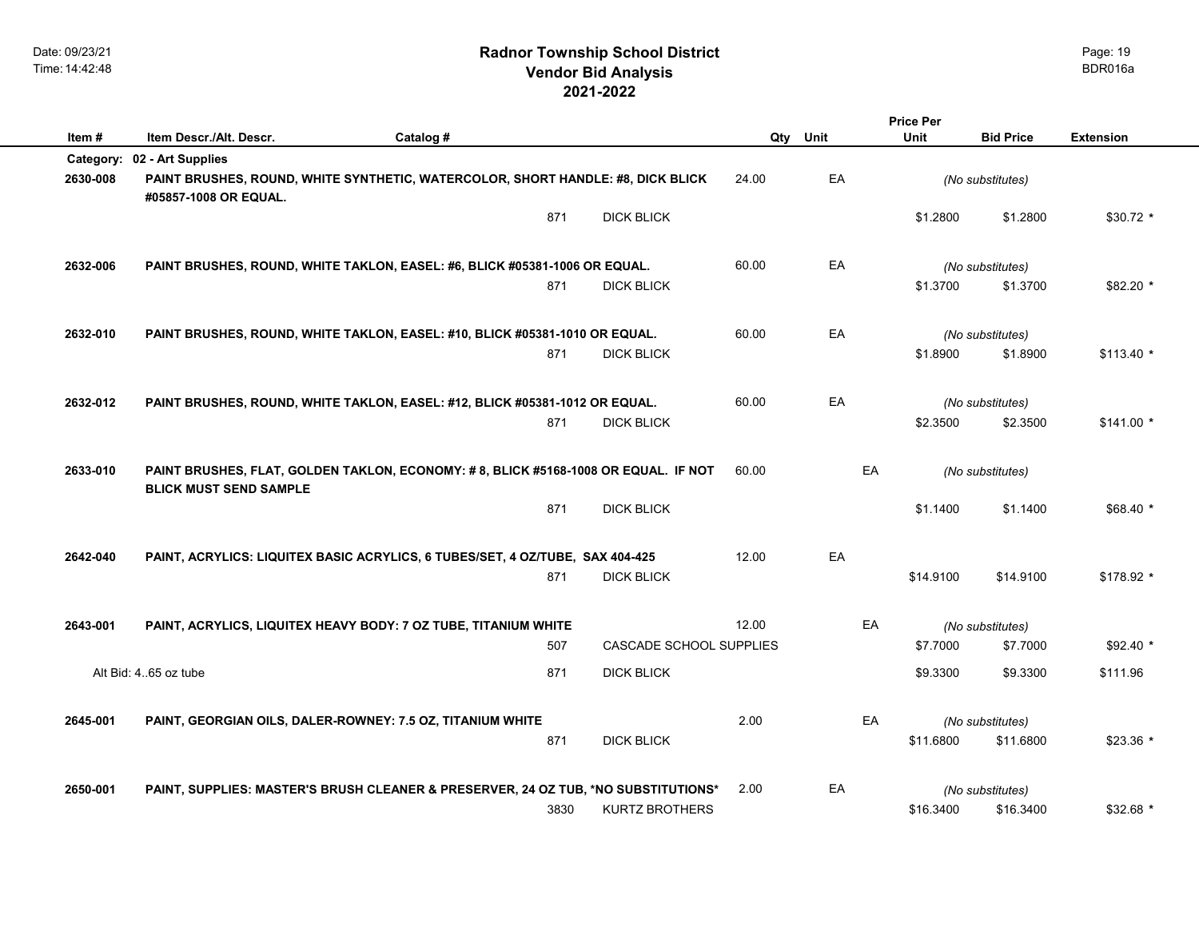|          |                                                                                                                     |           |      |                                |       |      | <b>Price Per</b> |                  |                  |
|----------|---------------------------------------------------------------------------------------------------------------------|-----------|------|--------------------------------|-------|------|------------------|------------------|------------------|
| Item#    | Item Descr./Alt. Descr.                                                                                             | Catalog # |      |                                | Qty   | Unit | Unit             | <b>Bid Price</b> | <b>Extension</b> |
|          | Category: 02 - Art Supplies                                                                                         |           |      |                                |       |      |                  |                  |                  |
| 2630-008 | PAINT BRUSHES, ROUND, WHITE SYNTHETIC, WATERCOLOR, SHORT HANDLE: #8, DICK BLICK<br>#05857-1008 OR EQUAL.            |           |      |                                | 24.00 | EA   |                  | (No substitutes) |                  |
|          |                                                                                                                     |           | 871  | <b>DICK BLICK</b>              |       |      | \$1.2800         | \$1.2800         | $$30.72$ *       |
| 2632-006 | PAINT BRUSHES, ROUND, WHITE TAKLON, EASEL: #6, BLICK #05381-1006 OR EQUAL.                                          |           |      |                                | 60.00 | EA   |                  | (No substitutes) |                  |
|          |                                                                                                                     |           | 871  | <b>DICK BLICK</b>              |       |      | \$1.3700         | \$1.3700         | \$82.20 *        |
| 2632-010 | PAINT BRUSHES, ROUND, WHITE TAKLON, EASEL: #10, BLICK #05381-1010 OR EQUAL.                                         |           |      |                                | 60.00 | EA   |                  | (No substitutes) |                  |
|          |                                                                                                                     |           | 871  | <b>DICK BLICK</b>              |       |      | \$1.8900         | \$1.8900         | $$113.40$ *      |
| 2632-012 | PAINT BRUSHES, ROUND, WHITE TAKLON, EASEL: #12, BLICK #05381-1012 OR EQUAL.                                         |           |      |                                | 60.00 | EA   |                  | (No substitutes) |                  |
|          |                                                                                                                     |           | 871  | <b>DICK BLICK</b>              |       |      | \$2.3500         | \$2.3500         | $$141.00*$       |
| 2633-010 | PAINT BRUSHES, FLAT, GOLDEN TAKLON, ECONOMY: #8, BLICK #5168-1008 OR EQUAL. IF NOT<br><b>BLICK MUST SEND SAMPLE</b> |           |      |                                | 60.00 | EA   |                  | (No substitutes) |                  |
|          |                                                                                                                     |           | 871  | <b>DICK BLICK</b>              |       |      | \$1.1400         | \$1.1400         | $$68.40*$        |
| 2642-040 | PAINT, ACRYLICS: LIQUITEX BASIC ACRYLICS, 6 TUBES/SET, 4 OZ/TUBE, SAX 404-425                                       |           |      |                                | 12.00 | EA   |                  |                  |                  |
|          |                                                                                                                     |           | 871  | <b>DICK BLICK</b>              |       |      | \$14.9100        | \$14.9100        | $$178.92$ *      |
| 2643-001 | PAINT, ACRYLICS, LIQUITEX HEAVY BODY: 7 OZ TUBE, TITANIUM WHITE                                                     |           |      |                                | 12.00 | EA   |                  | (No substitutes) |                  |
|          |                                                                                                                     |           | 507  | <b>CASCADE SCHOOL SUPPLIES</b> |       |      | \$7.7000         | \$7.7000         | $$92.40*$        |
|          | Alt Bid: 4.65 oz tube                                                                                               |           | 871  | <b>DICK BLICK</b>              |       |      | \$9.3300         | \$9.3300         | \$111.96         |
| 2645-001 | PAINT, GEORGIAN OILS, DALER-ROWNEY: 7.5 OZ, TITANIUM WHITE                                                          |           |      |                                | 2.00  | EA   |                  | (No substitutes) |                  |
|          |                                                                                                                     |           | 871  | <b>DICK BLICK</b>              |       |      | \$11.6800        | \$11.6800        | $$23.36*$        |
| 2650-001 | PAINT, SUPPLIES: MASTER'S BRUSH CLEANER & PRESERVER, 24 OZ TUB, *NO SUBSTITUTIONS*                                  |           |      |                                | 2.00  | EA   |                  | (No substitutes) |                  |
|          |                                                                                                                     |           | 3830 | <b>KURTZ BROTHERS</b>          |       |      | \$16.3400        | \$16.3400        | $$32.68$ *       |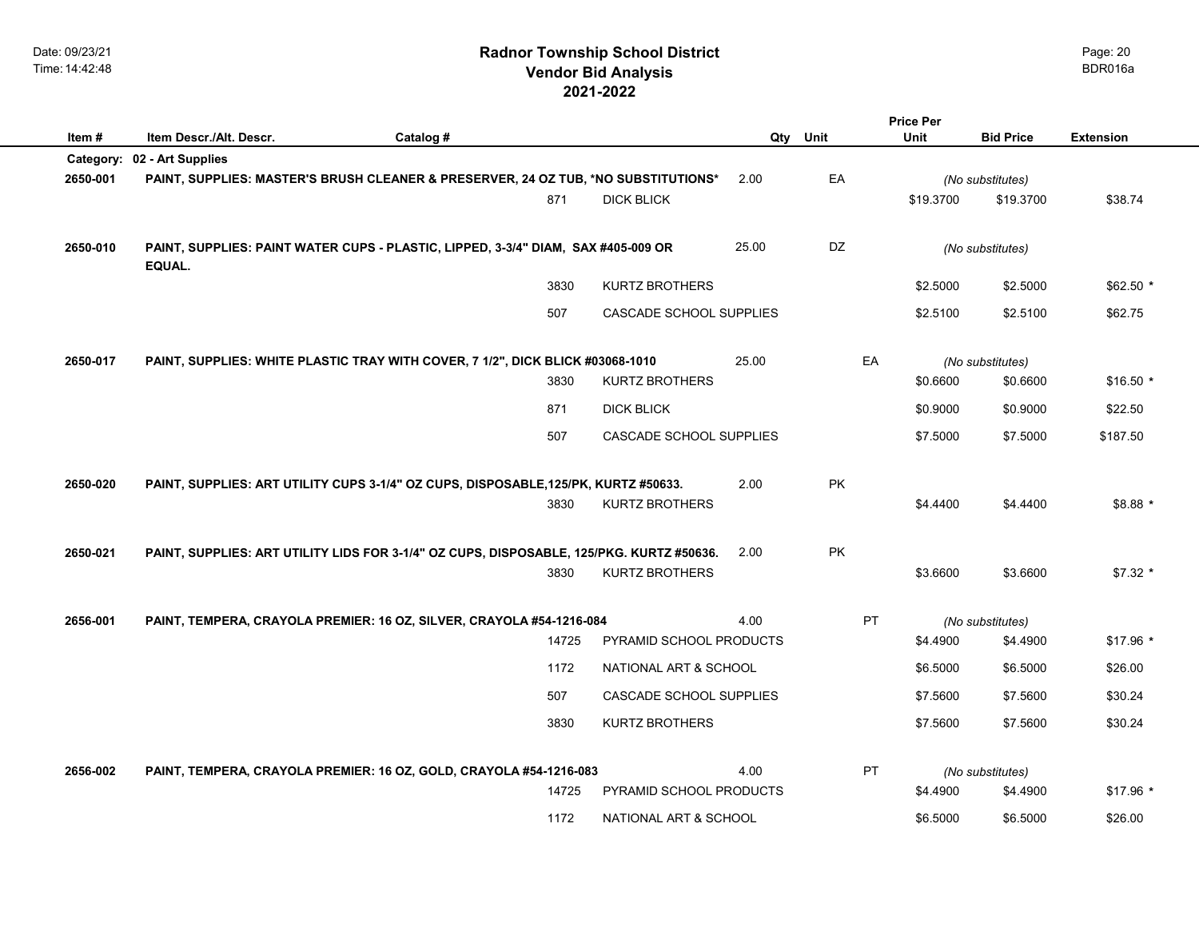|          |                                                                                          |           |       |                         |       |      | <b>Price Per</b> |                  |                  |
|----------|------------------------------------------------------------------------------------------|-----------|-------|-------------------------|-------|------|------------------|------------------|------------------|
| Item#    | Item Descr./Alt. Descr.                                                                  | Catalog # |       |                         | Qty   | Unit | Unit             | <b>Bid Price</b> | <b>Extension</b> |
|          | Category: 02 - Art Supplies                                                              |           |       |                         |       |      |                  |                  |                  |
| 2650-001 | PAINT, SUPPLIES: MASTER'S BRUSH CLEANER & PRESERVER, 24 OZ TUB, *NO SUBSTITUTIONS*       |           |       |                         | 2.00  | EA   |                  | (No substitutes) |                  |
|          |                                                                                          |           | 871   | <b>DICK BLICK</b>       |       |      | \$19,3700        | \$19,3700        | \$38.74          |
| 2650-010 | PAINT, SUPPLIES: PAINT WATER CUPS - PLASTIC, LIPPED, 3-3/4" DIAM, SAX #405-009 OR        |           |       |                         | 25.00 | DZ   |                  | (No substitutes) |                  |
|          | EQUAL.                                                                                   |           |       |                         |       |      |                  |                  |                  |
|          |                                                                                          |           | 3830  | <b>KURTZ BROTHERS</b>   |       |      | \$2.5000         | \$2.5000         | \$62.50 *        |
|          |                                                                                          |           | 507   | CASCADE SCHOOL SUPPLIES |       |      | \$2.5100         | \$2.5100         | \$62.75          |
|          |                                                                                          |           |       |                         |       |      |                  |                  |                  |
| 2650-017 | PAINT, SUPPLIES: WHITE PLASTIC TRAY WITH COVER, 7 1/2", DICK BLICK #03068-1010           |           |       |                         | 25.00 | EA   |                  | (No substitutes) |                  |
|          |                                                                                          |           | 3830  | <b>KURTZ BROTHERS</b>   |       |      | \$0.6600         | \$0.6600         | $$16.50*$        |
|          |                                                                                          |           | 871   | <b>DICK BLICK</b>       |       |      | \$0.9000         | \$0.9000         | \$22.50          |
|          |                                                                                          |           | 507   | CASCADE SCHOOL SUPPLIES |       |      | \$7.5000         | \$7.5000         | \$187.50         |
|          |                                                                                          |           |       |                         |       |      |                  |                  |                  |
| 2650-020 | PAINT, SUPPLIES: ART UTILITY CUPS 3-1/4" OZ CUPS, DISPOSABLE, 125/PK, KURTZ #50633.      |           |       |                         | 2.00  | PK   |                  |                  |                  |
|          |                                                                                          |           | 3830  | <b>KURTZ BROTHERS</b>   |       |      | \$4.4400         | \$4.4400         | $$8.88*$         |
| 2650-021 | PAINT, SUPPLIES: ART UTILITY LIDS FOR 3-1/4" OZ CUPS, DISPOSABLE, 125/PKG. KURTZ #50636. |           |       |                         | 2.00  | PK   |                  |                  |                  |
|          |                                                                                          |           | 3830  | <b>KURTZ BROTHERS</b>   |       |      | \$3.6600         | \$3.6600         | $$7.32*$         |
|          |                                                                                          |           |       |                         |       |      |                  |                  |                  |
| 2656-001 | PAINT, TEMPERA, CRAYOLA PREMIER: 16 OZ, SILVER, CRAYOLA #54-1216-084                     |           |       | PYRAMID SCHOOL PRODUCTS | 4.00  | PT   |                  | (No substitutes) |                  |
|          |                                                                                          |           | 14725 |                         |       |      | \$4.4900         | \$4.4900         | $$17.96*$        |
|          |                                                                                          |           | 1172  | NATIONAL ART & SCHOOL   |       |      | \$6.5000         | \$6.5000         | \$26.00          |
|          |                                                                                          |           | 507   | CASCADE SCHOOL SUPPLIES |       |      | \$7.5600         | \$7.5600         | \$30.24          |
|          |                                                                                          |           | 3830  | <b>KURTZ BROTHERS</b>   |       |      | \$7.5600         | \$7.5600         | \$30.24          |
| 2656-002 | PAINT, TEMPERA, CRAYOLA PREMIER: 16 OZ, GOLD, CRAYOLA #54-1216-083                       |           |       |                         | 4.00  | PT   |                  | (No substitutes) |                  |
|          |                                                                                          |           | 14725 | PYRAMID SCHOOL PRODUCTS |       |      | \$4.4900         | \$4.4900         | $$17.96*$        |
|          |                                                                                          |           | 1172  | NATIONAL ART & SCHOOL   |       |      | \$6.5000         | \$6.5000         | \$26.00          |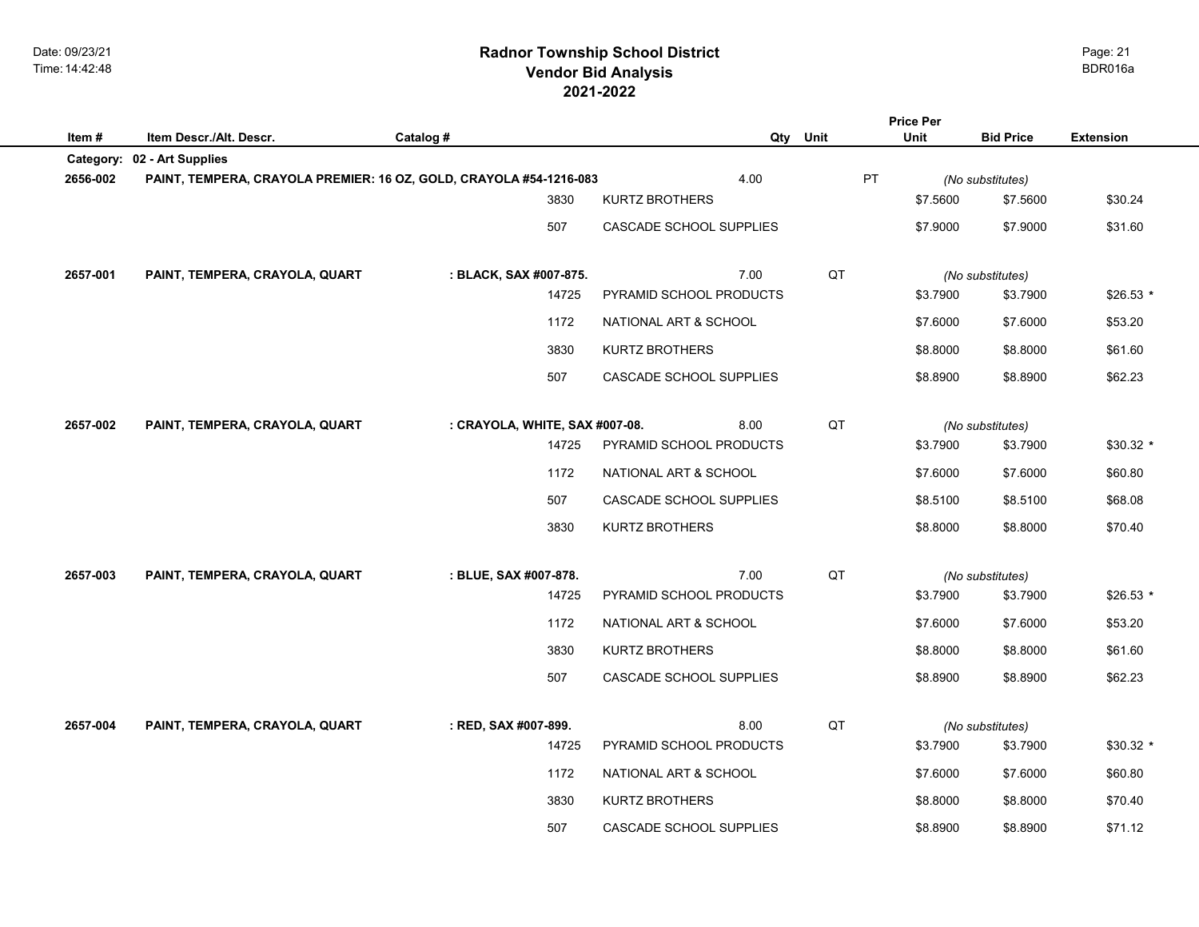## **2021-2022 Radnor Township School District Vendor Bid Analysis** BDR016a

|          |                                                                    |                                |                         | <b>Price Per</b> |          |                  |                  |
|----------|--------------------------------------------------------------------|--------------------------------|-------------------------|------------------|----------|------------------|------------------|
| Item#    | Item Descr./Alt. Descr.                                            | Catalog #                      |                         | Qty Unit         | Unit     | <b>Bid Price</b> | <b>Extension</b> |
|          | Category: 02 - Art Supplies                                        |                                |                         |                  |          |                  |                  |
| 2656-002 | PAINT, TEMPERA, CRAYOLA PREMIER: 16 OZ, GOLD, CRAYOLA #54-1216-083 |                                | 4.00                    | PT               |          | (No substitutes) |                  |
|          |                                                                    | 3830                           | <b>KURTZ BROTHERS</b>   |                  | \$7.5600 | \$7.5600         | \$30.24          |
|          |                                                                    | 507                            | CASCADE SCHOOL SUPPLIES |                  | \$7.9000 | \$7.9000         | \$31.60          |
|          |                                                                    |                                |                         |                  |          |                  |                  |
| 2657-001 | PAINT, TEMPERA, CRAYOLA, QUART                                     | : BLACK, SAX #007-875.         | 7.00                    | QT               |          | (No substitutes) |                  |
|          |                                                                    | 14725                          | PYRAMID SCHOOL PRODUCTS |                  | \$3.7900 | \$3.7900         | $$26.53$ *       |
|          |                                                                    | 1172                           | NATIONAL ART & SCHOOL   |                  | \$7.6000 | \$7.6000         | \$53.20          |
|          |                                                                    | 3830                           | <b>KURTZ BROTHERS</b>   |                  | \$8.8000 | \$8.8000         | \$61.60          |
|          |                                                                    | 507                            | CASCADE SCHOOL SUPPLIES |                  | \$8.8900 | \$8.8900         | \$62.23          |
|          |                                                                    |                                |                         |                  |          |                  |                  |
| 2657-002 | PAINT, TEMPERA, CRAYOLA, QUART                                     | : CRAYOLA, WHITE, SAX #007-08. | 8.00                    | QT               |          | (No substitutes) |                  |
|          |                                                                    | 14725                          | PYRAMID SCHOOL PRODUCTS |                  | \$3.7900 | \$3.7900         | $$30.32*$        |
|          |                                                                    | 1172                           | NATIONAL ART & SCHOOL   |                  | \$7.6000 | \$7.6000         | \$60.80          |
|          |                                                                    | 507                            | CASCADE SCHOOL SUPPLIES |                  | \$8.5100 | \$8.5100         | \$68.08          |
|          |                                                                    | 3830                           | <b>KURTZ BROTHERS</b>   |                  | \$8.8000 | \$8.8000         | \$70.40          |
|          |                                                                    |                                |                         |                  |          |                  |                  |
| 2657-003 | PAINT, TEMPERA, CRAYOLA, QUART                                     | : BLUE, SAX #007-878.          | 7.00                    | QT               |          | (No substitutes) |                  |
|          |                                                                    | 14725                          | PYRAMID SCHOOL PRODUCTS |                  | \$3.7900 | \$3.7900         | \$26.53 *        |
|          |                                                                    | 1172                           | NATIONAL ART & SCHOOL   |                  | \$7.6000 | \$7.6000         | \$53.20          |
|          |                                                                    | 3830                           | <b>KURTZ BROTHERS</b>   |                  | \$8.8000 | \$8.8000         | \$61.60          |
|          |                                                                    | 507                            | CASCADE SCHOOL SUPPLIES |                  | \$8.8900 | \$8.8900         | \$62.23          |
|          |                                                                    |                                |                         |                  |          |                  |                  |
| 2657-004 | PAINT, TEMPERA, CRAYOLA, QUART                                     | : RED, SAX #007-899.           | 8.00                    | QT               |          | (No substitutes) |                  |
|          |                                                                    | 14725                          | PYRAMID SCHOOL PRODUCTS |                  | \$3.7900 | \$3.7900         | $$30.32$ *       |
|          |                                                                    | 1172                           | NATIONAL ART & SCHOOL   |                  | \$7.6000 | \$7.6000         | \$60.80          |
|          |                                                                    | 3830                           | <b>KURTZ BROTHERS</b>   |                  | \$8.8000 | \$8.8000         | \$70.40          |
|          |                                                                    | 507                            | CASCADE SCHOOL SUPPLIES |                  | \$8.8900 | \$8.8900         | \$71.12          |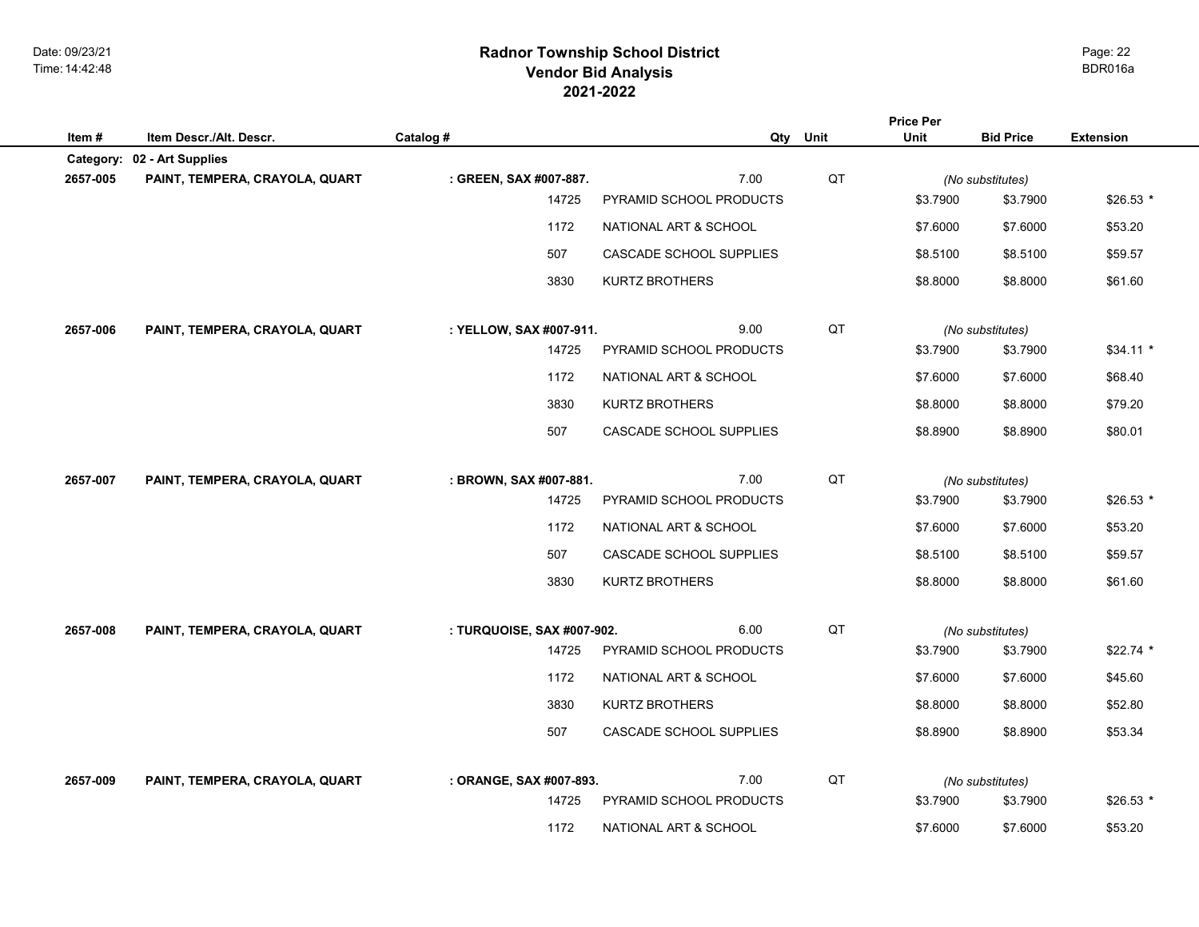## **2021-2022 Radnor Township School District Vendor Bid Analysis** BDR016a

|          |                                                               |                                  |                                 |          | <b>Price Per</b> |                              |                  |
|----------|---------------------------------------------------------------|----------------------------------|---------------------------------|----------|------------------|------------------------------|------------------|
| Item#    | Item Descr./Alt. Descr.                                       | Catalog #                        |                                 | Qty Unit | Unit             | <b>Bid Price</b>             | <b>Extension</b> |
| 2657-005 | Category: 02 - Art Supplies<br>PAINT, TEMPERA, CRAYOLA, QUART |                                  | 7.00                            | QT       |                  |                              |                  |
|          |                                                               | : GREEN, SAX #007-887.<br>14725  | PYRAMID SCHOOL PRODUCTS         |          | \$3.7900         | (No substitutes)<br>\$3.7900 | $$26.53*$        |
|          |                                                               | 1172                             | NATIONAL ART & SCHOOL           |          | \$7.6000         | \$7.6000                     | \$53.20          |
|          |                                                               |                                  |                                 |          |                  |                              |                  |
|          |                                                               | 507                              | CASCADE SCHOOL SUPPLIES         |          | \$8.5100         | \$8.5100                     | \$59.57          |
|          |                                                               | 3830                             | <b>KURTZ BROTHERS</b>           |          | \$8.8000         | \$8.8000                     | \$61.60          |
|          |                                                               |                                  |                                 |          |                  |                              |                  |
| 2657-006 | PAINT, TEMPERA, CRAYOLA, QUART                                | : YELLOW, SAX #007-911.<br>14725 | 9.00<br>PYRAMID SCHOOL PRODUCTS | QT       | \$3.7900         | (No substitutes)<br>\$3.7900 | $$34.11*$        |
|          |                                                               |                                  |                                 |          |                  |                              |                  |
|          |                                                               | 1172                             | NATIONAL ART & SCHOOL           |          | \$7.6000         | \$7.6000                     | \$68.40          |
|          |                                                               | 3830                             | <b>KURTZ BROTHERS</b>           |          | \$8.8000         | \$8.8000                     | \$79.20          |
|          |                                                               | 507                              | CASCADE SCHOOL SUPPLIES         |          | \$8.8900         | \$8.8900                     | \$80.01          |
|          |                                                               |                                  |                                 |          |                  |                              |                  |
| 2657-007 | PAINT, TEMPERA, CRAYOLA, QUART                                | : BROWN, SAX #007-881.           | 7.00                            | QT       |                  | (No substitutes)             |                  |
|          |                                                               | 14725                            | PYRAMID SCHOOL PRODUCTS         |          | \$3.7900         | \$3.7900                     | $$26.53$ *       |
|          |                                                               | 1172                             | NATIONAL ART & SCHOOL           |          | \$7.6000         | \$7.6000                     | \$53.20          |
|          |                                                               | 507                              | CASCADE SCHOOL SUPPLIES         |          | \$8.5100         | \$8.5100                     | \$59.57          |
|          |                                                               | 3830                             | <b>KURTZ BROTHERS</b>           |          | \$8.8000         | \$8.8000                     | \$61.60          |
|          |                                                               |                                  |                                 |          |                  |                              |                  |
| 2657-008 | PAINT, TEMPERA, CRAYOLA, QUART                                | : TURQUOISE, SAX #007-902.       | 6.00                            | QT       |                  | (No substitutes)             |                  |
|          |                                                               | 14725                            | PYRAMID SCHOOL PRODUCTS         |          | \$3.7900         | \$3.7900                     | $$22.74$ *       |
|          |                                                               | 1172                             | NATIONAL ART & SCHOOL           |          | \$7.6000         | \$7.6000                     | \$45.60          |
|          |                                                               | 3830                             | <b>KURTZ BROTHERS</b>           |          | \$8.8000         | \$8.8000                     | \$52.80          |
|          |                                                               | 507                              | CASCADE SCHOOL SUPPLIES         |          | \$8.8900         | \$8.8900                     | \$53.34          |
|          |                                                               |                                  |                                 |          |                  |                              |                  |
| 2657-009 | PAINT, TEMPERA, CRAYOLA, QUART                                | : ORANGE, SAX #007-893.          | 7.00                            | QT       |                  | (No substitutes)             |                  |
|          |                                                               | 14725                            | PYRAMID SCHOOL PRODUCTS         |          | \$3.7900         | \$3.7900                     | $$26.53*$        |
|          |                                                               | 1172                             | NATIONAL ART & SCHOOL           |          | \$7.6000         | \$7.6000                     | \$53.20          |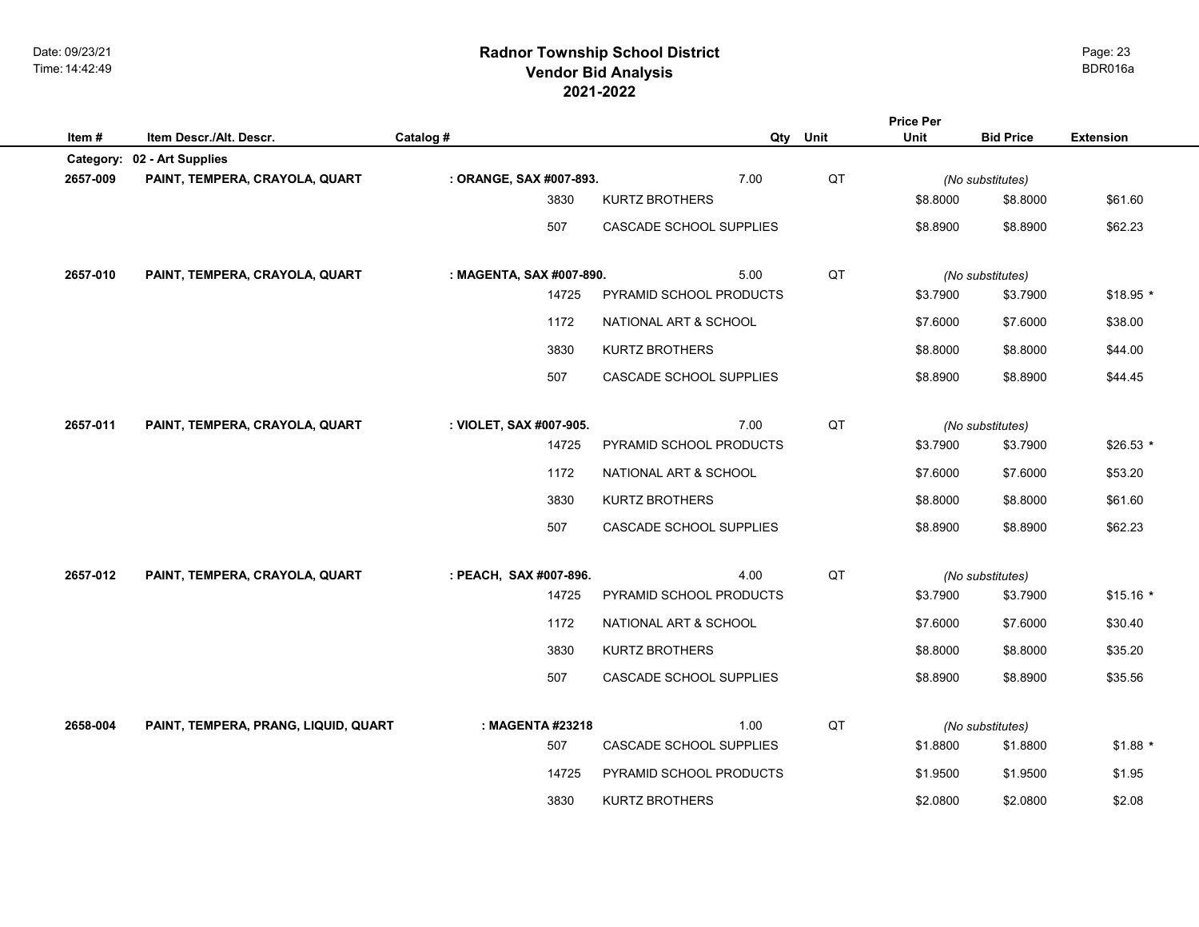## **2021-2022 Radnor Township School District Vendor Bid Analysis** BDR016a

| Item#    | Item Descr./Alt. Descr.              | Catalog #                | Qty                            | Unit | <b>Price Per</b><br>Unit | <b>Bid Price</b> | <b>Extension</b> |
|----------|--------------------------------------|--------------------------|--------------------------------|------|--------------------------|------------------|------------------|
|          | Category: 02 - Art Supplies          |                          |                                |      |                          |                  |                  |
| 2657-009 | PAINT, TEMPERA, CRAYOLA, QUART       | : ORANGE, SAX #007-893.  | 7.00                           | QT   |                          | (No substitutes) |                  |
|          |                                      | 3830                     | <b>KURTZ BROTHERS</b>          |      | \$8.8000                 | \$8.8000         | \$61.60          |
|          |                                      | 507                      | <b>CASCADE SCHOOL SUPPLIES</b> |      | \$8.8900                 | \$8.8900         | \$62.23          |
| 2657-010 | PAINT, TEMPERA, CRAYOLA, QUART       | : MAGENTA, SAX #007-890. | 5.00                           | QT   |                          | (No substitutes) |                  |
|          |                                      | 14725                    | PYRAMID SCHOOL PRODUCTS        |      | \$3.7900                 | \$3.7900         | \$18.95 *        |
|          |                                      | 1172                     | NATIONAL ART & SCHOOL          |      | \$7.6000                 | \$7.6000         | \$38.00          |
|          |                                      | 3830                     | KURTZ BROTHERS                 |      | \$8.8000                 | \$8.8000         | \$44.00          |
|          |                                      | 507                      | CASCADE SCHOOL SUPPLIES        |      | \$8.8900                 | \$8.8900         | \$44.45          |
| 2657-011 | PAINT, TEMPERA, CRAYOLA, QUART       | : VIOLET, SAX #007-905.  | 7.00                           | QT   |                          | (No substitutes) |                  |
|          |                                      | 14725                    | PYRAMID SCHOOL PRODUCTS        |      | \$3.7900                 | \$3.7900         | $$26.53*$        |
|          |                                      | 1172                     | NATIONAL ART & SCHOOL          |      | \$7.6000                 | \$7.6000         | \$53.20          |
|          |                                      | 3830                     | KURTZ BROTHERS                 |      | \$8.8000                 | \$8.8000         | \$61.60          |
|          |                                      | 507                      | CASCADE SCHOOL SUPPLIES        |      | \$8.8900                 | \$8.8900         | \$62.23          |
| 2657-012 | PAINT, TEMPERA, CRAYOLA, QUART       | : PEACH, SAX #007-896.   | 4.00                           | QT   |                          | (No substitutes) |                  |
|          |                                      | 14725                    | PYRAMID SCHOOL PRODUCTS        |      | \$3.7900                 | \$3.7900         | $$15.16*$        |
|          |                                      | 1172                     | NATIONAL ART & SCHOOL          |      | \$7.6000                 | \$7.6000         | \$30.40          |
|          |                                      | 3830                     | <b>KURTZ BROTHERS</b>          |      | \$8.8000                 | \$8.8000         | \$35.20          |
|          |                                      | 507                      | CASCADE SCHOOL SUPPLIES        |      | \$8.8900                 | \$8.8900         | \$35.56          |
| 2658-004 | PAINT, TEMPERA, PRANG, LIQUID, QUART | : MAGENTA #23218         | 1.00                           | QT   |                          | (No substitutes) |                  |
|          |                                      | 507                      | CASCADE SCHOOL SUPPLIES        |      | \$1.8800                 | \$1.8800         | $$1.88$ *        |
|          |                                      | 14725                    | PYRAMID SCHOOL PRODUCTS        |      | \$1.9500                 | \$1.9500         | \$1.95           |
|          |                                      | 3830                     | <b>KURTZ BROTHERS</b>          |      | \$2.0800                 | \$2.0800         | \$2.08           |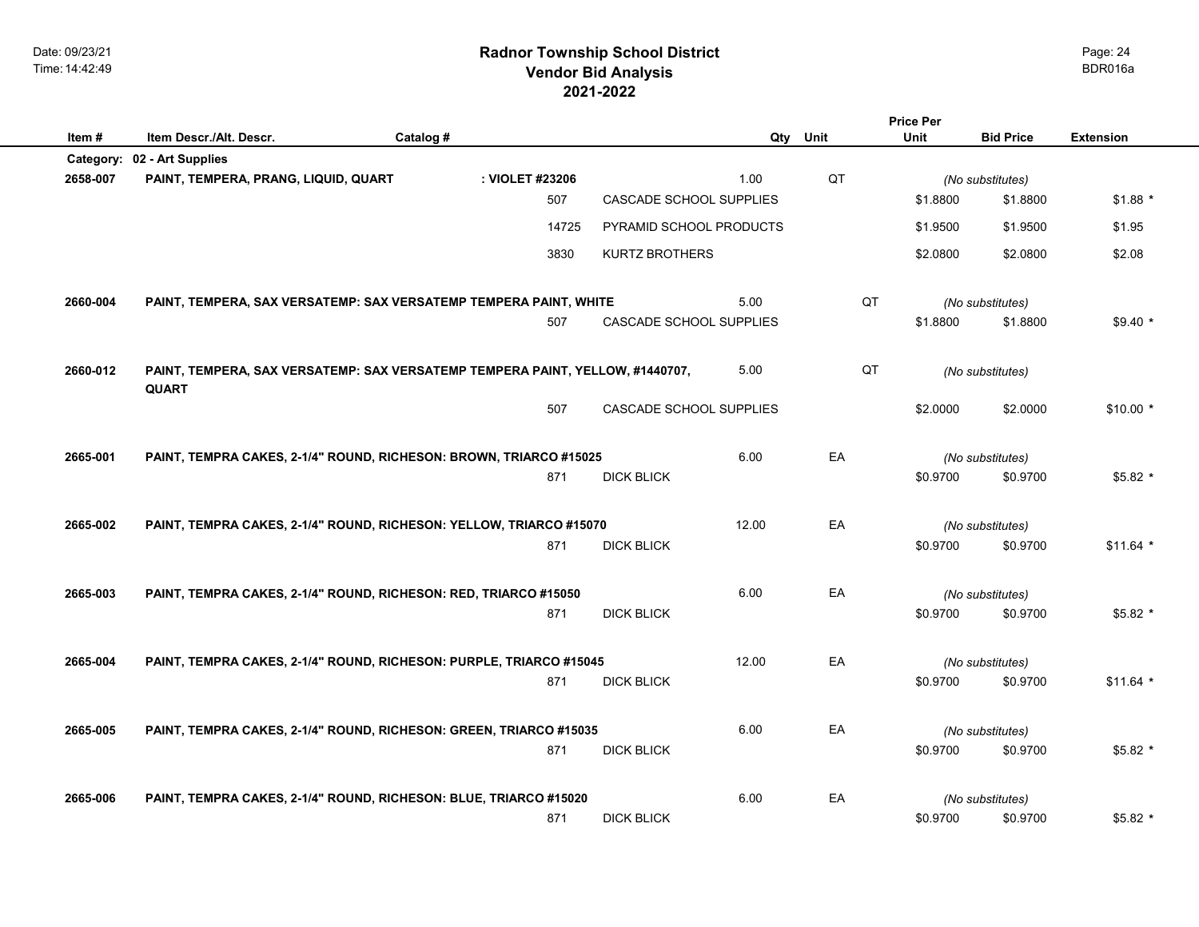Date: 09/23/21 Time: 14:42:49

| Item#     | Item Descr./Alt. Descr.                                                                       | Catalog # |                 |                         | Qty   | Unit | Unit     | <b>Bid Price</b> | <b>Extension</b> |
|-----------|-----------------------------------------------------------------------------------------------|-----------|-----------------|-------------------------|-------|------|----------|------------------|------------------|
| Category: | 02 - Art Supplies                                                                             |           |                 |                         |       |      |          |                  |                  |
| 2658-007  | PAINT, TEMPERA, PRANG, LIQUID, QUART                                                          |           | : VIOLET #23206 |                         | 1.00  | QT   |          | (No substitutes) |                  |
|           |                                                                                               |           | 507             | CASCADE SCHOOL SUPPLIES |       |      | \$1.8800 | \$1.8800         | $$1.88$ *        |
|           |                                                                                               |           | 14725           | PYRAMID SCHOOL PRODUCTS |       |      | \$1.9500 | \$1.9500         | \$1.95           |
|           |                                                                                               |           | 3830            | KURTZ BROTHERS          |       |      | \$2.0800 | \$2.0800         | \$2.08           |
| 2660-004  | PAINT, TEMPERA, SAX VERSATEMP: SAX VERSATEMP TEMPERA PAINT, WHITE                             |           |                 |                         | 5.00  | QT   |          | (No substitutes) |                  |
|           |                                                                                               |           | 507             | CASCADE SCHOOL SUPPLIES |       |      | \$1.8800 | \$1.8800         | $$9.40*$         |
| 2660-012  | PAINT, TEMPERA, SAX VERSATEMP: SAX VERSATEMP TEMPERA PAINT, YELLOW, #1440707,<br><b>QUART</b> |           |                 |                         | 5.00  | QT   |          | (No substitutes) |                  |
|           |                                                                                               |           | 507             | CASCADE SCHOOL SUPPLIES |       |      | \$2.0000 | \$2.0000         | $$10.00*$        |
| 2665-001  | PAINT, TEMPRA CAKES, 2-1/4" ROUND, RICHESON: BROWN, TRIARCO #15025                            |           |                 |                         | 6.00  | EA   |          | (No substitutes) |                  |
|           |                                                                                               |           | 871             | <b>DICK BLICK</b>       |       |      | \$0.9700 | \$0.9700         | \$5.82 *         |
| 2665-002  | PAINT, TEMPRA CAKES, 2-1/4" ROUND, RICHESON: YELLOW, TRIARCO #15070                           |           |                 |                         | 12.00 | EA   |          | (No substitutes) |                  |
|           |                                                                                               |           | 871             | <b>DICK BLICK</b>       |       |      | \$0.9700 | \$0.9700         | $$11.64$ *       |
| 2665-003  | PAINT, TEMPRA CAKES, 2-1/4" ROUND, RICHESON: RED, TRIARCO #15050                              |           |                 |                         | 6.00  | EA   |          | (No substitutes) |                  |
|           |                                                                                               |           | 871             | <b>DICK BLICK</b>       |       |      | \$0.9700 | \$0.9700         | $$5.82$ *        |
| 2665-004  | PAINT, TEMPRA CAKES, 2-1/4" ROUND, RICHESON: PURPLE, TRIARCO #15045                           |           |                 |                         | 12.00 | EA   |          | (No substitutes) |                  |
|           |                                                                                               |           | 871             | <b>DICK BLICK</b>       |       |      | \$0.9700 | \$0.9700         | $$11.64$ *       |
| 2665-005  | PAINT, TEMPRA CAKES, 2-1/4" ROUND, RICHESON: GREEN, TRIARCO #15035                            |           |                 |                         | 6.00  | EA   |          | (No substitutes) |                  |
|           |                                                                                               |           | 871             | <b>DICK BLICK</b>       |       |      | \$0.9700 | \$0.9700         | $$5.82$ *        |
| 2665-006  | PAINT, TEMPRA CAKES, 2-1/4" ROUND, RICHESON: BLUE, TRIARCO #15020                             |           |                 |                         | 6.00  | EA   |          | (No substitutes) |                  |
|           |                                                                                               |           | 871             | <b>DICK BLICK</b>       |       |      | \$0.9700 | \$0.9700         | $$5.82*$         |

Page: 24

**Price Per**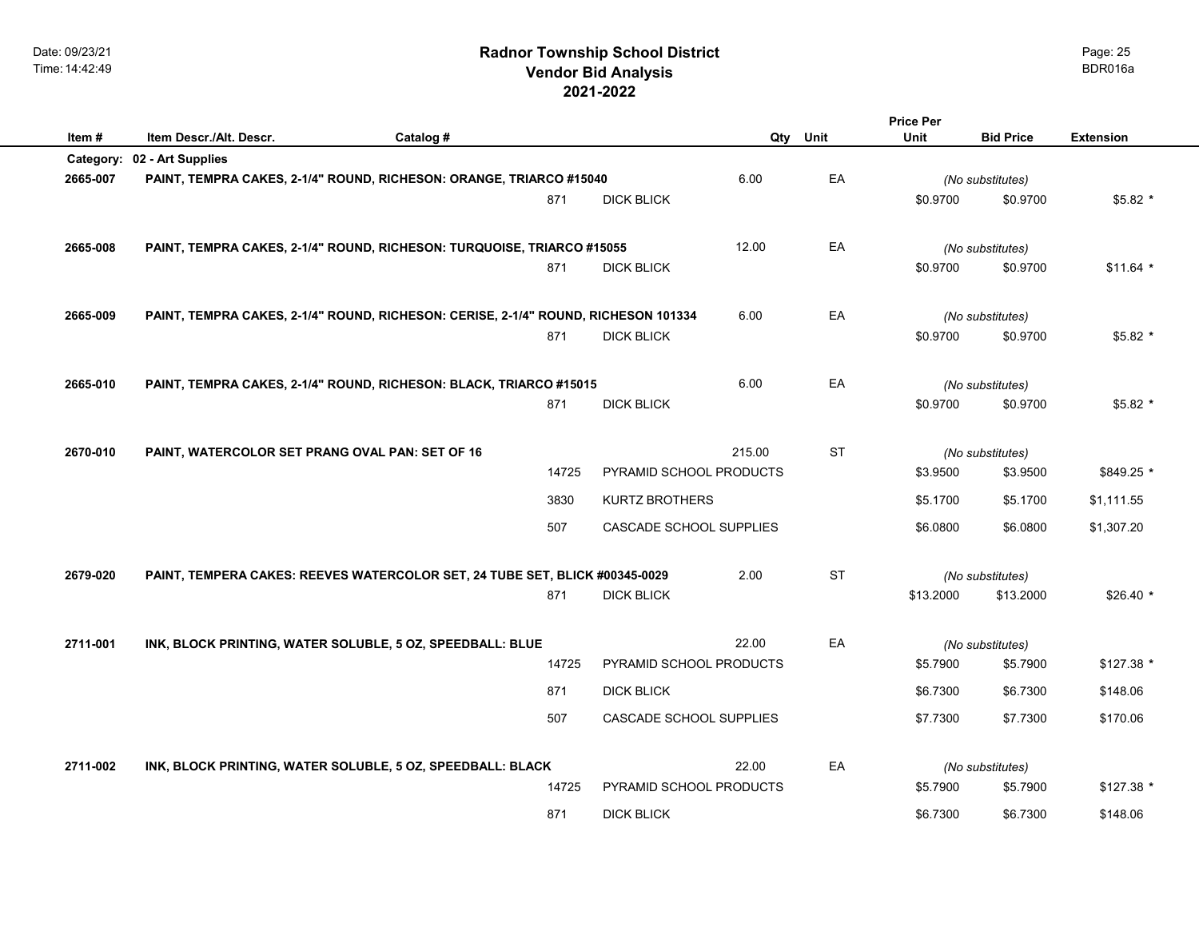**Item # Item Descr./Alt. Descr. Catalog # Qty Unit Bid Price Extension**

|          | Category: 02 - Art Supplies                                                        |       |                         |        |           |           |                  |            |
|----------|------------------------------------------------------------------------------------|-------|-------------------------|--------|-----------|-----------|------------------|------------|
| 2665-007 | PAINT, TEMPRA CAKES, 2-1/4" ROUND, RICHESON: ORANGE, TRIARCO #15040                |       |                         | 6.00   | EA        |           | (No substitutes) |            |
|          |                                                                                    | 871   | <b>DICK BLICK</b>       |        |           | \$0.9700  | \$0.9700         | $$5.82*$   |
|          |                                                                                    |       |                         |        |           |           |                  |            |
| 2665-008 | PAINT, TEMPRA CAKES, 2-1/4" ROUND, RICHESON: TURQUOISE, TRIARCO #15055             |       |                         | 12.00  | EA        |           | (No substitutes) |            |
|          |                                                                                    | 871   | <b>DICK BLICK</b>       |        |           | \$0.9700  | \$0.9700         | $$11.64$ * |
|          |                                                                                    |       |                         |        |           |           |                  |            |
| 2665-009 | PAINT, TEMPRA CAKES, 2-1/4" ROUND, RICHESON: CERISE, 2-1/4" ROUND, RICHESON 101334 |       |                         | 6.00   | EA        |           | (No substitutes) |            |
|          |                                                                                    | 871   | <b>DICK BLICK</b>       |        |           | \$0.9700  | \$0.9700         | $$5.82$ *  |
|          |                                                                                    |       |                         |        |           |           |                  |            |
| 2665-010 | PAINT, TEMPRA CAKES, 2-1/4" ROUND, RICHESON: BLACK, TRIARCO #15015                 |       |                         | 6.00   | EA        |           | (No substitutes) |            |
|          |                                                                                    | 871   | <b>DICK BLICK</b>       |        |           | \$0.9700  | \$0.9700         | $$5.82*$   |
|          |                                                                                    |       |                         |        |           |           |                  |            |
| 2670-010 | PAINT, WATERCOLOR SET PRANG OVAL PAN: SET OF 16                                    |       |                         | 215.00 | <b>ST</b> |           | (No substitutes) |            |
|          |                                                                                    | 14725 | PYRAMID SCHOOL PRODUCTS |        |           | \$3.9500  | \$3.9500         | \$849.25 * |
|          |                                                                                    |       |                         |        |           |           |                  |            |
|          |                                                                                    | 3830  | <b>KURTZ BROTHERS</b>   |        |           | \$5.1700  | \$5.1700         | \$1,111.55 |
|          |                                                                                    | 507   | CASCADE SCHOOL SUPPLIES |        |           | \$6.0800  | \$6.0800         | \$1,307.20 |
|          |                                                                                    |       |                         |        |           |           |                  |            |
| 2679-020 | PAINT, TEMPERA CAKES: REEVES WATERCOLOR SET, 24 TUBE SET, BLICK #00345-0029        |       |                         | 2.00   | <b>ST</b> |           | (No substitutes) |            |
|          |                                                                                    | 871   | <b>DICK BLICK</b>       |        |           | \$13.2000 | \$13.2000        | $$26.40*$  |
|          |                                                                                    |       |                         |        |           |           |                  |            |
| 2711-001 | INK, BLOCK PRINTING, WATER SOLUBLE, 5 OZ, SPEEDBALL: BLUE                          |       |                         | 22.00  | EA        |           | (No substitutes) |            |
|          |                                                                                    | 14725 | PYRAMID SCHOOL PRODUCTS |        |           | \$5.7900  | \$5.7900         | \$127.38 * |
|          |                                                                                    | 871   | <b>DICK BLICK</b>       |        |           | \$6.7300  | \$6.7300         | \$148.06   |
|          |                                                                                    | 507   | CASCADE SCHOOL SUPPLIES |        |           | \$7.7300  | \$7.7300         | \$170.06   |
|          |                                                                                    |       |                         |        |           |           |                  |            |
| 2711-002 | INK, BLOCK PRINTING, WATER SOLUBLE, 5 OZ, SPEEDBALL: BLACK                         |       |                         | 22.00  | EA        |           | (No substitutes) |            |
|          |                                                                                    | 14725 | PYRAMID SCHOOL PRODUCTS |        |           | \$5.7900  | \$5.7900         | \$127.38 * |
|          |                                                                                    |       |                         |        |           |           |                  |            |
|          |                                                                                    | 871   | <b>DICK BLICK</b>       |        |           | \$6.7300  | \$6.7300         | \$148.06   |
|          |                                                                                    |       |                         |        |           |           |                  |            |

Page: 25

**Price Per Unit**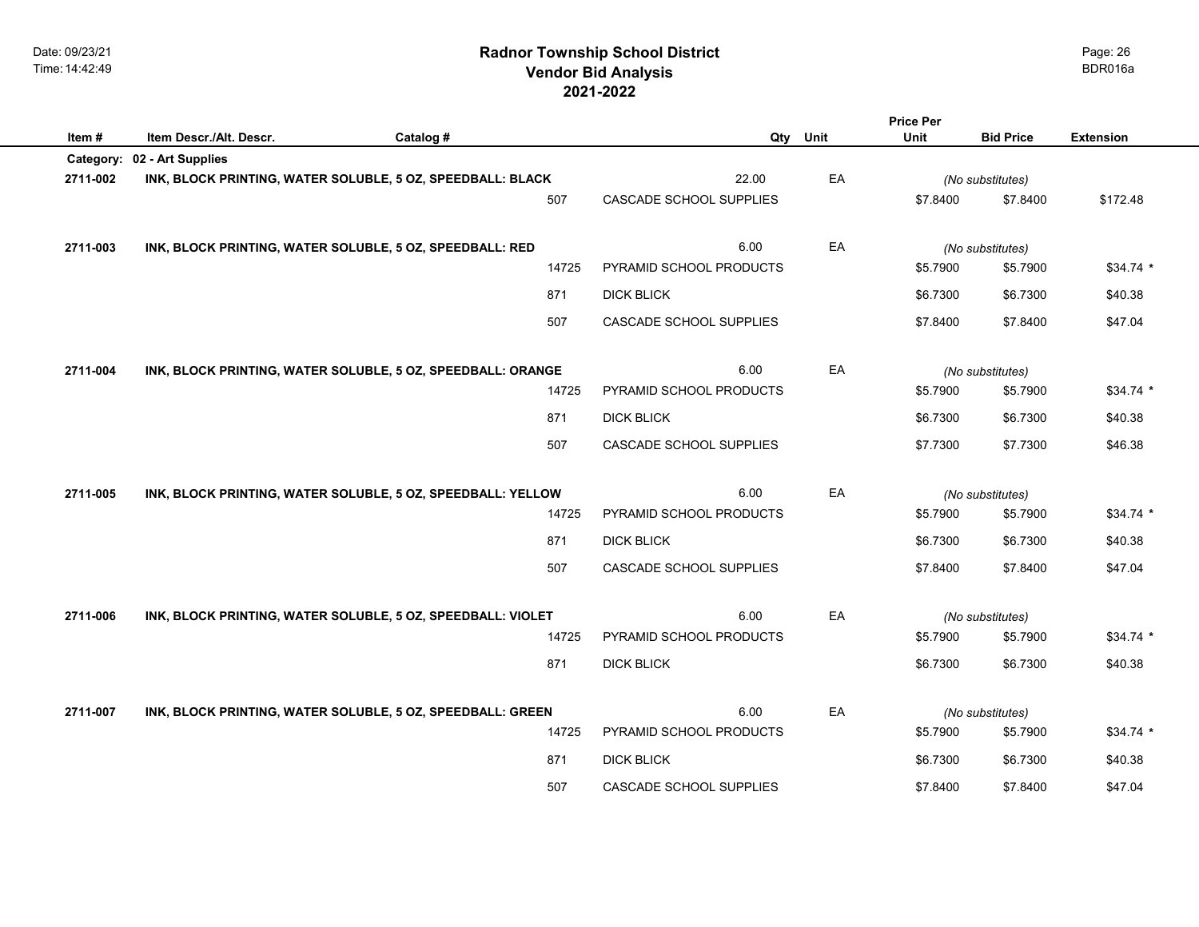| Item#     | Item Descr./Alt. Descr. | Catalog #                                                   |       | Qty                     | Unit | Unit     | <b>Bid Price</b> | <b>Extension</b> |
|-----------|-------------------------|-------------------------------------------------------------|-------|-------------------------|------|----------|------------------|------------------|
| Category: | 02 - Art Supplies       |                                                             |       |                         |      |          |                  |                  |
| 2711-002  |                         | INK, BLOCK PRINTING, WATER SOLUBLE, 5 OZ, SPEEDBALL: BLACK  |       | 22.00                   | EA   |          | (No substitutes) |                  |
|           |                         |                                                             | 507   | CASCADE SCHOOL SUPPLIES |      | \$7.8400 | \$7.8400         | \$172.48         |
|           |                         |                                                             |       |                         |      |          |                  |                  |
| 2711-003  |                         | INK, BLOCK PRINTING, WATER SOLUBLE, 5 OZ, SPEEDBALL: RED    |       | 6.00                    | EA   |          | (No substitutes) |                  |
|           |                         |                                                             | 14725 | PYRAMID SCHOOL PRODUCTS |      | \$5.7900 | \$5.7900         | $$34.74$ *       |
|           |                         |                                                             | 871   | <b>DICK BLICK</b>       |      | \$6.7300 | \$6.7300         | \$40.38          |
|           |                         |                                                             | 507   | CASCADE SCHOOL SUPPLIES |      | \$7.8400 | \$7.8400         | \$47.04          |
|           |                         |                                                             |       |                         |      |          |                  |                  |
| 2711-004  |                         | INK, BLOCK PRINTING, WATER SOLUBLE, 5 OZ, SPEEDBALL: ORANGE |       | 6.00                    | EA   |          | (No substitutes) |                  |
|           |                         |                                                             | 14725 | PYRAMID SCHOOL PRODUCTS |      | \$5.7900 | \$5.7900         | $$34.74$ *       |
|           |                         |                                                             | 871   | <b>DICK BLICK</b>       |      | \$6.7300 | \$6.7300         | \$40.38          |
|           |                         |                                                             | 507   | CASCADE SCHOOL SUPPLIES |      | \$7.7300 | \$7.7300         | \$46.38          |
|           |                         |                                                             |       |                         |      |          |                  |                  |
| 2711-005  |                         | INK, BLOCK PRINTING, WATER SOLUBLE, 5 OZ, SPEEDBALL: YELLOW |       | 6.00                    | EA   |          | (No substitutes) |                  |
|           |                         |                                                             | 14725 | PYRAMID SCHOOL PRODUCTS |      | \$5.7900 | \$5.7900         | $$34.74$ *       |
|           |                         |                                                             | 871   | <b>DICK BLICK</b>       |      | \$6.7300 | \$6.7300         | \$40.38          |
|           |                         |                                                             | 507   | CASCADE SCHOOL SUPPLIES |      | \$7.8400 | \$7.8400         | \$47.04          |
|           |                         |                                                             |       |                         |      |          |                  |                  |
| 2711-006  |                         | INK, BLOCK PRINTING, WATER SOLUBLE, 5 OZ, SPEEDBALL: VIOLET |       | 6.00                    | EA   |          | (No substitutes) |                  |
|           |                         |                                                             | 14725 | PYRAMID SCHOOL PRODUCTS |      | \$5.7900 | \$5.7900         | $$34.74$ *       |
|           |                         |                                                             | 871   | <b>DICK BLICK</b>       |      | \$6.7300 | \$6.7300         | \$40.38          |
|           |                         |                                                             |       |                         |      |          |                  |                  |
| 2711-007  |                         | INK, BLOCK PRINTING, WATER SOLUBLE, 5 OZ, SPEEDBALL: GREEN  |       | 6.00                    | EA   |          | (No substitutes) |                  |
|           |                         |                                                             | 14725 | PYRAMID SCHOOL PRODUCTS |      | \$5.7900 | \$5.7900         | $$34.74$ *       |
|           |                         |                                                             | 871   | <b>DICK BLICK</b>       |      | \$6.7300 | \$6.7300         | \$40.38          |

Page: 26

**Price Per**

507 CASCADE SCHOOL SUPPLIES \$7.8400 \$7.8400 \$47.04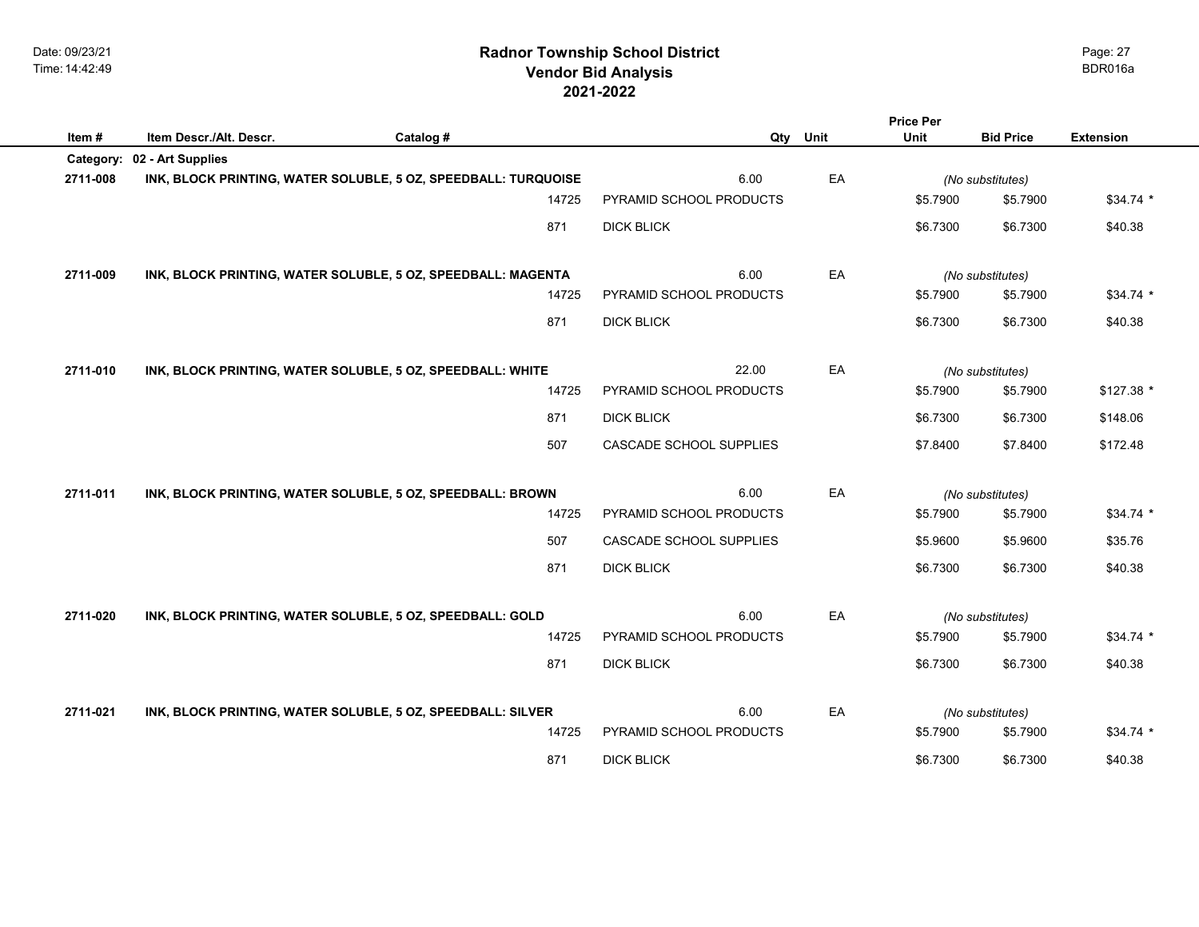| Item#     | Item Descr./Alt. Descr. | Catalog #                                                      | Qty                     | Unit | Unit             | <b>Bid Price</b> | <b>Extension</b> |
|-----------|-------------------------|----------------------------------------------------------------|-------------------------|------|------------------|------------------|------------------|
| Category: | 02 - Art Supplies       |                                                                |                         |      |                  |                  |                  |
| 2711-008  |                         | INK, BLOCK PRINTING, WATER SOLUBLE, 5 OZ, SPEEDBALL: TURQUOISE | 6.00                    | EA   |                  | (No substitutes) |                  |
|           |                         | 14725                                                          | PYRAMID SCHOOL PRODUCTS |      | \$5.7900         | \$5.7900         | $$34.74$ *       |
|           |                         | 871                                                            | <b>DICK BLICK</b>       |      | \$6.7300         | \$6.7300         | \$40.38          |
| 2711-009  |                         | INK, BLOCK PRINTING, WATER SOLUBLE, 5 OZ, SPEEDBALL: MAGENTA   | 6.00                    | EA   | (No substitutes) |                  |                  |
|           |                         | 14725                                                          | PYRAMID SCHOOL PRODUCTS |      | \$5.7900         | \$5.7900         | $$34.74$ *       |
|           |                         | 871                                                            | <b>DICK BLICK</b>       |      | \$6.7300         | \$6.7300         | \$40.38          |
| 2711-010  |                         | INK, BLOCK PRINTING, WATER SOLUBLE, 5 OZ, SPEEDBALL: WHITE     | 22.00                   | EA   |                  | (No substitutes) |                  |
|           |                         | 14725                                                          | PYRAMID SCHOOL PRODUCTS |      | \$5.7900         | \$5.7900         | $$127.38$ *      |
|           |                         | 871                                                            | <b>DICK BLICK</b>       |      | \$6.7300         | \$6.7300         | \$148.06         |
|           |                         | 507                                                            | CASCADE SCHOOL SUPPLIES |      | \$7.8400         | \$7.8400         | \$172.48         |
| 2711-011  |                         | INK, BLOCK PRINTING, WATER SOLUBLE, 5 OZ, SPEEDBALL: BROWN     | 6.00                    | EA   |                  | (No substitutes) |                  |
|           |                         | 14725                                                          | PYRAMID SCHOOL PRODUCTS |      | \$5.7900         | \$5.7900         | $$34.74$ *       |
|           |                         | 507                                                            | CASCADE SCHOOL SUPPLIES |      | \$5.9600         | \$5.9600         | \$35.76          |
|           |                         | 871                                                            | <b>DICK BLICK</b>       |      | \$6.7300         | \$6.7300         | \$40.38          |

| 2711-020 | INK, BLOCK PRINTING, WATER SOLUBLE, 5 OZ, SPEEDBALL: GOLD   |       | 6.00                    | EA | (No substitutes) |          |            |
|----------|-------------------------------------------------------------|-------|-------------------------|----|------------------|----------|------------|
|          |                                                             | 14725 | PYRAMID SCHOOL PRODUCTS |    | \$5.7900         | \$5.7900 | $$34.74$ * |
|          |                                                             | 871   | DICK BLICK              |    | \$6.7300         | \$6.7300 | \$40.38    |
| 2711-021 | INK, BLOCK PRINTING, WATER SOLUBLE, 5 OZ, SPEEDBALL: SILVER |       | 6.00                    | EA | (No substitutes) |          |            |
|          |                                                             | 14725 | PYRAMID SCHOOL PRODUCTS |    | \$5.7900         | \$5.7900 | $$34.74$ * |
|          |                                                             | 871   | <b>DICK BLICK</b>       |    | \$6.7300         | \$6.7300 | \$40.38    |

Page: 27

**Price Per**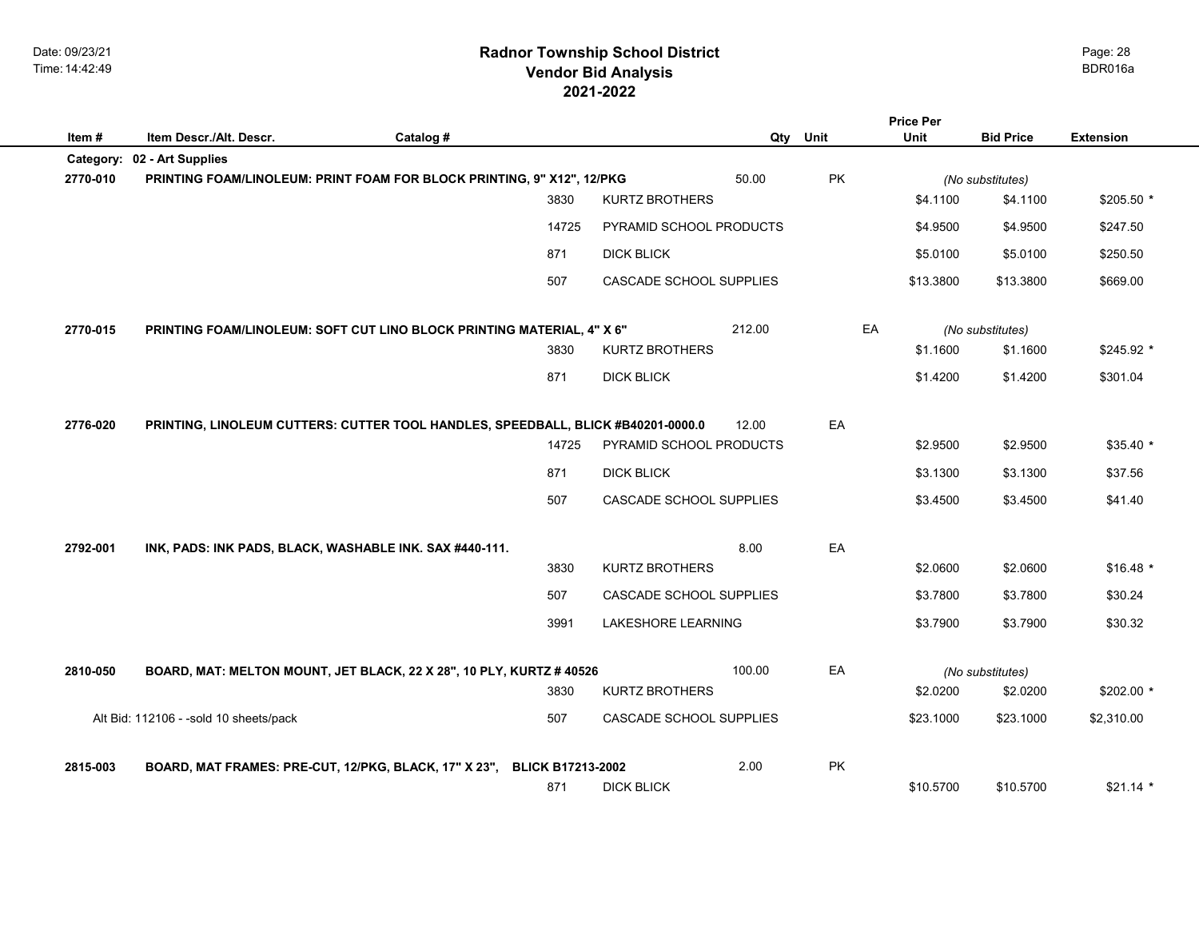# **2021-2022 Radnor Township School District Vendor Bid Analysis** BDR016a

|          |                                                                                  |                                   |                         |    | <b>Price Per</b> |                              |                  |
|----------|----------------------------------------------------------------------------------|-----------------------------------|-------------------------|----|------------------|------------------------------|------------------|
| Item#    | Item Descr./Alt. Descr.<br>Catalog #                                             |                                   | Qty Unit                |    | <b>Unit</b>      | <b>Bid Price</b>             | <b>Extension</b> |
|          | Category: 02 - Art Supplies                                                      |                                   |                         |    |                  |                              |                  |
| 2770-010 | PRINTING FOAM/LINOLEUM: PRINT FOAM FOR BLOCK PRINTING, 9" X12", 12/PKG           | <b>KURTZ BROTHERS</b>             | 50.00                   | PK |                  | (No substitutes)             |                  |
|          |                                                                                  | 3830                              |                         |    | \$4.1100         | \$4.1100                     | \$205.50 *       |
|          |                                                                                  | 14725                             | PYRAMID SCHOOL PRODUCTS |    | \$4.9500         | \$4.9500                     | \$247.50         |
|          |                                                                                  | 871<br><b>DICK BLICK</b>          |                         |    | \$5.0100         | \$5.0100                     | \$250.50         |
|          |                                                                                  | 507                               | CASCADE SCHOOL SUPPLIES |    | \$13.3800        | \$13.3800                    | \$669.00         |
| 2770-015 | PRINTING FOAM/LINOLEUM: SOFT CUT LINO BLOCK PRINTING MATERIAL, 4" X 6"           |                                   | 212.00                  | EA |                  |                              |                  |
|          |                                                                                  | 3830<br><b>KURTZ BROTHERS</b>     |                         |    | \$1.1600         | (No substitutes)<br>\$1.1600 | \$245.92 *       |
|          |                                                                                  | 871<br><b>DICK BLICK</b>          |                         |    | \$1.4200         | \$1.4200                     | \$301.04         |
| 2776-020 | PRINTING, LINOLEUM CUTTERS: CUTTER TOOL HANDLES, SPEEDBALL, BLICK #B40201-0000.0 |                                   | 12.00                   | EA |                  |                              |                  |
|          |                                                                                  | 14725                             | PYRAMID SCHOOL PRODUCTS |    | \$2.9500         | \$2.9500                     | $$35.40*$        |
|          |                                                                                  |                                   |                         |    |                  |                              |                  |
|          |                                                                                  | 871<br><b>DICK BLICK</b>          |                         |    | \$3.1300         | \$3.1300                     | \$37.56          |
|          |                                                                                  | 507                               | CASCADE SCHOOL SUPPLIES |    | \$3.4500         | \$3.4500                     | \$41.40          |
| 2792-001 | INK, PADS: INK PADS, BLACK, WASHABLE INK. SAX #440-111.                          |                                   | 8.00                    | EA |                  |                              |                  |
|          |                                                                                  | 3830<br><b>KURTZ BROTHERS</b>     |                         |    | \$2.0600         | \$2.0600                     | $$16.48$ *       |
|          |                                                                                  | 507                               | CASCADE SCHOOL SUPPLIES |    | \$3.7800         | \$3.7800                     | \$30.24          |
|          |                                                                                  | 3991<br><b>LAKESHORE LEARNING</b> |                         |    | \$3.7900         | \$3.7900                     | \$30.32          |
| 2810-050 | BOARD, MAT: MELTON MOUNT, JET BLACK, 22 X 28", 10 PLY, KURTZ # 40526             |                                   | 100.00                  | EA |                  | (No substitutes)             |                  |
|          |                                                                                  | 3830<br><b>KURTZ BROTHERS</b>     |                         |    | \$2.0200         | \$2.0200                     | \$202.00 *       |
|          | Alt Bid: 112106 - -sold 10 sheets/pack                                           | 507                               | CASCADE SCHOOL SUPPLIES |    | \$23.1000        | \$23.1000                    | \$2,310.00       |
| 2815-003 | BOARD, MAT FRAMES: PRE-CUT, 12/PKG, BLACK, 17" X 23",                            | <b>BLICK B17213-2002</b>          | 2.00                    | PK |                  |                              |                  |
|          |                                                                                  | 871<br><b>DICK BLICK</b>          |                         |    | \$10.5700        | \$10.5700                    | $$21.14*$        |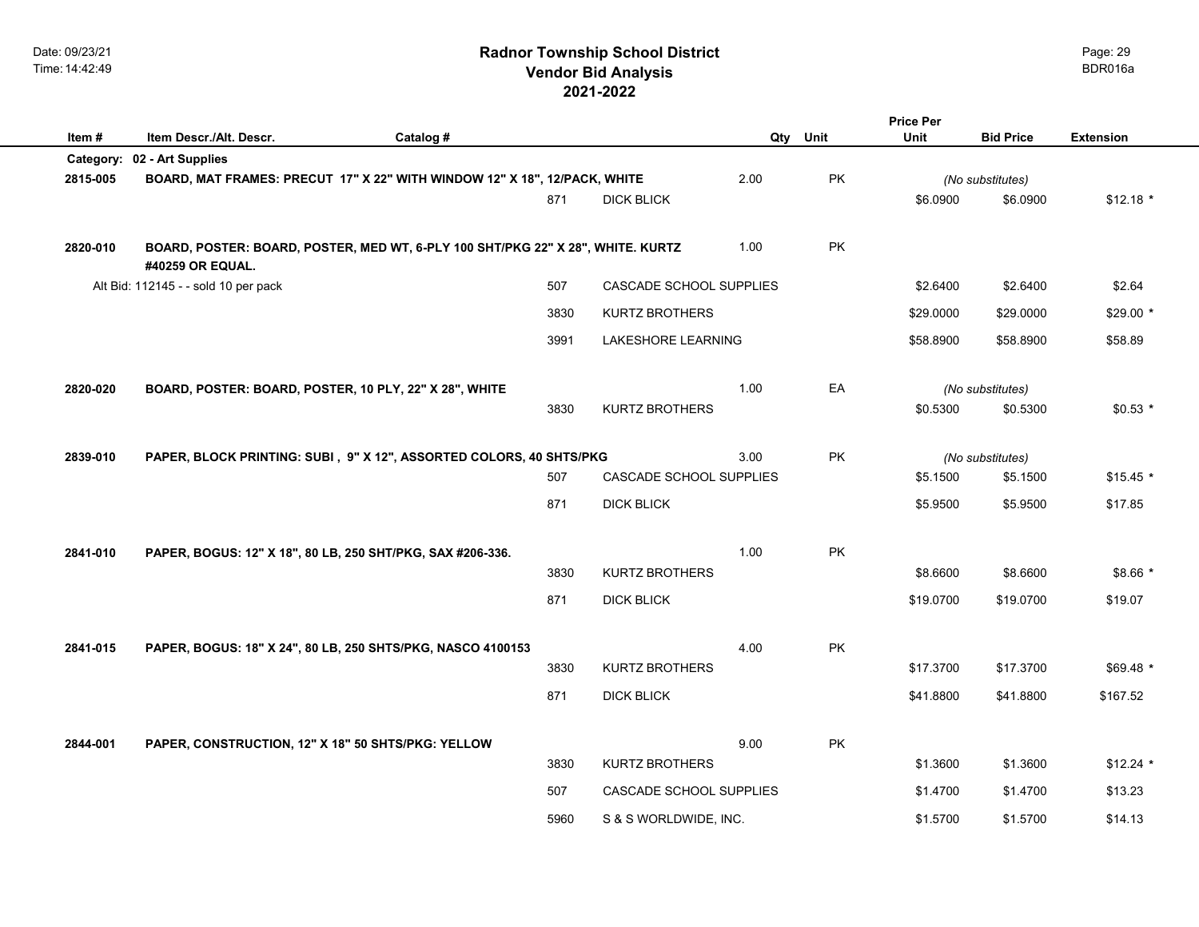## **2021-2022 Radnor Township School District Vendor Bid Analysis** BDR016a

| Item#    | Item Descr./Alt. Descr.                                                                             |           |      |                           |      | Qty Unit | <b>Price Per</b><br>Unit |                  |                  |
|----------|-----------------------------------------------------------------------------------------------------|-----------|------|---------------------------|------|----------|--------------------------|------------------|------------------|
|          | Category: 02 - Art Supplies                                                                         | Catalog # |      |                           |      |          |                          | <b>Bid Price</b> | <b>Extension</b> |
| 2815-005 | BOARD, MAT FRAMES: PRECUT 17" X 22" WITH WINDOW 12" X 18", 12/PACK, WHITE                           |           |      |                           | 2.00 | PK       |                          | (No substitutes) |                  |
|          |                                                                                                     |           | 871  | <b>DICK BLICK</b>         |      |          | \$6.0900                 | \$6.0900         | $$12.18$ *       |
|          |                                                                                                     |           |      |                           |      |          |                          |                  |                  |
| 2820-010 | BOARD, POSTER: BOARD, POSTER, MED WT, 6-PLY 100 SHT/PKG 22" X 28", WHITE. KURTZ<br>#40259 OR EQUAL. |           |      |                           | 1.00 | PK       |                          |                  |                  |
|          | Alt Bid: 112145 - - sold 10 per pack                                                                |           | 507  | CASCADE SCHOOL SUPPLIES   |      |          | \$2.6400                 | \$2.6400         | \$2.64           |
|          |                                                                                                     |           | 3830 | <b>KURTZ BROTHERS</b>     |      |          | \$29.0000                | \$29.0000        | $$29.00*$        |
|          |                                                                                                     |           | 3991 | <b>LAKESHORE LEARNING</b> |      |          | \$58.8900                | \$58.8900        | \$58.89          |
|          |                                                                                                     |           |      |                           |      |          |                          |                  |                  |
| 2820-020 | BOARD, POSTER: BOARD, POSTER, 10 PLY, 22" X 28", WHITE                                              |           |      |                           | 1.00 | EA       |                          | (No substitutes) |                  |
|          |                                                                                                     |           | 3830 | <b>KURTZ BROTHERS</b>     |      |          | \$0.5300                 | \$0.5300         | $$0.53*$         |
|          |                                                                                                     |           |      |                           |      |          |                          |                  |                  |
| 2839-010 | PAPER, BLOCK PRINTING: SUBI, 9" X 12", ASSORTED COLORS, 40 SHTS/PKG                                 |           |      |                           | 3.00 | PK       |                          | (No substitutes) |                  |
|          |                                                                                                     |           | 507  | CASCADE SCHOOL SUPPLIES   |      |          | \$5.1500                 | \$5.1500         | $$15.45$ *       |
|          |                                                                                                     |           | 871  | <b>DICK BLICK</b>         |      |          | \$5.9500                 | \$5.9500         | \$17.85          |
|          |                                                                                                     |           |      |                           |      |          |                          |                  |                  |
| 2841-010 | PAPER, BOGUS: 12" X 18", 80 LB, 250 SHT/PKG, SAX #206-336.                                          |           | 3830 | <b>KURTZ BROTHERS</b>     | 1.00 | PK       | \$8.6600                 | \$8.6600         | $$8.66*$         |
|          |                                                                                                     |           | 871  | <b>DICK BLICK</b>         |      |          | \$19.0700                | \$19.0700        | \$19.07          |
|          |                                                                                                     |           |      |                           |      |          |                          |                  |                  |
| 2841-015 | PAPER, BOGUS: 18" X 24", 80 LB, 250 SHTS/PKG, NASCO 4100153                                         |           |      |                           | 4.00 | PK       |                          |                  |                  |
|          |                                                                                                     |           | 3830 | <b>KURTZ BROTHERS</b>     |      |          | \$17.3700                | \$17.3700        | $$69.48*$        |
|          |                                                                                                     |           | 871  | <b>DICK BLICK</b>         |      |          | \$41.8800                | \$41.8800        | \$167.52         |
|          |                                                                                                     |           |      |                           |      |          |                          |                  |                  |
| 2844-001 | PAPER, CONSTRUCTION, 12" X 18" 50 SHTS/PKG: YELLOW                                                  |           |      |                           | 9.00 | PK       |                          |                  |                  |
|          |                                                                                                     |           | 3830 | <b>KURTZ BROTHERS</b>     |      |          | \$1.3600                 | \$1.3600         | $$12.24$ *       |
|          |                                                                                                     |           | 507  | CASCADE SCHOOL SUPPLIES   |      |          | \$1.4700                 | \$1.4700         | \$13.23          |
|          |                                                                                                     |           | 5960 | S & S WORLDWIDE, INC.     |      |          | \$1.5700                 | \$1.5700         | \$14.13          |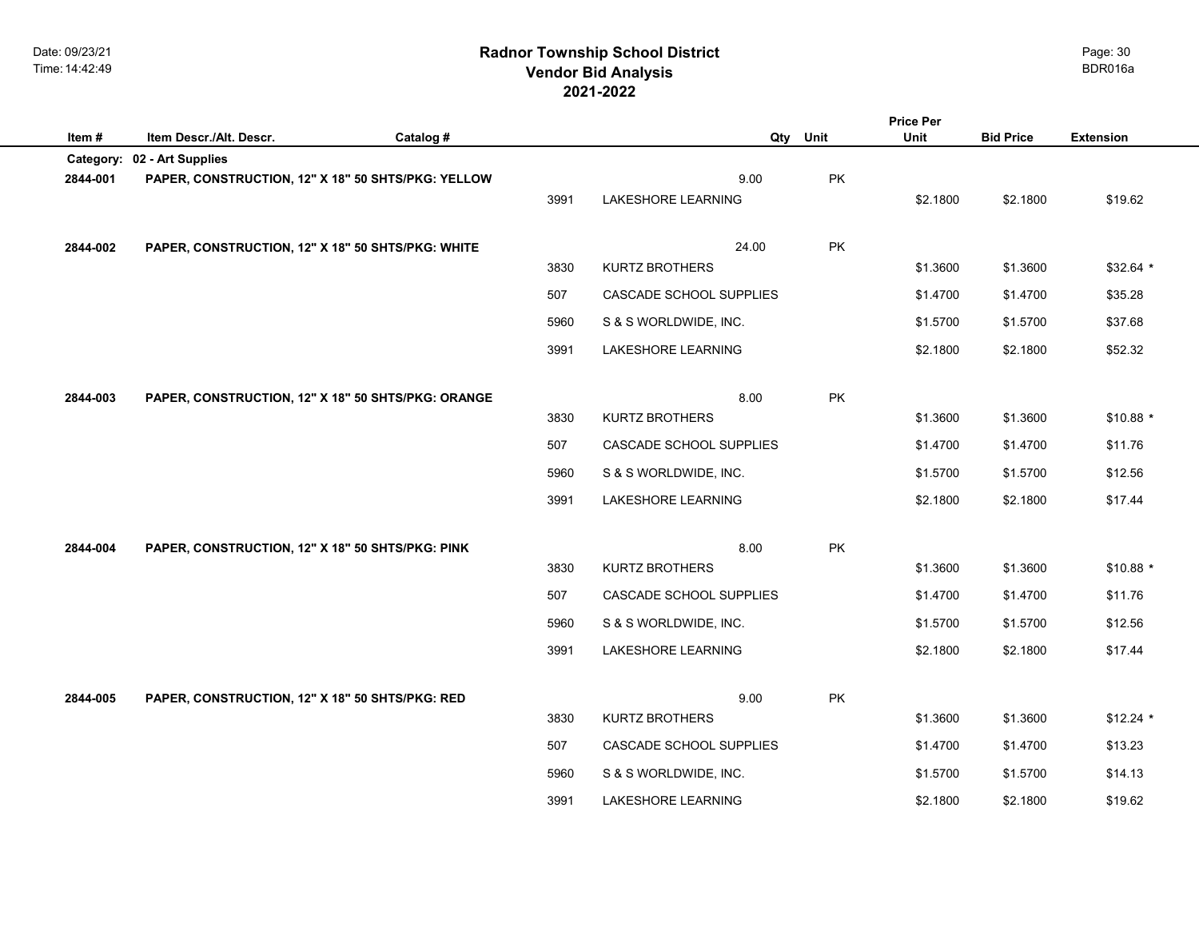## **2021-2022 Radnor Township School District Vendor Bid Analysis** BDR016a

|           |                                                    |           |      |                                   |      | <b>Price Per</b> |                  |                  |
|-----------|----------------------------------------------------|-----------|------|-----------------------------------|------|------------------|------------------|------------------|
| Item#     | Item Descr./Alt. Descr.                            | Catalog # |      | Qty                               | Unit | Unit             | <b>Bid Price</b> | <b>Extension</b> |
| Category: | 02 - Art Supplies                                  |           |      |                                   |      |                  |                  |                  |
| 2844-001  | PAPER, CONSTRUCTION, 12" X 18" 50 SHTS/PKG: YELLOW |           | 3991 | 9.00<br><b>LAKESHORE LEARNING</b> | PK   | \$2.1800         | \$2.1800         | \$19.62          |
|           |                                                    |           |      |                                   |      |                  |                  |                  |
| 2844-002  | PAPER, CONSTRUCTION, 12" X 18" 50 SHTS/PKG: WHITE  |           |      | 24.00                             | PK   |                  |                  |                  |
|           |                                                    |           | 3830 | <b>KURTZ BROTHERS</b>             |      | \$1.3600         | \$1.3600         | $$32.64$ *       |
|           |                                                    |           | 507  | CASCADE SCHOOL SUPPLIES           |      | \$1.4700         | \$1.4700         | \$35.28          |
|           |                                                    |           | 5960 | S & S WORLDWIDE, INC.             |      | \$1.5700         | \$1.5700         | \$37.68          |
|           |                                                    |           | 3991 | <b>LAKESHORE LEARNING</b>         |      | \$2.1800         | \$2.1800         | \$52.32          |
|           |                                                    |           |      |                                   |      |                  |                  |                  |
| 2844-003  | PAPER, CONSTRUCTION, 12" X 18" 50 SHTS/PKG: ORANGE |           |      | 8.00                              | PK   |                  |                  |                  |
|           |                                                    |           | 3830 | <b>KURTZ BROTHERS</b>             |      | \$1.3600         | \$1.3600         | $$10.88$ *       |
|           |                                                    |           | 507  | CASCADE SCHOOL SUPPLIES           |      | \$1.4700         | \$1.4700         | \$11.76          |
|           |                                                    |           | 5960 | S & S WORLDWIDE, INC.             |      | \$1.5700         | \$1.5700         | \$12.56          |
|           |                                                    |           | 3991 | <b>LAKESHORE LEARNING</b>         |      | \$2.1800         | \$2.1800         | \$17.44          |
|           |                                                    |           |      |                                   |      |                  |                  |                  |
| 2844-004  | PAPER, CONSTRUCTION, 12" X 18" 50 SHTS/PKG: PINK   |           | 3830 | 8.00<br><b>KURTZ BROTHERS</b>     | PK   | \$1.3600         | \$1.3600         | $$10.88$ *       |
|           |                                                    |           | 507  | CASCADE SCHOOL SUPPLIES           |      | \$1.4700         | \$1.4700         | \$11.76          |
|           |                                                    |           |      |                                   |      |                  |                  |                  |
|           |                                                    |           | 5960 | S & S WORLDWIDE, INC.             |      | \$1.5700         | \$1.5700         | \$12.56          |
|           |                                                    |           | 3991 | <b>LAKESHORE LEARNING</b>         |      | \$2.1800         | \$2.1800         | \$17.44          |
| 2844-005  | PAPER, CONSTRUCTION, 12" X 18" 50 SHTS/PKG: RED    |           |      | 9.00                              | PK   |                  |                  |                  |
|           |                                                    |           | 3830 | <b>KURTZ BROTHERS</b>             |      | \$1.3600         | \$1.3600         | $$12.24$ *       |
|           |                                                    |           | 507  | CASCADE SCHOOL SUPPLIES           |      | \$1.4700         | \$1.4700         | \$13.23          |
|           |                                                    |           | 5960 | S & S WORLDWIDE, INC.             |      | \$1.5700         | \$1.5700         | \$14.13          |
|           |                                                    |           | 3991 | LAKESHORE LEARNING                |      | \$2.1800         | \$2.1800         | \$19.62          |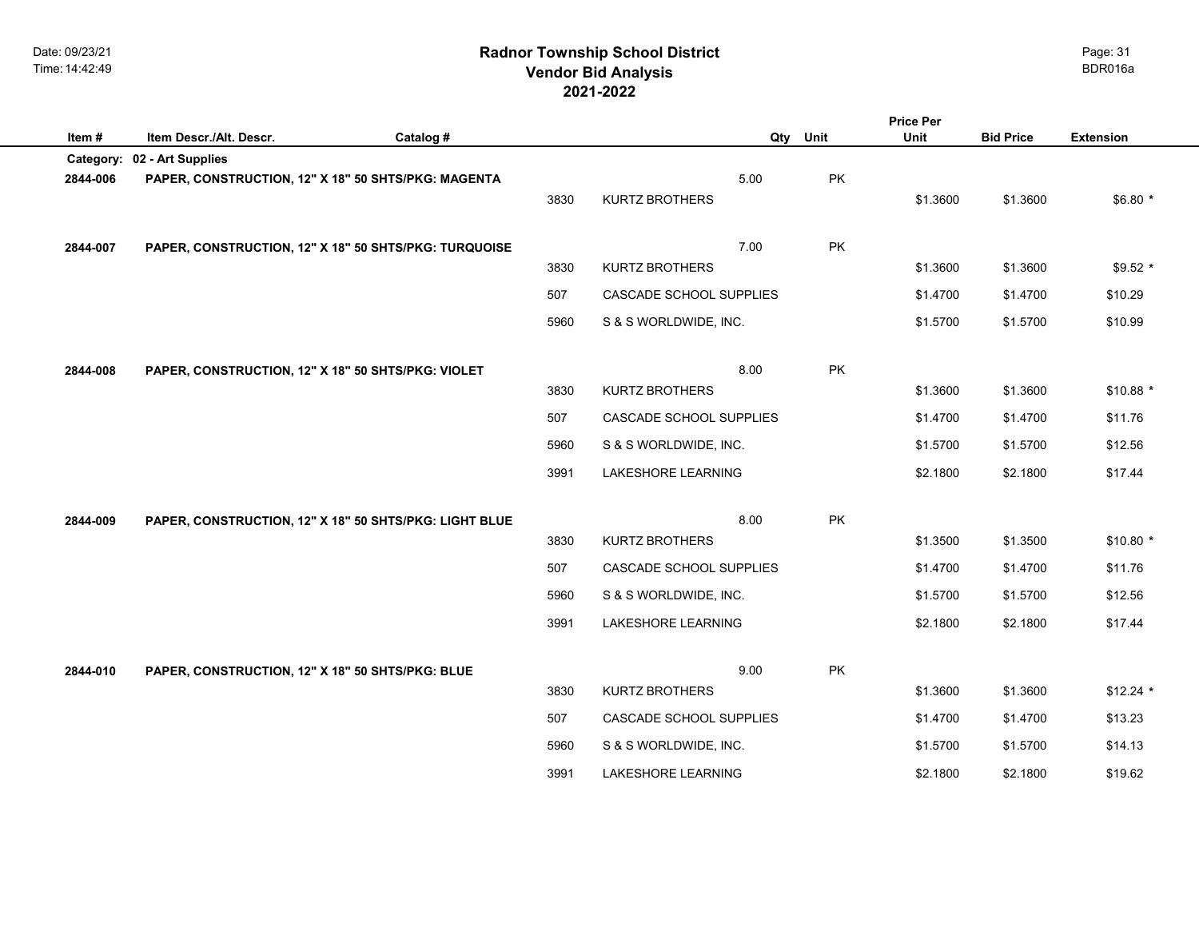## **2021-2022 Radnor Township School District Vendor Bid Analysis** BDR016a

|          |                                                        |           |      |                           |      | <b>Price Per</b> |          |                  |                  |  |
|----------|--------------------------------------------------------|-----------|------|---------------------------|------|------------------|----------|------------------|------------------|--|
| Item#    | Item Descr./Alt. Descr.                                | Catalog # |      |                           | Qty  | Unit             | Unit     | <b>Bid Price</b> | <b>Extension</b> |  |
|          | Category: 02 - Art Supplies                            |           |      |                           |      |                  |          |                  |                  |  |
| 2844-006 | PAPER, CONSTRUCTION, 12" X 18" 50 SHTS/PKG: MAGENTA    |           |      |                           | 5.00 | PK               |          |                  |                  |  |
|          |                                                        |           | 3830 | <b>KURTZ BROTHERS</b>     |      |                  | \$1.3600 | \$1.3600         | $$6.80*$         |  |
|          |                                                        |           |      |                           |      |                  |          |                  |                  |  |
| 2844-007 | PAPER, CONSTRUCTION, 12" X 18" 50 SHTS/PKG: TURQUOISE  |           |      |                           | 7.00 | PK               |          |                  |                  |  |
|          |                                                        |           | 3830 | <b>KURTZ BROTHERS</b>     |      |                  | \$1.3600 | \$1.3600         | $$9.52$ *        |  |
|          |                                                        |           | 507  | CASCADE SCHOOL SUPPLIES   |      |                  | \$1.4700 | \$1.4700         | \$10.29          |  |
|          |                                                        |           | 5960 | S & S WORLDWIDE, INC.     |      |                  | \$1.5700 | \$1.5700         | \$10.99          |  |
|          |                                                        |           |      |                           |      |                  |          |                  |                  |  |
| 2844-008 | PAPER, CONSTRUCTION, 12" X 18" 50 SHTS/PKG: VIOLET     |           |      |                           | 8.00 | PK               |          |                  |                  |  |
|          |                                                        |           | 3830 | <b>KURTZ BROTHERS</b>     |      |                  | \$1.3600 | \$1.3600         | $$10.88$ *       |  |
|          |                                                        |           | 507  | CASCADE SCHOOL SUPPLIES   |      |                  | \$1.4700 | \$1.4700         | \$11.76          |  |
|          |                                                        |           | 5960 | S & S WORLDWIDE, INC.     |      |                  | \$1.5700 | \$1.5700         | \$12.56          |  |
|          |                                                        |           | 3991 | LAKESHORE LEARNING        |      |                  | \$2.1800 | \$2.1800         | \$17.44          |  |
|          |                                                        |           |      |                           |      |                  |          |                  |                  |  |
| 2844-009 | PAPER, CONSTRUCTION, 12" X 18" 50 SHTS/PKG: LIGHT BLUE |           |      |                           | 8.00 | PK               |          |                  |                  |  |
|          |                                                        |           | 3830 | <b>KURTZ BROTHERS</b>     |      |                  | \$1.3500 | \$1.3500         | $$10.80*$        |  |
|          |                                                        |           | 507  | CASCADE SCHOOL SUPPLIES   |      |                  | \$1.4700 | \$1.4700         | \$11.76          |  |
|          |                                                        |           | 5960 | S & S WORLDWIDE, INC.     |      |                  | \$1.5700 | \$1.5700         | \$12.56          |  |
|          |                                                        |           | 3991 | <b>LAKESHORE LEARNING</b> |      |                  | \$2.1800 | \$2.1800         | \$17.44          |  |
|          |                                                        |           |      |                           |      |                  |          |                  |                  |  |
| 2844-010 | PAPER, CONSTRUCTION, 12" X 18" 50 SHTS/PKG: BLUE       |           |      |                           | 9.00 | PK               |          |                  |                  |  |
|          |                                                        |           | 3830 | <b>KURTZ BROTHERS</b>     |      |                  | \$1.3600 | \$1.3600         | $$12.24$ *       |  |
|          |                                                        |           | 507  | CASCADE SCHOOL SUPPLIES   |      |                  | \$1.4700 | \$1.4700         | \$13.23          |  |
|          |                                                        |           | 5960 | S & S WORLDWIDE, INC.     |      |                  | \$1.5700 | \$1.5700         | \$14.13          |  |
|          |                                                        |           | 3991 | <b>LAKESHORE LEARNING</b> |      |                  | \$2.1800 | \$2.1800         | \$19.62          |  |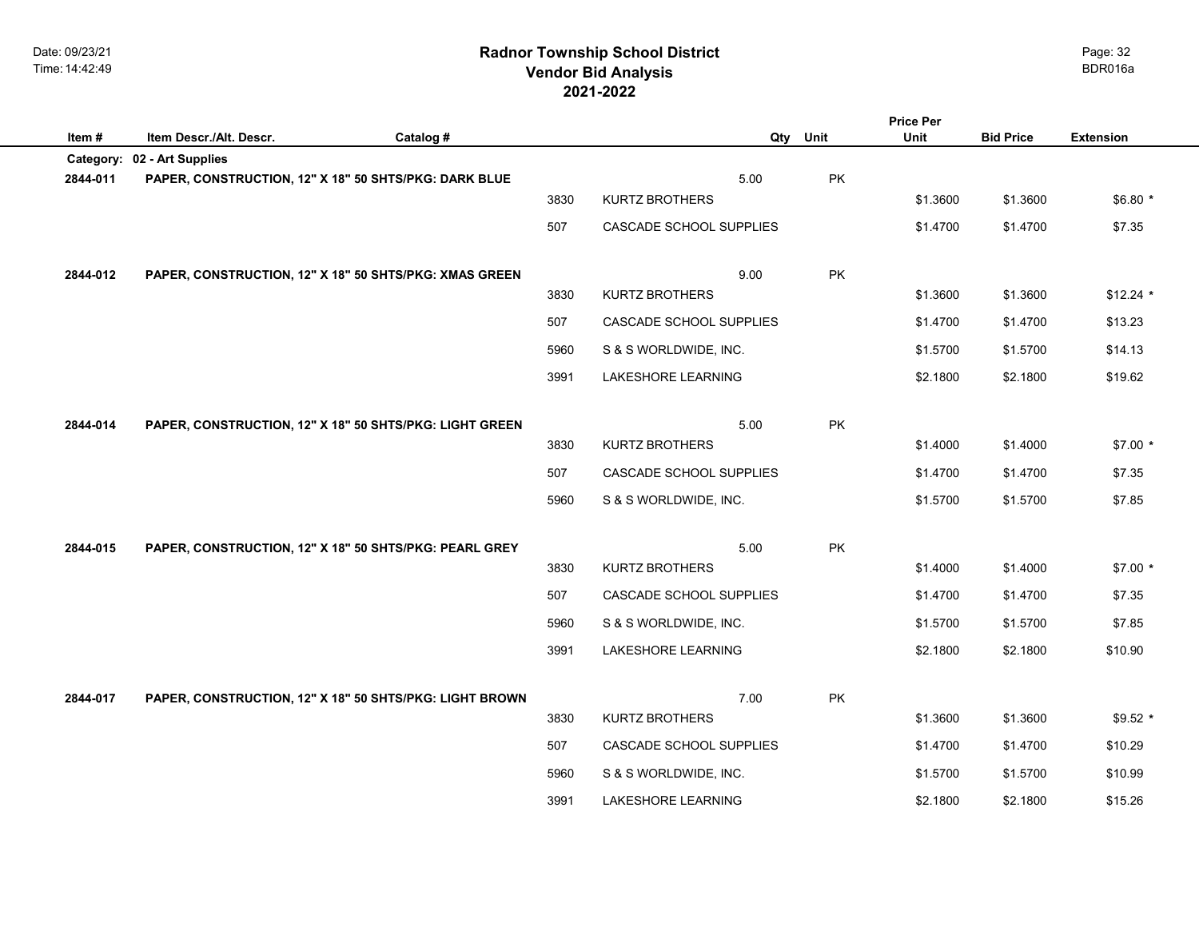## **2021-2022 Radnor Township School District Vendor Bid Analysis** BDR016a

| Item#    | Item Descr./Alt. Descr.     | Catalog #                                               |      |                           | Qty  | Unit | <b>Price Per</b><br>Unit | <b>Bid Price</b> | <b>Extension</b> |
|----------|-----------------------------|---------------------------------------------------------|------|---------------------------|------|------|--------------------------|------------------|------------------|
|          | Category: 02 - Art Supplies |                                                         |      |                           |      |      |                          |                  |                  |
| 2844-011 |                             | PAPER, CONSTRUCTION, 12" X 18" 50 SHTS/PKG: DARK BLUE   |      |                           | 5.00 | PK   |                          |                  |                  |
|          |                             |                                                         | 3830 | KURTZ BROTHERS            |      |      | \$1.3600                 | \$1.3600         | $$6.80*$         |
|          |                             |                                                         | 507  | CASCADE SCHOOL SUPPLIES   |      |      | \$1.4700                 | \$1.4700         | \$7.35           |
| 2844-012 |                             | PAPER, CONSTRUCTION, 12" X 18" 50 SHTS/PKG: XMAS GREEN  |      |                           | 9.00 | PK   |                          |                  |                  |
|          |                             |                                                         | 3830 | KURTZ BROTHERS            |      |      | \$1.3600                 | \$1.3600         | $$12.24$ *       |
|          |                             |                                                         | 507  | CASCADE SCHOOL SUPPLIES   |      |      | \$1.4700                 | \$1.4700         | \$13.23          |
|          |                             |                                                         | 5960 | S & S WORLDWIDE, INC.     |      |      | \$1.5700                 | \$1.5700         | \$14.13          |
|          |                             |                                                         | 3991 | LAKESHORE LEARNING        |      |      | \$2.1800                 | \$2.1800         | \$19.62          |
|          |                             |                                                         |      |                           |      |      |                          |                  |                  |
| 2844-014 |                             | PAPER, CONSTRUCTION, 12" X 18" 50 SHTS/PKG: LIGHT GREEN |      |                           | 5.00 | PK   |                          |                  |                  |
|          |                             |                                                         | 3830 | KURTZ BROTHERS            |      |      | \$1.4000                 | \$1.4000         | $$7.00*$         |
|          |                             |                                                         | 507  | CASCADE SCHOOL SUPPLIES   |      |      | \$1.4700                 | \$1.4700         | \$7.35           |
|          |                             |                                                         | 5960 | S & S WORLDWIDE, INC.     |      |      | \$1.5700                 | \$1.5700         | \$7.85           |
|          |                             |                                                         |      |                           |      |      |                          |                  |                  |
| 2844-015 |                             | PAPER, CONSTRUCTION, 12" X 18" 50 SHTS/PKG: PEARL GREY  |      |                           | 5.00 | PK   |                          |                  |                  |
|          |                             |                                                         | 3830 | KURTZ BROTHERS            |      |      | \$1.4000                 | \$1.4000         | $$7.00*$         |
|          |                             |                                                         | 507  | CASCADE SCHOOL SUPPLIES   |      |      | \$1.4700                 | \$1.4700         | \$7.35           |
|          |                             |                                                         | 5960 | S & S WORLDWIDE, INC.     |      |      | \$1.5700                 | \$1.5700         | \$7.85           |
|          |                             |                                                         | 3991 | <b>LAKESHORE LEARNING</b> |      |      | \$2.1800                 | \$2.1800         | \$10.90          |
| 2844-017 |                             |                                                         |      |                           | 7.00 | PK   |                          |                  |                  |
|          |                             | PAPER, CONSTRUCTION, 12" X 18" 50 SHTS/PKG: LIGHT BROWN | 3830 | KURTZ BROTHERS            |      |      | \$1.3600                 | \$1.3600         | $$9.52$ *        |
|          |                             |                                                         | 507  | CASCADE SCHOOL SUPPLIES   |      |      | \$1.4700                 | \$1.4700         | \$10.29          |
|          |                             |                                                         | 5960 | S & S WORLDWIDE, INC.     |      |      | \$1.5700                 | \$1.5700         | \$10.99          |
|          |                             |                                                         | 3991 | <b>LAKESHORE LEARNING</b> |      |      | \$2.1800                 | \$2.1800         | \$15.26          |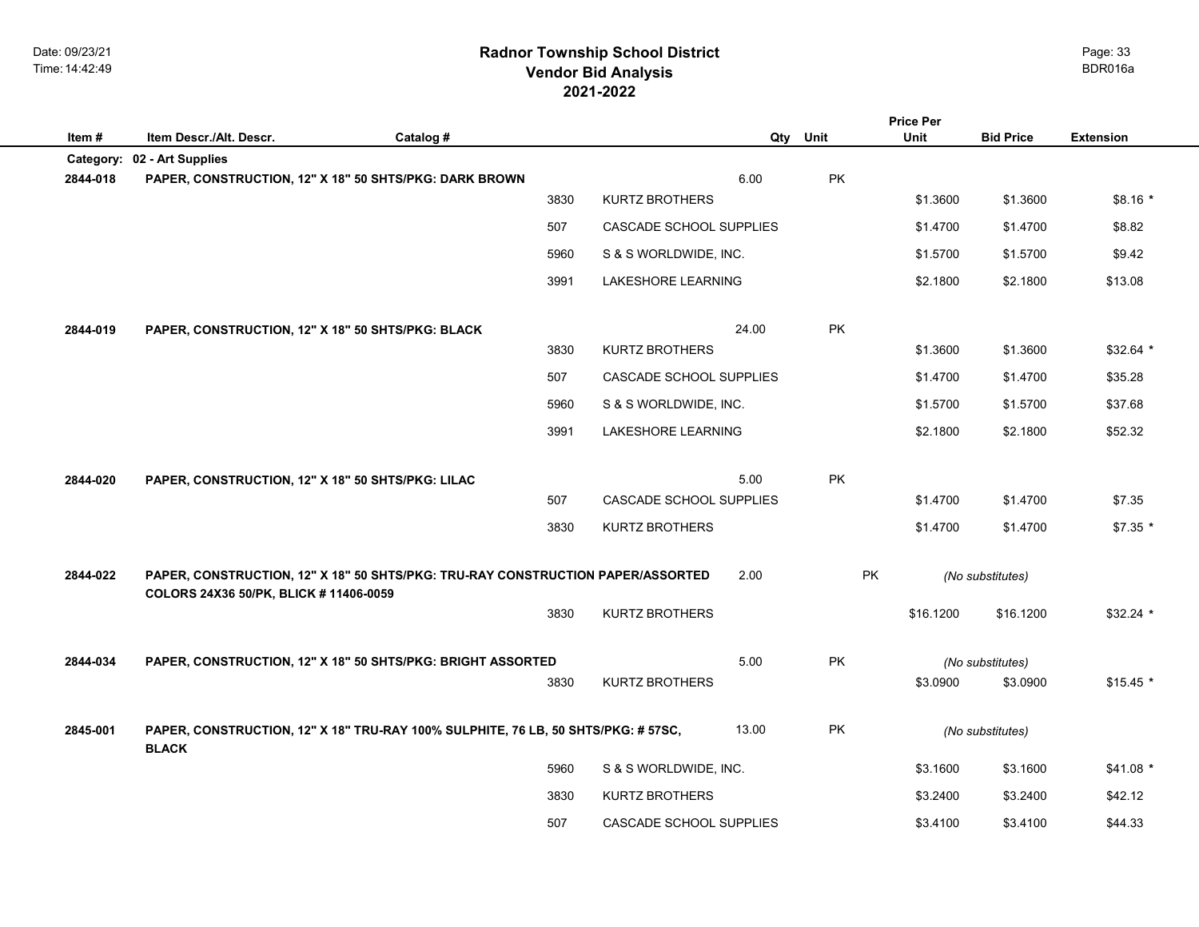## **2021-2022 Radnor Township School District Vendor Bid Analysis** BDR016a

|                       |                                                                             |                                                                                   |                         |       |           | <b>Price Per</b> |                  |                  |
|-----------------------|-----------------------------------------------------------------------------|-----------------------------------------------------------------------------------|-------------------------|-------|-----------|------------------|------------------|------------------|
| Item#                 | Item Descr./Alt. Descr.                                                     | Catalog #                                                                         |                         | Qty   | Unit      | <b>Unit</b>      | <b>Bid Price</b> | <b>Extension</b> |
| Category:<br>2844-018 | 02 - Art Supplies<br>PAPER, CONSTRUCTION, 12" X 18" 50 SHTS/PKG: DARK BROWN |                                                                                   |                         | 6.00  | PK        |                  |                  |                  |
|                       |                                                                             | 3830                                                                              | <b>KURTZ BROTHERS</b>   |       |           | \$1.3600         | \$1.3600         | $$8.16*$         |
|                       |                                                                             | 507                                                                               | CASCADE SCHOOL SUPPLIES |       |           | \$1.4700         | \$1.4700         | \$8.82           |
|                       |                                                                             | 5960                                                                              | S & S WORLDWIDE, INC.   |       |           | \$1.5700         | \$1.5700         | \$9.42           |
|                       |                                                                             | 3991                                                                              | LAKESHORE LEARNING      |       |           | \$2.1800         | \$2.1800         | \$13.08          |
|                       |                                                                             |                                                                                   |                         |       |           |                  |                  |                  |
| 2844-019              | PAPER, CONSTRUCTION, 12" X 18" 50 SHTS/PKG: BLACK                           | 3830                                                                              | <b>KURTZ BROTHERS</b>   | 24.00 | PK        | \$1.3600         | \$1.3600         | $$32.64$ *       |
|                       |                                                                             | 507                                                                               | CASCADE SCHOOL SUPPLIES |       |           | \$1.4700         | \$1.4700         | \$35.28          |
|                       |                                                                             | 5960                                                                              | S & S WORLDWIDE, INC.   |       |           | \$1.5700         | \$1.5700         | \$37.68          |
|                       |                                                                             | 3991                                                                              | LAKESHORE LEARNING      |       |           | \$2.1800         | \$2.1800         | \$52.32          |
|                       |                                                                             |                                                                                   |                         |       |           |                  |                  |                  |
| 2844-020              | PAPER, CONSTRUCTION, 12" X 18" 50 SHTS/PKG: LILAC                           | 507                                                                               | CASCADE SCHOOL SUPPLIES | 5.00  | <b>PK</b> | \$1.4700         | \$1.4700         | \$7.35           |
|                       |                                                                             | 3830                                                                              | <b>KURTZ BROTHERS</b>   |       |           | \$1.4700         | \$1.4700         | $$7.35$ *        |
|                       |                                                                             |                                                                                   |                         |       |           |                  |                  |                  |
| 2844-022              | COLORS 24X36 50/PK, BLICK #11406-0059                                       | PAPER, CONSTRUCTION, 12" X 18" 50 SHTS/PKG: TRU-RAY CONSTRUCTION PAPER/ASSORTED   |                         | 2.00  | PK        |                  | (No substitutes) |                  |
|                       |                                                                             | 3830                                                                              | <b>KURTZ BROTHERS</b>   |       |           | \$16.1200        | \$16.1200        | \$32.24 *        |
| 2844-034              |                                                                             | PAPER, CONSTRUCTION, 12" X 18" 50 SHTS/PKG: BRIGHT ASSORTED                       |                         | 5.00  | PK        |                  | (No substitutes) |                  |
|                       |                                                                             | 3830                                                                              | <b>KURTZ BROTHERS</b>   |       |           | \$3.0900         | \$3.0900         | $$15.45$ *       |
| 2845-001              | <b>BLACK</b>                                                                | PAPER, CONSTRUCTION, 12" X 18" TRU-RAY 100% SULPHITE, 76 LB, 50 SHTS/PKG: # 57SC, |                         | 13.00 | PK        |                  | (No substitutes) |                  |
|                       |                                                                             | 5960                                                                              | S & S WORLDWIDE, INC.   |       |           | \$3.1600         | \$3.1600         | $$41.08*$        |
|                       |                                                                             | 3830                                                                              | <b>KURTZ BROTHERS</b>   |       |           | \$3.2400         | \$3.2400         | \$42.12          |
|                       |                                                                             | 507                                                                               | CASCADE SCHOOL SUPPLIES |       |           | \$3.4100         | \$3.4100         | \$44.33          |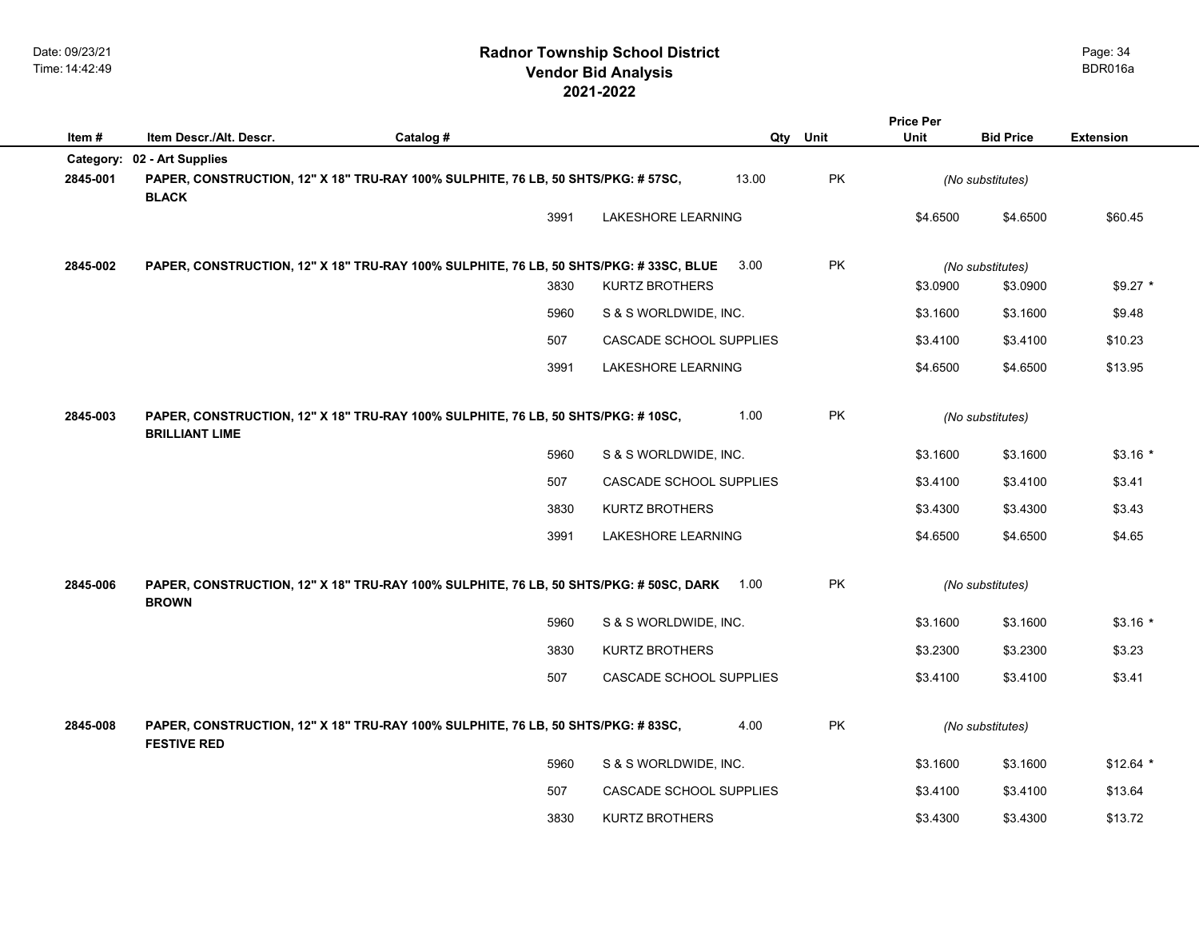|          |                                                        |                                                                                             |      |                           |       |           | <b>Price Per</b> |                  |                  |
|----------|--------------------------------------------------------|---------------------------------------------------------------------------------------------|------|---------------------------|-------|-----------|------------------|------------------|------------------|
| Item#    | Item Descr./Alt. Descr.<br>Category: 02 - Art Supplies | Catalog #                                                                                   |      |                           |       | Qty Unit  | Unit             | <b>Bid Price</b> | <b>Extension</b> |
| 2845-001 | <b>BLACK</b>                                           | PAPER, CONSTRUCTION, 12" X 18" TRU-RAY 100% SULPHITE, 76 LB, 50 SHTS/PKG: # 57SC,           |      |                           | 13.00 | <b>PK</b> |                  | (No substitutes) |                  |
|          |                                                        |                                                                                             | 3991 | <b>LAKESHORE LEARNING</b> |       |           | \$4.6500         | \$4.6500         | \$60.45          |
| 2845-002 |                                                        | PAPER, CONSTRUCTION, 12" X 18" TRU-RAY 100% SULPHITE, 76 LB, 50 SHTS/PKG: #33SC, BLUE       |      |                           | 3.00  | PK        |                  | (No substitutes) |                  |
|          |                                                        |                                                                                             | 3830 | <b>KURTZ BROTHERS</b>     |       |           | \$3.0900         | \$3.0900         | $$9.27$ *        |
|          |                                                        |                                                                                             | 5960 | S & S WORLDWIDE, INC.     |       |           | \$3.1600         | \$3.1600         | \$9.48           |
|          |                                                        | 507                                                                                         |      | CASCADE SCHOOL SUPPLIES   |       |           | \$3.4100         | \$3.4100         | \$10.23          |
|          |                                                        |                                                                                             | 3991 | LAKESHORE LEARNING        |       |           | \$4.6500         | \$4.6500         | \$13.95          |
| 2845-003 | <b>BRILLIANT LIME</b>                                  | PAPER, CONSTRUCTION, 12" X 18" TRU-RAY 100% SULPHITE, 76 LB, 50 SHTS/PKG: #10SC,            |      |                           | 1.00  | PK        |                  | (No substitutes) |                  |
|          |                                                        |                                                                                             | 5960 | S & S WORLDWIDE, INC.     |       |           | \$3.1600         | \$3.1600         | $$3.16*$         |
|          |                                                        | 507                                                                                         |      | CASCADE SCHOOL SUPPLIES   |       |           | \$3.4100         | \$3.4100         | \$3.41           |
|          |                                                        |                                                                                             | 3830 | KURTZ BROTHERS            |       |           | \$3.4300         | \$3.4300         | \$3.43           |
|          |                                                        |                                                                                             | 3991 | LAKESHORE LEARNING        |       |           | \$4.6500         | \$4.6500         | \$4.65           |
| 2845-006 | <b>BROWN</b>                                           | PAPER, CONSTRUCTION, 12" X 18" TRU-RAY 100% SULPHITE, 76 LB, 50 SHTS/PKG: # 50SC, DARK 1.00 |      |                           |       | <b>PK</b> |                  | (No substitutes) |                  |
|          |                                                        |                                                                                             | 5960 | S & S WORLDWIDE, INC.     |       |           | \$3.1600         | \$3.1600         | $$3.16*$         |
|          |                                                        |                                                                                             | 3830 | <b>KURTZ BROTHERS</b>     |       |           | \$3.2300         | \$3.2300         | \$3.23           |
|          |                                                        | 507                                                                                         |      | CASCADE SCHOOL SUPPLIES   |       |           | \$3.4100         | \$3.4100         | \$3.41           |
| 2845-008 | <b>FESTIVE RED</b>                                     | PAPER, CONSTRUCTION, 12" X 18" TRU-RAY 100% SULPHITE, 76 LB, 50 SHTS/PKG: # 83SC,           |      |                           | 4.00  | PK        |                  | (No substitutes) |                  |
|          |                                                        |                                                                                             | 5960 | S & S WORLDWIDE, INC.     |       |           | \$3.1600         | \$3.1600         | $$12.64$ *       |
|          |                                                        | 507                                                                                         |      | CASCADE SCHOOL SUPPLIES   |       |           | \$3.4100         | \$3.4100         | \$13.64          |
|          |                                                        |                                                                                             | 3830 | <b>KURTZ BROTHERS</b>     |       |           | \$3.4300         | \$3.4300         | \$13.72          |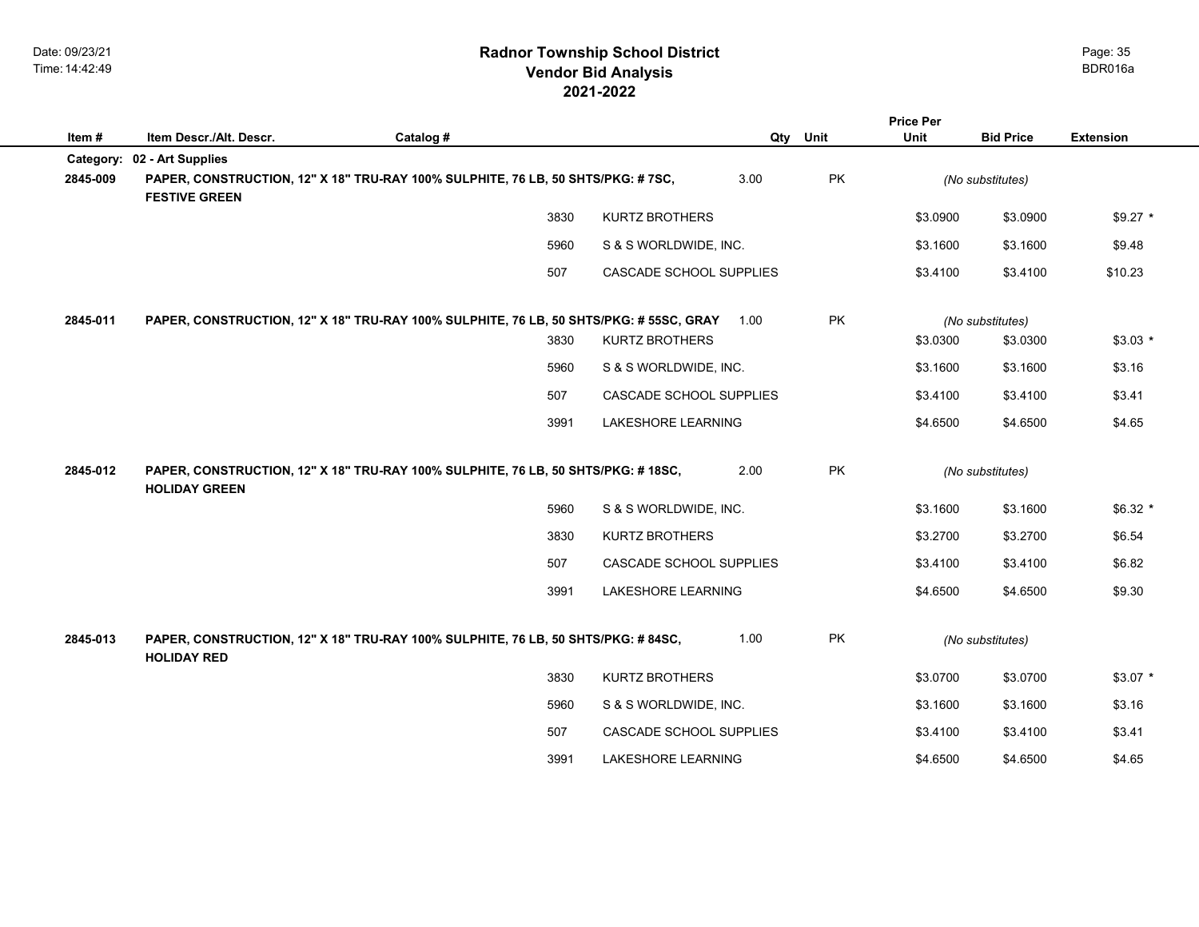|          |                             |                                                                                        |                                   |                         |           | <b>Price Per</b> |                  |                  |  |
|----------|-----------------------------|----------------------------------------------------------------------------------------|-----------------------------------|-------------------------|-----------|------------------|------------------|------------------|--|
| Item#    | Item Descr./Alt. Descr.     | Catalog #                                                                              |                                   | Qty                     | Unit      | <b>Unit</b>      | <b>Bid Price</b> | <b>Extension</b> |  |
|          | Category: 02 - Art Supplies |                                                                                        |                                   |                         |           |                  |                  |                  |  |
| 2845-009 | <b>FESTIVE GREEN</b>        | PAPER, CONSTRUCTION, 12" X 18" TRU-RAY 100% SULPHITE, 76 LB, 50 SHTS/PKG: # 7SC,       |                                   | 3.00                    | PK        |                  | (No substitutes) |                  |  |
|          |                             |                                                                                        | 3830<br><b>KURTZ BROTHERS</b>     |                         |           | \$3.0900         | \$3.0900         | $$9.27$ *        |  |
|          |                             |                                                                                        | 5960<br>S & S WORLDWIDE, INC.     |                         |           | \$3.1600         | \$3.1600         | \$9.48           |  |
|          |                             | 507                                                                                    |                                   | CASCADE SCHOOL SUPPLIES |           | \$3.4100         | \$3.4100         | \$10.23          |  |
| 2845-011 |                             | PAPER, CONSTRUCTION, 12" X 18" TRU-RAY 100% SULPHITE, 76 LB, 50 SHTS/PKG: # 55SC, GRAY |                                   | 1.00                    | <b>PK</b> |                  | (No substitutes) |                  |  |
|          |                             |                                                                                        | 3830<br><b>KURTZ BROTHERS</b>     |                         |           | \$3.0300         | \$3.0300         | $$3.03*$         |  |
|          |                             |                                                                                        | 5960<br>S & S WORLDWIDE, INC.     |                         |           | \$3.1600         | \$3.1600         | \$3.16           |  |
|          |                             | 507                                                                                    |                                   | CASCADE SCHOOL SUPPLIES |           | \$3.4100         | \$3.4100         | \$3.41           |  |
|          |                             |                                                                                        | 3991<br>LAKESHORE LEARNING        |                         |           | \$4.6500         | \$4.6500         | \$4.65           |  |
| 2845-012 | <b>HOLIDAY GREEN</b>        | PAPER, CONSTRUCTION, 12" X 18" TRU-RAY 100% SULPHITE, 76 LB, 50 SHTS/PKG: #18SC,       |                                   |                         | PK        |                  | (No substitutes) |                  |  |
|          |                             |                                                                                        | 5960<br>S & S WORLDWIDE, INC.     |                         |           | \$3.1600         | \$3.1600         | $$6.32$ *        |  |
|          |                             |                                                                                        | 3830<br><b>KURTZ BROTHERS</b>     |                         |           | \$3.2700         | \$3.2700         | \$6.54           |  |
|          |                             | 507                                                                                    |                                   | CASCADE SCHOOL SUPPLIES |           | \$3.4100         | \$3.4100         | \$6.82           |  |
|          |                             |                                                                                        | LAKESHORE LEARNING<br>3991        |                         |           | \$4.6500         | \$4.6500         | \$9.30           |  |
| 2845-013 | <b>HOLIDAY RED</b>          | PAPER, CONSTRUCTION, 12" X 18" TRU-RAY 100% SULPHITE, 76 LB, 50 SHTS/PKG: # 84SC,      |                                   | 1.00                    | PK        |                  | (No substitutes) |                  |  |
|          |                             |                                                                                        | 3830<br><b>KURTZ BROTHERS</b>     |                         |           | \$3.0700         | \$3.0700         | $$3.07*$         |  |
|          |                             |                                                                                        | 5960<br>S & S WORLDWIDE, INC.     |                         |           | \$3.1600         | \$3.1600         | \$3.16           |  |
|          |                             | 507                                                                                    |                                   | CASCADE SCHOOL SUPPLIES |           | \$3.4100         | \$3.4100         | \$3.41           |  |
|          |                             |                                                                                        | <b>LAKESHORE LEARNING</b><br>3991 |                         |           | \$4.6500         | \$4.6500         | \$4.65           |  |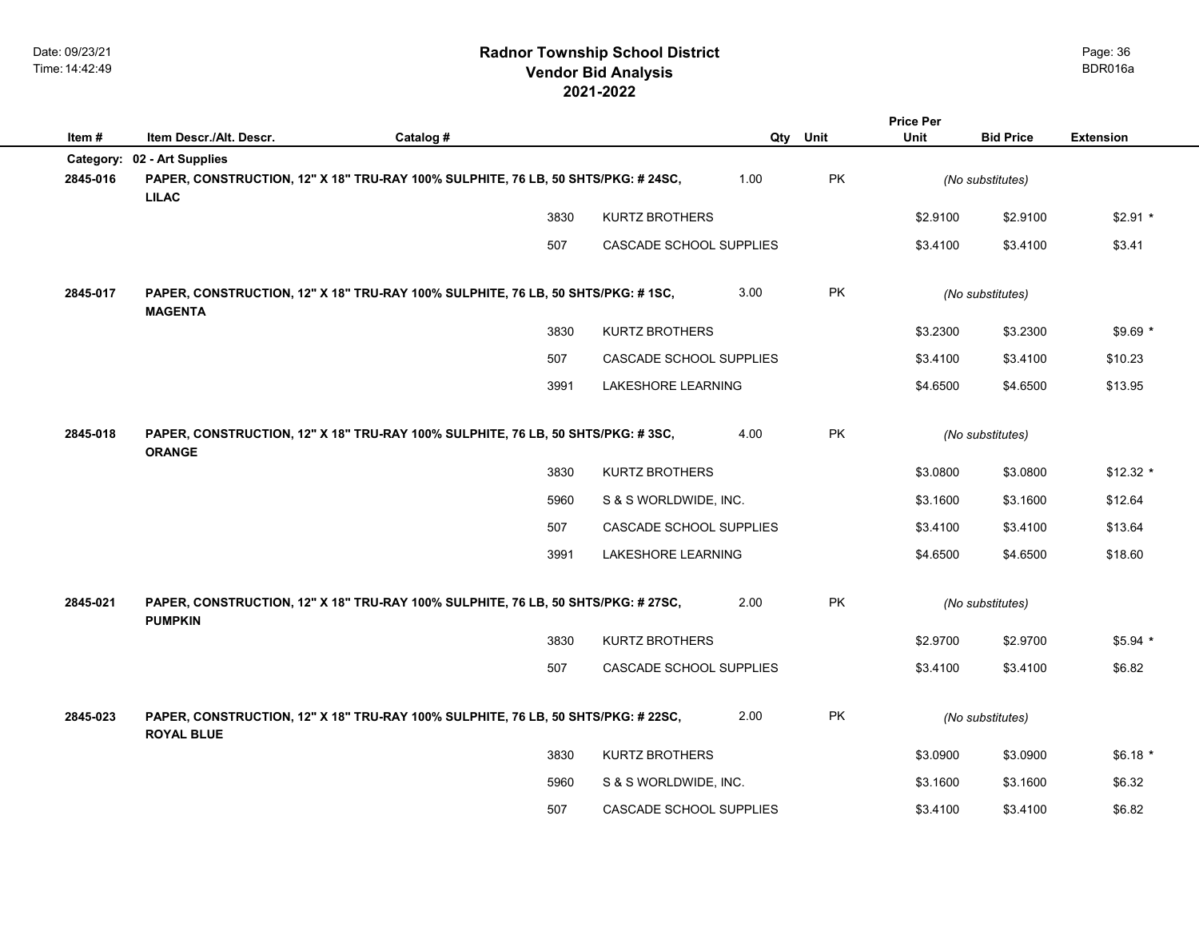|           |                                                                                                        |           |      |                         |      |           | <b>Price Per</b> |                  |                  |
|-----------|--------------------------------------------------------------------------------------------------------|-----------|------|-------------------------|------|-----------|------------------|------------------|------------------|
| Item#     | Item Descr./Alt. Descr.                                                                                | Catalog # |      |                         | Qty  | Unit      | Unit             | <b>Bid Price</b> | <b>Extension</b> |
| Category: | 02 - Art Supplies                                                                                      |           |      |                         |      |           |                  |                  |                  |
| 2845-016  | PAPER, CONSTRUCTION, 12" X 18" TRU-RAY 100% SULPHITE, 76 LB, 50 SHTS/PKG: #24SC,<br><b>LILAC</b>       |           |      |                         | 1.00 | PK        |                  | (No substitutes) |                  |
|           |                                                                                                        |           | 3830 | <b>KURTZ BROTHERS</b>   |      |           | \$2.9100         | \$2.9100         | $$2.91*$         |
|           |                                                                                                        |           | 507  | CASCADE SCHOOL SUPPLIES |      |           | \$3.4100         | \$3.4100         | \$3.41           |
| 2845-017  | PAPER, CONSTRUCTION, 12" X 18" TRU-RAY 100% SULPHITE, 76 LB, 50 SHTS/PKG: #1SC,<br><b>MAGENTA</b>      |           |      |                         | 3.00 | <b>PK</b> |                  | (No substitutes) |                  |
|           |                                                                                                        |           | 3830 | <b>KURTZ BROTHERS</b>   |      |           | \$3.2300         | \$3.2300         | $$9.69$ *        |
|           |                                                                                                        |           | 507  | CASCADE SCHOOL SUPPLIES |      |           | \$3.4100         | \$3.4100         | \$10.23          |
|           |                                                                                                        |           | 3991 | LAKESHORE LEARNING      |      |           | \$4.6500         | \$4.6500         | \$13.95          |
| 2845-018  | PAPER, CONSTRUCTION, 12" X 18" TRU-RAY 100% SULPHITE, 76 LB, 50 SHTS/PKG: #3SC,<br><b>ORANGE</b>       |           |      |                         | 4.00 | PK        |                  | (No substitutes) |                  |
|           |                                                                                                        |           | 3830 | <b>KURTZ BROTHERS</b>   |      |           | \$3.0800         | \$3.0800         | $$12.32$ *       |
|           |                                                                                                        |           | 5960 | S & S WORLDWIDE, INC.   |      |           | \$3.1600         | \$3.1600         | \$12.64          |
|           |                                                                                                        |           | 507  | CASCADE SCHOOL SUPPLIES |      |           | \$3.4100         | \$3.4100         | \$13.64          |
|           |                                                                                                        |           | 3991 | LAKESHORE LEARNING      |      |           | \$4.6500         | \$4.6500         | \$18.60          |
| 2845-021  | PAPER, CONSTRUCTION, 12" X 18" TRU-RAY 100% SULPHITE, 76 LB, 50 SHTS/PKG: #27SC,<br><b>PUMPKIN</b>     |           |      |                         | 2.00 | PK        |                  | (No substitutes) |                  |
|           |                                                                                                        |           | 3830 | <b>KURTZ BROTHERS</b>   |      |           | \$2.9700         | \$2.9700         | \$5.94 *         |
|           |                                                                                                        |           | 507  | CASCADE SCHOOL SUPPLIES |      |           | \$3.4100         | \$3.4100         | \$6.82           |
| 2845-023  | PAPER, CONSTRUCTION, 12" X 18" TRU-RAY 100% SULPHITE, 76 LB, 50 SHTS/PKG: # 22SC,<br><b>ROYAL BLUE</b> |           |      |                         | 2.00 | PK        |                  | (No substitutes) |                  |
|           |                                                                                                        |           | 3830 | <b>KURTZ BROTHERS</b>   |      |           | \$3.0900         | \$3.0900         | $$6.18*$         |
|           |                                                                                                        |           | 5960 | S & S WORLDWIDE, INC.   |      |           | \$3.1600         | \$3.1600         | \$6.32           |
|           |                                                                                                        |           | 507  | CASCADE SCHOOL SUPPLIES |      |           | \$3.4100         | \$3.4100         | \$6.82           |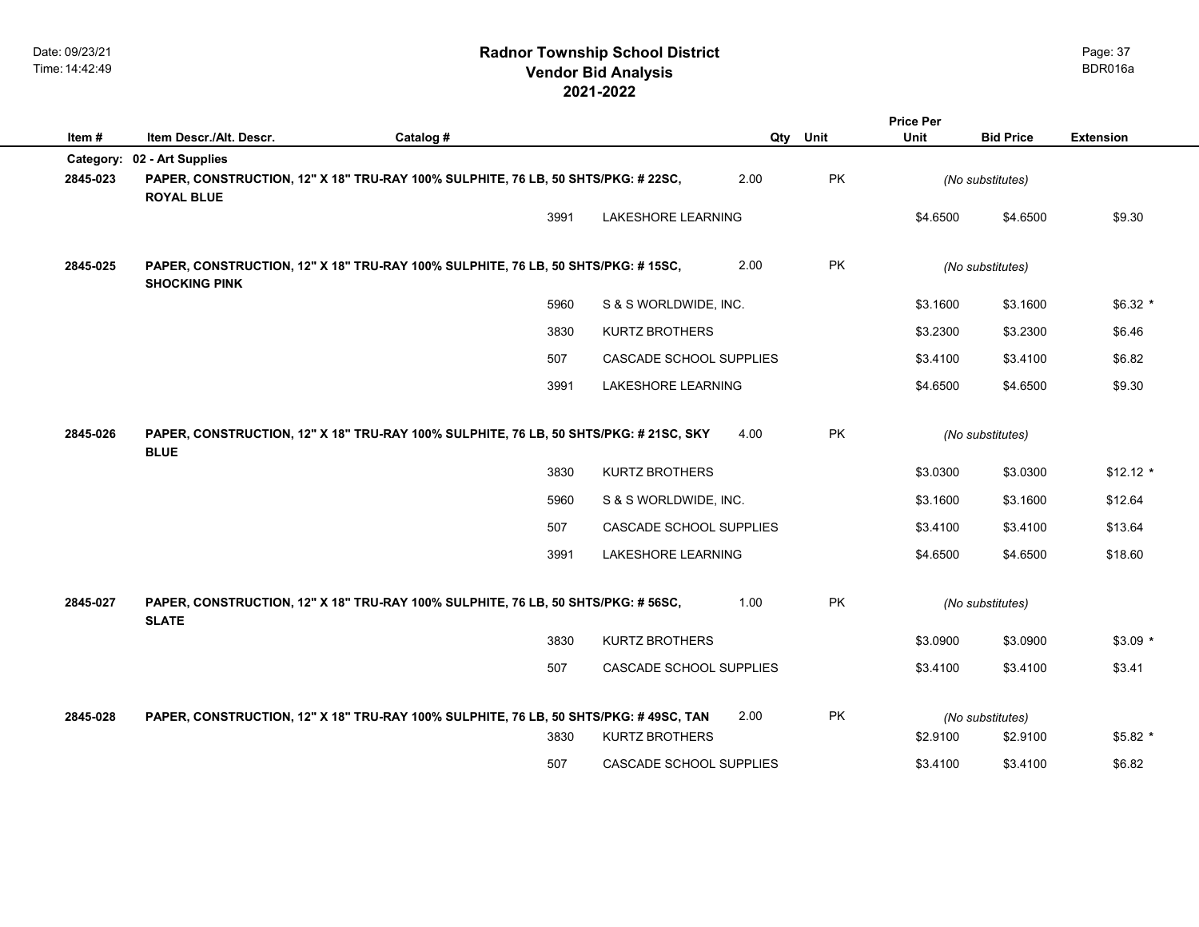|                             |           |      |                       |                                                                                                                                                                                                                                                                                                                                                                                                                                             |                                                                                                                                                                                                                                                                      | <b>Price Per</b> |                      |                                                                                                                          |
|-----------------------------|-----------|------|-----------------------|---------------------------------------------------------------------------------------------------------------------------------------------------------------------------------------------------------------------------------------------------------------------------------------------------------------------------------------------------------------------------------------------------------------------------------------------|----------------------------------------------------------------------------------------------------------------------------------------------------------------------------------------------------------------------------------------------------------------------|------------------|----------------------|--------------------------------------------------------------------------------------------------------------------------|
| Item Descr./Alt. Descr.     | Catalog # |      |                       |                                                                                                                                                                                                                                                                                                                                                                                                                                             |                                                                                                                                                                                                                                                                      | Unit             | <b>Bid Price</b>     | <b>Extension</b>                                                                                                         |
| Category: 02 - Art Supplies |           |      |                       |                                                                                                                                                                                                                                                                                                                                                                                                                                             |                                                                                                                                                                                                                                                                      |                  |                      |                                                                                                                          |
| <b>ROYAL BLUE</b>           |           |      |                       | 2.00                                                                                                                                                                                                                                                                                                                                                                                                                                        | <b>PK</b>                                                                                                                                                                                                                                                            |                  |                      |                                                                                                                          |
|                             |           | 3991 |                       |                                                                                                                                                                                                                                                                                                                                                                                                                                             |                                                                                                                                                                                                                                                                      | \$4.6500         | \$4.6500             | \$9.30                                                                                                                   |
| <b>SHOCKING PINK</b>        |           |      |                       | 2.00                                                                                                                                                                                                                                                                                                                                                                                                                                        | PK                                                                                                                                                                                                                                                                   |                  |                      |                                                                                                                          |
|                             |           | 5960 |                       |                                                                                                                                                                                                                                                                                                                                                                                                                                             |                                                                                                                                                                                                                                                                      | \$3.1600         | \$3.1600             | $$6.32$ *                                                                                                                |
|                             |           | 3830 | <b>KURTZ BROTHERS</b> |                                                                                                                                                                                                                                                                                                                                                                                                                                             |                                                                                                                                                                                                                                                                      | \$3.2300         | \$3.2300             | \$6.46                                                                                                                   |
|                             |           | 507  |                       |                                                                                                                                                                                                                                                                                                                                                                                                                                             |                                                                                                                                                                                                                                                                      | \$3.4100         | \$3.4100             | \$6.82                                                                                                                   |
|                             |           | 3991 |                       |                                                                                                                                                                                                                                                                                                                                                                                                                                             |                                                                                                                                                                                                                                                                      | \$4.6500         | \$4.6500             | \$9.30                                                                                                                   |
| <b>BLUE</b>                 |           |      |                       | 4.00                                                                                                                                                                                                                                                                                                                                                                                                                                        | <b>PK</b>                                                                                                                                                                                                                                                            |                  |                      |                                                                                                                          |
|                             |           | 3830 | <b>KURTZ BROTHERS</b> |                                                                                                                                                                                                                                                                                                                                                                                                                                             |                                                                                                                                                                                                                                                                      | \$3.0300         | \$3.0300             | $$12.12$ *                                                                                                               |
|                             |           | 5960 |                       |                                                                                                                                                                                                                                                                                                                                                                                                                                             |                                                                                                                                                                                                                                                                      | \$3.1600         | \$3.1600             | \$12.64                                                                                                                  |
|                             |           | 507  |                       |                                                                                                                                                                                                                                                                                                                                                                                                                                             |                                                                                                                                                                                                                                                                      | \$3.4100         | \$3.4100             | \$13.64                                                                                                                  |
|                             |           | 3991 |                       |                                                                                                                                                                                                                                                                                                                                                                                                                                             |                                                                                                                                                                                                                                                                      | \$4.6500         | \$4.6500             | \$18.60                                                                                                                  |
| <b>SLATE</b>                |           |      |                       | 1.00                                                                                                                                                                                                                                                                                                                                                                                                                                        | PK                                                                                                                                                                                                                                                                   |                  |                      |                                                                                                                          |
|                             |           | 3830 | <b>KURTZ BROTHERS</b> |                                                                                                                                                                                                                                                                                                                                                                                                                                             |                                                                                                                                                                                                                                                                      | \$3.0900         | \$3.0900             | $$3.09*$                                                                                                                 |
|                             |           | 507  |                       |                                                                                                                                                                                                                                                                                                                                                                                                                                             |                                                                                                                                                                                                                                                                      | \$3.4100         | \$3.4100             | \$3.41                                                                                                                   |
|                             |           |      |                       |                                                                                                                                                                                                                                                                                                                                                                                                                                             |                                                                                                                                                                                                                                                                      |                  |                      |                                                                                                                          |
|                             |           |      |                       |                                                                                                                                                                                                                                                                                                                                                                                                                                             |                                                                                                                                                                                                                                                                      |                  |                      | $$5.82$ *                                                                                                                |
|                             |           |      |                       |                                                                                                                                                                                                                                                                                                                                                                                                                                             |                                                                                                                                                                                                                                                                      |                  |                      | \$6.82                                                                                                                   |
|                             |           |      | 3830<br>507           | PAPER, CONSTRUCTION, 12" X 18" TRU-RAY 100% SULPHITE, 76 LB, 50 SHTS/PKG: # 22SC,<br>PAPER, CONSTRUCTION, 12" X 18" TRU-RAY 100% SULPHITE, 76 LB, 50 SHTS/PKG: #15SC,<br>PAPER, CONSTRUCTION, 12" X 18" TRU-RAY 100% SULPHITE, 76 LB, 50 SHTS/PKG: # 21SC, SKY<br>PAPER, CONSTRUCTION, 12" X 18" TRU-RAY 100% SULPHITE, 76 LB, 50 SHTS/PKG: # 56SC,<br>PAPER, CONSTRUCTION, 12" X 18" TRU-RAY 100% SULPHITE, 76 LB, 50 SHTS/PKG: #49SC, TAN | <b>LAKESHORE LEARNING</b><br>S & S WORLDWIDE, INC.<br>CASCADE SCHOOL SUPPLIES<br><b>LAKESHORE LEARNING</b><br>S & S WORLDWIDE, INC.<br>CASCADE SCHOOL SUPPLIES<br>LAKESHORE LEARNING<br>CASCADE SCHOOL SUPPLIES<br>2.00<br>KURTZ BROTHERS<br>CASCADE SCHOOL SUPPLIES | Qty Unit<br>PK   | \$2.9100<br>\$3.4100 | (No substitutes)<br>(No substitutes)<br>(No substitutes)<br>(No substitutes)<br>(No substitutes)<br>\$2.9100<br>\$3.4100 |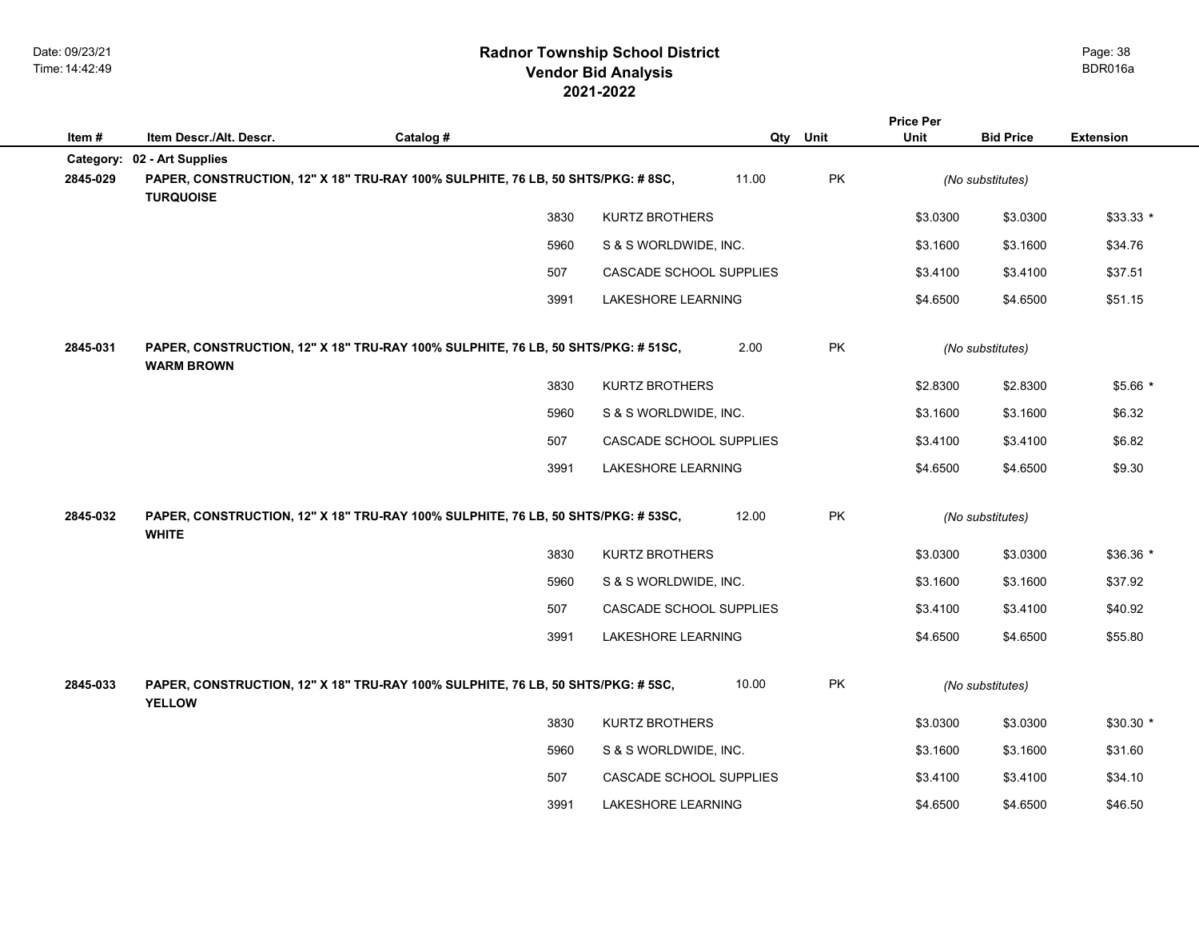|           |                         |                                                                                   |                         |       |           | <b>Price Per</b> |                  |                  |
|-----------|-------------------------|-----------------------------------------------------------------------------------|-------------------------|-------|-----------|------------------|------------------|------------------|
| Item #    | Item Descr./Alt. Descr. | Catalog #                                                                         |                         |       | Qty Unit  | <b>Unit</b>      | <b>Bid Price</b> | <b>Extension</b> |
| Category: | 02 - Art Supplies       |                                                                                   |                         |       |           |                  |                  |                  |
| 2845-029  | <b>TURQUOISE</b>        | PAPER, CONSTRUCTION, 12" X 18" TRU-RAY 100% SULPHITE, 76 LB, 50 SHTS/PKG: # 8SC,  |                         | 11.00 | PK        |                  | (No substitutes) |                  |
|           |                         | 3830                                                                              | <b>KURTZ BROTHERS</b>   |       |           | \$3.0300         | \$3.0300         | $$33.33*$        |
|           |                         | 5960                                                                              | S & S WORLDWIDE, INC.   |       |           | \$3.1600         | \$3.1600         | \$34.76          |
|           |                         | 507                                                                               | CASCADE SCHOOL SUPPLIES |       |           | \$3.4100         | \$3.4100         | \$37.51          |
|           |                         | 3991                                                                              | LAKESHORE LEARNING      |       |           | \$4.6500         | \$4.6500         | \$51.15          |
| 2845-031  | <b>WARM BROWN</b>       | PAPER, CONSTRUCTION, 12" X 18" TRU-RAY 100% SULPHITE, 76 LB, 50 SHTS/PKG: # 51SC, |                         | 2.00  | <b>PK</b> |                  | (No substitutes) |                  |
|           |                         | 3830                                                                              | <b>KURTZ BROTHERS</b>   |       |           | \$2.8300         | \$2.8300         | \$5.66 *         |
|           |                         | 5960                                                                              | S & S WORLDWIDE, INC.   |       |           | \$3.1600         | \$3.1600         | \$6.32           |
|           |                         | 507                                                                               | CASCADE SCHOOL SUPPLIES |       |           | \$3.4100         | \$3.4100         | \$6.82           |
|           |                         | 3991                                                                              | LAKESHORE LEARNING      |       |           | \$4.6500         | \$4.6500         | \$9.30           |
| 2845-032  | <b>WHITE</b>            | PAPER, CONSTRUCTION, 12" X 18" TRU-RAY 100% SULPHITE, 76 LB, 50 SHTS/PKG: # 53SC, |                         | 12.00 | <b>PK</b> |                  | (No substitutes) |                  |
|           |                         | 3830                                                                              | <b>KURTZ BROTHERS</b>   |       |           | \$3.0300         | \$3.0300         | \$36.36 *        |
|           |                         | 5960                                                                              | S & S WORLDWIDE, INC.   |       |           | \$3.1600         | \$3.1600         | \$37.92          |
|           |                         | 507                                                                               | CASCADE SCHOOL SUPPLIES |       |           | \$3.4100         | \$3.4100         | \$40.92          |
|           |                         | 3991                                                                              | LAKESHORE LEARNING      |       |           | \$4.6500         | \$4.6500         | \$55.80          |
| 2845-033  | <b>YELLOW</b>           | PAPER, CONSTRUCTION, 12" X 18" TRU-RAY 100% SULPHITE, 76 LB, 50 SHTS/PKG: # 5SC,  |                         | 10.00 | PK        |                  | (No substitutes) |                  |
|           |                         | 3830                                                                              | <b>KURTZ BROTHERS</b>   |       |           | \$3.0300         | \$3.0300         | $$30.30$ *       |
|           |                         | 5960                                                                              | S & S WORLDWIDE, INC.   |       |           | \$3.1600         | \$3.1600         | \$31.60          |
|           |                         | 507                                                                               | CASCADE SCHOOL SUPPLIES |       |           | \$3.4100         | \$3.4100         | \$34.10          |
|           |                         | 3991                                                                              | LAKESHORE LEARNING      |       |           | \$4.6500         | \$4.6500         | \$46.50          |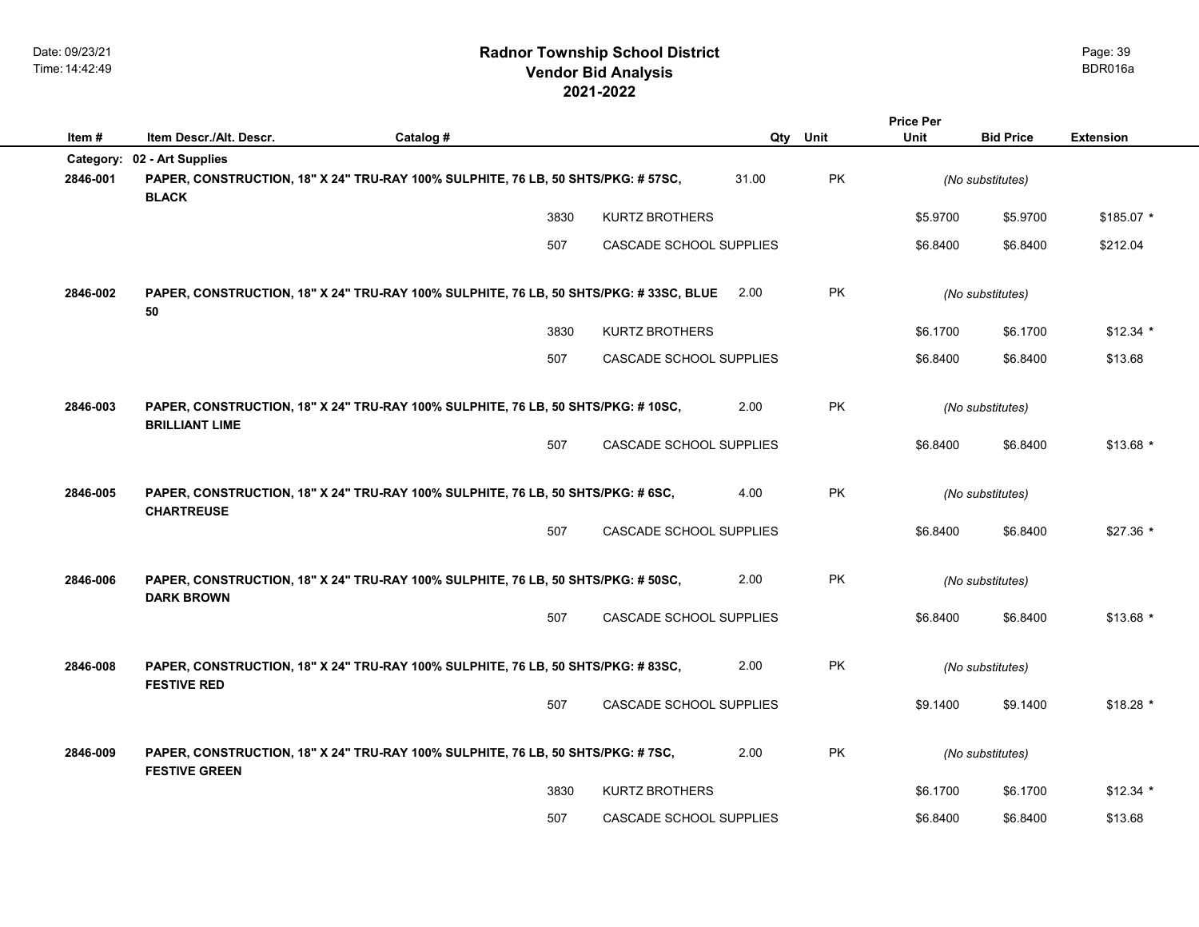|           |                         |                                                                                       |                                |       |           | <b>Price Per</b> |                  |                  |  |
|-----------|-------------------------|---------------------------------------------------------------------------------------|--------------------------------|-------|-----------|------------------|------------------|------------------|--|
| Item#     | Item Descr./Alt. Descr. | Catalog #                                                                             |                                | Qty   | Unit      | <b>Unit</b>      | <b>Bid Price</b> | <b>Extension</b> |  |
| Category: | 02 - Art Supplies       |                                                                                       |                                |       |           |                  |                  |                  |  |
| 2846-001  | <b>BLACK</b>            | PAPER, CONSTRUCTION, 18" X 24" TRU-RAY 100% SULPHITE, 76 LB, 50 SHTS/PKG: # 57SC,     |                                | 31.00 | PK        |                  | (No substitutes) |                  |  |
|           |                         | 3830                                                                                  | <b>KURTZ BROTHERS</b>          |       |           | \$5.9700         | \$5.9700         | $$185.07$ *      |  |
|           |                         | 507                                                                                   | CASCADE SCHOOL SUPPLIES        |       |           | \$6.8400         | \$6.8400         | \$212.04         |  |
| 2846-002  | 50                      | PAPER, CONSTRUCTION, 18" X 24" TRU-RAY 100% SULPHITE, 76 LB, 50 SHTS/PKG: #33SC, BLUE |                                | 2.00  | <b>PK</b> |                  | (No substitutes) |                  |  |
|           |                         | 3830                                                                                  | <b>KURTZ BROTHERS</b>          |       |           | \$6.1700         | \$6.1700         | $$12.34$ *       |  |
|           |                         | 507                                                                                   | CASCADE SCHOOL SUPPLIES        |       |           | \$6.8400         | \$6.8400         | \$13.68          |  |
|           |                         |                                                                                       |                                |       | PK        |                  |                  |                  |  |
| 2846-003  | <b>BRILLIANT LIME</b>   | PAPER, CONSTRUCTION, 18" X 24" TRU-RAY 100% SULPHITE, 76 LB, 50 SHTS/PKG: #10SC,      |                                | 2.00  |           |                  | (No substitutes) |                  |  |
|           |                         | 507                                                                                   | CASCADE SCHOOL SUPPLIES        |       |           | \$6.8400         | \$6.8400         | $$13.68$ *       |  |
| 2846-005  | <b>CHARTREUSE</b>       | PAPER, CONSTRUCTION, 18" X 24" TRU-RAY 100% SULPHITE, 76 LB, 50 SHTS/PKG: #6SC,       |                                | 4.00  | <b>PK</b> |                  | (No substitutes) |                  |  |
|           |                         | 507                                                                                   | <b>CASCADE SCHOOL SUPPLIES</b> |       |           | \$6.8400         | \$6.8400         | $$27.36*$        |  |
| 2846-006  | <b>DARK BROWN</b>       | PAPER, CONSTRUCTION, 18" X 24" TRU-RAY 100% SULPHITE, 76 LB, 50 SHTS/PKG: # 50SC,     |                                | 2.00  | <b>PK</b> |                  | (No substitutes) |                  |  |
|           |                         | 507                                                                                   | CASCADE SCHOOL SUPPLIES        |       |           | \$6.8400         | \$6.8400         | $$13.68$ *       |  |
| 2846-008  | <b>FESTIVE RED</b>      | PAPER, CONSTRUCTION, 18" X 24" TRU-RAY 100% SULPHITE, 76 LB, 50 SHTS/PKG: # 83SC,     |                                | 2.00  | PK        |                  | (No substitutes) |                  |  |
|           |                         | 507                                                                                   | CASCADE SCHOOL SUPPLIES        |       |           | \$9.1400         | \$9.1400         | $$18.28$ *       |  |
| 2846-009  | <b>FESTIVE GREEN</b>    | PAPER, CONSTRUCTION, 18" X 24" TRU-RAY 100% SULPHITE, 76 LB, 50 SHTS/PKG: # 7SC,      |                                | 2.00  | PK        |                  | (No substitutes) |                  |  |
|           |                         | 3830                                                                                  | <b>KURTZ BROTHERS</b>          |       |           | \$6.1700         | \$6.1700         | $$12.34$ *       |  |
|           |                         | 507                                                                                   | CASCADE SCHOOL SUPPLIES        |       |           | \$6.8400         | \$6.8400         | \$13.68          |  |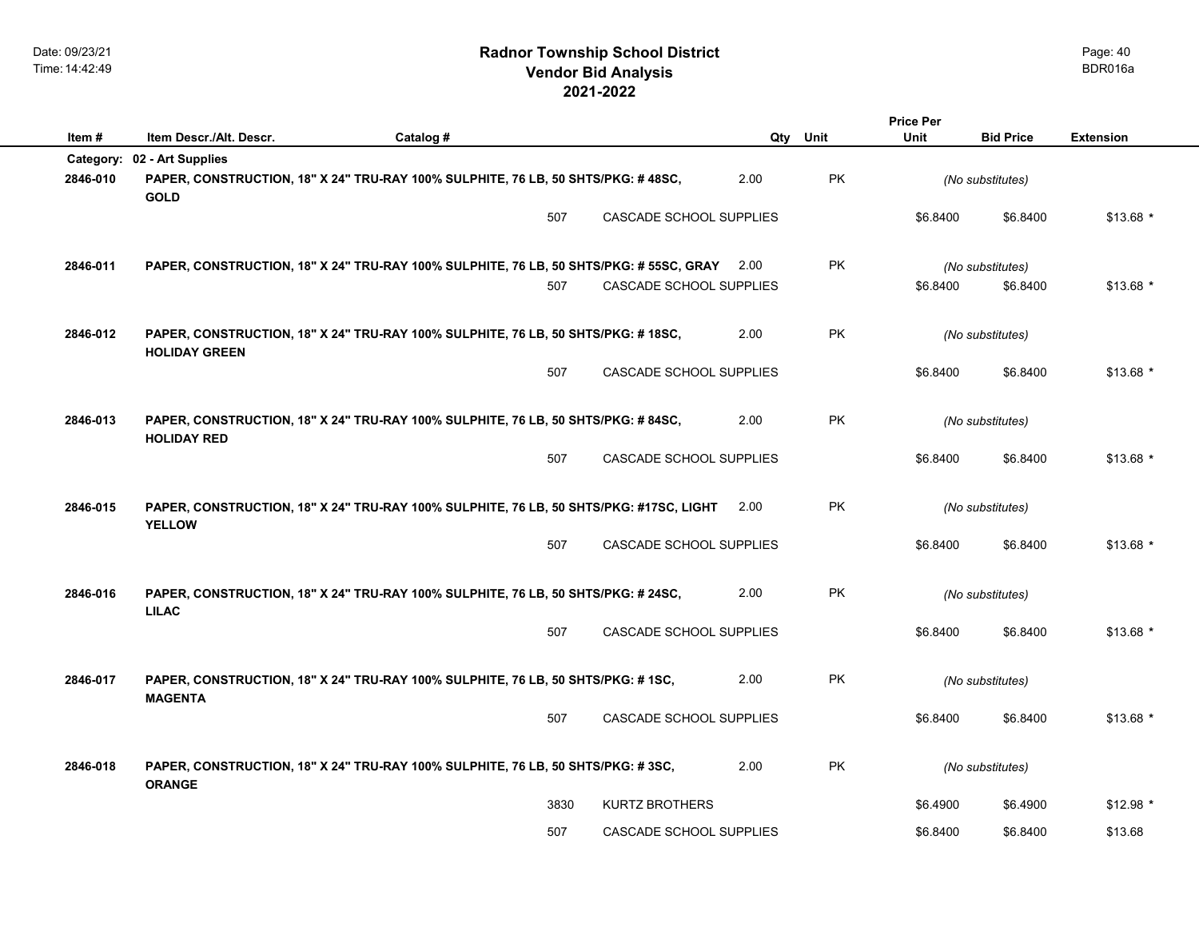|          |                             |                                                                                             |      |                         |      |           | <b>Price Per</b> |                  |                  |
|----------|-----------------------------|---------------------------------------------------------------------------------------------|------|-------------------------|------|-----------|------------------|------------------|------------------|
| Item#    | Item Descr./Alt. Descr.     | Catalog #                                                                                   |      |                         | Qty  | Unit      | <b>Unit</b>      | <b>Bid Price</b> | <b>Extension</b> |
|          | Category: 02 - Art Supplies |                                                                                             |      |                         |      |           |                  |                  |                  |
| 2846-010 | <b>GOLD</b>                 | PAPER, CONSTRUCTION, 18" X 24" TRU-RAY 100% SULPHITE, 76 LB, 50 SHTS/PKG: #48SC,            |      |                         | 2.00 | PK        |                  | (No substitutes) |                  |
|          |                             |                                                                                             | 507  | CASCADE SCHOOL SUPPLIES |      |           | \$6.8400         | \$6.8400         | $$13.68*$        |
| 2846-011 |                             | PAPER, CONSTRUCTION, 18" X 24" TRU-RAY 100% SULPHITE, 76 LB, 50 SHTS/PKG: # 55SC, GRAY 2.00 |      |                         |      | <b>PK</b> |                  | (No substitutes) |                  |
|          |                             |                                                                                             | 507  | CASCADE SCHOOL SUPPLIES |      |           | \$6.8400         | \$6.8400         | $$13.68$ *       |
| 2846-012 | <b>HOLIDAY GREEN</b>        | PAPER, CONSTRUCTION, 18" X 24" TRU-RAY 100% SULPHITE, 76 LB, 50 SHTS/PKG: #18SC,            |      |                         | 2.00 | PK        |                  | (No substitutes) |                  |
|          |                             |                                                                                             | 507  | CASCADE SCHOOL SUPPLIES |      |           | \$6.8400         | \$6.8400         | $$13.68$ *       |
| 2846-013 | <b>HOLIDAY RED</b>          | PAPER, CONSTRUCTION, 18" X 24" TRU-RAY 100% SULPHITE, 76 LB, 50 SHTS/PKG: # 84SC,           |      |                         | 2.00 | <b>PK</b> |                  | (No substitutes) |                  |
|          |                             |                                                                                             | 507  | CASCADE SCHOOL SUPPLIES |      |           | \$6.8400         | \$6.8400         | $$13.68*$        |
| 2846-015 | <b>YELLOW</b>               | PAPER, CONSTRUCTION, 18" X 24" TRU-RAY 100% SULPHITE, 76 LB, 50 SHTS/PKG: #17SC, LIGHT      |      |                         | 2.00 | PK        |                  | (No substitutes) |                  |
|          |                             |                                                                                             | 507  | CASCADE SCHOOL SUPPLIES |      |           | \$6.8400         | \$6.8400         | $$13.68$ *       |
| 2846-016 | <b>LILAC</b>                | PAPER, CONSTRUCTION, 18" X 24" TRU-RAY 100% SULPHITE, 76 LB, 50 SHTS/PKG: #24SC,            |      |                         | 2.00 | <b>PK</b> |                  | (No substitutes) |                  |
|          |                             |                                                                                             | 507  | CASCADE SCHOOL SUPPLIES |      |           | \$6.8400         | \$6.8400         | $$13.68$ *       |
| 2846-017 | <b>MAGENTA</b>              | PAPER, CONSTRUCTION, 18" X 24" TRU-RAY 100% SULPHITE, 76 LB, 50 SHTS/PKG: #1SC,             |      |                         | 2.00 | PK        |                  | (No substitutes) |                  |
|          |                             |                                                                                             | 507  | CASCADE SCHOOL SUPPLIES |      |           | \$6.8400         | \$6.8400         | $$13.68$ *       |
| 2846-018 | <b>ORANGE</b>               | PAPER, CONSTRUCTION, 18" X 24" TRU-RAY 100% SULPHITE, 76 LB, 50 SHTS/PKG: #3SC,             |      |                         | 2.00 | <b>PK</b> |                  | (No substitutes) |                  |
|          |                             |                                                                                             | 3830 | <b>KURTZ BROTHERS</b>   |      |           | \$6.4900         | \$6.4900         | $$12.98$ *       |
|          |                             |                                                                                             | 507  | CASCADE SCHOOL SUPPLIES |      |           | \$6.8400         | \$6.8400         | \$13.68          |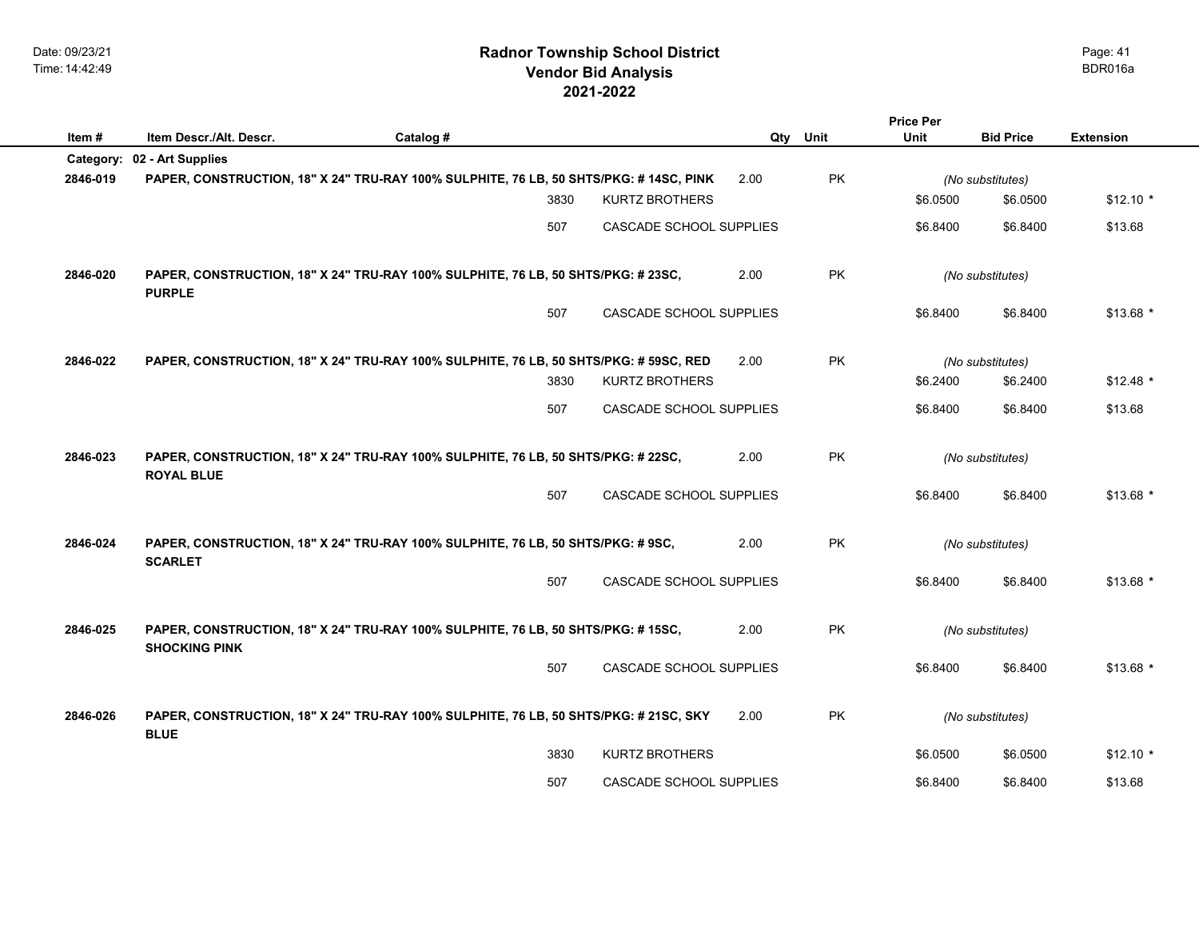## **2021-2022 Radnor Township School District Vendor Bid Analysis** BDR016a

| Item#    | Item Descr./Alt. Descr.                                                                                  |           |      |                                |      |           | <b>Price Per</b><br><b>Unit</b> | <b>Bid Price</b> | <b>Extension</b> |
|----------|----------------------------------------------------------------------------------------------------------|-----------|------|--------------------------------|------|-----------|---------------------------------|------------------|------------------|
|          | Category: 02 - Art Supplies                                                                              | Catalog # |      |                                | Qty  | Unit      |                                 |                  |                  |
| 2846-019 | PAPER, CONSTRUCTION, 18" X 24" TRU-RAY 100% SULPHITE, 76 LB, 50 SHTS/PKG: # 14SC, PINK                   |           |      |                                | 2.00 | PK        |                                 | (No substitutes) |                  |
|          |                                                                                                          |           | 3830 | <b>KURTZ BROTHERS</b>          |      |           | \$6.0500                        | \$6.0500         | $$12.10*$        |
|          |                                                                                                          |           | 507  | CASCADE SCHOOL SUPPLIES        |      |           | \$6.8400                        | \$6.8400         | \$13.68          |
| 2846-020 | PAPER, CONSTRUCTION, 18" X 24" TRU-RAY 100% SULPHITE, 76 LB, 50 SHTS/PKG: # 23SC,<br><b>PURPLE</b>       |           |      |                                | 2.00 | <b>PK</b> |                                 | (No substitutes) |                  |
|          |                                                                                                          |           | 507  | CASCADE SCHOOL SUPPLIES        |      |           | \$6.8400                        | \$6.8400         | $$13.68$ *       |
| 2846-022 | PAPER, CONSTRUCTION, 18" X 24" TRU-RAY 100% SULPHITE, 76 LB, 50 SHTS/PKG: # 59SC, RED                    |           |      |                                | 2.00 | PK        |                                 | (No substitutes) |                  |
|          |                                                                                                          |           | 3830 | <b>KURTZ BROTHERS</b>          |      |           | \$6.2400                        | \$6.2400         | $$12.48$ *       |
|          |                                                                                                          |           | 507  | CASCADE SCHOOL SUPPLIES        |      |           | \$6.8400                        | \$6.8400         | \$13.68          |
| 2846-023 | PAPER, CONSTRUCTION, 18" X 24" TRU-RAY 100% SULPHITE, 76 LB, 50 SHTS/PKG: # 22SC,<br><b>ROYAL BLUE</b>   |           |      |                                | 2.00 | PK        | (No substitutes)                |                  |                  |
|          |                                                                                                          |           | 507  | <b>CASCADE SCHOOL SUPPLIES</b> |      |           | \$6.8400                        | \$6.8400         | $$13.68$ *       |
| 2846-024 | PAPER, CONSTRUCTION, 18" X 24" TRU-RAY 100% SULPHITE, 76 LB, 50 SHTS/PKG: #9SC,<br><b>SCARLET</b>        |           |      |                                | 2.00 | <b>PK</b> |                                 | (No substitutes) |                  |
|          |                                                                                                          |           | 507  | CASCADE SCHOOL SUPPLIES        |      |           | \$6.8400                        | \$6.8400         | \$13.68 *        |
| 2846-025 | PAPER, CONSTRUCTION, 18" X 24" TRU-RAY 100% SULPHITE, 76 LB, 50 SHTS/PKG: #15SC,<br><b>SHOCKING PINK</b> |           |      |                                | 2.00 | PK        |                                 | (No substitutes) |                  |
|          |                                                                                                          |           | 507  | CASCADE SCHOOL SUPPLIES        |      |           | \$6.8400                        | \$6.8400         | $$13.68$ *       |
| 2846-026 | PAPER, CONSTRUCTION, 18" X 24" TRU-RAY 100% SULPHITE, 76 LB, 50 SHTS/PKG: # 21SC, SKY<br><b>BLUE</b>     |           |      |                                | 2.00 | PK        |                                 | (No substitutes) |                  |
|          |                                                                                                          |           | 3830 | <b>KURTZ BROTHERS</b>          |      |           | \$6.0500                        | \$6.0500         | $$12.10*$        |
|          |                                                                                                          |           | 507  | CASCADE SCHOOL SUPPLIES        |      |           | \$6.8400                        | \$6.8400         | \$13.68          |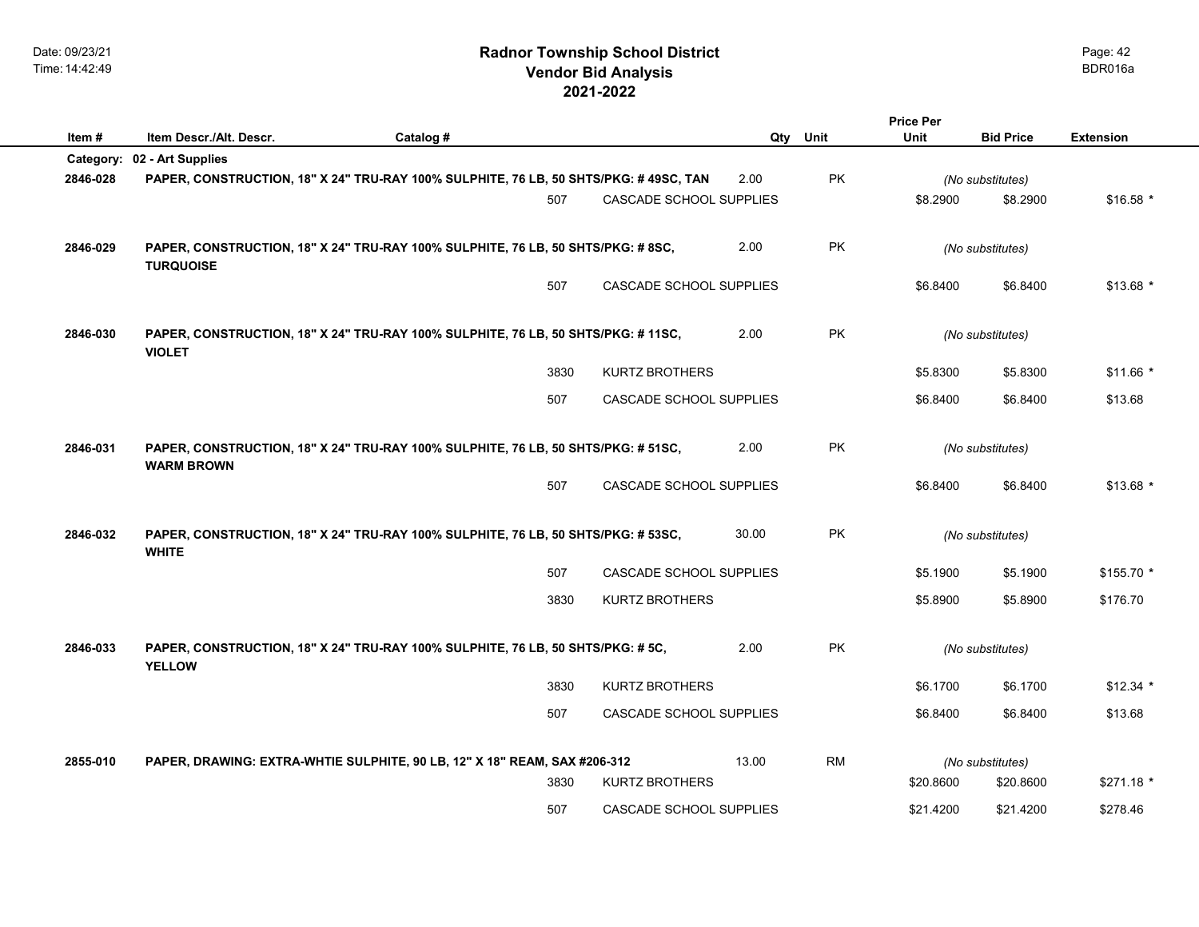## **2021-2022 Radnor Township School District Vendor Bid Analysis** BDR016a

|          |                                                                                                        |           |      |                         |       |           | <b>Price Per</b> |                  |                  |
|----------|--------------------------------------------------------------------------------------------------------|-----------|------|-------------------------|-------|-----------|------------------|------------------|------------------|
| Item#    | Item Descr./Alt. Descr.                                                                                | Catalog # |      |                         |       | Qty Unit  | Unit             | <b>Bid Price</b> | <b>Extension</b> |
|          | Category: 02 - Art Supplies                                                                            |           |      |                         |       |           |                  |                  |                  |
| 2846-028 | PAPER, CONSTRUCTION, 18" X 24" TRU-RAY 100% SULPHITE, 76 LB, 50 SHTS/PKG: #49SC, TAN                   |           |      |                         | 2.00  | PK        |                  | (No substitutes) |                  |
|          |                                                                                                        |           | 507  | CASCADE SCHOOL SUPPLIES |       |           | \$8.2900         | \$8.2900         | $$16.58$ *       |
| 2846-029 | PAPER, CONSTRUCTION, 18" X 24" TRU-RAY 100% SULPHITE, 76 LB, 50 SHTS/PKG: #8SC,<br><b>TURQUOISE</b>    |           |      |                         | 2.00  | <b>PK</b> |                  | (No substitutes) |                  |
|          |                                                                                                        |           | 507  | CASCADE SCHOOL SUPPLIES |       |           | \$6.8400         | \$6.8400         | $$13.68$ *       |
| 2846-030 | PAPER, CONSTRUCTION, 18" X 24" TRU-RAY 100% SULPHITE, 76 LB, 50 SHTS/PKG: #11SC,<br><b>VIOLET</b>      |           |      |                         | 2.00  | PK        |                  | (No substitutes) |                  |
|          |                                                                                                        |           | 3830 | <b>KURTZ BROTHERS</b>   |       |           | \$5.8300         | \$5.8300         | $$11.66*$        |
|          |                                                                                                        |           | 507  | CASCADE SCHOOL SUPPLIES |       |           | \$6.8400         | \$6.8400         | \$13.68          |
| 2846-031 | PAPER, CONSTRUCTION, 18" X 24" TRU-RAY 100% SULPHITE, 76 LB, 50 SHTS/PKG: # 51SC,<br><b>WARM BROWN</b> |           |      |                         | 2.00  | PK        | (No substitutes) |                  |                  |
|          |                                                                                                        |           | 507  | CASCADE SCHOOL SUPPLIES |       |           | \$6.8400         | \$6.8400         | $$13.68$ *       |
| 2846-032 | PAPER, CONSTRUCTION, 18" X 24" TRU-RAY 100% SULPHITE, 76 LB, 50 SHTS/PKG: # 53SC,<br><b>WHITE</b>      |           |      |                         | 30.00 | <b>PK</b> |                  | (No substitutes) |                  |
|          |                                                                                                        |           | 507  | CASCADE SCHOOL SUPPLIES |       |           | \$5.1900         | \$5.1900         | $$155.70$ *      |
|          |                                                                                                        |           | 3830 | <b>KURTZ BROTHERS</b>   |       |           | \$5.8900         | \$5.8900         | \$176.70         |
| 2846-033 | PAPER, CONSTRUCTION, 18" X 24" TRU-RAY 100% SULPHITE, 76 LB, 50 SHTS/PKG: # 5C,<br><b>YELLOW</b>       |           |      |                         | 2.00  | PK.       |                  | (No substitutes) |                  |
|          |                                                                                                        |           | 3830 | <b>KURTZ BROTHERS</b>   |       |           | \$6.1700         | \$6.1700         | $$12.34$ *       |
|          |                                                                                                        |           | 507  | CASCADE SCHOOL SUPPLIES |       |           | \$6.8400         | \$6.8400         | \$13.68          |
| 2855-010 | PAPER, DRAWING: EXTRA-WHTIE SULPHITE, 90 LB, 12" X 18" REAM, SAX #206-312                              |           |      |                         | 13.00 | <b>RM</b> |                  | (No substitutes) |                  |
|          |                                                                                                        |           | 3830 | <b>KURTZ BROTHERS</b>   |       |           | \$20.8600        | \$20.8600        | \$271.18 *       |
|          |                                                                                                        |           | 507  | CASCADE SCHOOL SUPPLIES |       |           | \$21.4200        | \$21.4200        | \$278.46         |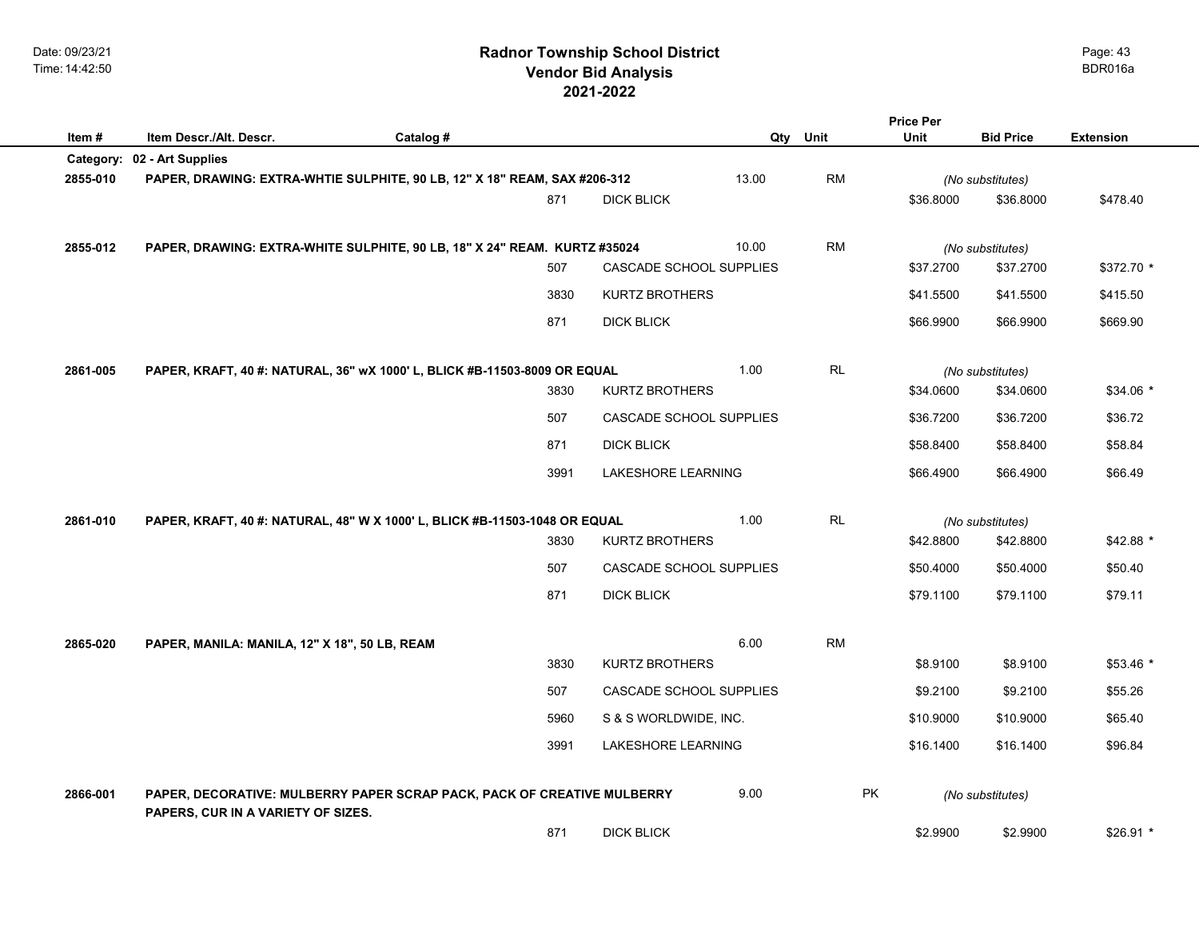|          |                                                                                                               |           |      |                         |          |           | <b>Price Per</b> |                  |                  |
|----------|---------------------------------------------------------------------------------------------------------------|-----------|------|-------------------------|----------|-----------|------------------|------------------|------------------|
| Item #   | Item Descr./Alt. Descr.                                                                                       | Catalog # |      |                         | Qty Unit |           | Unit             | <b>Bid Price</b> | <b>Extension</b> |
|          | Category: 02 - Art Supplies                                                                                   |           |      |                         |          |           |                  |                  |                  |
| 2855-010 | PAPER, DRAWING: EXTRA-WHTIE SULPHITE, 90 LB, 12" X 18" REAM, SAX #206-312                                     |           |      |                         | 13.00    | <b>RM</b> |                  | (No substitutes) |                  |
|          |                                                                                                               |           | 871  | <b>DICK BLICK</b>       |          |           | \$36.8000        | \$36.8000        | \$478.40         |
|          |                                                                                                               |           |      |                         |          |           |                  |                  |                  |
| 2855-012 | PAPER, DRAWING: EXTRA-WHITE SULPHITE, 90 LB, 18" X 24" REAM. KURTZ #35024                                     |           |      |                         | 10.00    | <b>RM</b> |                  | (No substitutes) |                  |
|          |                                                                                                               |           | 507  | CASCADE SCHOOL SUPPLIES |          |           | \$37.2700        | \$37.2700        | \$372.70 *       |
|          |                                                                                                               |           | 3830 | <b>KURTZ BROTHERS</b>   |          |           | \$41.5500        | \$41.5500        | \$415.50         |
|          |                                                                                                               |           | 871  | <b>DICK BLICK</b>       |          |           | \$66.9900        | \$66.9900        | \$669.90         |
|          |                                                                                                               |           |      |                         |          |           |                  |                  |                  |
| 2861-005 | PAPER, KRAFT, 40 #: NATURAL, 36" wX 1000' L, BLICK #B-11503-8009 OR EQUAL                                     |           |      |                         | 1.00     | RL        |                  | (No substitutes) |                  |
|          |                                                                                                               |           | 3830 | <b>KURTZ BROTHERS</b>   |          |           | \$34.0600        | \$34.0600        | $$34.06*$        |
|          |                                                                                                               |           | 507  | CASCADE SCHOOL SUPPLIES |          |           | \$36.7200        | \$36.7200        | \$36.72          |
|          |                                                                                                               |           | 871  | <b>DICK BLICK</b>       |          |           | \$58.8400        | \$58.8400        | \$58.84          |
|          |                                                                                                               |           | 3991 | LAKESHORE LEARNING      |          |           | \$66.4900        | \$66.4900        | \$66.49          |
|          |                                                                                                               |           |      |                         |          |           |                  |                  |                  |
| 2861-010 | PAPER, KRAFT, 40 #: NATURAL, 48" W X 1000' L, BLICK #B-11503-1048 OR EQUAL                                    |           |      |                         | 1.00     | RL        |                  | (No substitutes) |                  |
|          |                                                                                                               |           | 3830 | <b>KURTZ BROTHERS</b>   |          |           | \$42.8800        | \$42.8800        | $$42.88$ *       |
|          |                                                                                                               |           | 507  | CASCADE SCHOOL SUPPLIES |          |           | \$50,4000        | \$50.4000        | \$50.40          |
|          |                                                                                                               |           | 871  | <b>DICK BLICK</b>       |          |           | \$79.1100        | \$79.1100        | \$79.11          |
|          |                                                                                                               |           |      |                         |          |           |                  |                  |                  |
| 2865-020 | PAPER, MANILA: MANILA, 12" X 18", 50 LB, REAM                                                                 |           |      |                         | 6.00     | <b>RM</b> |                  |                  |                  |
|          |                                                                                                               |           | 3830 | <b>KURTZ BROTHERS</b>   |          |           | \$8.9100         | \$8.9100         | \$53.46 *        |
|          |                                                                                                               |           | 507  | CASCADE SCHOOL SUPPLIES |          |           | \$9.2100         | \$9.2100         | \$55.26          |
|          |                                                                                                               |           | 5960 | S & S WORLDWIDE, INC.   |          |           | \$10.9000        | \$10.9000        | \$65.40          |
|          |                                                                                                               |           | 3991 | LAKESHORE LEARNING      |          |           | \$16.1400        | \$16.1400        | \$96.84          |
|          |                                                                                                               |           |      |                         |          |           |                  |                  |                  |
| 2866-001 | PAPER, DECORATIVE: MULBERRY PAPER SCRAP PACK, PACK OF CREATIVE MULBERRY<br>PAPERS, CUR IN A VARIETY OF SIZES. |           |      |                         | 9.00     | <b>PK</b> |                  | (No substitutes) |                  |
|          |                                                                                                               |           | 871  | <b>DICK BLICK</b>       |          |           | \$2.9900         | \$2.9900         | \$26.91 *        |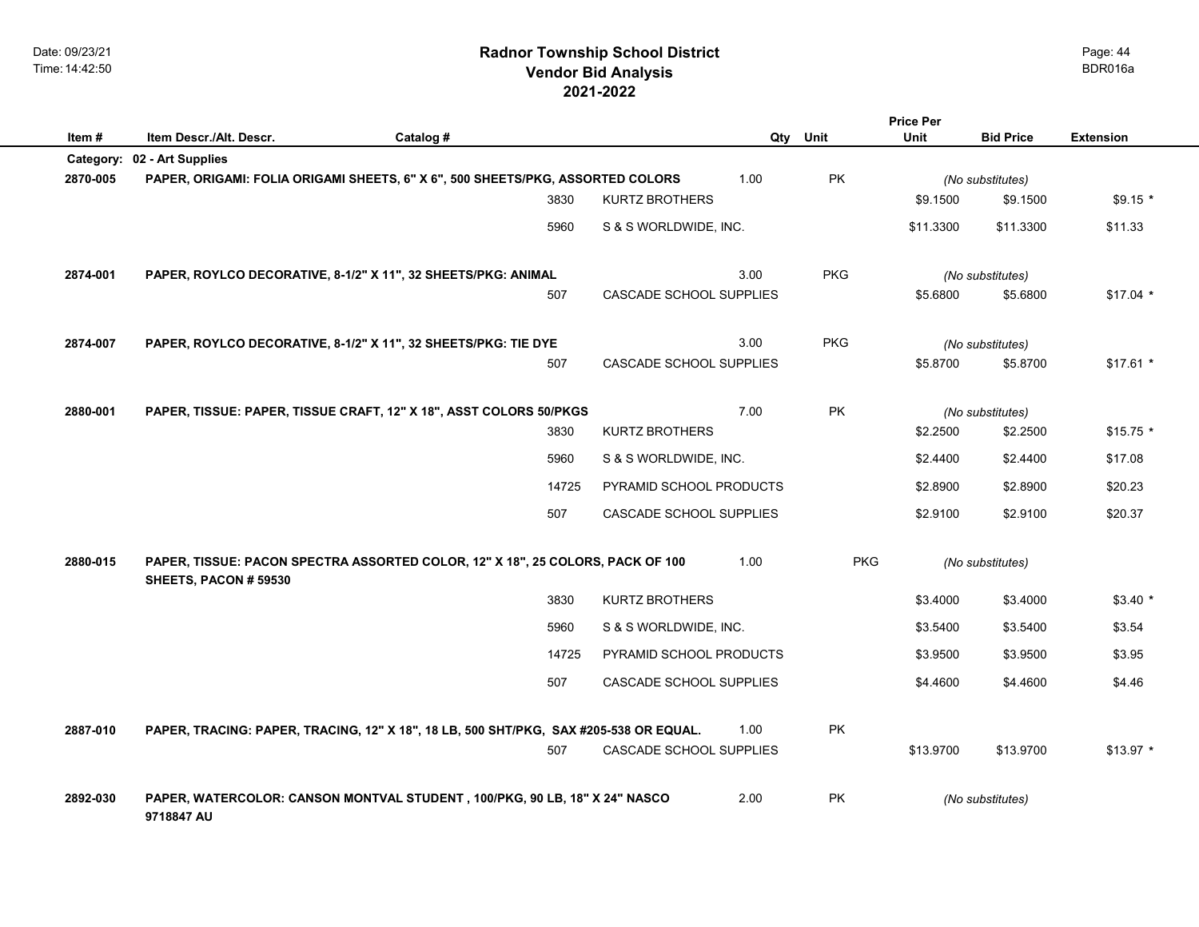## **2021-2022 Radnor Township School District Vendor Bid Analysis** BDR016a

| Item#     | Item Descr./Alt. Descr.                                                                                 | Catalog # |                         |      | Qty Unit   | <b>Price Per</b><br>Unit | <b>Bid Price</b> | <b>Extension</b> |
|-----------|---------------------------------------------------------------------------------------------------------|-----------|-------------------------|------|------------|--------------------------|------------------|------------------|
| Category: | 02 - Art Supplies                                                                                       |           |                         |      |            |                          |                  |                  |
| 2870-005  | PAPER, ORIGAMI: FOLIA ORIGAMI SHEETS, 6" X 6", 500 SHEETS/PKG, ASSORTED COLORS                          |           |                         | 1.00 | PK         |                          | (No substitutes) |                  |
|           |                                                                                                         | 3830      | <b>KURTZ BROTHERS</b>   |      |            | \$9.1500                 | \$9.1500         | $$9.15*$         |
|           |                                                                                                         | 5960      | S & S WORLDWIDE, INC.   |      |            | \$11.3300                | \$11.3300        | \$11.33          |
| 2874-001  | PAPER, ROYLCO DECORATIVE, 8-1/2" X 11", 32 SHEETS/PKG: ANIMAL                                           |           |                         | 3.00 | <b>PKG</b> |                          | (No substitutes) |                  |
|           |                                                                                                         | 507       | CASCADE SCHOOL SUPPLIES |      |            | \$5.6800                 | \$5.6800         | $$17.04$ *       |
| 2874-007  | PAPER, ROYLCO DECORATIVE, 8-1/2" X 11", 32 SHEETS/PKG: TIE DYE                                          |           |                         | 3.00 | <b>PKG</b> |                          | (No substitutes) |                  |
|           |                                                                                                         | 507       | CASCADE SCHOOL SUPPLIES |      |            | \$5.8700                 | \$5.8700         | $$17.61*$        |
| 2880-001  | PAPER, TISSUE: PAPER, TISSUE CRAFT, 12" X 18", ASST COLORS 50/PKGS                                      |           |                         | 7.00 | PK         |                          | (No substitutes) |                  |
|           |                                                                                                         | 3830      | <b>KURTZ BROTHERS</b>   |      |            | \$2.2500                 | \$2.2500         | $$15.75$ *       |
|           |                                                                                                         | 5960      | S & S WORLDWIDE, INC.   |      |            | \$2.4400                 | \$2.4400         | \$17.08          |
|           |                                                                                                         | 14725     | PYRAMID SCHOOL PRODUCTS |      |            | \$2.8900                 | \$2.8900         | \$20.23          |
|           |                                                                                                         | 507       | CASCADE SCHOOL SUPPLIES |      |            | \$2.9100                 | \$2.9100         | \$20.37          |
| 2880-015  | PAPER, TISSUE: PACON SPECTRA ASSORTED COLOR, 12" X 18", 25 COLORS, PACK OF 100<br>SHEETS, PACON # 59530 |           |                         | 1.00 | <b>PKG</b> |                          | (No substitutes) |                  |
|           |                                                                                                         | 3830      | <b>KURTZ BROTHERS</b>   |      |            | \$3.4000                 | \$3.4000         | $$3.40*$         |
|           |                                                                                                         | 5960      | S & S WORLDWIDE, INC.   |      |            | \$3.5400                 | \$3.5400         | \$3.54           |
|           |                                                                                                         | 14725     | PYRAMID SCHOOL PRODUCTS |      |            | \$3.9500                 | \$3.9500         | \$3.95           |
|           |                                                                                                         | 507       | CASCADE SCHOOL SUPPLIES |      |            | \$4.4600                 | \$4.4600         | \$4.46           |
| 2887-010  | PAPER, TRACING: PAPER, TRACING, 12" X 18", 18 LB, 500 SHT/PKG, SAX #205-538 OR EQUAL.                   |           |                         | 1.00 | <b>PK</b>  |                          |                  |                  |
|           |                                                                                                         | 507       | CASCADE SCHOOL SUPPLIES |      |            | \$13.9700                | \$13.9700        | $$13.97$ *       |
| 2892-030  | PAPER, WATERCOLOR: CANSON MONTVAL STUDENT, 100/PKG, 90 LB, 18" X 24" NASCO<br>9718847 AU                |           |                         | 2.00 | PK         |                          | (No substitutes) |                  |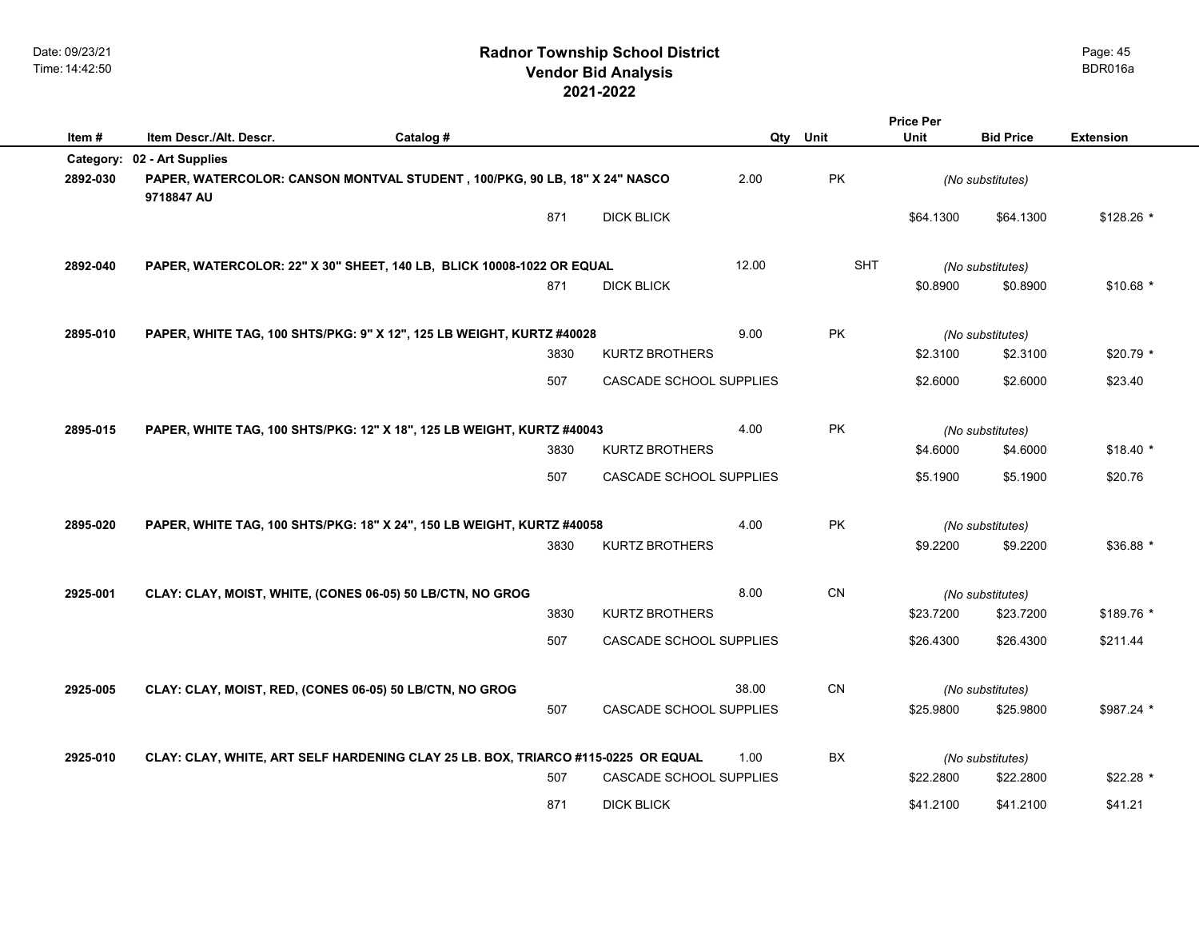|          |                                                                                   |           |      |                                | <b>Price Per</b> |            |           |                  |                  |
|----------|-----------------------------------------------------------------------------------|-----------|------|--------------------------------|------------------|------------|-----------|------------------|------------------|
| Item#    | Item Descr./Alt. Descr.                                                           | Catalog # |      |                                | Qty              | Unit       | Unit      | <b>Bid Price</b> | <b>Extension</b> |
|          | Category: 02 - Art Supplies                                                       |           |      |                                |                  |            |           |                  |                  |
| 2892-030 | PAPER, WATERCOLOR: CANSON MONTVAL STUDENT, 100/PKG, 90 LB, 18" X 24" NASCO        |           |      |                                | 2.00             | PK         |           | (No substitutes) |                  |
|          | 9718847 AU                                                                        |           |      |                                |                  |            |           |                  |                  |
|          |                                                                                   |           | 871  | <b>DICK BLICK</b>              |                  |            | \$64.1300 | \$64.1300        | $$128.26$ *      |
|          |                                                                                   |           |      |                                |                  |            |           |                  |                  |
| 2892-040 | PAPER, WATERCOLOR: 22" X 30" SHEET, 140 LB, BLICK 10008-1022 OR EQUAL             |           |      |                                | 12.00            | <b>SHT</b> |           | (No substitutes) |                  |
|          |                                                                                   |           | 871  | <b>DICK BLICK</b>              |                  |            | \$0.8900  | \$0.8900         | $$10.68$ *       |
|          |                                                                                   |           |      |                                |                  |            |           |                  |                  |
|          |                                                                                   |           |      |                                |                  |            |           |                  |                  |
| 2895-010 | PAPER, WHITE TAG, 100 SHTS/PKG: 9" X 12", 125 LB WEIGHT, KURTZ #40028             |           |      |                                | 9.00             | <b>PK</b>  |           | (No substitutes) |                  |
|          |                                                                                   |           | 3830 | <b>KURTZ BROTHERS</b>          |                  |            | \$2.3100  | \$2.3100         | $$20.79$ *       |
|          |                                                                                   |           | 507  | <b>CASCADE SCHOOL SUPPLIES</b> |                  |            | \$2.6000  | \$2.6000         | \$23.40          |
|          |                                                                                   |           |      |                                |                  |            |           |                  |                  |
| 2895-015 | PAPER, WHITE TAG, 100 SHTS/PKG: 12" X 18", 125 LB WEIGHT, KURTZ #40043            |           |      |                                | 4.00             | PK         |           | (No substitutes) |                  |
|          |                                                                                   |           | 3830 | <b>KURTZ BROTHERS</b>          |                  |            | \$4,6000  | \$4.6000         | $$18.40*$        |
|          |                                                                                   |           |      |                                |                  |            |           |                  |                  |
|          |                                                                                   |           | 507  | CASCADE SCHOOL SUPPLIES        |                  |            | \$5.1900  | \$5.1900         | \$20.76          |
|          |                                                                                   |           |      |                                |                  |            |           |                  |                  |
| 2895-020 | PAPER, WHITE TAG, 100 SHTS/PKG: 18" X 24", 150 LB WEIGHT, KURTZ #40058            |           |      |                                | 4.00             | PK         |           | (No substitutes) |                  |
|          |                                                                                   |           | 3830 | <b>KURTZ BROTHERS</b>          |                  |            | \$9.2200  | \$9.2200         | \$36.88 *        |
|          |                                                                                   |           |      |                                |                  |            |           |                  |                  |
| 2925-001 | CLAY: CLAY, MOIST, WHITE, (CONES 06-05) 50 LB/CTN, NO GROG                        |           |      |                                | 8.00             | CN         |           | (No substitutes) |                  |
|          |                                                                                   |           | 3830 | <b>KURTZ BROTHERS</b>          |                  |            | \$23.7200 | \$23.7200        | $$189.76$ *      |
|          |                                                                                   |           |      |                                |                  |            |           |                  |                  |
|          |                                                                                   |           | 507  | CASCADE SCHOOL SUPPLIES        |                  |            | \$26.4300 | \$26.4300        | \$211.44         |
|          |                                                                                   |           |      |                                |                  |            |           |                  |                  |
| 2925-005 | CLAY: CLAY, MOIST, RED, (CONES 06-05) 50 LB/CTN, NO GROG                          |           |      |                                | 38.00            | CN         |           | (No substitutes) |                  |
|          |                                                                                   |           | 507  | CASCADE SCHOOL SUPPLIES        |                  |            | \$25.9800 | \$25.9800        | \$987.24 *       |
|          |                                                                                   |           |      |                                |                  |            |           |                  |                  |
| 2925-010 | CLAY: CLAY, WHITE, ART SELF HARDENING CLAY 25 LB. BOX, TRIARCO #115-0225 OR EQUAL |           |      |                                | 1.00             | BX         |           | (No substitutes) |                  |
|          |                                                                                   |           | 507  | CASCADE SCHOOL SUPPLIES        |                  |            | \$22.2800 | \$22.2800        | $$22.28$ *       |
|          |                                                                                   |           | 871  | <b>DICK BLICK</b>              |                  |            |           |                  |                  |
|          |                                                                                   |           |      |                                |                  |            | \$41.2100 | \$41.2100        | \$41.21          |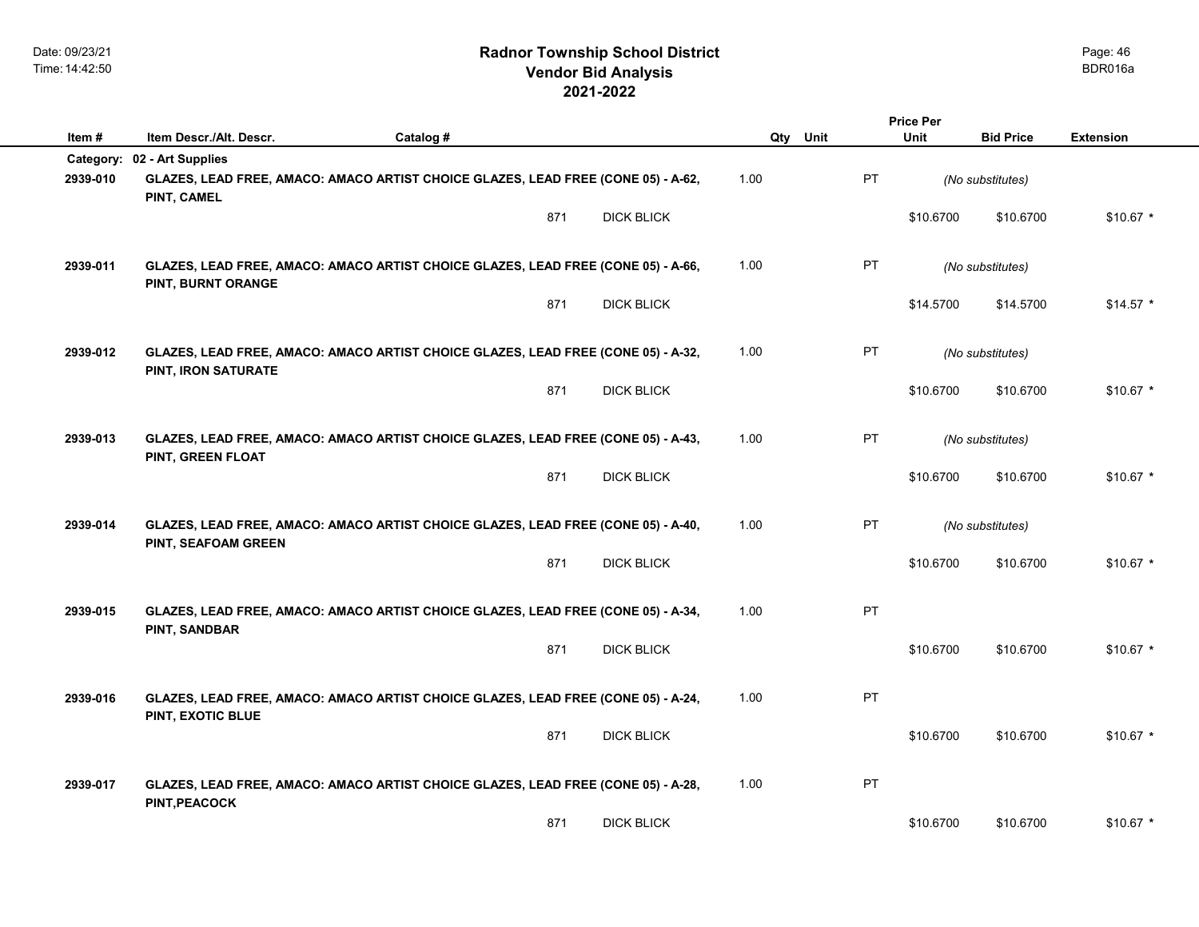|          |                             |                                                                                   |                   |          |    | <b>Price Per</b> |                  |                  |
|----------|-----------------------------|-----------------------------------------------------------------------------------|-------------------|----------|----|------------------|------------------|------------------|
| Item#    | Item Descr./Alt. Descr.     | Catalog #                                                                         |                   | Qty Unit |    | <b>Unit</b>      | <b>Bid Price</b> | <b>Extension</b> |
|          | Category: 02 - Art Supplies |                                                                                   |                   |          |    |                  |                  |                  |
| 2939-010 | PINT, CAMEL                 | GLAZES, LEAD FREE, AMACO: AMACO ARTIST CHOICE GLAZES, LEAD FREE (CONE 05) - A-62, |                   | 1.00     | PT |                  | (No substitutes) |                  |
|          |                             | 871                                                                               | <b>DICK BLICK</b> |          |    | \$10.6700        | \$10.6700        | $$10.67$ *       |
| 2939-011 | PINT, BURNT ORANGE          | GLAZES, LEAD FREE, AMACO: AMACO ARTIST CHOICE GLAZES, LEAD FREE (CONE 05) - A-66, |                   | 1.00     | PT |                  | (No substitutes) |                  |
|          |                             | 871                                                                               | <b>DICK BLICK</b> |          |    | \$14.5700        | \$14.5700        | $$14.57$ *       |
| 2939-012 | PINT, IRON SATURATE         | GLAZES, LEAD FREE, AMACO: AMACO ARTIST CHOICE GLAZES, LEAD FREE (CONE 05) - A-32, |                   | 1.00     | PT |                  | (No substitutes) |                  |
|          |                             | 871                                                                               | <b>DICK BLICK</b> |          |    | \$10.6700        | \$10.6700        | $$10.67$ *       |
| 2939-013 | PINT, GREEN FLOAT           | GLAZES, LEAD FREE, AMACO: AMACO ARTIST CHOICE GLAZES, LEAD FREE (CONE 05) - A-43, |                   | 1.00     | PT |                  | (No substitutes) |                  |
|          |                             | 871                                                                               | <b>DICK BLICK</b> |          |    | \$10,6700        | \$10,6700        | $$10.67$ *       |
| 2939-014 | PINT, SEAFOAM GREEN         | GLAZES, LEAD FREE, AMACO: AMACO ARTIST CHOICE GLAZES, LEAD FREE (CONE 05) - A-40, |                   | 1.00     | PT |                  | (No substitutes) |                  |
|          |                             | 871                                                                               | <b>DICK BLICK</b> |          |    | \$10.6700        | \$10.6700        | $$10.67$ *       |
| 2939-015 | PINT, SANDBAR               | GLAZES, LEAD FREE, AMACO: AMACO ARTIST CHOICE GLAZES, LEAD FREE (CONE 05) - A-34, |                   | 1.00     | PT |                  |                  |                  |
|          |                             | 871                                                                               | <b>DICK BLICK</b> |          |    | \$10.6700        | \$10.6700        | $$10.67$ *       |
| 2939-016 | PINT, EXOTIC BLUE           | GLAZES, LEAD FREE, AMACO: AMACO ARTIST CHOICE GLAZES, LEAD FREE (CONE 05) - A-24, |                   | 1.00     | PT |                  |                  |                  |
|          |                             | 871                                                                               | <b>DICK BLICK</b> |          |    | \$10.6700        | \$10.6700        | $$10.67$ *       |
| 2939-017 | PINT, PEACOCK               | GLAZES, LEAD FREE, AMACO: AMACO ARTIST CHOICE GLAZES, LEAD FREE (CONE 05) - A-28, |                   | 1.00     | PT |                  |                  |                  |
|          |                             | 871                                                                               | <b>DICK BLICK</b> |          |    | \$10.6700        | \$10.6700        | $$10.67$ *       |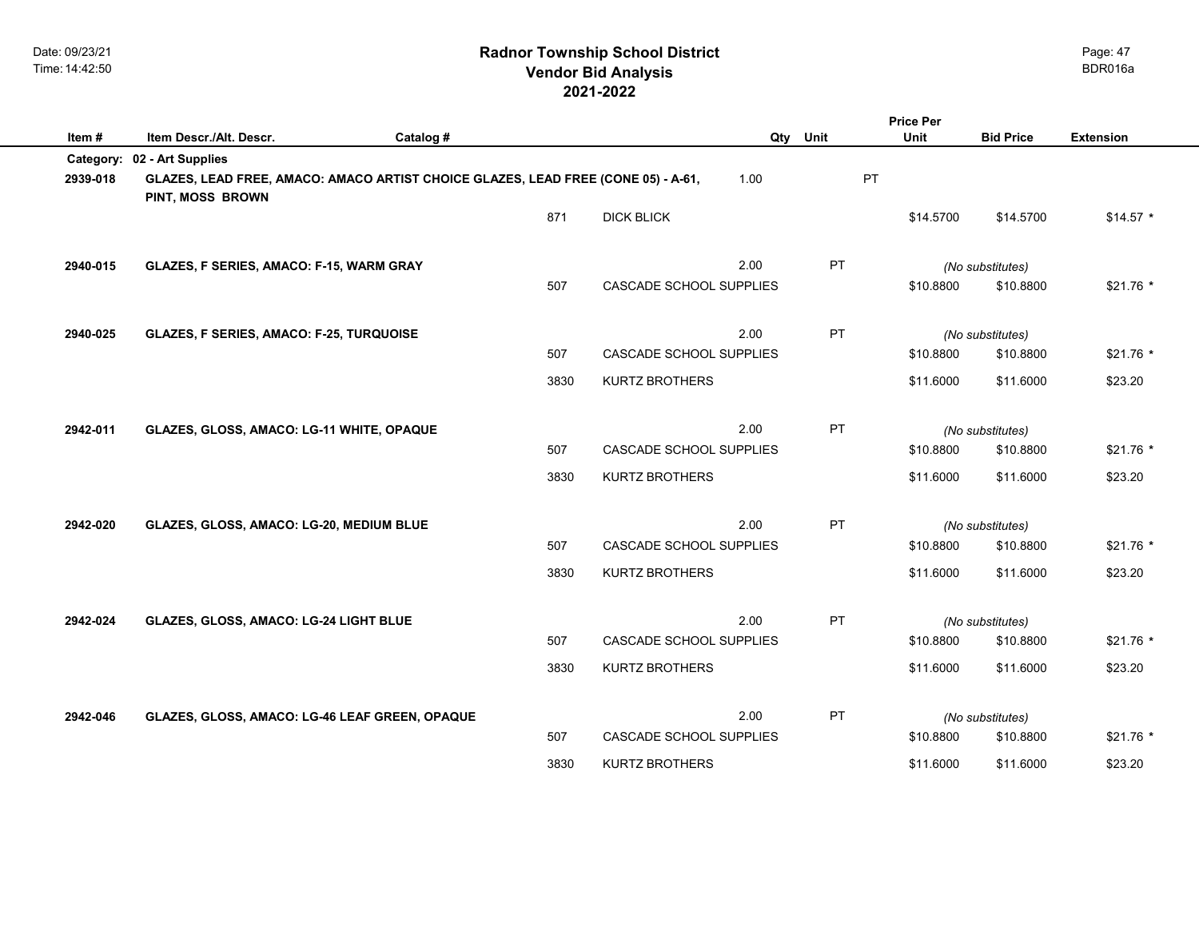## **2021-2022 Radnor Township School District Vendor Bid Analysis** BDR016a

|           |                                                                                                       |           |      |                                |          |           | <b>Price Per</b> |                  |                  |
|-----------|-------------------------------------------------------------------------------------------------------|-----------|------|--------------------------------|----------|-----------|------------------|------------------|------------------|
| Item#     | Item Descr./Alt. Descr.                                                                               | Catalog # |      |                                | Qty Unit |           | Unit             | <b>Bid Price</b> | <b>Extension</b> |
| Category: | 02 - Art Supplies                                                                                     |           |      |                                |          |           |                  |                  |                  |
| 2939-018  | GLAZES, LEAD FREE, AMACO: AMACO ARTIST CHOICE GLAZES, LEAD FREE (CONE 05) - A-61,<br>PINT, MOSS BROWN |           |      |                                | 1.00     | PT        |                  |                  |                  |
|           |                                                                                                       |           | 871  | <b>DICK BLICK</b>              |          |           | \$14.5700        | \$14.5700        | $$14.57$ *       |
| 2940-015  | <b>GLAZES, F SERIES, AMACO: F-15, WARM GRAY</b>                                                       |           |      |                                | 2.00     | <b>PT</b> |                  | (No substitutes) |                  |
|           |                                                                                                       |           | 507  | CASCADE SCHOOL SUPPLIES        |          |           | \$10.8800        | \$10.8800        | $$21.76$ *       |
| 2940-025  | GLAZES, F SERIES, AMACO: F-25, TURQUOISE                                                              |           |      |                                | 2.00     | PT        |                  | (No substitutes) |                  |
|           |                                                                                                       |           | 507  | <b>CASCADE SCHOOL SUPPLIES</b> |          |           | \$10.8800        | \$10.8800        | $$21.76$ *       |
|           |                                                                                                       |           | 3830 | <b>KURTZ BROTHERS</b>          |          |           | \$11.6000        | \$11.6000        | \$23.20          |
| 2942-011  | GLAZES, GLOSS, AMACO: LG-11 WHITE, OPAQUE                                                             |           |      |                                | 2.00     | <b>PT</b> |                  | (No substitutes) |                  |
|           |                                                                                                       |           | 507  | <b>CASCADE SCHOOL SUPPLIES</b> |          |           | \$10.8800        | \$10.8800        | $$21.76*$        |
|           |                                                                                                       |           | 3830 | <b>KURTZ BROTHERS</b>          |          |           | \$11.6000        | \$11.6000        | \$23.20          |
| 2942-020  | GLAZES, GLOSS, AMACO: LG-20, MEDIUM BLUE                                                              |           |      |                                | 2.00     | <b>PT</b> |                  | (No substitutes) |                  |
|           |                                                                                                       |           | 507  | <b>CASCADE SCHOOL SUPPLIES</b> |          |           | \$10.8800        | \$10.8800        | $$21.76$ *       |
|           |                                                                                                       |           | 3830 | <b>KURTZ BROTHERS</b>          |          |           | \$11.6000        | \$11.6000        | \$23.20          |
| 2942-024  | GLAZES, GLOSS, AMACO: LG-24 LIGHT BLUE                                                                |           |      |                                | 2.00     | <b>PT</b> |                  | (No substitutes) |                  |
|           |                                                                                                       |           | 507  | CASCADE SCHOOL SUPPLIES        |          |           | \$10.8800        | \$10.8800        | $$21.76*$        |
|           |                                                                                                       |           | 3830 | <b>KURTZ BROTHERS</b>          |          |           | \$11.6000        | \$11.6000        | \$23.20          |
| 2942-046  | GLAZES, GLOSS, AMACO: LG-46 LEAF GREEN, OPAQUE                                                        |           |      |                                | 2.00     | <b>PT</b> |                  | (No substitutes) |                  |
|           |                                                                                                       |           | 507  | <b>CASCADE SCHOOL SUPPLIES</b> |          |           | \$10.8800        | \$10.8800        | $$21.76$ *       |
|           |                                                                                                       |           | 3830 | <b>KURTZ BROTHERS</b>          |          |           | \$11.6000        | \$11.6000        | \$23.20          |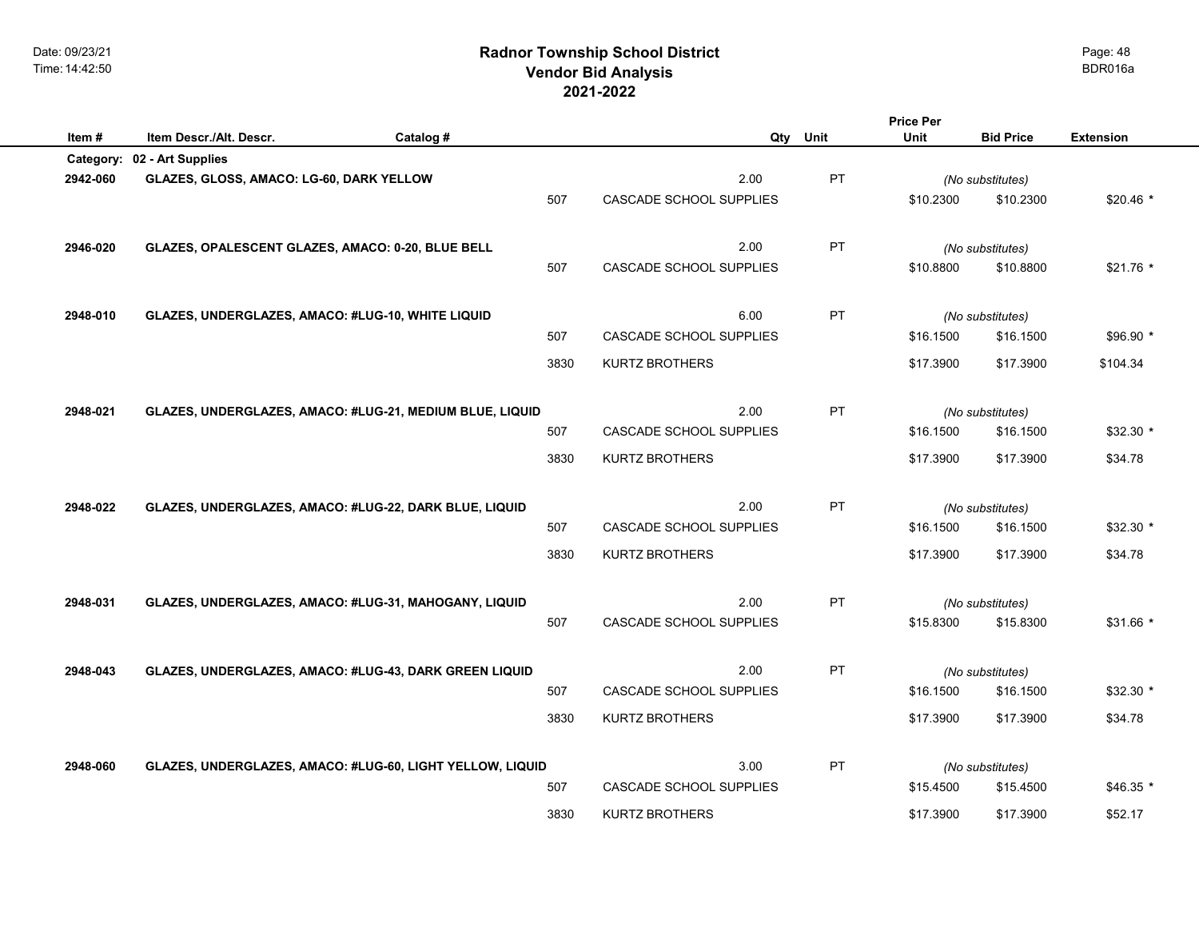**Item #** Item Descr./Alt. Descr. <br> **Catalog # Catalog # Catalog # Qty** Unit Unit Bid Price Extension

|          | Category: 02 - Art Supplies                               |      |                                 |    |           |                               |            |
|----------|-----------------------------------------------------------|------|---------------------------------|----|-----------|-------------------------------|------------|
| 2942-060 | GLAZES, GLOSS, AMACO: LG-60, DARK YELLOW                  | 507  | 2.00<br>CASCADE SCHOOL SUPPLIES | PT | \$10.2300 | (No substitutes)<br>\$10.2300 | $$20.46*$  |
| 2946-020 | GLAZES, OPALESCENT GLAZES, AMACO: 0-20, BLUE BELL         | 507  | 2.00<br>CASCADE SCHOOL SUPPLIES | PT | \$10.8800 | (No substitutes)<br>\$10.8800 | \$21.76 *  |
| 2948-010 | GLAZES, UNDERGLAZES, AMACO: #LUG-10, WHITE LIQUID         |      | 6.00                            | PT |           | (No substitutes)              |            |
|          |                                                           | 507  | <b>CASCADE SCHOOL SUPPLIES</b>  |    | \$16,1500 | \$16.1500                     | $$96.90*$  |
|          |                                                           | 3830 | <b>KURTZ BROTHERS</b>           |    | \$17.3900 | \$17.3900                     | \$104.34   |
| 2948-021 | GLAZES, UNDERGLAZES, AMACO: #LUG-21, MEDIUM BLUE, LIQUID  |      | 2.00                            | PT |           | (No substitutes)              |            |
|          |                                                           | 507  | CASCADE SCHOOL SUPPLIES         |    | \$16.1500 | \$16.1500                     | $$32.30*$  |
|          |                                                           | 3830 | <b>KURTZ BROTHERS</b>           |    | \$17.3900 | \$17.3900                     | \$34.78    |
| 2948-022 | GLAZES, UNDERGLAZES, AMACO: #LUG-22, DARK BLUE, LIQUID    |      | 2.00                            | PT |           | (No substitutes)              |            |
|          |                                                           | 507  | CASCADE SCHOOL SUPPLIES         |    | \$16.1500 | \$16.1500                     | $$32.30$ * |
|          |                                                           | 3830 | <b>KURTZ BROTHERS</b>           |    | \$17.3900 | \$17.3900                     | \$34.78    |
| 2948-031 | GLAZES, UNDERGLAZES, AMACO: #LUG-31, MAHOGANY, LIQUID     |      | 2.00                            | PT |           | (No substitutes)              |            |
|          |                                                           | 507  | CASCADE SCHOOL SUPPLIES         |    | \$15.8300 | \$15.8300                     | \$31.66 *  |
| 2948-043 | GLAZES, UNDERGLAZES, AMACO: #LUG-43, DARK GREEN LIQUID    |      | 2.00                            | PT |           | (No substitutes)              |            |
|          |                                                           | 507  | CASCADE SCHOOL SUPPLIES         |    | \$16.1500 | \$16.1500                     | $$32.30$ * |
|          |                                                           | 3830 | <b>KURTZ BROTHERS</b>           |    | \$17.3900 | \$17.3900                     | \$34.78    |
| 2948-060 | GLAZES, UNDERGLAZES, AMACO: #LUG-60, LIGHT YELLOW, LIQUID |      | 3.00                            | PT |           | (No substitutes)              |            |
|          |                                                           | 507  | CASCADE SCHOOL SUPPLIES         |    | \$15.4500 | \$15.4500                     | $$46.35$ * |
|          |                                                           | 3830 | <b>KURTZ BROTHERS</b>           |    | \$17.3900 | \$17.3900                     | \$52.17    |

Page: 48

**Price Per Unit**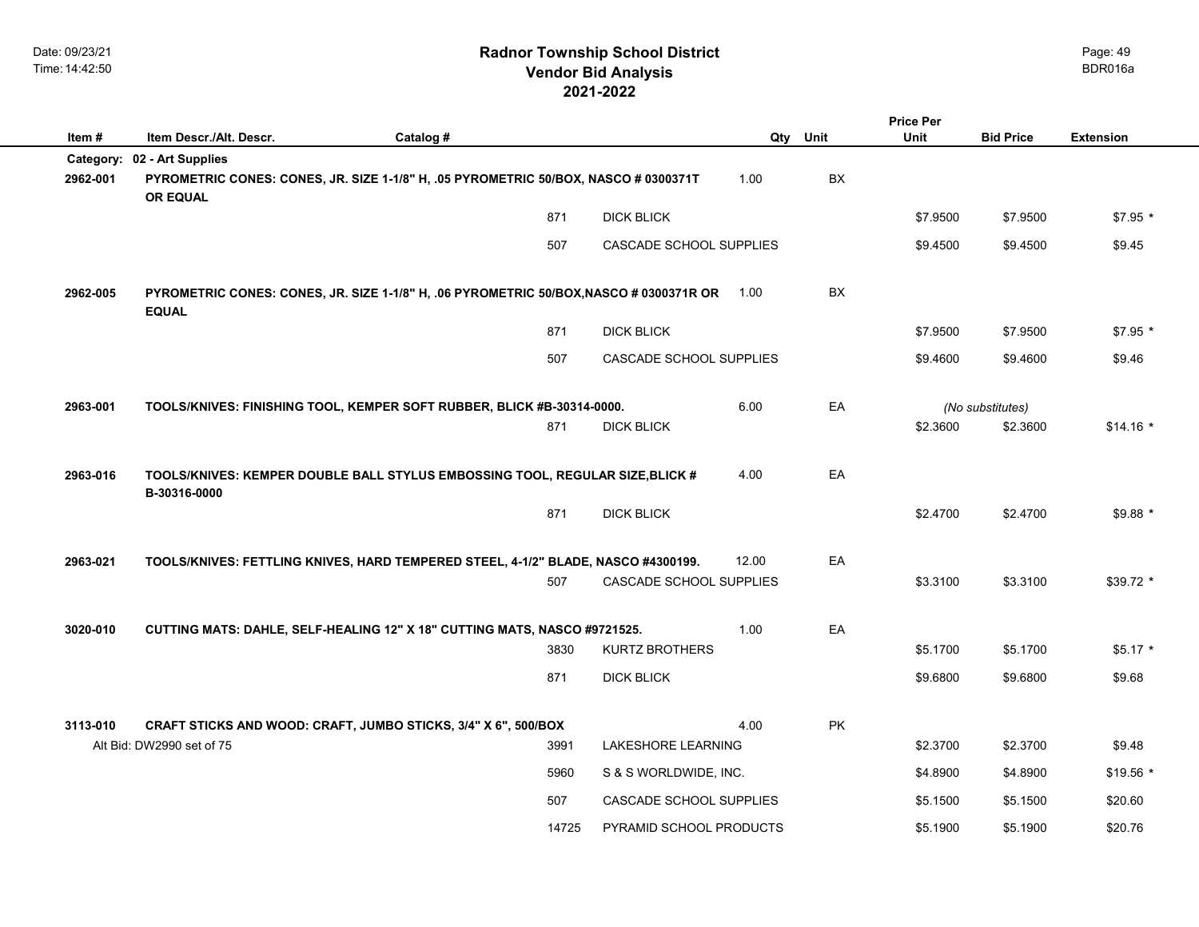|          |                                                                                                                                       |           |       |                                |       |      | <b>Price Per</b> |                  |                  |
|----------|---------------------------------------------------------------------------------------------------------------------------------------|-----------|-------|--------------------------------|-------|------|------------------|------------------|------------------|
| Item#    | Item Descr./Alt. Descr.                                                                                                               | Catalog # |       |                                | Qty   | Unit | Unit             | <b>Bid Price</b> | <b>Extension</b> |
| 2962-001 | Category: 02 - Art Supplies<br>PYROMETRIC CONES: CONES, JR. SIZE 1-1/8" H, .05 PYROMETRIC 50/BOX, NASCO # 0300371T<br><b>OR EQUAL</b> |           |       |                                | 1.00  | BX   |                  |                  |                  |
|          |                                                                                                                                       |           | 871   | <b>DICK BLICK</b>              |       |      | \$7.9500         | \$7.9500         | $$7.95*$         |
|          |                                                                                                                                       |           | 507   | CASCADE SCHOOL SUPPLIES        |       |      | \$9.4500         | \$9.4500         | \$9.45           |
| 2962-005 | PYROMETRIC CONES: CONES, JR. SIZE 1-1/8" H, .06 PYROMETRIC 50/BOX, NASCO # 0300371R OR 1.00<br><b>EQUAL</b>                           |           |       |                                |       | BX   |                  |                  |                  |
|          |                                                                                                                                       |           | 871   | <b>DICK BLICK</b>              |       |      | \$7.9500         | \$7.9500         | $$7.95$ *        |
|          |                                                                                                                                       |           | 507   | CASCADE SCHOOL SUPPLIES        |       |      | \$9.4600         | \$9.4600         | \$9.46           |
| 2963-001 | TOOLS/KNIVES: FINISHING TOOL, KEMPER SOFT RUBBER, BLICK #B-30314-0000.                                                                |           |       |                                | 6.00  | EA   |                  | (No substitutes) |                  |
|          |                                                                                                                                       |           | 871   | <b>DICK BLICK</b>              |       |      | \$2.3600         | \$2.3600         | $$14.16*$        |
| 2963-016 | TOOLS/KNIVES: KEMPER DOUBLE BALL STYLUS EMBOSSING TOOL, REGULAR SIZE, BLICK #<br>B-30316-0000                                         |           |       |                                | 4.00  | EA   |                  |                  |                  |
|          |                                                                                                                                       |           | 871   | <b>DICK BLICK</b>              |       |      | \$2.4700         | \$2.4700         | $$9.88*$         |
| 2963-021 | TOOLS/KNIVES: FETTLING KNIVES, HARD TEMPERED STEEL, 4-1/2" BLADE, NASCO #4300199.                                                     |           |       |                                | 12.00 | EA   |                  |                  |                  |
|          |                                                                                                                                       |           | 507   | <b>CASCADE SCHOOL SUPPLIES</b> |       |      | \$3.3100         | \$3.3100         | \$39.72 *        |
| 3020-010 | CUTTING MATS: DAHLE, SELF-HEALING 12" X 18" CUTTING MATS, NASCO #9721525.                                                             |           |       |                                | 1.00  | EA   |                  |                  |                  |
|          |                                                                                                                                       |           | 3830  | <b>KURTZ BROTHERS</b>          |       |      | \$5.1700         | \$5.1700         | $$5.17$ *        |
|          |                                                                                                                                       |           | 871   | <b>DICK BLICK</b>              |       |      | \$9.6800         | \$9.6800         | \$9.68           |
| 3113-010 | CRAFT STICKS AND WOOD: CRAFT, JUMBO STICKS, 3/4" X 6", 500/BOX                                                                        |           |       |                                | 4.00  | PK   |                  |                  |                  |
|          | Alt Bid: DW2990 set of 75                                                                                                             |           | 3991  | <b>LAKESHORE LEARNING</b>      |       |      | \$2.3700         | \$2.3700         | \$9.48           |
|          |                                                                                                                                       |           | 5960  | S & S WORLDWIDE, INC.          |       |      | \$4.8900         | \$4.8900         | $$19.56$ *       |
|          |                                                                                                                                       |           | 507   | CASCADE SCHOOL SUPPLIES        |       |      | \$5.1500         | \$5.1500         | \$20.60          |
|          |                                                                                                                                       |           | 14725 | PYRAMID SCHOOL PRODUCTS        |       |      | \$5.1900         | \$5.1900         | \$20.76          |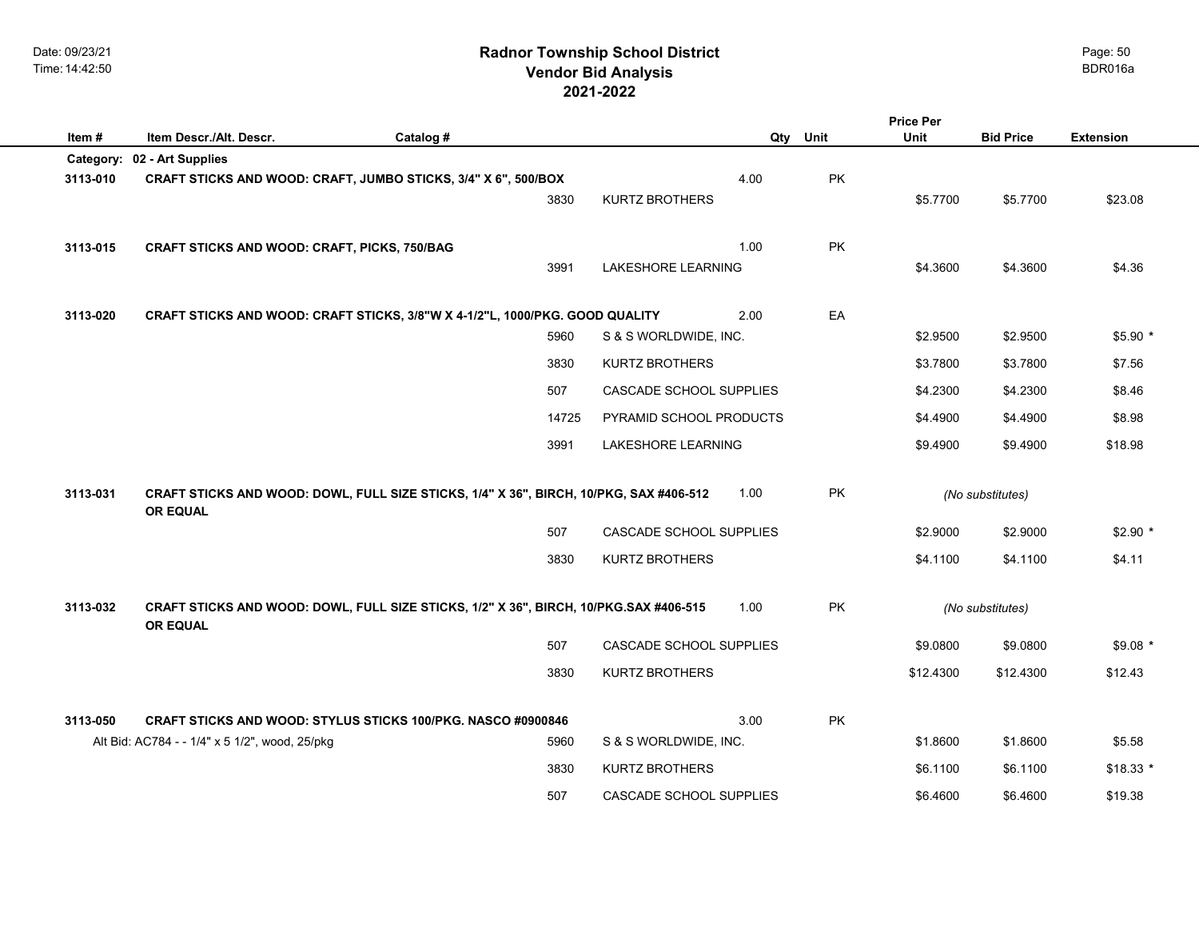| Item#    | Item Descr./Alt. Descr.                             | Catalog #                                                                              |       |                                | Qty  | Unit      | Unit      | <b>Bid Price</b> | <b>Extension</b> |
|----------|-----------------------------------------------------|----------------------------------------------------------------------------------------|-------|--------------------------------|------|-----------|-----------|------------------|------------------|
|          | Category: 02 - Art Supplies                         |                                                                                        |       |                                |      |           |           |                  |                  |
| 3113-010 |                                                     | CRAFT STICKS AND WOOD: CRAFT, JUMBO STICKS, 3/4" X 6", 500/BOX                         |       |                                | 4.00 | PK        |           |                  |                  |
|          |                                                     |                                                                                        | 3830  | <b>KURTZ BROTHERS</b>          |      |           | \$5.7700  | \$5.7700         | \$23.08          |
|          |                                                     |                                                                                        |       |                                |      |           |           |                  |                  |
| 3113-015 | <b>CRAFT STICKS AND WOOD: CRAFT, PICKS, 750/BAG</b> |                                                                                        |       |                                | 1.00 | <b>PK</b> |           |                  |                  |
|          |                                                     |                                                                                        | 3991  | <b>LAKESHORE LEARNING</b>      |      |           | \$4.3600  | \$4.3600         | \$4.36           |
| 3113-020 |                                                     | CRAFT STICKS AND WOOD: CRAFT STICKS, 3/8"W X 4-1/2"L, 1000/PKG. GOOD QUALITY           |       |                                | 2.00 | EA        |           |                  |                  |
|          |                                                     |                                                                                        | 5960  | S & S WORLDWIDE, INC.          |      |           | \$2.9500  | \$2.9500         | $$5.90*$         |
|          |                                                     |                                                                                        | 3830  | <b>KURTZ BROTHERS</b>          |      |           | \$3.7800  | \$3.7800         | \$7.56           |
|          |                                                     |                                                                                        | 507   | CASCADE SCHOOL SUPPLIES        |      |           | \$4.2300  | \$4.2300         | \$8.46           |
|          |                                                     |                                                                                        | 14725 | PYRAMID SCHOOL PRODUCTS        |      |           | \$4.4900  | \$4.4900         | \$8.98           |
|          |                                                     |                                                                                        | 3991  | <b>LAKESHORE LEARNING</b>      |      |           | \$9.4900  | \$9.4900         | \$18.98          |
|          |                                                     |                                                                                        |       |                                |      |           |           |                  |                  |
| 3113-031 | <b>OR EQUAL</b>                                     | CRAFT STICKS AND WOOD: DOWL, FULL SIZE STICKS, 1/4" X 36", BIRCH, 10/PKG, SAX #406-512 |       |                                | 1.00 | PK        |           | (No substitutes) |                  |
|          |                                                     |                                                                                        | 507   | CASCADE SCHOOL SUPPLIES        |      |           | \$2.9000  | \$2.9000         | $$2.90$ *        |
|          |                                                     |                                                                                        | 3830  | <b>KURTZ BROTHERS</b>          |      |           | \$4.1100  | \$4.1100         | \$4.11           |
|          |                                                     |                                                                                        |       |                                |      |           |           |                  |                  |
| 3113-032 | <b>OR EQUAL</b>                                     | CRAFT STICKS AND WOOD: DOWL, FULL SIZE STICKS, 1/2" X 36", BIRCH, 10/PKG.SAX #406-515  |       |                                | 1.00 | PK        |           | (No substitutes) |                  |
|          |                                                     |                                                                                        | 507   | <b>CASCADE SCHOOL SUPPLIES</b> |      |           | \$9.0800  | \$9.0800         | $$9.08*$         |
|          |                                                     |                                                                                        | 3830  | <b>KURTZ BROTHERS</b>          |      |           | \$12.4300 | \$12.4300        | \$12.43          |
| 3113-050 |                                                     | <b>CRAFT STICKS AND WOOD: STYLUS STICKS 100/PKG, NASCO #0900846</b>                    |       |                                | 3.00 | <b>PK</b> |           |                  |                  |
|          | Alt Bid: AC784 - - 1/4" x 5 1/2", wood, 25/pkg      |                                                                                        | 5960  | S & S WORLDWIDE, INC.          |      |           | \$1.8600  | \$1.8600         | \$5.58           |

Page: 50

**Price Per**

3830 KURTZ BROTHERS **\$6.1100** \$6.1100 \$6.1100 \$18.33 \* 507 CASCADE SCHOOL SUPPLIES \$6.4600 \$6.4600 \$19.38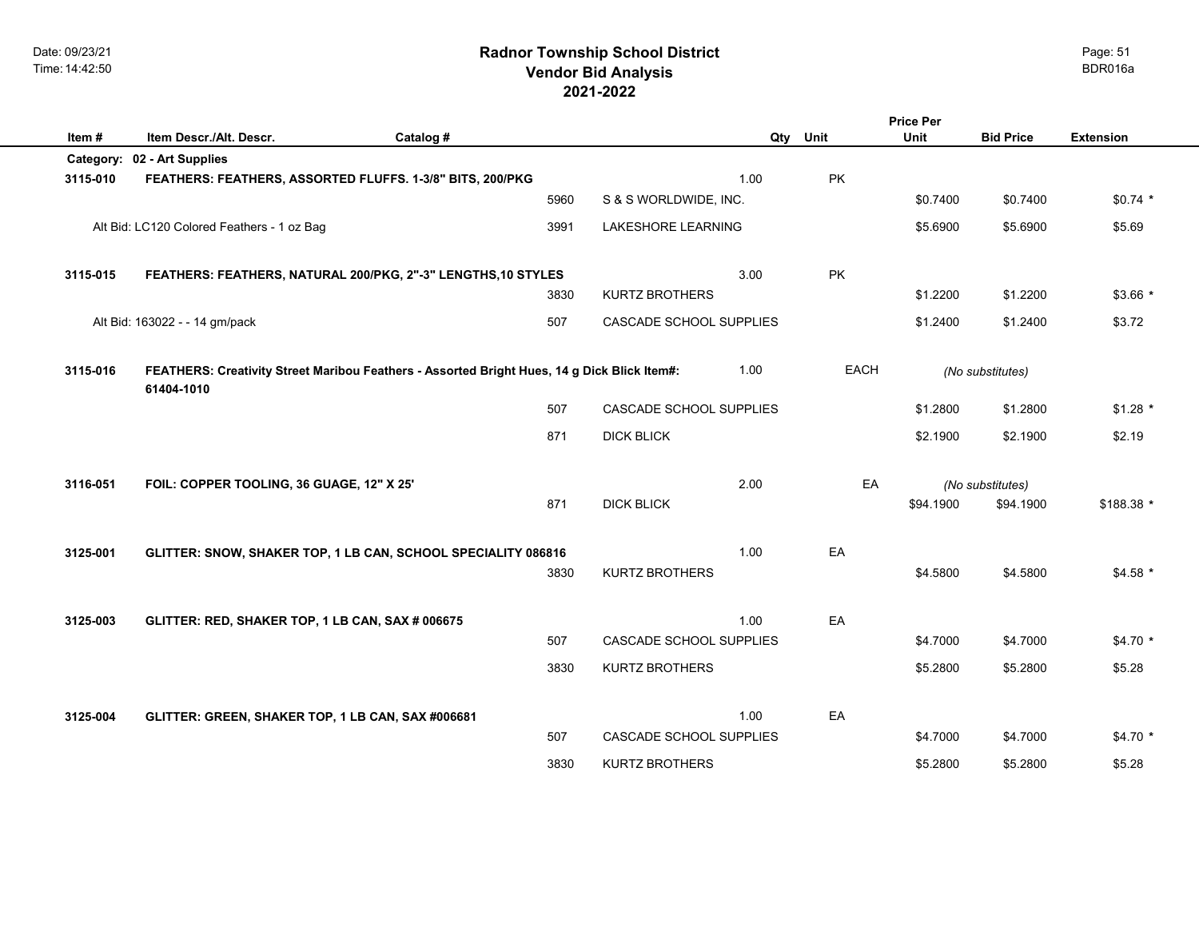|          |                                                                                                           |           |                                |      |             | <b>Price Per</b> |                  |                  |
|----------|-----------------------------------------------------------------------------------------------------------|-----------|--------------------------------|------|-------------|------------------|------------------|------------------|
| Item#    | Item Descr./Alt. Descr.                                                                                   | Catalog # |                                | Qty  | Unit        | <b>Unit</b>      | <b>Bid Price</b> | <b>Extension</b> |
|          | Category: 02 - Art Supplies                                                                               |           |                                |      |             |                  |                  |                  |
| 3115-010 | FEATHERS: FEATHERS, ASSORTED FLUFFS. 1-3/8" BITS, 200/PKG                                                 |           |                                | 1.00 | PK          |                  |                  |                  |
|          |                                                                                                           | 5960      | S & S WORLDWIDE, INC.          |      |             | \$0.7400         | \$0.7400         | $$0.74*$         |
|          | Alt Bid: LC120 Colored Feathers - 1 oz Bag                                                                | 3991      | <b>LAKESHORE LEARNING</b>      |      |             | \$5.6900         | \$5.6900         | \$5.69           |
| 3115-015 | FEATHERS: FEATHERS, NATURAL 200/PKG, 2"-3" LENGTHS, 10 STYLES                                             |           |                                | 3.00 | PK          |                  |                  |                  |
|          |                                                                                                           | 3830      | <b>KURTZ BROTHERS</b>          |      |             | \$1.2200         | \$1.2200         | $$3.66*$         |
|          | Alt Bid: 163022 - - 14 gm/pack                                                                            | 507       | CASCADE SCHOOL SUPPLIES        |      |             | \$1.2400         | \$1.2400         | \$3.72           |
| 3115-016 | FEATHERS: Creativity Street Maribou Feathers - Assorted Bright Hues, 14 g Dick Blick Item#:<br>61404-1010 |           |                                | 1.00 | <b>EACH</b> |                  | (No substitutes) |                  |
|          |                                                                                                           | 507       | CASCADE SCHOOL SUPPLIES        |      |             | \$1.2800         | \$1.2800         | $$1.28$ *        |
|          |                                                                                                           | 871       | <b>DICK BLICK</b>              |      |             | \$2.1900         | \$2.1900         | \$2.19           |
| 3116-051 | FOIL: COPPER TOOLING, 36 GUAGE, 12" X 25'                                                                 |           |                                | 2.00 | EA          |                  | (No substitutes) |                  |
|          |                                                                                                           | 871       | <b>DICK BLICK</b>              |      |             | \$94.1900        | \$94.1900        | \$188.38 *       |
| 3125-001 | GLITTER: SNOW, SHAKER TOP, 1 LB CAN, SCHOOL SPECIALITY 086816                                             |           |                                | 1.00 | EA          |                  |                  |                  |
|          |                                                                                                           | 3830      | <b>KURTZ BROTHERS</b>          |      |             | \$4.5800         | \$4.5800         | $$4.58$ *        |
|          |                                                                                                           |           |                                |      |             |                  |                  |                  |
| 3125-003 | GLITTER: RED, SHAKER TOP, 1 LB CAN, SAX # 006675                                                          |           |                                | 1.00 | EA          |                  |                  |                  |
|          |                                                                                                           | 507       | <b>CASCADE SCHOOL SUPPLIES</b> |      |             | \$4.7000         | \$4.7000         | $$4.70*$         |
|          |                                                                                                           | 3830      | <b>KURTZ BROTHERS</b>          |      |             | \$5.2800         | \$5.2800         | \$5.28           |
| 3125-004 | GLITTER: GREEN, SHAKER TOP, 1 LB CAN, SAX #006681                                                         |           |                                | 1.00 | EA          |                  |                  |                  |
|          |                                                                                                           | 507       | <b>CASCADE SCHOOL SUPPLIES</b> |      |             | \$4.7000         | \$4.7000         | $$4.70*$         |
|          |                                                                                                           | 3830      | <b>KURTZ BROTHERS</b>          |      |             | \$5.2800         | \$5.2800         | \$5.28           |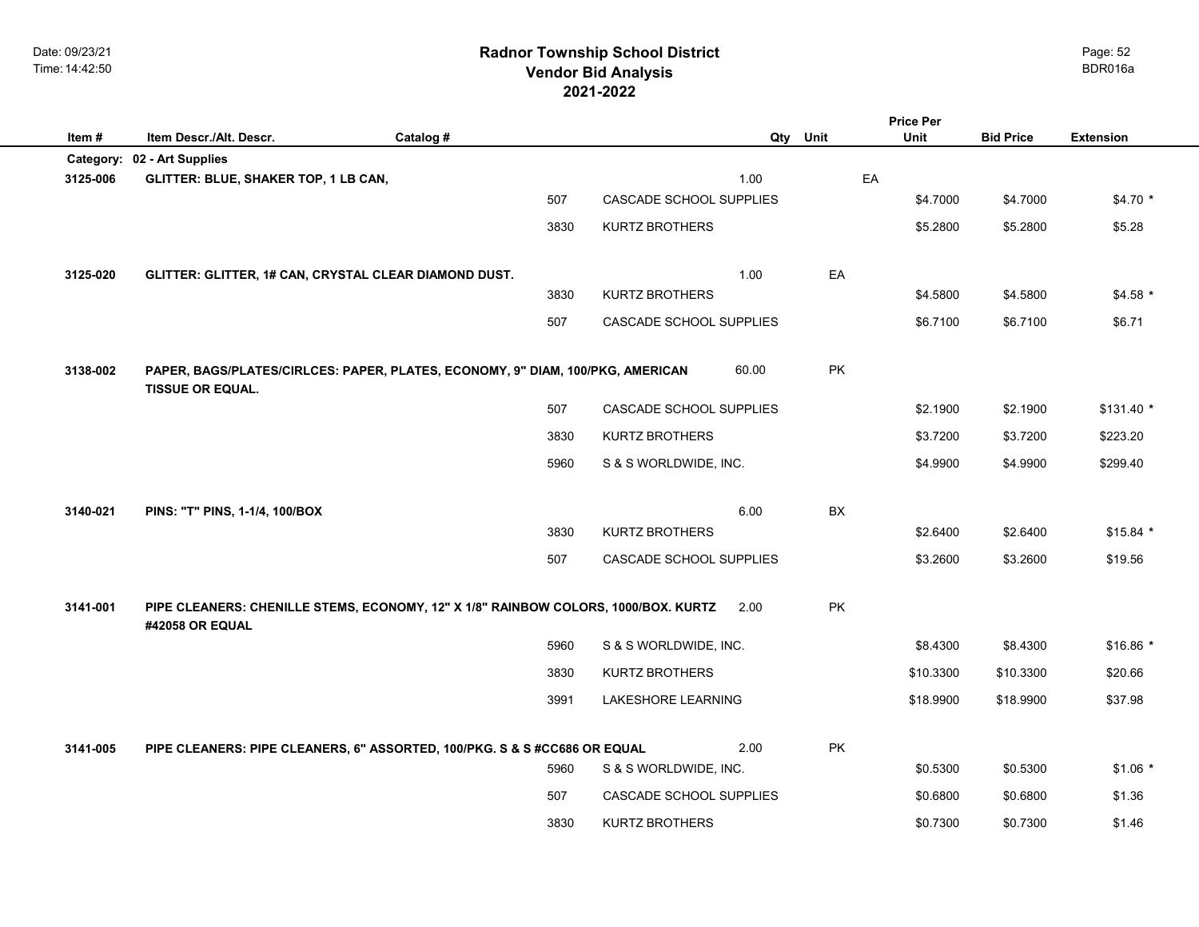## **2021-2022 Radnor Township School District Vendor Bid Analysis** BDR016a

|          |                                                                                                           |           |                                |       |          | <b>Price Per</b> |                  |                  |
|----------|-----------------------------------------------------------------------------------------------------------|-----------|--------------------------------|-------|----------|------------------|------------------|------------------|
| Item#    | Item Descr./Alt. Descr.                                                                                   | Catalog # |                                |       | Qty Unit | <b>Unit</b>      | <b>Bid Price</b> | <b>Extension</b> |
|          | Category: 02 - Art Supplies                                                                               |           |                                |       |          | EA               |                  |                  |
| 3125-006 | GLITTER: BLUE, SHAKER TOP, 1 LB CAN,                                                                      | 507       | <b>CASCADE SCHOOL SUPPLIES</b> | 1.00  |          | \$4.7000         | \$4.7000         | \$4.70 *         |
|          |                                                                                                           | 3830      | <b>KURTZ BROTHERS</b>          |       |          | \$5.2800         | \$5.2800         | \$5.28           |
|          |                                                                                                           |           |                                |       |          |                  |                  |                  |
| 3125-020 | GLITTER: GLITTER, 1# CAN, CRYSTAL CLEAR DIAMOND DUST.                                                     |           |                                | 1.00  | EA       |                  |                  |                  |
|          |                                                                                                           | 3830      | <b>KURTZ BROTHERS</b>          |       |          | \$4.5800         | \$4.5800         | $$4.58$ *        |
|          |                                                                                                           | 507       | CASCADE SCHOOL SUPPLIES        |       |          | \$6.7100         | \$6.7100         | \$6.71           |
|          |                                                                                                           |           |                                |       |          |                  |                  |                  |
| 3138-002 | PAPER, BAGS/PLATES/CIRLCES: PAPER, PLATES, ECONOMY, 9" DIAM, 100/PKG, AMERICAN<br><b>TISSUE OR EQUAL.</b> |           |                                | 60.00 | PK       |                  |                  |                  |
|          |                                                                                                           | 507       | CASCADE SCHOOL SUPPLIES        |       |          | \$2.1900         | \$2.1900         | $$131.40*$       |
|          |                                                                                                           | 3830      | <b>KURTZ BROTHERS</b>          |       |          | \$3.7200         | \$3.7200         | \$223.20         |
|          |                                                                                                           | 5960      | S & S WORLDWIDE, INC.          |       |          | \$4.9900         | \$4.9900         | \$299.40         |
|          |                                                                                                           |           |                                |       |          |                  |                  |                  |
| 3140-021 | PINS: "T" PINS, 1-1/4, 100/BOX                                                                            |           |                                | 6.00  | BX       |                  |                  |                  |
|          |                                                                                                           | 3830      | <b>KURTZ BROTHERS</b>          |       |          | \$2.6400         | \$2.6400         | $$15.84$ *       |
|          |                                                                                                           | 507       | CASCADE SCHOOL SUPPLIES        |       |          | \$3.2600         | \$3.2600         | \$19.56          |
| 3141-001 | PIPE CLEANERS: CHENILLE STEMS, ECONOMY, 12" X 1/8" RAINBOW COLORS, 1000/BOX. KURTZ<br>#42058 OR EQUAL     |           |                                | 2.00  | PK       |                  |                  |                  |
|          |                                                                                                           | 5960      | S & S WORLDWIDE, INC.          |       |          | \$8.4300         | \$8.4300         | $$16.86*$        |
|          |                                                                                                           | 3830      | <b>KURTZ BROTHERS</b>          |       |          | \$10.3300        | \$10.3300        | \$20.66          |
|          |                                                                                                           | 3991      | LAKESHORE LEARNING             |       |          | \$18.9900        | \$18,9900        | \$37.98          |
|          |                                                                                                           |           |                                |       |          |                  |                  |                  |
| 3141-005 | PIPE CLEANERS: PIPE CLEANERS, 6" ASSORTED, 100/PKG. S & S #CC686 OR EQUAL                                 |           |                                | 2.00  | PK       |                  |                  |                  |
|          |                                                                                                           | 5960      | S & S WORLDWIDE, INC.          |       |          | \$0.5300         | \$0.5300         | $$1.06*$         |
|          |                                                                                                           | 507       | CASCADE SCHOOL SUPPLIES        |       |          | \$0.6800         | \$0.6800         | \$1.36           |
|          |                                                                                                           | 3830      | <b>KURTZ BROTHERS</b>          |       |          | \$0.7300         | \$0.7300         | \$1.46           |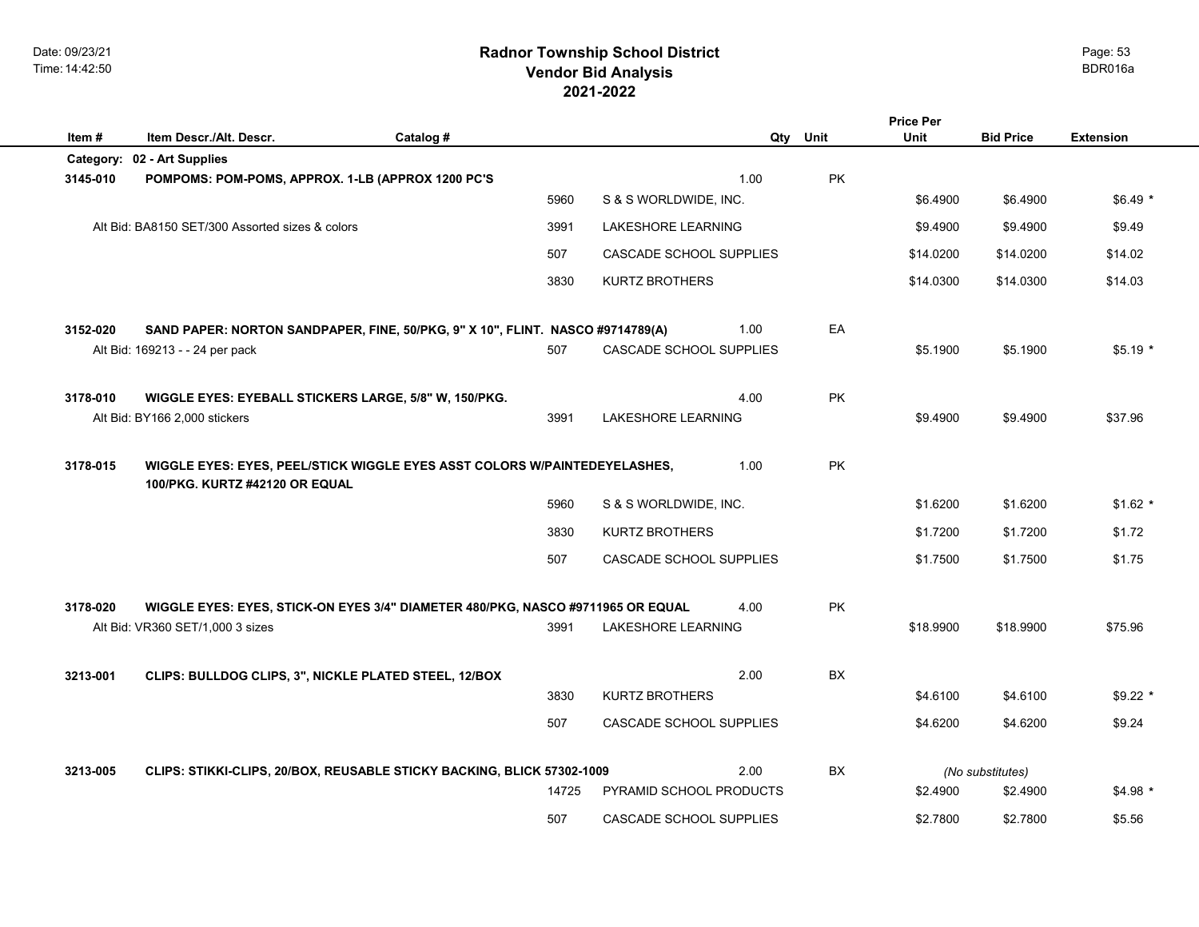|          |                                                                                                                     |           |                                   |     |           | <b>Price Per</b> |                  |                  |
|----------|---------------------------------------------------------------------------------------------------------------------|-----------|-----------------------------------|-----|-----------|------------------|------------------|------------------|
| Item#    | Item Descr./Alt. Descr.                                                                                             | Catalog # |                                   | Qty | Unit      | Unit             | <b>Bid Price</b> | <b>Extension</b> |
| 3145-010 | Category: 02 - Art Supplies                                                                                         |           | 1.00                              |     | <b>PK</b> |                  |                  |                  |
|          | POMPOMS: POM-POMS, APPROX. 1-LB (APPROX 1200 PC'S                                                                   | 5960      | S & S WORLDWIDE, INC.             |     |           | \$6.4900         | \$6.4900         | $$6.49*$         |
|          | Alt Bid: BA8150 SET/300 Assorted sizes & colors                                                                     | 3991      | <b>LAKESHORE LEARNING</b>         |     |           | \$9.4900         | \$9.4900         | \$9.49           |
|          |                                                                                                                     | 507       | CASCADE SCHOOL SUPPLIES           |     |           | \$14.0200        | \$14.0200        | \$14.02          |
|          |                                                                                                                     | 3830      | <b>KURTZ BROTHERS</b>             |     |           | \$14.0300        | \$14.0300        | \$14.03          |
| 3152-020 | SAND PAPER: NORTON SANDPAPER, FINE, 50/PKG, 9" X 10", FLINT. NASCO #9714789(A)<br>Alt Bid: 169213 - - 24 per pack   | 507       | 1.00<br>CASCADE SCHOOL SUPPLIES   |     | EA        | \$5.1900         | \$5.1900         | $$5.19*$         |
| 3178-010 | WIGGLE EYES: EYEBALL STICKERS LARGE, 5/8" W, 150/PKG.<br>Alt Bid: BY166 2,000 stickers                              | 3991      | 4.00<br><b>LAKESHORE LEARNING</b> |     | <b>PK</b> | \$9.4900         | \$9.4900         | \$37.96          |
| 3178-015 | WIGGLE EYES: EYES, PEEL/STICK WIGGLE EYES ASST COLORS W/PAINTEDEYELASHES,<br>100/PKG. KURTZ #42120 OR EQUAL         |           | 1.00                              |     | <b>PK</b> |                  |                  |                  |
|          |                                                                                                                     | 5960      | S & S WORLDWIDE, INC.             |     |           | \$1.6200         | \$1.6200         | $$1.62$ *        |
|          |                                                                                                                     | 3830      | <b>KURTZ BROTHERS</b>             |     |           | \$1.7200         | \$1.7200         | \$1.72           |
|          |                                                                                                                     | 507       | CASCADE SCHOOL SUPPLIES           |     |           | \$1.7500         | \$1.7500         | \$1.75           |
| 3178-020 | WIGGLE EYES: EYES, STICK-ON EYES 3/4" DIAMETER 480/PKG, NASCO #9711965 OR EQUAL<br>Alt Bid: VR360 SET/1,000 3 sizes | 3991      | 4.00<br><b>LAKESHORE LEARNING</b> |     | PK        | \$18,9900        | \$18,9900        | \$75.96          |
| 3213-001 | CLIPS: BULLDOG CLIPS, 3", NICKLE PLATED STEEL, 12/BOX                                                               |           | 2.00                              |     | <b>BX</b> |                  |                  |                  |
|          |                                                                                                                     | 3830      | <b>KURTZ BROTHERS</b>             |     |           | \$4.6100         | \$4.6100         | $$9.22$ *        |
|          |                                                                                                                     | 507       | CASCADE SCHOOL SUPPLIES           |     |           | \$4.6200         | \$4.6200         | \$9.24           |
| 3213-005 | CLIPS: STIKKI-CLIPS, 20/BOX, REUSABLE STICKY BACKING, BLICK 57302-1009                                              |           | 2.00                              |     | <b>BX</b> |                  | (No substitutes) |                  |
|          |                                                                                                                     | 14725     | PYRAMID SCHOOL PRODUCTS           |     |           | \$2.4900         | \$2.4900         | $$4.98*$         |
|          |                                                                                                                     | 507       | CASCADE SCHOOL SUPPLIES           |     |           | \$2.7800         | \$2.7800         | \$5.56           |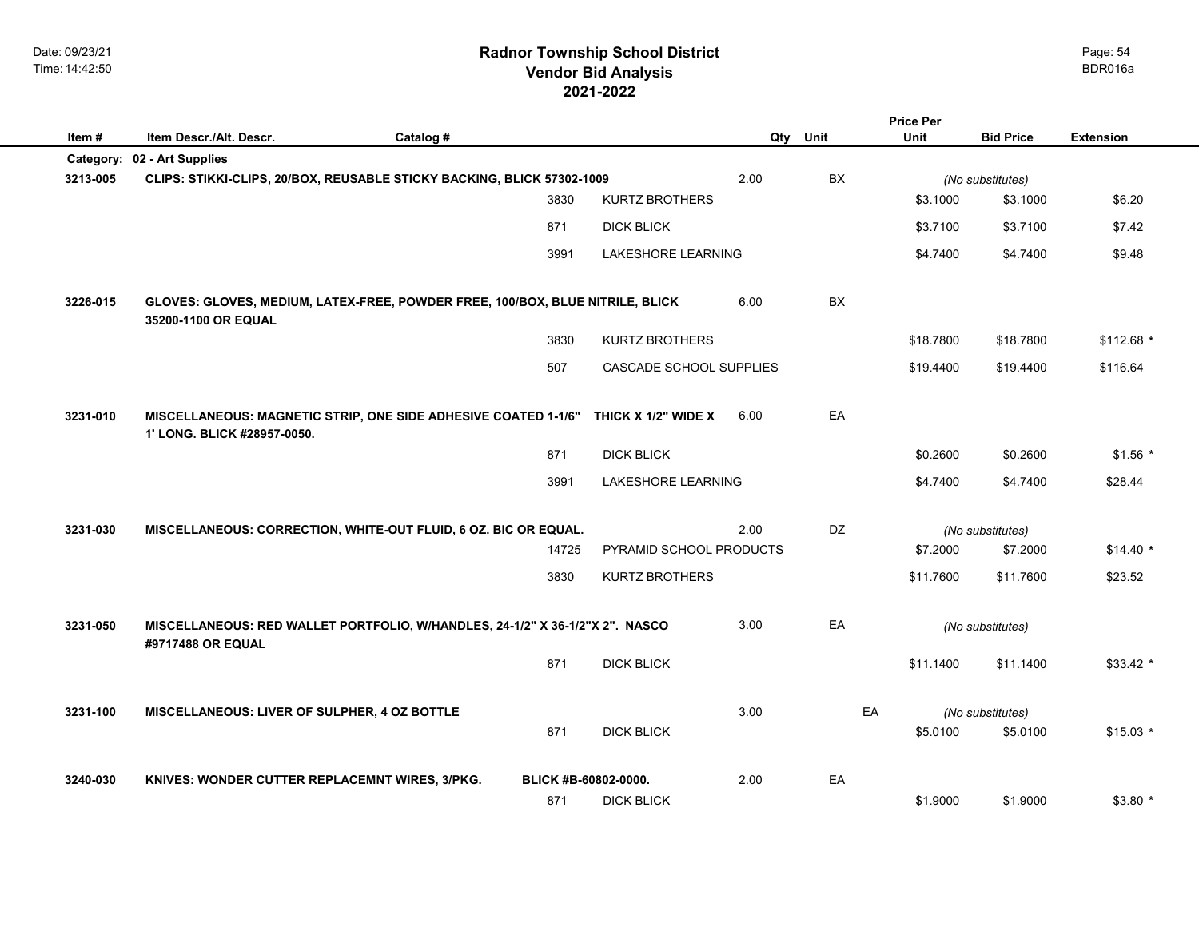## **2021-2022 Radnor Township School District Vendor Bid Analysis** BDR016a

|          |                                                                                                      |           |                      |                           |      |           | <b>Price Per</b> |                              |                  |  |
|----------|------------------------------------------------------------------------------------------------------|-----------|----------------------|---------------------------|------|-----------|------------------|------------------------------|------------------|--|
| Item#    | Item Descr./Alt. Descr.                                                                              | Catalog # |                      |                           | Qty  | Unit      | Unit             | <b>Bid Price</b>             | <b>Extension</b> |  |
|          | Category: 02 - Art Supplies                                                                          |           |                      |                           |      |           |                  |                              |                  |  |
| 3213-005 | CLIPS: STIKKI-CLIPS, 20/BOX, REUSABLE STICKY BACKING, BLICK 57302-1009                               |           |                      |                           | 2.00 | BX        |                  | (No substitutes)             |                  |  |
|          |                                                                                                      |           | 3830                 | <b>KURTZ BROTHERS</b>     |      |           | \$3.1000         | \$3.1000                     | \$6.20           |  |
|          |                                                                                                      |           | 871                  | <b>DICK BLICK</b>         |      |           | \$3.7100         | \$3.7100                     | \$7.42           |  |
|          |                                                                                                      |           | 3991                 | <b>LAKESHORE LEARNING</b> |      |           | \$4.7400         | \$4.7400                     | \$9.48           |  |
| 3226-015 | GLOVES: GLOVES, MEDIUM, LATEX-FREE, POWDER FREE, 100/BOX, BLUE NITRILE, BLICK<br>35200-1100 OR EQUAL |           |                      |                           | 6.00 | <b>BX</b> |                  |                              |                  |  |
|          |                                                                                                      |           | 3830                 | <b>KURTZ BROTHERS</b>     |      |           | \$18.7800        | \$18.7800                    | $$112.68$ *      |  |
|          |                                                                                                      |           | 507                  | CASCADE SCHOOL SUPPLIES   |      |           | \$19,4400        | \$19.4400                    | \$116.64         |  |
| 3231-010 | MISCELLANEOUS: MAGNETIC STRIP, ONE SIDE ADHESIVE COATED 1-1/6"<br>1' LONG. BLICK #28957-0050.        |           |                      | THICK X 1/2" WIDE X       | 6.00 | EA        |                  |                              |                  |  |
|          |                                                                                                      |           | 871                  | <b>DICK BLICK</b>         |      |           | \$0.2600         | \$0.2600                     | $$1.56*$         |  |
|          |                                                                                                      |           | 3991                 | LAKESHORE LEARNING        |      |           | \$4.7400         | \$4.7400                     | \$28.44          |  |
|          |                                                                                                      |           |                      |                           |      |           |                  |                              |                  |  |
| 3231-030 | MISCELLANEOUS: CORRECTION, WHITE-OUT FLUID, 6 OZ. BIC OR EQUAL.                                      |           | 14725                | PYRAMID SCHOOL PRODUCTS   | 2.00 | DZ        | \$7,2000         | (No substitutes)<br>\$7.2000 | $$14.40$ *       |  |
|          |                                                                                                      |           | 3830                 | <b>KURTZ BROTHERS</b>     |      |           | \$11.7600        | \$11.7600                    | \$23.52          |  |
|          |                                                                                                      |           |                      |                           |      |           |                  |                              |                  |  |
| 3231-050 | MISCELLANEOUS: RED WALLET PORTFOLIO, W/HANDLES, 24-1/2" X 36-1/2"X 2". NASCO<br>#9717488 OR EQUAL    |           |                      |                           | 3.00 | EA        |                  | (No substitutes)             |                  |  |
|          |                                                                                                      |           | 871                  | <b>DICK BLICK</b>         |      |           | \$11.1400        | \$11.1400                    | $$33.42*$        |  |
| 3231-100 | MISCELLANEOUS: LIVER OF SULPHER, 4 OZ BOTTLE                                                         |           |                      |                           | 3.00 | EA        |                  | (No substitutes)             |                  |  |
|          |                                                                                                      |           | 871                  | <b>DICK BLICK</b>         |      |           | \$5.0100         | \$5.0100                     | $$15.03*$        |  |
|          |                                                                                                      |           |                      |                           |      |           |                  |                              |                  |  |
| 3240-030 | KNIVES: WONDER CUTTER REPLACEMNT WIRES, 3/PKG.                                                       |           | BLICK #B-60802-0000. |                           | 2.00 | EA        |                  |                              |                  |  |
|          |                                                                                                      |           | 871                  | <b>DICK BLICK</b>         |      |           | \$1.9000         | \$1.9000                     | $$3.80*$         |  |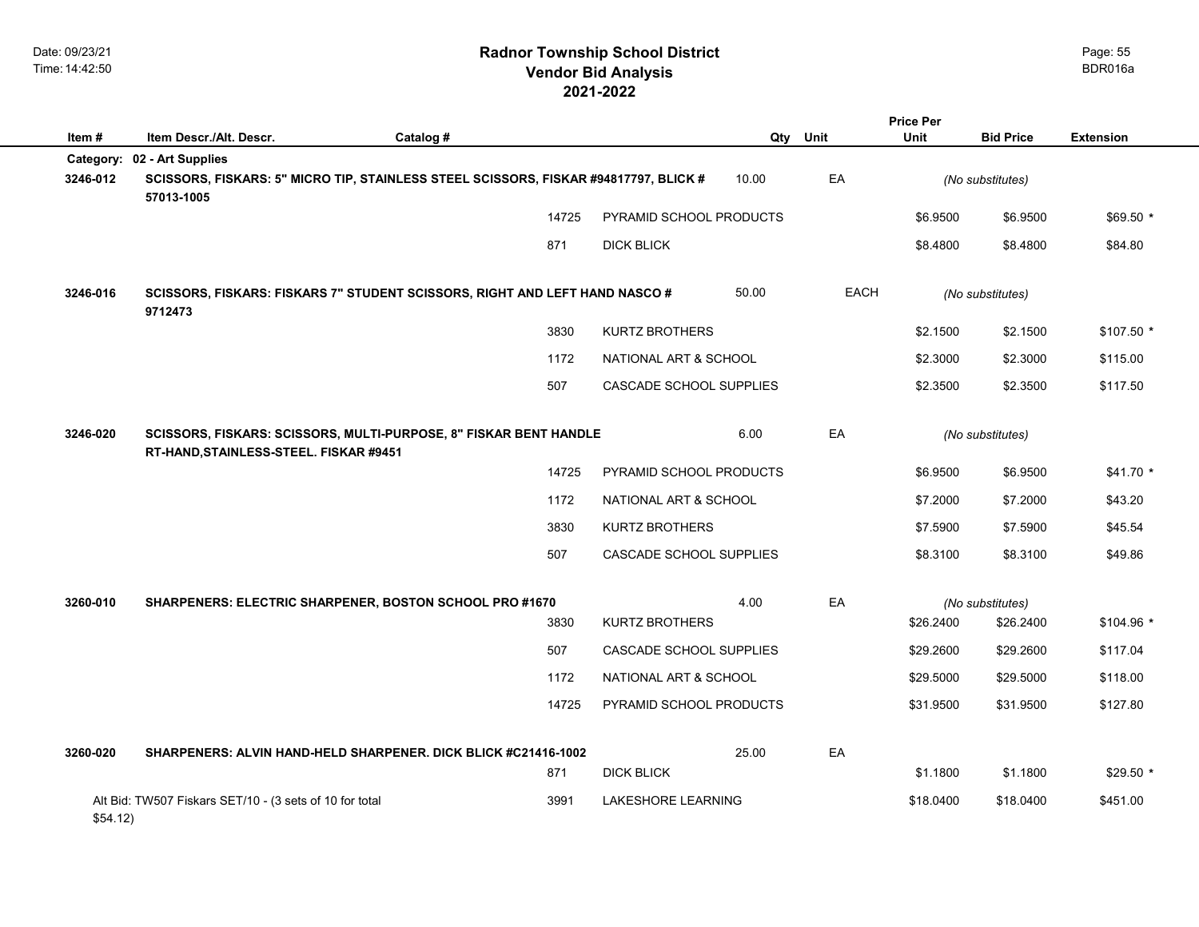|           |                                                         |                                                                                      |                         |          |             | <b>Price Per</b> |                  |                  |
|-----------|---------------------------------------------------------|--------------------------------------------------------------------------------------|-------------------------|----------|-------------|------------------|------------------|------------------|
| Item#     | Item Descr./Alt. Descr.                                 | Catalog #                                                                            |                         | Qty Unit |             | <b>Unit</b>      | <b>Bid Price</b> | <b>Extension</b> |
| Category: | 02 - Art Supplies                                       |                                                                                      |                         |          |             |                  |                  |                  |
| 3246-012  | 57013-1005                                              | SCISSORS, FISKARS: 5" MICRO TIP, STAINLESS STEEL SCISSORS, FISKAR #94817797, BLICK # |                         | 10.00    | EA          |                  | (No substitutes) |                  |
|           |                                                         | 14725                                                                                | PYRAMID SCHOOL PRODUCTS |          |             | \$6.9500         | \$6.9500         | $$69.50*$        |
|           |                                                         | 871                                                                                  | <b>DICK BLICK</b>       |          |             | \$8.4800         | \$8.4800         | \$84.80          |
| 3246-016  | 9712473                                                 | SCISSORS, FISKARS: FISKARS 7" STUDENT SCISSORS, RIGHT AND LEFT HAND NASCO #          |                         | 50.00    | <b>EACH</b> |                  | (No substitutes) |                  |
|           |                                                         | 3830                                                                                 | <b>KURTZ BROTHERS</b>   |          |             | \$2.1500         | \$2.1500         | $$107.50$ *      |
|           |                                                         | 1172                                                                                 | NATIONAL ART & SCHOOL   |          |             | \$2.3000         | \$2.3000         | \$115.00         |
|           |                                                         | 507                                                                                  | CASCADE SCHOOL SUPPLIES |          |             | \$2.3500         | \$2.3500         | \$117.50         |
| 3246-020  | RT-HAND, STAINLESS-STEEL. FISKAR #9451                  | SCISSORS, FISKARS: SCISSORS, MULTI-PURPOSE, 8" FISKAR BENT HANDLE                    |                         | 6.00     | EA          |                  | (No substitutes) |                  |
|           |                                                         | 14725                                                                                | PYRAMID SCHOOL PRODUCTS |          |             | \$6.9500         | \$6.9500         | $$41.70*$        |
|           |                                                         | 1172                                                                                 | NATIONAL ART & SCHOOL   |          |             | \$7.2000         | \$7.2000         | \$43.20          |
|           |                                                         | 3830                                                                                 | <b>KURTZ BROTHERS</b>   |          |             | \$7.5900         | \$7.5900         | \$45.54          |
|           |                                                         | 507                                                                                  | CASCADE SCHOOL SUPPLIES |          |             | \$8.3100         | \$8.3100         | \$49.86          |
| 3260-010  | SHARPENERS: ELECTRIC SHARPENER, BOSTON SCHOOL PRO #1670 |                                                                                      |                         | 4.00     | EA          |                  | (No substitutes) |                  |
|           |                                                         | 3830                                                                                 | <b>KURTZ BROTHERS</b>   |          |             | \$26.2400        | \$26.2400        | $$104.96$ *      |
|           |                                                         | 507                                                                                  | CASCADE SCHOOL SUPPLIES |          |             | \$29.2600        | \$29.2600        | \$117.04         |
|           |                                                         | 1172                                                                                 | NATIONAL ART & SCHOOL   |          |             | \$29.5000        | \$29.5000        | \$118.00         |
|           |                                                         | 14725                                                                                | PYRAMID SCHOOL PRODUCTS |          |             | \$31.9500        | \$31.9500        | \$127.80         |
| 3260-020  |                                                         | SHARPENERS: ALVIN HAND-HELD SHARPENER. DICK BLICK #C21416-1002                       |                         | 25.00    | EA          |                  |                  |                  |
|           |                                                         | 871                                                                                  | <b>DICK BLICK</b>       |          |             | \$1.1800         | \$1.1800         | $$29.50*$        |
| \$54.12)  | Alt Bid: TW507 Fiskars SET/10 - (3 sets of 10 for total | 3991                                                                                 | LAKESHORE LEARNING      |          |             | \$18.0400        | \$18.0400        | \$451.00         |